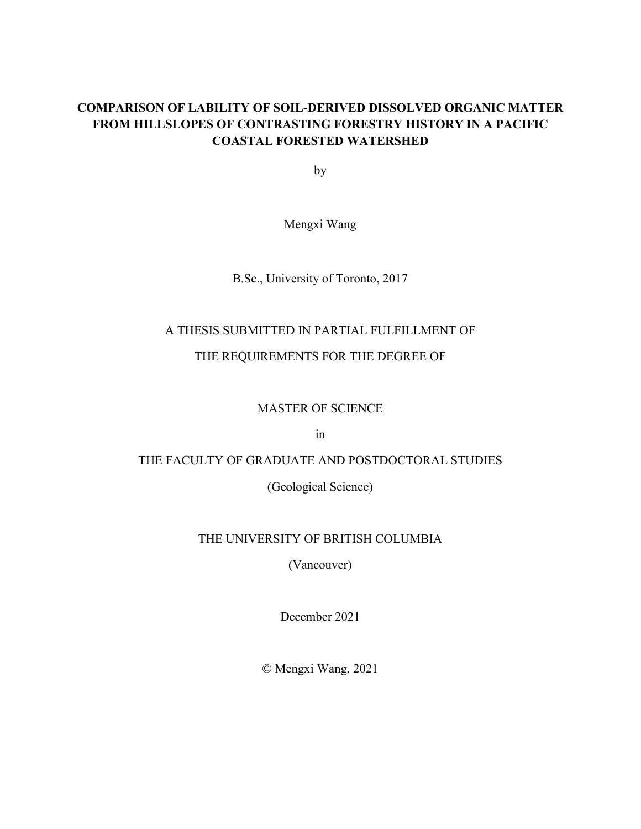## **COMPARISON OF LABILITY OF SOIL-DERIVED DISSOLVED ORGANIC MATTER FROM HILLSLOPES OF CONTRASTING FORESTRY HISTORY IN A PACIFIC COASTAL FORESTED WATERSHED**

by

Mengxi Wang

B.Sc., University of Toronto, 2017

# A THESIS SUBMITTED IN PARTIAL FULFILLMENT OF

## THE REQUIREMENTS FOR THE DEGREE OF

## MASTER OF SCIENCE

in

## THE FACULTY OF GRADUATE AND POSTDOCTORAL STUDIES

(Geological Science)

## THE UNIVERSITY OF BRITISH COLUMBIA

(Vancouver)

December 2021

© Mengxi Wang, 2021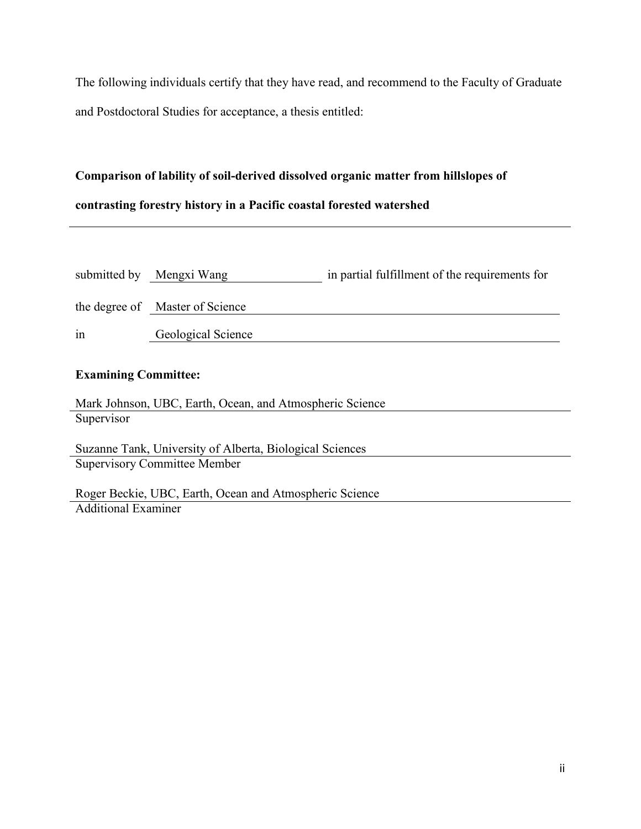The following individuals certify that they have read, and recommend to the Faculty of Graduate and Postdoctoral Studies for acceptance, a thesis entitled:

# **Comparison of lability of soil-derived dissolved organic matter from hillslopes of contrasting forestry history in a Pacific coastal forested watershed**

|    | submitted by Mengxi Wang        | in partial fulfillment of the requirements for |
|----|---------------------------------|------------------------------------------------|
|    | the degree of Master of Science |                                                |
| in | Geological Science              |                                                |

## **Examining Committee:**

Mark Johnson, UBC, Earth, Ocean, and Atmospheric Science Supervisor

Suzanne Tank, University of Alberta, Biological Sciences Supervisory Committee Member

Roger Beckie, UBC, Earth, Ocean and Atmospheric Science Additional Examiner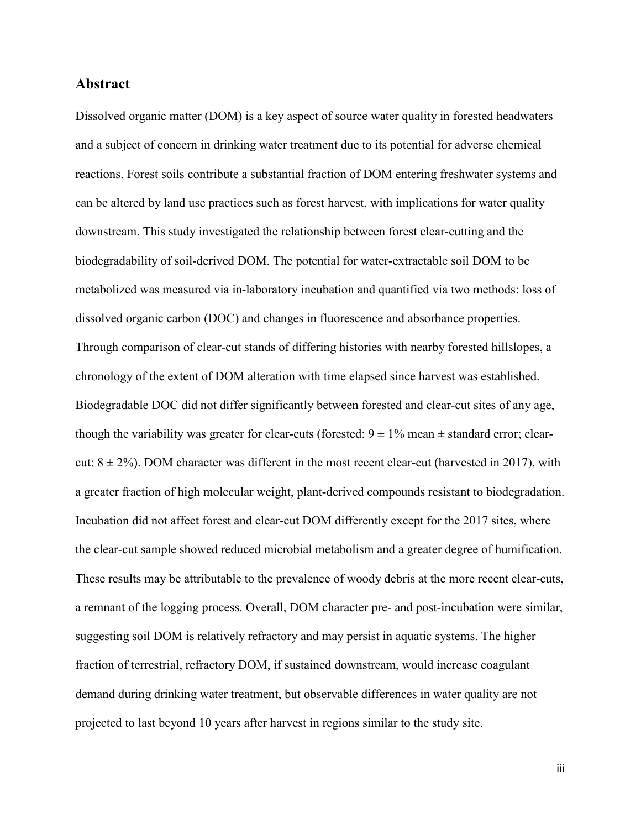### **Abstract**

Dissolved organic matter (DOM) is a key aspect of source water quality in forested headwaters and a subject of concern in drinking water treatment due to its potential for adverse chemical reactions. Forest soils contribute a substantial fraction of DOM entering freshwater systems and can be altered by land use practices such as forest harvest, with implications for water quality downstream. This study investigated the relationship between forest clear-cutting and the biodegradability of soil-derived DOM. The potential for water-extractable soil DOM to be metabolized was measured via in-laboratory incubation and quantified via two methods: loss of dissolved organic carbon (DOC) and changes in fluorescence and absorbance properties. Through comparison of clear-cut stands of differing histories with nearby forested hillslopes, a chronology of the extent of DOM alteration with time elapsed since harvest was established. Biodegradable DOC did not differ significantly between forested and clear-cut sites of any age, though the variability was greater for clear-cuts (forested:  $9 \pm 1\%$  mean  $\pm$  standard error; clearcut:  $8 \pm 2\%$ ). DOM character was different in the most recent clear-cut (harvested in 2017), with a greater fraction of high molecular weight, plant-derived compounds resistant to biodegradation. Incubation did not affect forest and clear-cut DOM differently except for the 2017 sites, where the clear-cut sample showed reduced microbial metabolism and a greater degree of humification. These results may be attributable to the prevalence of woody debris at the more recent clear-cuts, a remnant of the logging process. Overall, DOM character pre- and post-incubation were similar, suggesting soil DOM is relatively refractory and may persist in aquatic systems. The higher fraction of terrestrial, refractory DOM, if sustained downstream, would increase coagulant demand during drinking water treatment, but observable differences in water quality are not projected to last beyond 10 years after harvest in regions similar to the study site.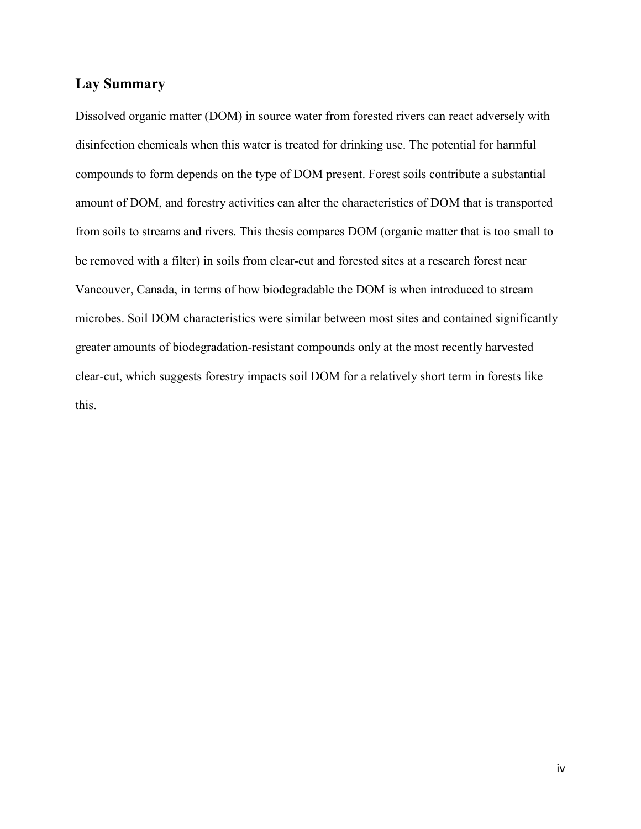## **Lay Summary**

Dissolved organic matter (DOM) in source water from forested rivers can react adversely with disinfection chemicals when this water is treated for drinking use. The potential for harmful compounds to form depends on the type of DOM present. Forest soils contribute a substantial amount of DOM, and forestry activities can alter the characteristics of DOM that is transported from soils to streams and rivers. This thesis compares DOM (organic matter that is too small to be removed with a filter) in soils from clear-cut and forested sites at a research forest near Vancouver, Canada, in terms of how biodegradable the DOM is when introduced to stream microbes. Soil DOM characteristics were similar between most sites and contained significantly greater amounts of biodegradation-resistant compounds only at the most recently harvested clear-cut, which suggests forestry impacts soil DOM for a relatively short term in forests like this.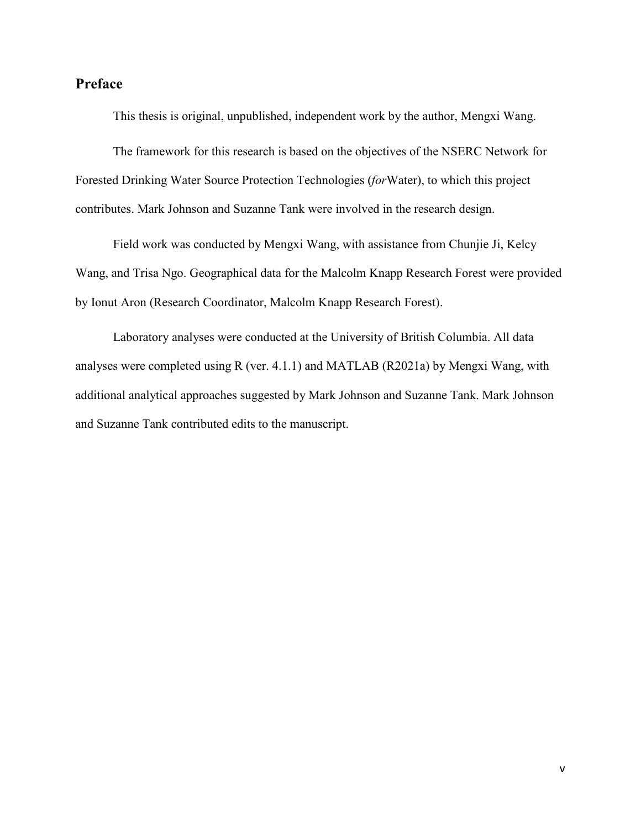## **Preface**

This thesis is original, unpublished, independent work by the author, Mengxi Wang.

The framework for this research is based on the objectives of the NSERC Network for Forested Drinking Water Source Protection Technologies (*for*Water), to which this project contributes. Mark Johnson and Suzanne Tank were involved in the research design.

Field work was conducted by Mengxi Wang, with assistance from Chunjie Ji, Kelcy Wang, and Trisa Ngo. Geographical data for the Malcolm Knapp Research Forest were provided by Ionut Aron (Research Coordinator, Malcolm Knapp Research Forest).

Laboratory analyses were conducted at the University of British Columbia. All data analyses were completed using R (ver. 4.1.1) and MATLAB (R2021a) by Mengxi Wang, with additional analytical approaches suggested by Mark Johnson and Suzanne Tank. Mark Johnson and Suzanne Tank contributed edits to the manuscript.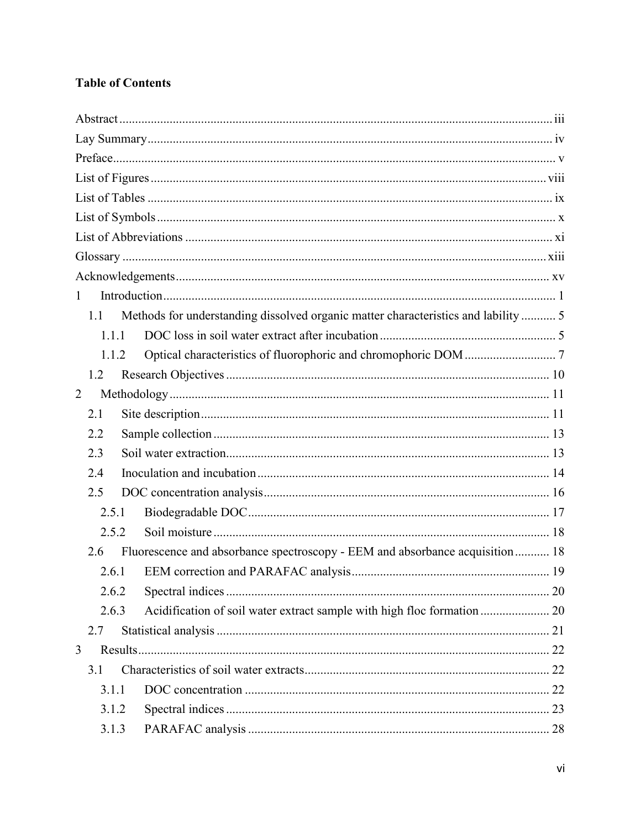## **Table of Contents**

| $\mathbf{1}$                                                                              |  |
|-------------------------------------------------------------------------------------------|--|
| Methods for understanding dissolved organic matter characteristics and lability  5<br>1.1 |  |
| 1.1.1                                                                                     |  |
| 1.1.2                                                                                     |  |
| 1.2                                                                                       |  |
| 2                                                                                         |  |
| 2.1                                                                                       |  |
| 2.2                                                                                       |  |
| 2.3                                                                                       |  |
| 2.4                                                                                       |  |
| 2.5                                                                                       |  |
| 2.5.1                                                                                     |  |
| 2.5.2                                                                                     |  |
| Fluorescence and absorbance spectroscopy - EEM and absorbance acquisition 18<br>2.6       |  |
| 2.6.1                                                                                     |  |
| 2.6.2                                                                                     |  |
| Acidification of soil water extract sample with high floc formation 20<br>2.6.3           |  |
| 2.7                                                                                       |  |
| 3                                                                                         |  |
| 3.1                                                                                       |  |
| 3.1.1                                                                                     |  |
| 3.1.2                                                                                     |  |
| 3.1.3                                                                                     |  |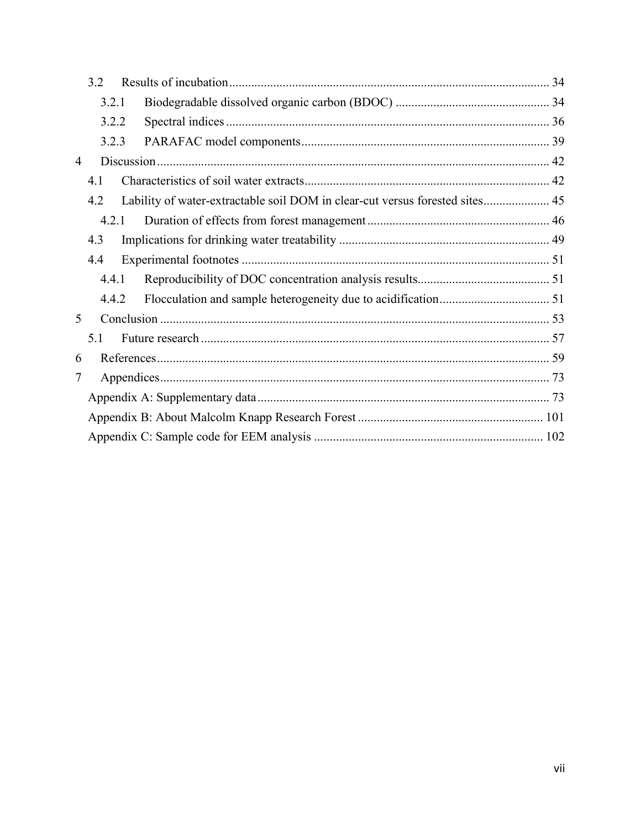|   | 3.2   |  |                                                                              |  |
|---|-------|--|------------------------------------------------------------------------------|--|
|   | 3.2.1 |  |                                                                              |  |
|   | 3.2.2 |  |                                                                              |  |
|   | 3.2.3 |  |                                                                              |  |
| 4 |       |  |                                                                              |  |
|   | 4.1   |  |                                                                              |  |
|   | 4.2   |  | Lability of water-extractable soil DOM in clear-cut versus forested sites 45 |  |
|   | 4.2.1 |  |                                                                              |  |
|   | 4.3   |  |                                                                              |  |
|   | 4.4   |  |                                                                              |  |
|   | 4.4.1 |  |                                                                              |  |
|   | 4.4.2 |  |                                                                              |  |
| 5 |       |  |                                                                              |  |
|   | 5.1   |  |                                                                              |  |
| 6 |       |  |                                                                              |  |
| 7 |       |  |                                                                              |  |
|   |       |  |                                                                              |  |
|   |       |  |                                                                              |  |
|   |       |  |                                                                              |  |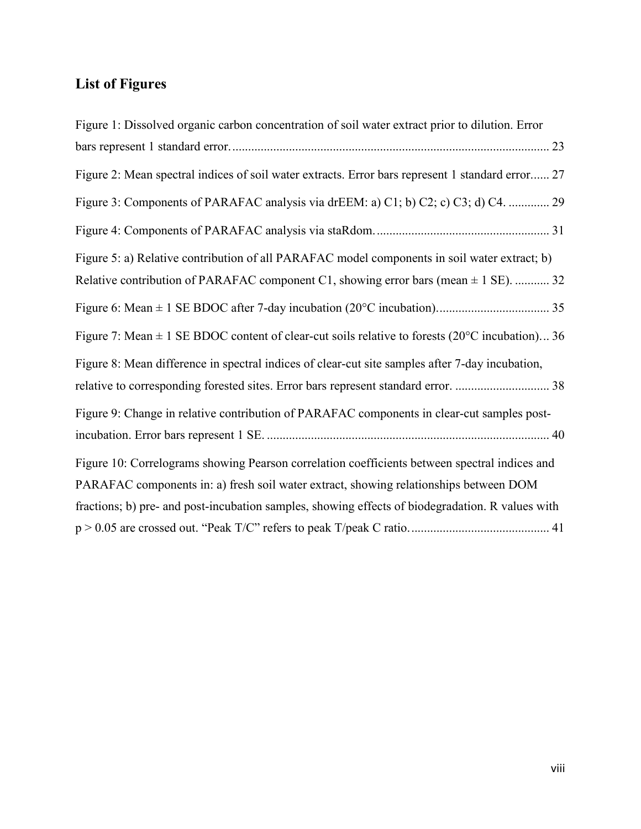## **List of Figures**

| Figure 1: Dissolved organic carbon concentration of soil water extract prior to dilution. Error               |
|---------------------------------------------------------------------------------------------------------------|
|                                                                                                               |
| Figure 2: Mean spectral indices of soil water extracts. Error bars represent 1 standard error 27              |
| Figure 3: Components of PARAFAC analysis via drEEM: a) C1; b) C2; c) C3; d) C4.  29                           |
|                                                                                                               |
| Figure 5: a) Relative contribution of all PARAFAC model components in soil water extract; b)                  |
| Relative contribution of PARAFAC component C1, showing error bars (mean $\pm$ 1 SE).  32                      |
|                                                                                                               |
| Figure 7: Mean $\pm$ 1 SE BDOC content of clear-cut soils relative to forests (20 $^{\circ}$ C incubation) 36 |
| Figure 8: Mean difference in spectral indices of clear-cut site samples after 7-day incubation,               |
| relative to corresponding forested sites. Error bars represent standard error.  38                            |
| Figure 9: Change in relative contribution of PARAFAC components in clear-cut samples post-                    |
|                                                                                                               |
| Figure 10: Correlograms showing Pearson correlation coefficients between spectral indices and                 |
| PARAFAC components in: a) fresh soil water extract, showing relationships between DOM                         |
| fractions; b) pre- and post-incubation samples, showing effects of biodegradation. R values with              |
|                                                                                                               |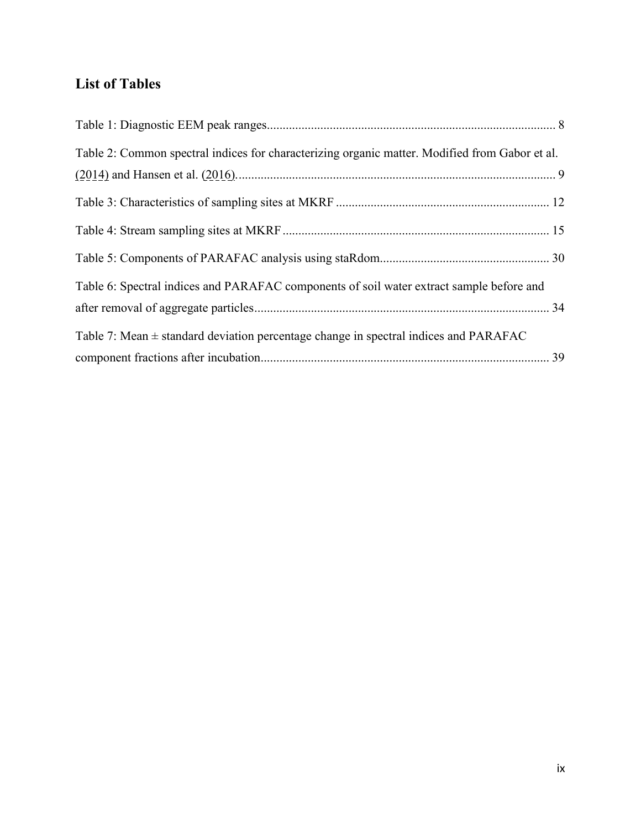## **List of Tables**

| Table 2: Common spectral indices for characterizing organic matter. Modified from Gabor et al. |  |
|------------------------------------------------------------------------------------------------|--|
|                                                                                                |  |
|                                                                                                |  |
|                                                                                                |  |
|                                                                                                |  |
| Table 6: Spectral indices and PARAFAC components of soil water extract sample before and       |  |
|                                                                                                |  |
| Table 7: Mean $\pm$ standard deviation percentage change in spectral indices and PARAFAC       |  |
|                                                                                                |  |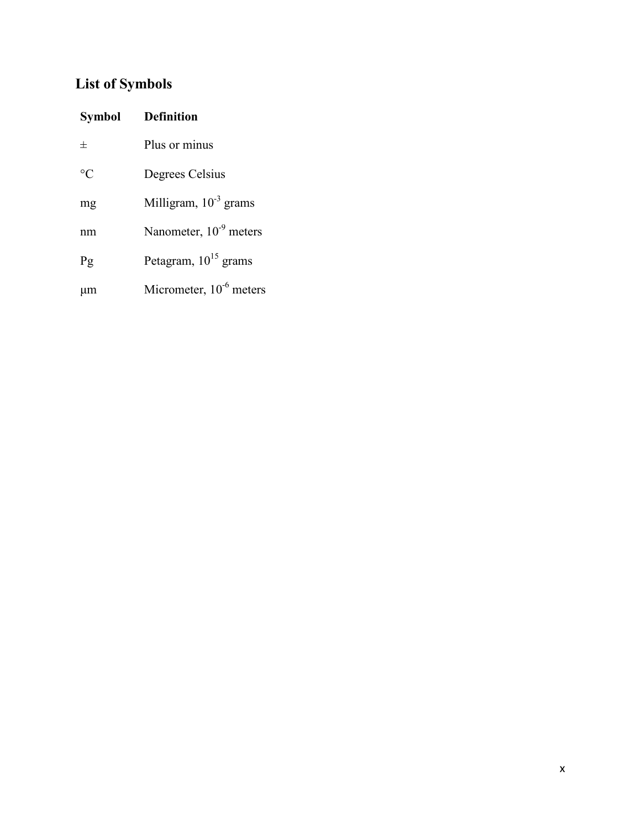## **List of Symbols**

| Symbol          | <b>Definition</b>            |  |
|-----------------|------------------------------|--|
| 士               | Plus or minus                |  |
| $\rm ^{\circ}C$ | Degrees Celsius              |  |
| mg              | Milligram, $10^{-3}$ grams   |  |
| nm              | Nanometer, $10^{-9}$ meters  |  |
| Pg              | Petagram, $10^{15}$ grams    |  |
| $\mu$ m         | Micrometer, $10^{-6}$ meters |  |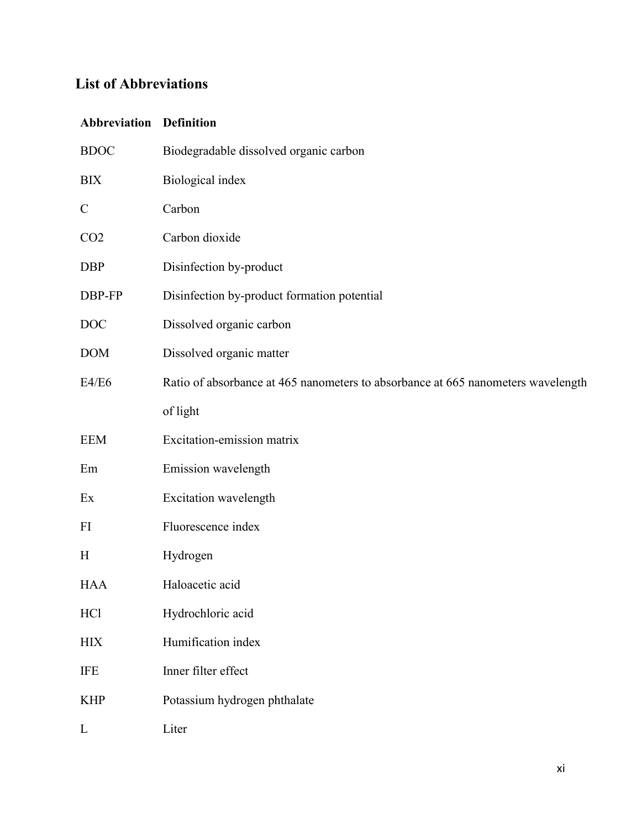## **List of Abbreviations**

## **Abbreviation Definition**

| <b>BDOC</b>     | Biodegradable dissolved organic carbon                                           |  |  |
|-----------------|----------------------------------------------------------------------------------|--|--|
| <b>BIX</b>      | Biological index                                                                 |  |  |
| $\mathbf C$     | Carbon                                                                           |  |  |
| CO <sub>2</sub> | Carbon dioxide                                                                   |  |  |
| <b>DBP</b>      | Disinfection by-product                                                          |  |  |
| DBP-FP          | Disinfection by-product formation potential                                      |  |  |
| <b>DOC</b>      | Dissolved organic carbon                                                         |  |  |
| <b>DOM</b>      | Dissolved organic matter                                                         |  |  |
| E4/E6           | Ratio of absorbance at 465 nanometers to absorbance at 665 nanometers wavelength |  |  |
|                 | of light                                                                         |  |  |
| <b>EEM</b>      | Excitation-emission matrix                                                       |  |  |
| Em              | Emission wavelength                                                              |  |  |
| Ex              | Excitation wavelength                                                            |  |  |
| FI              | Fluorescence index                                                               |  |  |
| H               | Hydrogen                                                                         |  |  |
| <b>HAA</b>      | Haloacetic acid                                                                  |  |  |
| HC1             | Hydrochloric acid                                                                |  |  |
| <b>HIX</b>      | Humification index                                                               |  |  |
| <b>IFE</b>      | Inner filter effect                                                              |  |  |
| <b>KHP</b>      | Potassium hydrogen phthalate                                                     |  |  |
| L               | Liter                                                                            |  |  |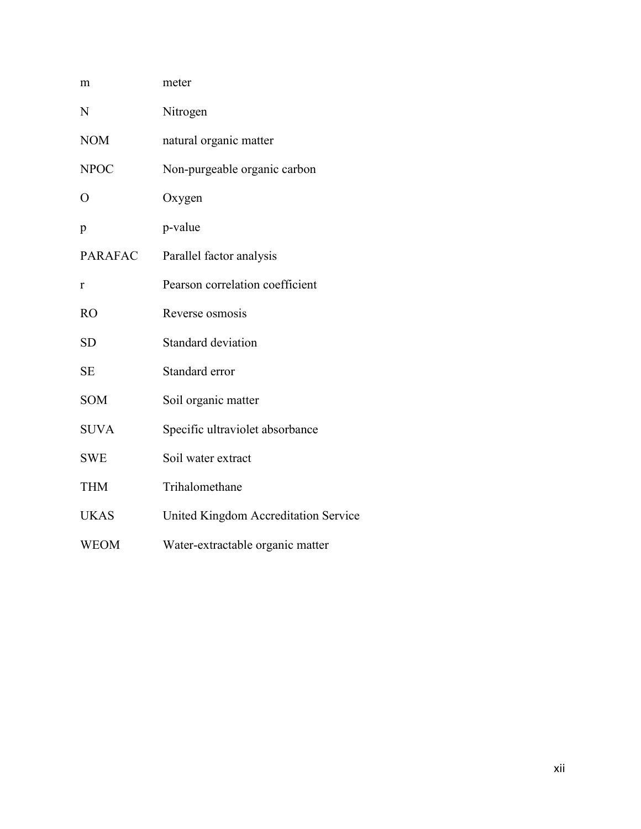| m              | meter                                |
|----------------|--------------------------------------|
| N              | Nitrogen                             |
| <b>NOM</b>     | natural organic matter               |
| <b>NPOC</b>    | Non-purgeable organic carbon         |
| $\overline{O}$ | Oxygen                               |
| p              | p-value                              |
| <b>PARAFAC</b> | Parallel factor analysis             |
| r              | Pearson correlation coefficient      |
| <b>RO</b>      | Reverse osmosis                      |
| <b>SD</b>      | Standard deviation                   |
| <b>SE</b>      | Standard error                       |
| <b>SOM</b>     | Soil organic matter                  |
| <b>SUVA</b>    | Specific ultraviolet absorbance      |
| <b>SWE</b>     | Soil water extract                   |
| <b>THM</b>     | Trihalomethane                       |
| <b>UKAS</b>    | United Kingdom Accreditation Service |
| <b>WEOM</b>    | Water-extractable organic matter     |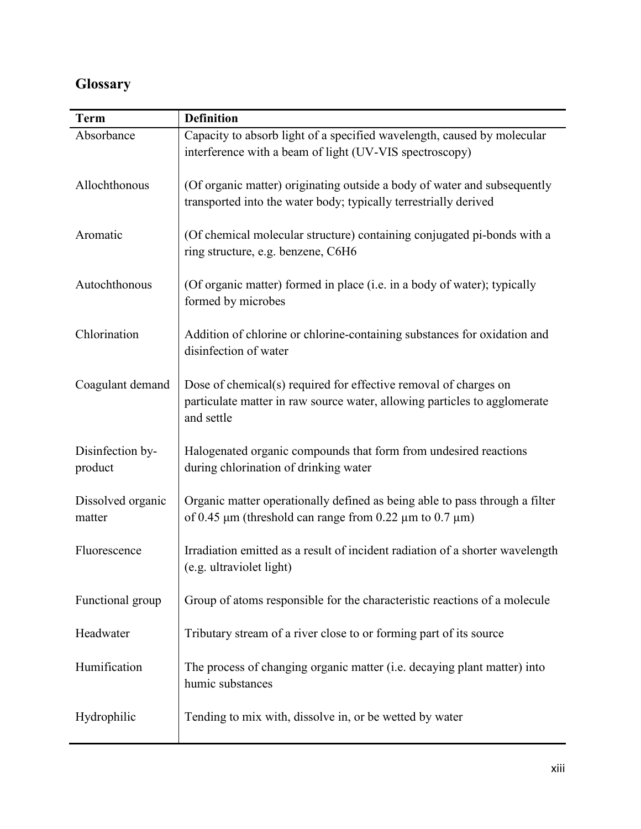## **Glossary**

| <b>Term</b>                 | <b>Definition</b>                                                                                                                                           |  |
|-----------------------------|-------------------------------------------------------------------------------------------------------------------------------------------------------------|--|
| Absorbance                  | Capacity to absorb light of a specified wavelength, caused by molecular<br>interference with a beam of light (UV-VIS spectroscopy)                          |  |
| Allochthonous               | (Of organic matter) originating outside a body of water and subsequently<br>transported into the water body; typically terrestrially derived                |  |
| Aromatic                    | (Of chemical molecular structure) containing conjugated pi-bonds with a<br>ring structure, e.g. benzene, C6H6                                               |  |
| Autochthonous               | (Of organic matter) formed in place (i.e. in a body of water); typically<br>formed by microbes                                                              |  |
| Chlorination                | Addition of chlorine or chlorine-containing substances for oxidation and<br>disinfection of water                                                           |  |
| Coagulant demand            | Dose of chemical(s) required for effective removal of charges on<br>particulate matter in raw source water, allowing particles to agglomerate<br>and settle |  |
| Disinfection by-<br>product | Halogenated organic compounds that form from undesired reactions<br>during chlorination of drinking water                                                   |  |
| Dissolved organic<br>matter | Organic matter operationally defined as being able to pass through a filter<br>of 0.45 $\mu$ m (threshold can range from 0.22 $\mu$ m to 0.7 $\mu$ m)       |  |
| Fluorescence                | Irradiation emitted as a result of incident radiation of a shorter wavelength<br>(e.g. ultraviolet light)                                                   |  |
| Functional group            | Group of atoms responsible for the characteristic reactions of a molecule                                                                                   |  |
| Headwater                   | Tributary stream of a river close to or forming part of its source                                                                                          |  |
| Humification                | The process of changing organic matter (i.e. decaying plant matter) into<br>humic substances                                                                |  |
| Hydrophilic                 | Tending to mix with, dissolve in, or be wetted by water                                                                                                     |  |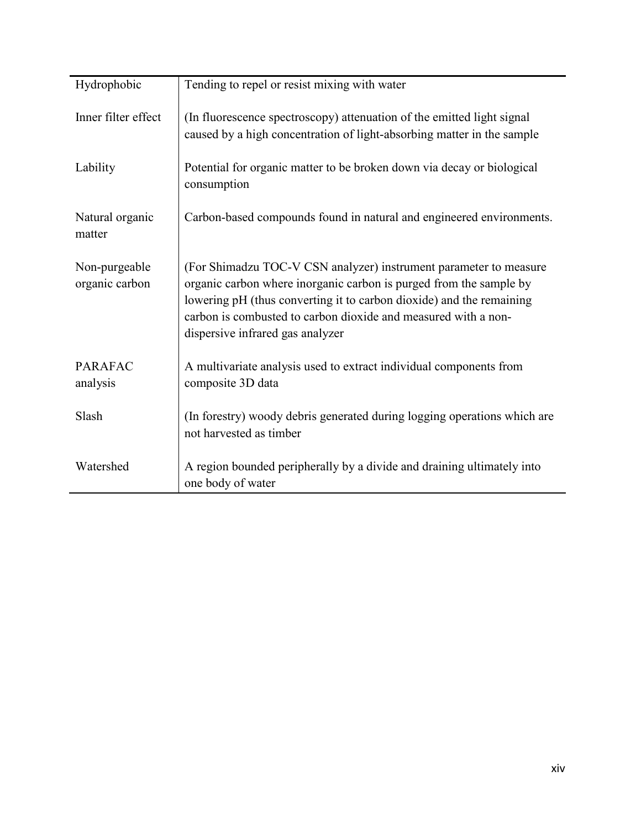| Hydrophobic                     | Tending to repel or resist mixing with water                                                                                                                                                                                                                                                                          |  |  |
|---------------------------------|-----------------------------------------------------------------------------------------------------------------------------------------------------------------------------------------------------------------------------------------------------------------------------------------------------------------------|--|--|
| Inner filter effect             | (In fluorescence spectroscopy) attenuation of the emitted light signal<br>caused by a high concentration of light-absorbing matter in the sample                                                                                                                                                                      |  |  |
| Lability                        | Potential for organic matter to be broken down via decay or biological<br>consumption                                                                                                                                                                                                                                 |  |  |
| Natural organic<br>matter       | Carbon-based compounds found in natural and engineered environments.                                                                                                                                                                                                                                                  |  |  |
| Non-purgeable<br>organic carbon | (For Shimadzu TOC-V CSN analyzer) instrument parameter to measure<br>organic carbon where inorganic carbon is purged from the sample by<br>lowering pH (thus converting it to carbon dioxide) and the remaining<br>carbon is combusted to carbon dioxide and measured with a non-<br>dispersive infrared gas analyzer |  |  |
| <b>PARAFAC</b><br>analysis      | A multivariate analysis used to extract individual components from<br>composite 3D data                                                                                                                                                                                                                               |  |  |
| Slash                           | (In forestry) woody debris generated during logging operations which are<br>not harvested as timber                                                                                                                                                                                                                   |  |  |
| Watershed                       | A region bounded peripherally by a divide and draining ultimately into<br>one body of water                                                                                                                                                                                                                           |  |  |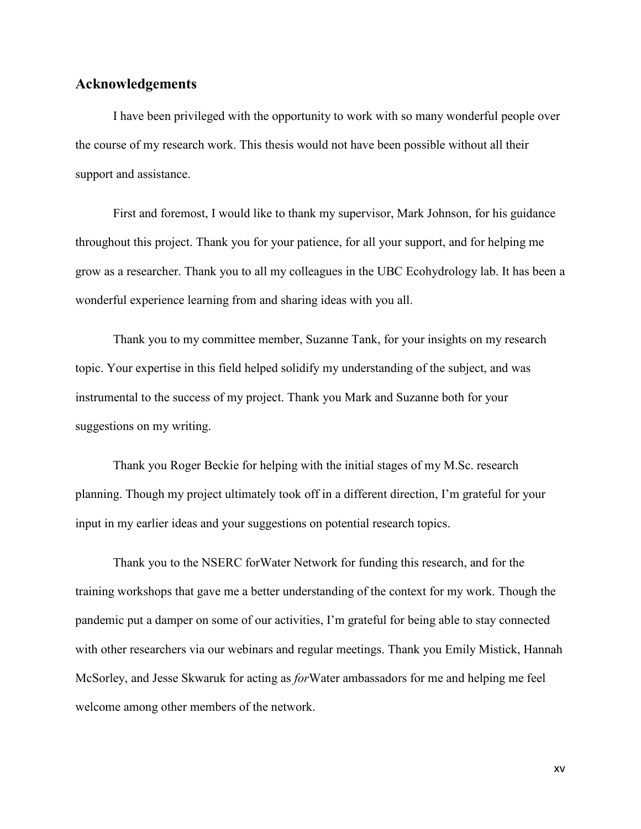### **Acknowledgements**

I have been privileged with the opportunity to work with so many wonderful people over the course of my research work. This thesis would not have been possible without all their support and assistance.

First and foremost, I would like to thank my supervisor, Mark Johnson, for his guidance throughout this project. Thank you for your patience, for all your support, and for helping me grow as a researcher. Thank you to all my colleagues in the UBC Ecohydrology lab. It has been a wonderful experience learning from and sharing ideas with you all.

Thank you to my committee member, Suzanne Tank, for your insights on my research topic. Your expertise in this field helped solidify my understanding of the subject, and was instrumental to the success of my project. Thank you Mark and Suzanne both for your suggestions on my writing.

Thank you Roger Beckie for helping with the initial stages of my M.Sc. research planning. Though my project ultimately took off in a different direction, I'm grateful for your input in my earlier ideas and your suggestions on potential research topics.

Thank you to the NSERC forWater Network for funding this research, and for the training workshops that gave me a better understanding of the context for my work. Though the pandemic put a damper on some of our activities, I'm grateful for being able to stay connected with other researchers via our webinars and regular meetings. Thank you Emily Mistick, Hannah McSorley, and Jesse Skwaruk for acting as *for*Water ambassadors for me and helping me feel welcome among other members of the network.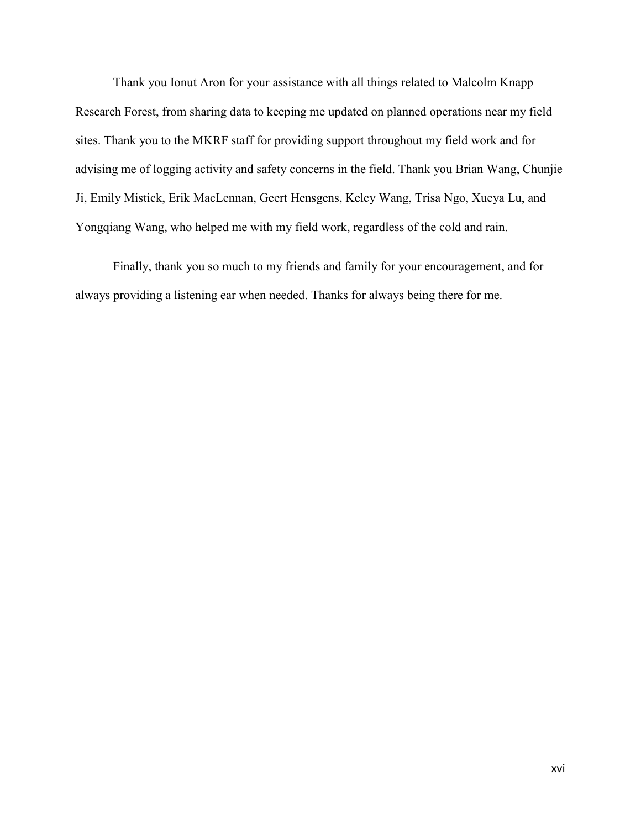Thank you Ionut Aron for your assistance with all things related to Malcolm Knapp Research Forest, from sharing data to keeping me updated on planned operations near my field sites. Thank you to the MKRF staff for providing support throughout my field work and for advising me of logging activity and safety concerns in the field. Thank you Brian Wang, Chunjie Ji, Emily Mistick, Erik MacLennan, Geert Hensgens, Kelcy Wang, Trisa Ngo, Xueya Lu, and Yongqiang Wang, who helped me with my field work, regardless of the cold and rain.

Finally, thank you so much to my friends and family for your encouragement, and for always providing a listening ear when needed. Thanks for always being there for me.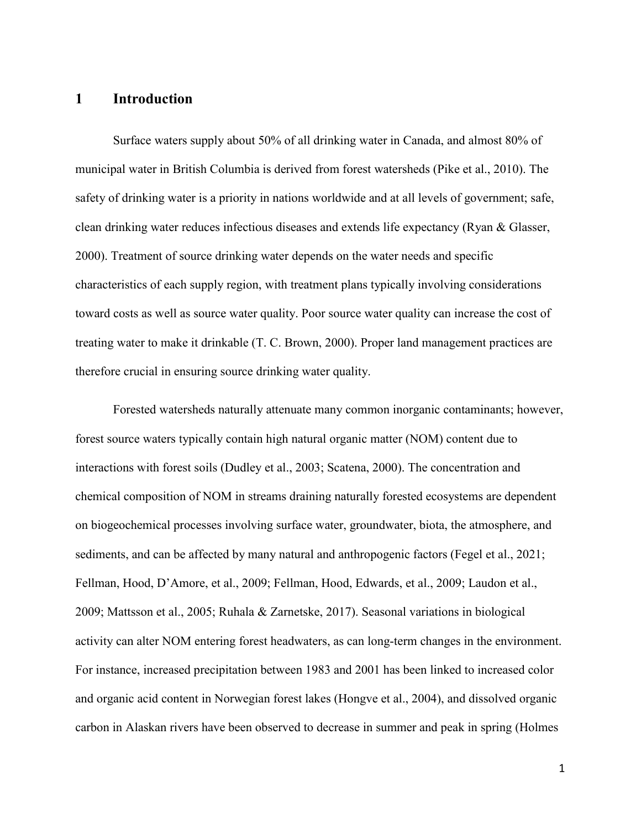## **1 Introduction**

Surface waters supply about 50% of all drinking water in Canada, and almost 80% of municipal water in British Columbia is derived from forest watersheds (Pike et al., 2010). The safety of drinking water is a priority in nations worldwide and at all levels of government; safe, clean drinking water reduces infectious diseases and extends life expectancy (Ryan & Glasser, 2000). Treatment of source drinking water depends on the water needs and specific characteristics of each supply region, with treatment plans typically involving considerations toward costs as well as source water quality. Poor source water quality can increase the cost of treating water to make it drinkable (T. C. Brown, 2000). Proper land management practices are therefore crucial in ensuring source drinking water quality.

Forested watersheds naturally attenuate many common inorganic contaminants; however, forest source waters typically contain high natural organic matter (NOM) content due to interactions with forest soils (Dudley et al., 2003; Scatena, 2000). The concentration and chemical composition of NOM in streams draining naturally forested ecosystems are dependent on biogeochemical processes involving surface water, groundwater, biota, the atmosphere, and sediments, and can be affected by many natural and anthropogenic factors (Fegel et al., 2021; Fellman, Hood, D'Amore, et al., 2009; Fellman, Hood, Edwards, et al., 2009; Laudon et al., 2009; Mattsson et al., 2005; Ruhala & Zarnetske, 2017). Seasonal variations in biological activity can alter NOM entering forest headwaters, as can long-term changes in the environment. For instance, increased precipitation between 1983 and 2001 has been linked to increased color and organic acid content in Norwegian forest lakes (Hongve et al., 2004), and dissolved organic carbon in Alaskan rivers have been observed to decrease in summer and peak in spring (Holmes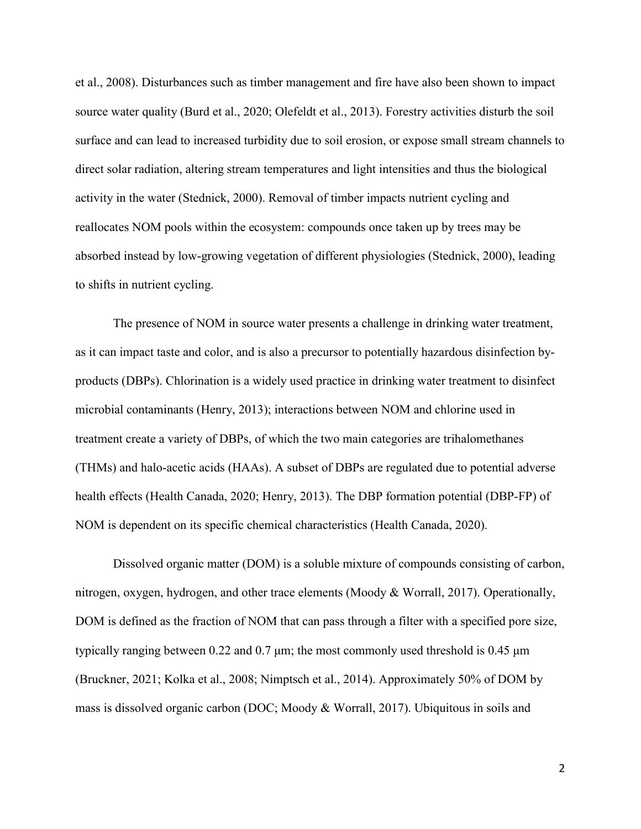et al., 2008). Disturbances such as timber management and fire have also been shown to impact source water quality (Burd et al., 2020; Olefeldt et al., 2013). Forestry activities disturb the soil surface and can lead to increased turbidity due to soil erosion, or expose small stream channels to direct solar radiation, altering stream temperatures and light intensities and thus the biological activity in the water (Stednick, 2000). Removal of timber impacts nutrient cycling and reallocates NOM pools within the ecosystem: compounds once taken up by trees may be absorbed instead by low-growing vegetation of different physiologies (Stednick, 2000), leading to shifts in nutrient cycling.

The presence of NOM in source water presents a challenge in drinking water treatment, as it can impact taste and color, and is also a precursor to potentially hazardous disinfection byproducts (DBPs). Chlorination is a widely used practice in drinking water treatment to disinfect microbial contaminants (Henry, 2013); interactions between NOM and chlorine used in treatment create a variety of DBPs, of which the two main categories are trihalomethanes (THMs) and halo-acetic acids (HAAs). A subset of DBPs are regulated due to potential adverse health effects (Health Canada, 2020; Henry, 2013). The DBP formation potential (DBP-FP) of NOM is dependent on its specific chemical characteristics (Health Canada, 2020).

Dissolved organic matter (DOM) is a soluble mixture of compounds consisting of carbon, nitrogen, oxygen, hydrogen, and other trace elements (Moody & Worrall, 2017). Operationally, DOM is defined as the fraction of NOM that can pass through a filter with a specified pore size, typically ranging between 0.22 and 0.7 μm; the most commonly used threshold is 0.45 μm (Bruckner, 2021; Kolka et al., 2008; Nimptsch et al., 2014). Approximately 50% of DOM by mass is dissolved organic carbon (DOC; Moody & Worrall, 2017). Ubiquitous in soils and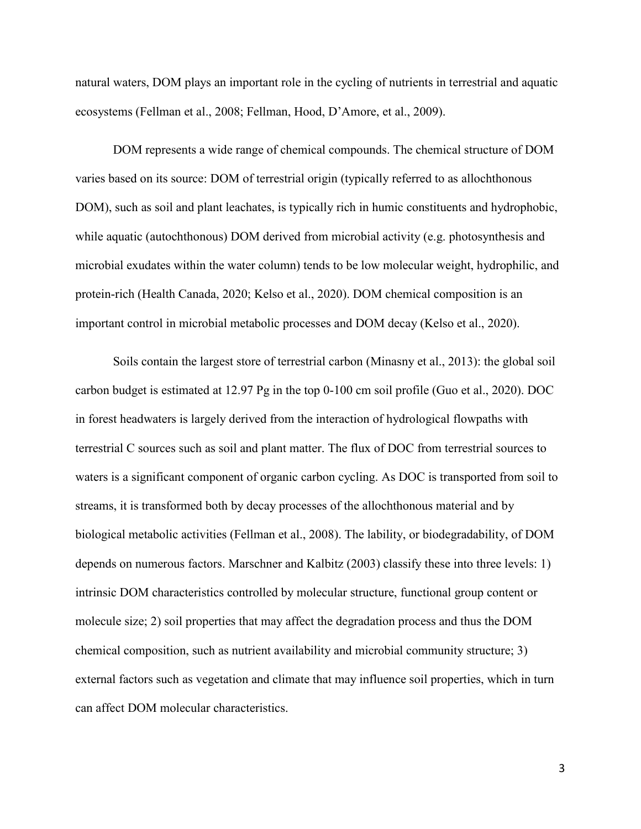natural waters, DOM plays an important role in the cycling of nutrients in terrestrial and aquatic ecosystems (Fellman et al., 2008; Fellman, Hood, D'Amore, et al., 2009).

DOM represents a wide range of chemical compounds. The chemical structure of DOM varies based on its source: DOM of terrestrial origin (typically referred to as allochthonous DOM), such as soil and plant leachates, is typically rich in humic constituents and hydrophobic, while aquatic (autochthonous) DOM derived from microbial activity (e.g. photosynthesis and microbial exudates within the water column) tends to be low molecular weight, hydrophilic, and protein-rich (Health Canada, 2020; Kelso et al., 2020). DOM chemical composition is an important control in microbial metabolic processes and DOM decay (Kelso et al., 2020).

Soils contain the largest store of terrestrial carbon (Minasny et al., 2013): the global soil carbon budget is estimated at 12.97 Pg in the top 0-100 cm soil profile (Guo et al., 2020). DOC in forest headwaters is largely derived from the interaction of hydrological flowpaths with terrestrial C sources such as soil and plant matter. The flux of DOC from terrestrial sources to waters is a significant component of organic carbon cycling. As DOC is transported from soil to streams, it is transformed both by decay processes of the allochthonous material and by biological metabolic activities (Fellman et al., 2008). The lability, or biodegradability, of DOM depends on numerous factors. Marschner and Kalbitz (2003) classify these into three levels: 1) intrinsic DOM characteristics controlled by molecular structure, functional group content or molecule size; 2) soil properties that may affect the degradation process and thus the DOM chemical composition, such as nutrient availability and microbial community structure; 3) external factors such as vegetation and climate that may influence soil properties, which in turn can affect DOM molecular characteristics.

3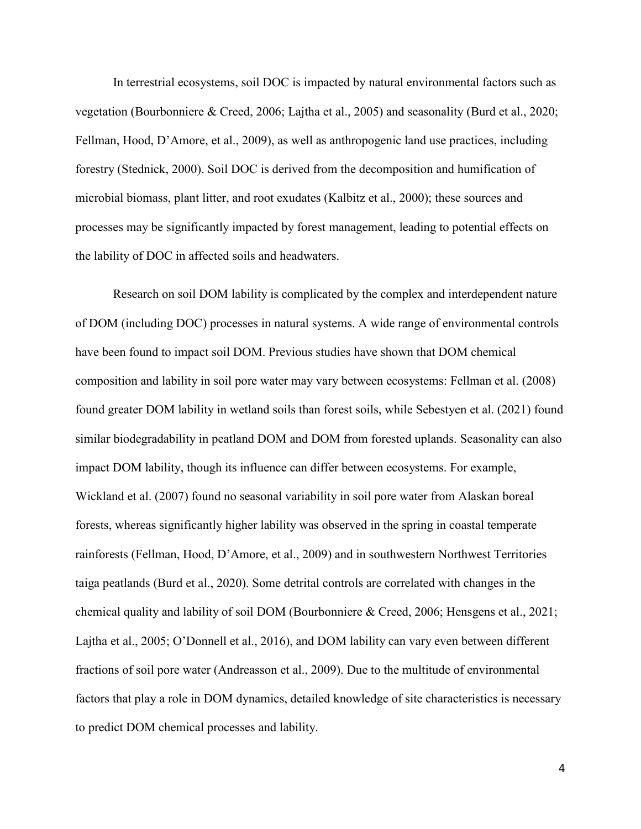In terrestrial ecosystems, soil DOC is impacted by natural environmental factors such as vegetation (Bourbonniere & Creed, 2006; Lajtha et al., 2005) and seasonality (Burd et al., 2020; Fellman, Hood, D'Amore, et al., 2009), as well as anthropogenic land use practices, including forestry (Stednick, 2000). Soil DOC is derived from the decomposition and humification of microbial biomass, plant litter, and root exudates (Kalbitz et al., 2000); these sources and processes may be significantly impacted by forest management, leading to potential effects on the lability of DOC in affected soils and headwaters.

Research on soil DOM lability is complicated by the complex and interdependent nature of DOM (including DOC) processes in natural systems. A wide range of environmental controls have been found to impact soil DOM. Previous studies have shown that DOM chemical composition and lability in soil pore water may vary between ecosystems: Fellman et al. (2008) found greater DOM lability in wetland soils than forest soils, while Sebestyen et al. (2021) found similar biodegradability in peatland DOM and DOM from forested uplands. Seasonality can also impact DOM lability, though its influence can differ between ecosystems. For example, Wickland et al. (2007) found no seasonal variability in soil pore water from Alaskan boreal forests, whereas significantly higher lability was observed in the spring in coastal temperate rainforests (Fellman, Hood, D'Amore, et al., 2009) and in southwestern Northwest Territories taiga peatlands (Burd et al., 2020). Some detrital controls are correlated with changes in the chemical quality and lability of soil DOM (Bourbonniere & Creed, 2006; Hensgens et al., 2021; Lajtha et al., 2005; O'Donnell et al., 2016), and DOM lability can vary even between different fractions of soil pore water (Andreasson et al., 2009). Due to the multitude of environmental factors that play a role in DOM dynamics, detailed knowledge of site characteristics is necessary to predict DOM chemical processes and lability.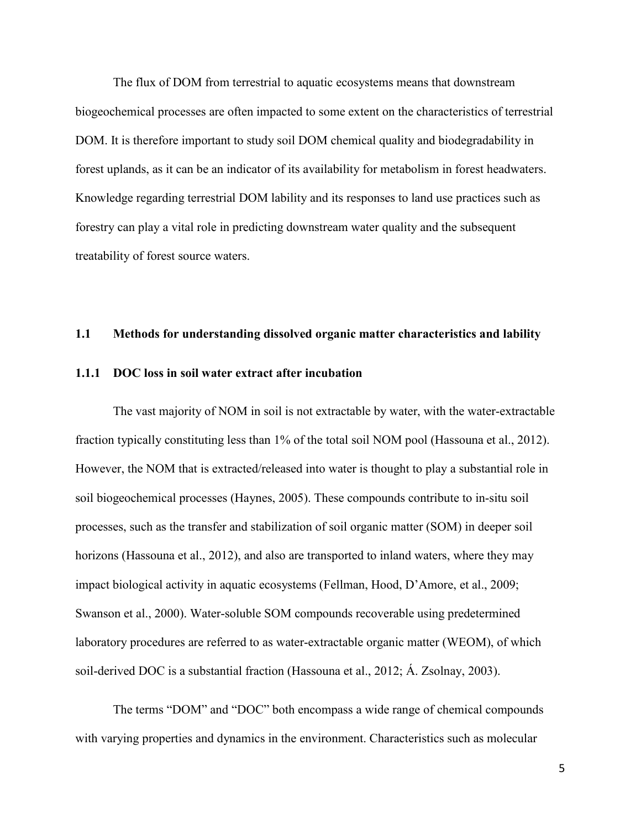The flux of DOM from terrestrial to aquatic ecosystems means that downstream biogeochemical processes are often impacted to some extent on the characteristics of terrestrial DOM. It is therefore important to study soil DOM chemical quality and biodegradability in forest uplands, as it can be an indicator of its availability for metabolism in forest headwaters. Knowledge regarding terrestrial DOM lability and its responses to land use practices such as forestry can play a vital role in predicting downstream water quality and the subsequent treatability of forest source waters.

### **1.1 Methods for understanding dissolved organic matter characteristics and lability**

#### **1.1.1 DOC loss in soil water extract after incubation**

The vast majority of NOM in soil is not extractable by water, with the water-extractable fraction typically constituting less than 1% of the total soil NOM pool (Hassouna et al., 2012). However, the NOM that is extracted/released into water is thought to play a substantial role in soil biogeochemical processes (Haynes, 2005). These compounds contribute to in-situ soil processes, such as the transfer and stabilization of soil organic matter (SOM) in deeper soil horizons (Hassouna et al., 2012), and also are transported to inland waters, where they may impact biological activity in aquatic ecosystems (Fellman, Hood, D'Amore, et al., 2009; Swanson et al., 2000). Water-soluble SOM compounds recoverable using predetermined laboratory procedures are referred to as water-extractable organic matter (WEOM), of which soil-derived DOC is a substantial fraction (Hassouna et al., 2012; Á. Zsolnay, 2003).

The terms "DOM" and "DOC" both encompass a wide range of chemical compounds with varying properties and dynamics in the environment. Characteristics such as molecular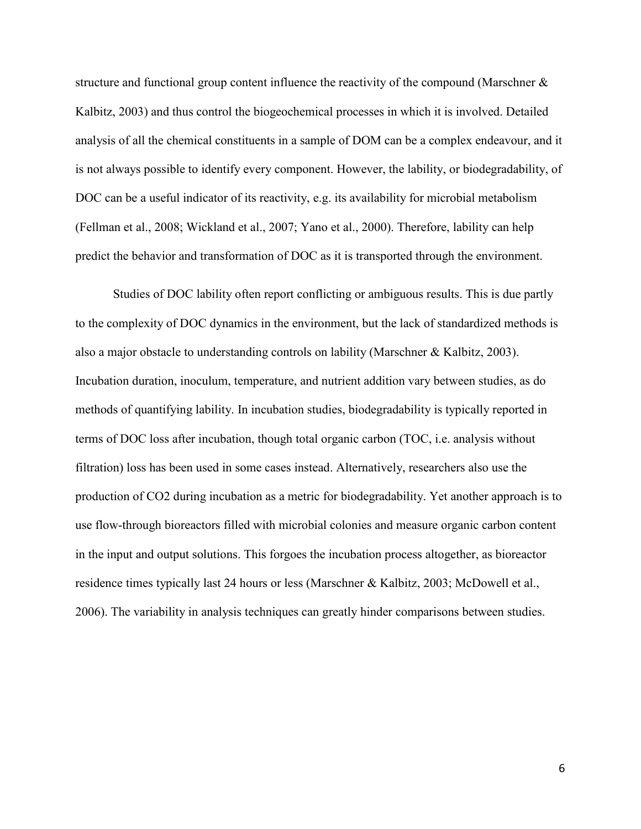structure and functional group content influence the reactivity of the compound (Marschner  $\&$ Kalbitz, 2003) and thus control the biogeochemical processes in which it is involved. Detailed analysis of all the chemical constituents in a sample of DOM can be a complex endeavour, and it is not always possible to identify every component. However, the lability, or biodegradability, of DOC can be a useful indicator of its reactivity, e.g. its availability for microbial metabolism (Fellman et al., 2008; Wickland et al., 2007; Yano et al., 2000). Therefore, lability can help predict the behavior and transformation of DOC as it is transported through the environment.

Studies of DOC lability often report conflicting or ambiguous results. This is due partly to the complexity of DOC dynamics in the environment, but the lack of standardized methods is also a major obstacle to understanding controls on lability (Marschner & Kalbitz, 2003). Incubation duration, inoculum, temperature, and nutrient addition vary between studies, as do methods of quantifying lability. In incubation studies, biodegradability is typically reported in terms of DOC loss after incubation, though total organic carbon (TOC, i.e. analysis without filtration) loss has been used in some cases instead. Alternatively, researchers also use the production of CO2 during incubation as a metric for biodegradability. Yet another approach is to use flow-through bioreactors filled with microbial colonies and measure organic carbon content in the input and output solutions. This forgoes the incubation process altogether, as bioreactor residence times typically last 24 hours or less (Marschner & Kalbitz, 2003; McDowell et al., 2006). The variability in analysis techniques can greatly hinder comparisons between studies.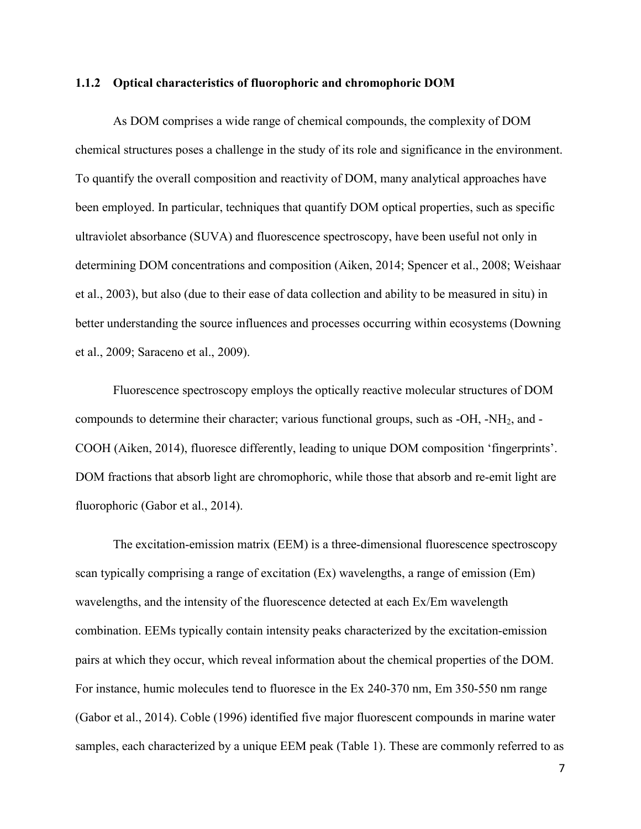#### **1.1.2 Optical characteristics of fluorophoric and chromophoric DOM**

As DOM comprises a wide range of chemical compounds, the complexity of DOM chemical structures poses a challenge in the study of its role and significance in the environment. To quantify the overall composition and reactivity of DOM, many analytical approaches have been employed. In particular, techniques that quantify DOM optical properties, such as specific ultraviolet absorbance (SUVA) and fluorescence spectroscopy, have been useful not only in determining DOM concentrations and composition (Aiken, 2014; Spencer et al., 2008; Weishaar et al., 2003), but also (due to their ease of data collection and ability to be measured in situ) in better understanding the source influences and processes occurring within ecosystems (Downing et al., 2009; Saraceno et al., 2009).

Fluorescence spectroscopy employs the optically reactive molecular structures of DOM compounds to determine their character; various functional groups, such as -OH, -NH2, and - COOH (Aiken, 2014), fluoresce differently, leading to unique DOM composition 'fingerprints'. DOM fractions that absorb light are chromophoric, while those that absorb and re-emit light are fluorophoric (Gabor et al., 2014).

The excitation-emission matrix (EEM) is a three-dimensional fluorescence spectroscopy scan typically comprising a range of excitation (Ex) wavelengths, a range of emission (Em) wavelengths, and the intensity of the fluorescence detected at each Ex/Em wavelength combination. EEMs typically contain intensity peaks characterized by the excitation-emission pairs at which they occur, which reveal information about the chemical properties of the DOM. For instance, humic molecules tend to fluoresce in the Ex 240-370 nm, Em 350-550 nm range (Gabor et al., 2014). Coble (1996) identified five major fluorescent compounds in marine water samples, each characterized by a unique EEM peak (Table 1). These are commonly referred to as

7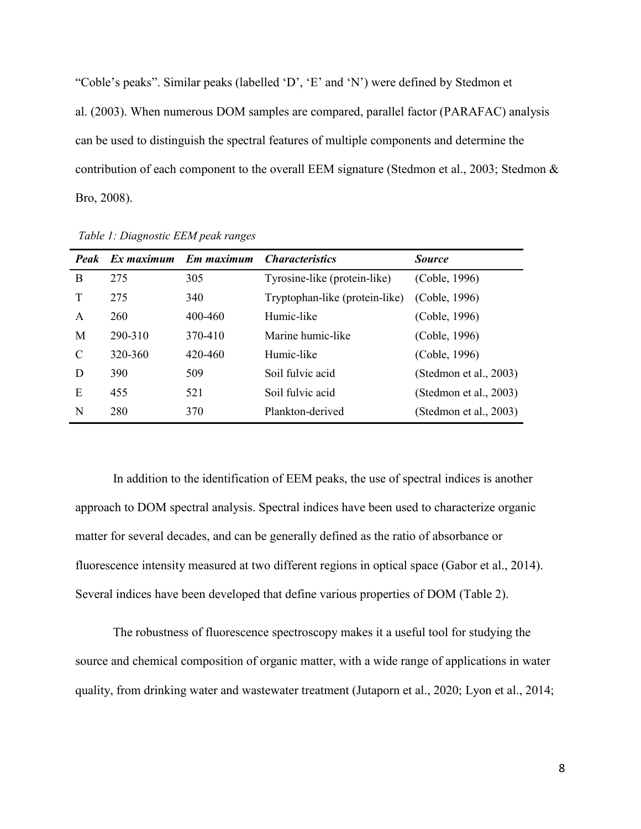"Coble's peaks". Similar peaks (labelled 'D', 'E' and 'N') were defined by Stedmon et al. (2003). When numerous DOM samples are compared, parallel factor (PARAFAC) analysis can be used to distinguish the spectral features of multiple components and determine the contribution of each component to the overall EEM signature (Stedmon et al., 2003; Stedmon & Bro, 2008).

| Peak         |         | Ex maximum Em maximum Characteristics |                                | <b>Source</b>          |
|--------------|---------|---------------------------------------|--------------------------------|------------------------|
| B            | 275     | 305                                   | Tyrosine-like (protein-like)   | (Coble, 1996)          |
| $\mathbf T$  | 275     | 340                                   | Tryptophan-like (protein-like) | (Coble, 1996)          |
| $\mathsf{A}$ | 260     | 400-460                               | Humic-like                     | (Coble, 1996)          |
| M            | 290-310 | 370-410                               | Marine humic-like              | (Coble, 1996)          |
| C            | 320-360 | 420-460                               | Humic-like                     | (Coble, 1996)          |
| D            | 390     | 509                                   | Soil fulvic acid               | (Stedmon et al., 2003) |
| E            | 455     | 521                                   | Soil fulvic acid               | (Stedmon et al., 2003) |
| N            | 280     | 370                                   | Plankton-derived               | (Stedmon et al., 2003) |

*Table 1: Diagnostic EEM peak ranges*

In addition to the identification of EEM peaks, the use of spectral indices is another approach to DOM spectral analysis. Spectral indices have been used to characterize organic matter for several decades, and can be generally defined as the ratio of absorbance or fluorescence intensity measured at two different regions in optical space (Gabor et al., 2014). Several indices have been developed that define various properties of DOM (Table 2).

The robustness of fluorescence spectroscopy makes it a useful tool for studying the source and chemical composition of organic matter, with a wide range of applications in water quality, from drinking water and wastewater treatment (Jutaporn et al., 2020; Lyon et al., 2014;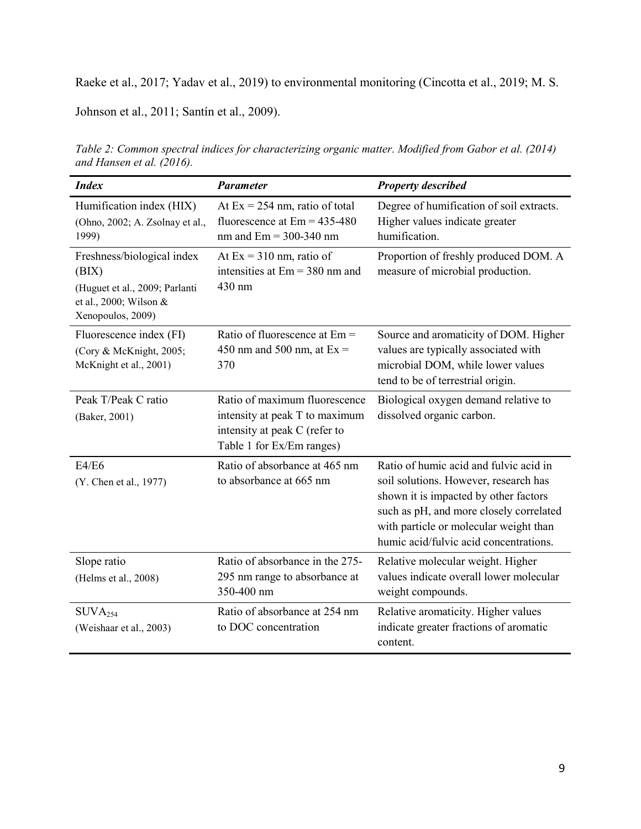Raeke et al., 2017; Yadav et al., 2019) to environmental monitoring (Cincotta et al., 2019; M. S.

Johnson et al., 2011; Santín et al., 2009).

| <b>Index</b>                                                                                                         | <b>Parameter</b>                                                                                                              | <b>Property described</b>                                                                                                                                                                                                                               |
|----------------------------------------------------------------------------------------------------------------------|-------------------------------------------------------------------------------------------------------------------------------|---------------------------------------------------------------------------------------------------------------------------------------------------------------------------------------------------------------------------------------------------------|
| Humification index (HIX)<br>(Ohno, 2002; A. Zsolnay et al.,<br>1999)                                                 | At $Ex = 254$ nm, ratio of total<br>fluorescence at $Em = 435-480$<br>$nm$ and $Em = 300-340$ nm                              | Degree of humification of soil extracts.<br>Higher values indicate greater<br>humification.                                                                                                                                                             |
| Freshness/biological index<br>(BIX)<br>(Huguet et al., 2009; Parlanti<br>et al., 2000; Wilson &<br>Xenopoulos, 2009) | At $Ex = 310$ nm, ratio of<br>intensities at $Em = 380$ nm and<br>430 nm                                                      | Proportion of freshly produced DOM. A<br>measure of microbial production.                                                                                                                                                                               |
| Fluorescence index (FI)<br>(Cory & McKnight, 2005;<br>McKnight et al., 2001)                                         | Ratio of fluorescence at Em =<br>450 nm and 500 nm, at $Ex =$<br>370                                                          | Source and aromaticity of DOM. Higher<br>values are typically associated with<br>microbial DOM, while lower values<br>tend to be of terrestrial origin.                                                                                                 |
| Peak T/Peak C ratio<br>(Baker, 2001)                                                                                 | Ratio of maximum fluorescence<br>intensity at peak T to maximum<br>intensity at peak C (refer to<br>Table 1 for Ex/Em ranges) | Biological oxygen demand relative to<br>dissolved organic carbon.                                                                                                                                                                                       |
| E4/E6<br>(Y. Chen et al., 1977)                                                                                      | Ratio of absorbance at 465 nm<br>to absorbance at 665 nm                                                                      | Ratio of humic acid and fulvic acid in<br>soil solutions. However, research has<br>shown it is impacted by other factors<br>such as pH, and more closely correlated<br>with particle or molecular weight than<br>humic acid/fulvic acid concentrations. |
| Slope ratio<br>(Helms et al., 2008)                                                                                  | Ratio of absorbance in the 275-<br>295 nm range to absorbance at<br>350-400 nm                                                | Relative molecular weight. Higher<br>values indicate overall lower molecular<br>weight compounds.                                                                                                                                                       |
| $\text{SUVA}_{254}$<br>(Weishaar et al., 2003)                                                                       | Ratio of absorbance at 254 nm<br>to DOC concentration                                                                         | Relative aromaticity. Higher values<br>indicate greater fractions of aromatic<br>content.                                                                                                                                                               |

*Table 2: Common spectral indices for characterizing organic matter. Modified from Gabor et al. (2014) and Hansen et al. (2016).*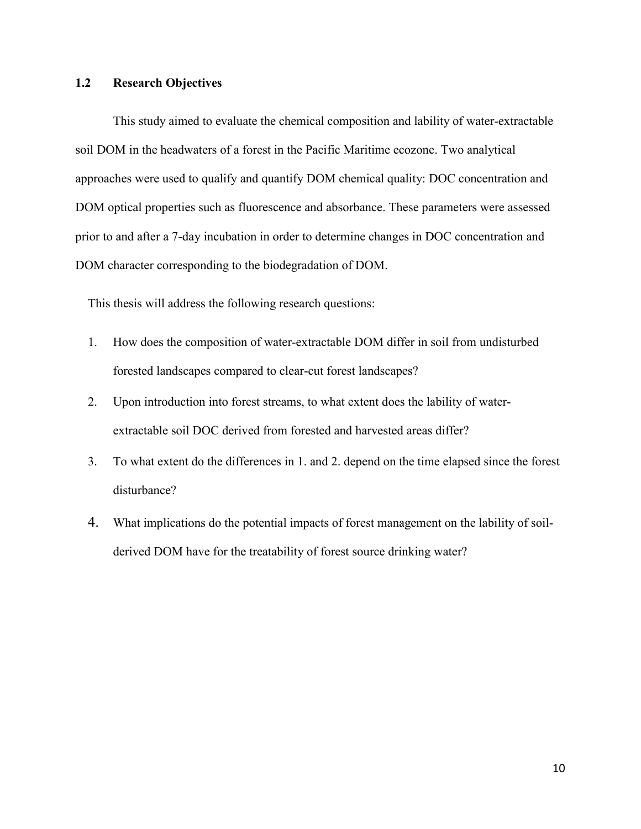### **1.2 Research Objectives**

This study aimed to evaluate the chemical composition and lability of water-extractable soil DOM in the headwaters of a forest in the Pacific Maritime ecozone. Two analytical approaches were used to qualify and quantify DOM chemical quality: DOC concentration and DOM optical properties such as fluorescence and absorbance. These parameters were assessed prior to and after a 7-day incubation in order to determine changes in DOC concentration and DOM character corresponding to the biodegradation of DOM.

This thesis will address the following research questions:

- 1. How does the composition of water-extractable DOM differ in soil from undisturbed forested landscapes compared to clear-cut forest landscapes?
- 2. Upon introduction into forest streams, to what extent does the lability of waterextractable soil DOC derived from forested and harvested areas differ?
- 3. To what extent do the differences in 1. and 2. depend on the time elapsed since the forest disturbance?
- 4. What implications do the potential impacts of forest management on the lability of soilderived DOM have for the treatability of forest source drinking water?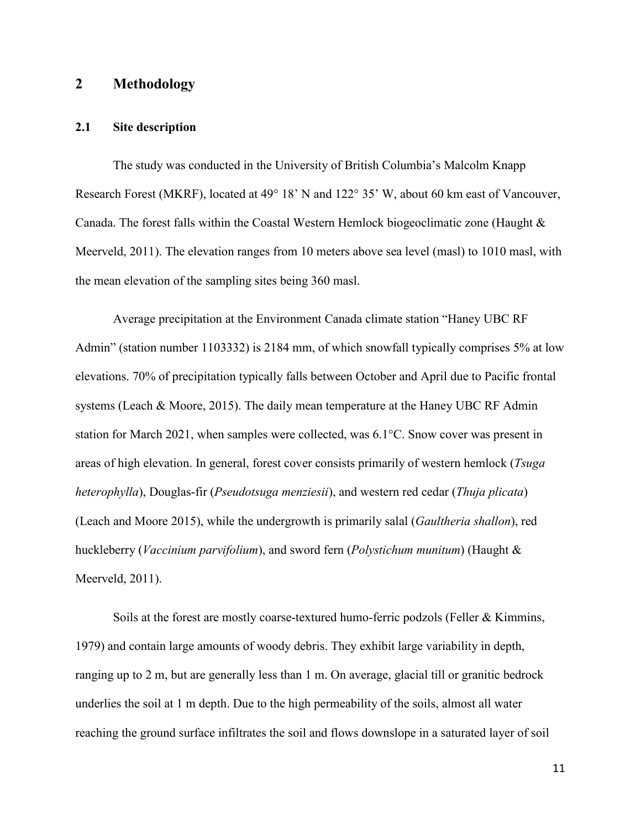## **2 Methodology**

### **2.1 Site description**

The study was conducted in the University of British Columbia's Malcolm Knapp Research Forest (MKRF), located at 49° 18' N and 122° 35' W, about 60 km east of Vancouver, Canada. The forest falls within the Coastal Western Hemlock biogeoclimatic zone (Haught & Meerveld, 2011). The elevation ranges from 10 meters above sea level (masl) to 1010 masl, with the mean elevation of the sampling sites being 360 masl.

Average precipitation at the Environment Canada climate station "Haney UBC RF Admin" (station number 1103332) is 2184 mm, of which snowfall typically comprises 5% at low elevations. 70% of precipitation typically falls between October and April due to Pacific frontal systems (Leach & Moore, 2015). The daily mean temperature at the Haney UBC RF Admin station for March 2021, when samples were collected, was 6.1°C. Snow cover was present in areas of high elevation. In general, forest cover consists primarily of western hemlock (*Tsuga heterophylla*), Douglas-fir (*Pseudotsuga menziesii*), and western red cedar (*Thuja plicata*) (Leach and Moore 2015), while the undergrowth is primarily salal (*Gaultheria shallon*), red huckleberry (*Vaccinium parvifolium*), and sword fern (*Polystichum munitum*) (Haught & Meerveld, 2011).

Soils at the forest are mostly coarse-textured humo-ferric podzols (Feller & Kimmins, 1979) and contain large amounts of woody debris. They exhibit large variability in depth, ranging up to 2 m, but are generally less than 1 m. On average, glacial till or granitic bedrock underlies the soil at 1 m depth. Due to the high permeability of the soils, almost all water reaching the ground surface infiltrates the soil and flows downslope in a saturated layer of soil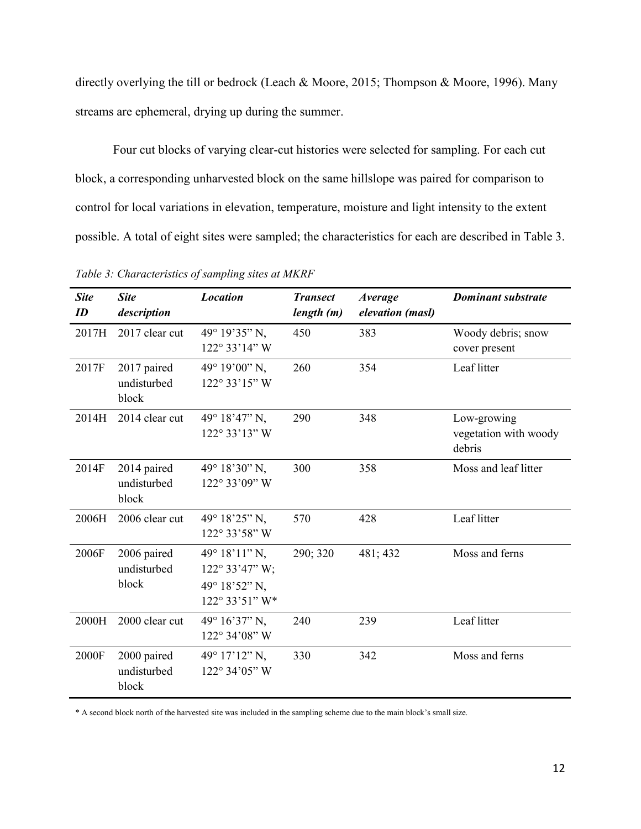directly overlying the till or bedrock (Leach & Moore, 2015; Thompson & Moore, 1996). Many streams are ephemeral, drying up during the summer.

Four cut blocks of varying clear-cut histories were selected for sampling. For each cut block, a corresponding unharvested block on the same hillslope was paired for comparison to control for local variations in elevation, temperature, moisture and light intensity to the extent possible. A total of eight sites were sampled; the characteristics for each are described in Table 3.

| <b>Site</b><br>ID | <b>Site</b><br>description          | <b>Location</b>                                                                | <b>Transect</b><br>length (m) | <b>Average</b><br>elevation (masl) | <b>Dominant substrate</b>                      |
|-------------------|-------------------------------------|--------------------------------------------------------------------------------|-------------------------------|------------------------------------|------------------------------------------------|
| 2017H             | 2017 clear cut                      | 49° 19'35" N,<br>122° 33'14" W                                                 | 450                           | 383                                | Woody debris; snow<br>cover present            |
| 2017F             | 2017 paired<br>undisturbed<br>block | 49° 19'00" N,<br>$122^{\circ}33'15''$ W                                        | 260                           | 354                                | Leaf litter                                    |
| 2014H             | 2014 clear cut                      | 49° 18'47" N,<br>122° 33'13" W                                                 | 290                           | 348                                | Low-growing<br>vegetation with woody<br>debris |
| 2014F             | 2014 paired<br>undisturbed<br>block | 49° 18'30" N,<br>122° 33'09" W                                                 | 300                           | 358                                | Moss and leaf litter                           |
| 2006H             | 2006 clear cut                      | 49° 18'25" N,<br>122° 33'58" W                                                 | 570                           | 428                                | Leaf litter                                    |
| 2006F             | 2006 paired<br>undisturbed<br>block | $49^{\circ} 18' 11'' N$ ,<br>122° 33'47" W;<br>49° 18'52" N,<br>122° 33'51" W* | 290; 320                      | 481; 432                           | Moss and ferns                                 |
| 2000H             | 2000 clear cut                      | 49° 16'37" N,<br>122° 34'08" W                                                 | 240                           | 239                                | Leaf litter                                    |
| 2000F             | 2000 paired<br>undisturbed<br>block | 49° 17'12" N,<br>122° 34'05" W                                                 | 330                           | 342                                | Moss and ferns                                 |

*Table 3: Characteristics of sampling sites at MKRF*

\* A second block north of the harvested site was included in the sampling scheme due to the main block's small size.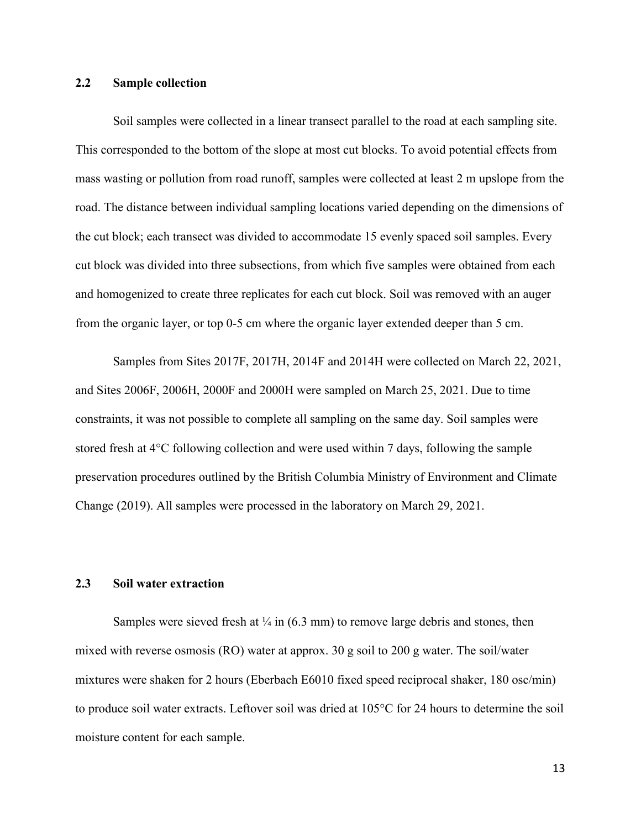### **2.2 Sample collection**

Soil samples were collected in a linear transect parallel to the road at each sampling site. This corresponded to the bottom of the slope at most cut blocks. To avoid potential effects from mass wasting or pollution from road runoff, samples were collected at least 2 m upslope from the road. The distance between individual sampling locations varied depending on the dimensions of the cut block; each transect was divided to accommodate 15 evenly spaced soil samples. Every cut block was divided into three subsections, from which five samples were obtained from each and homogenized to create three replicates for each cut block. Soil was removed with an auger from the organic layer, or top 0-5 cm where the organic layer extended deeper than 5 cm.

Samples from Sites 2017F, 2017H, 2014F and 2014H were collected on March 22, 2021, and Sites 2006F, 2006H, 2000F and 2000H were sampled on March 25, 2021. Due to time constraints, it was not possible to complete all sampling on the same day. Soil samples were stored fresh at 4°C following collection and were used within 7 days, following the sample preservation procedures outlined by the British Columbia Ministry of Environment and Climate Change (2019). All samples were processed in the laboratory on March 29, 2021.

### **2.3 Soil water extraction**

Samples were sieved fresh at  $\frac{1}{4}$  in (6.3 mm) to remove large debris and stones, then mixed with reverse osmosis (RO) water at approx. 30 g soil to 200 g water. The soil/water mixtures were shaken for 2 hours (Eberbach E6010 fixed speed reciprocal shaker, 180 osc/min) to produce soil water extracts. Leftover soil was dried at 105°C for 24 hours to determine the soil moisture content for each sample.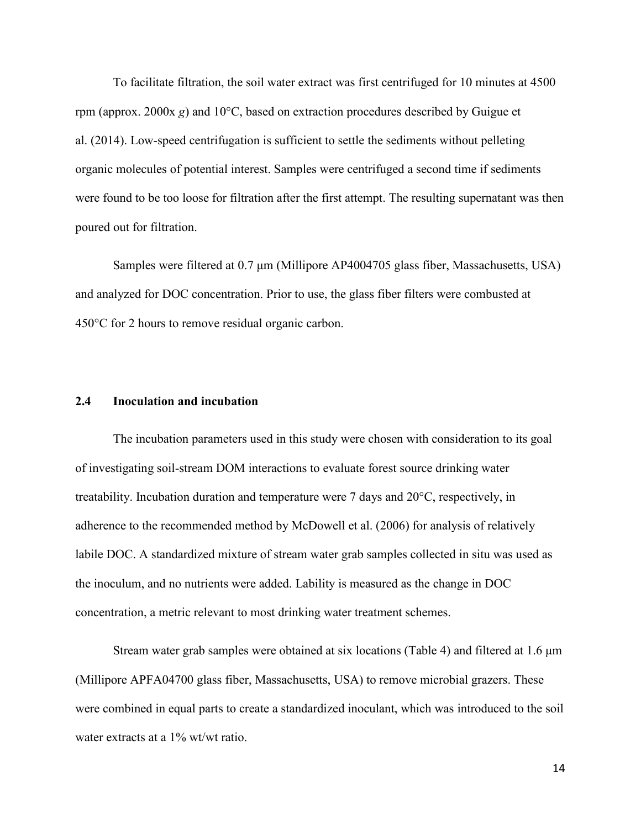To facilitate filtration, the soil water extract was first centrifuged for 10 minutes at 4500 rpm (approx. 2000x *g*) and 10°C, based on extraction procedures described by Guigue et al. (2014). Low-speed centrifugation is sufficient to settle the sediments without pelleting organic molecules of potential interest. Samples were centrifuged a second time if sediments were found to be too loose for filtration after the first attempt. The resulting supernatant was then poured out for filtration.

Samples were filtered at 0.7 μm (Millipore AP4004705 glass fiber, Massachusetts, USA) and analyzed for DOC concentration. Prior to use, the glass fiber filters were combusted at 450°C for 2 hours to remove residual organic carbon.

#### **2.4 Inoculation and incubation**

The incubation parameters used in this study were chosen with consideration to its goal of investigating soil-stream DOM interactions to evaluate forest source drinking water treatability. Incubation duration and temperature were 7 days and 20°C, respectively, in adherence to the recommended method by McDowell et al. (2006) for analysis of relatively labile DOC. A standardized mixture of stream water grab samples collected in situ was used as the inoculum, and no nutrients were added. Lability is measured as the change in DOC concentration, a metric relevant to most drinking water treatment schemes.

Stream water grab samples were obtained at six locations (Table 4) and filtered at 1.6 μm (Millipore APFA04700 glass fiber, Massachusetts, USA) to remove microbial grazers. These were combined in equal parts to create a standardized inoculant, which was introduced to the soil water extracts at a 1% wt/wt ratio.

14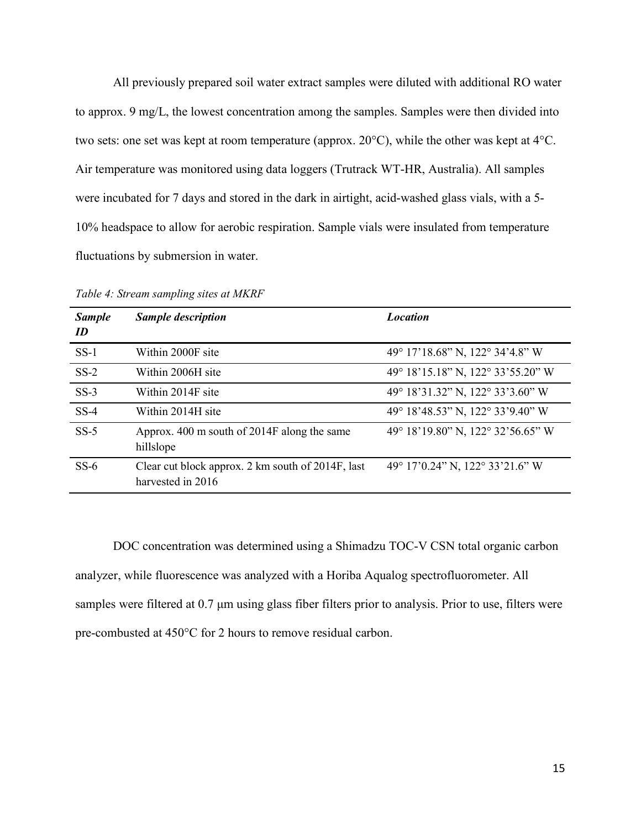All previously prepared soil water extract samples were diluted with additional RO water to approx. 9 mg/L, the lowest concentration among the samples. Samples were then divided into two sets: one set was kept at room temperature (approx. 20°C), while the other was kept at 4°C. Air temperature was monitored using data loggers (Trutrack WT-HR, Australia). All samples were incubated for 7 days and stored in the dark in airtight, acid-washed glass vials, with a 5- 10% headspace to allow for aerobic respiration. Sample vials were insulated from temperature fluctuations by submersion in water.

| <b>Sample</b><br>ID | <b>Sample description</b>                                              | <b>Location</b>                   |
|---------------------|------------------------------------------------------------------------|-----------------------------------|
| $SS-1$              | Within 2000F site                                                      | 49° 17'18.68" N, 122° 34'4.8" W   |
| $SS-2$              | Within 2006H site                                                      | 49° 18'15.18" N, 122° 33'55.20" W |
| $SS-3$              | Within 2014F site                                                      | 49° 18'31.32" N, 122° 33'3.60" W  |
| $SS-4$              | Within 2014H site                                                      | 49° 18'48.53" N, 122° 33'9.40" W  |
| $SS-5$              | Approx. 400 m south of 2014F along the same<br>hillslope               | 49° 18'19.80" N, 122° 32'56.65" W |
| $SS-6$              | Clear cut block approx. 2 km south of 2014F, last<br>harvested in 2016 | 49° 17'0.24" N, 122° 33'21.6" W   |

*Table 4: Stream sampling sites at MKRF*

DOC concentration was determined using a Shimadzu TOC-V CSN total organic carbon analyzer, while fluorescence was analyzed with a Horiba Aqualog spectrofluorometer. All samples were filtered at 0.7 μm using glass fiber filters prior to analysis. Prior to use, filters were pre-combusted at 450°C for 2 hours to remove residual carbon.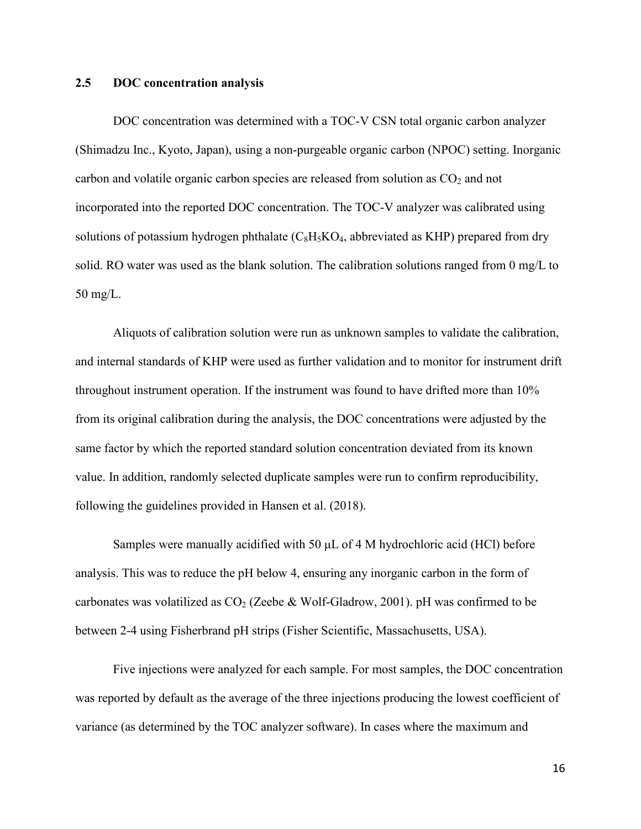#### **2.5 DOC concentration analysis**

DOC concentration was determined with a TOC-V CSN total organic carbon analyzer (Shimadzu Inc., Kyoto, Japan), using a non-purgeable organic carbon (NPOC) setting. Inorganic carbon and volatile organic carbon species are released from solution as  $CO<sub>2</sub>$  and not incorporated into the reported DOC concentration. The TOC-V analyzer was calibrated using solutions of potassium hydrogen phthalate  $(C_8H_5KO_4$ , abbreviated as KHP) prepared from dry solid. RO water was used as the blank solution. The calibration solutions ranged from 0 mg/L to 50 mg/L.

Aliquots of calibration solution were run as unknown samples to validate the calibration, and internal standards of KHP were used as further validation and to monitor for instrument drift throughout instrument operation. If the instrument was found to have drifted more than 10% from its original calibration during the analysis, the DOC concentrations were adjusted by the same factor by which the reported standard solution concentration deviated from its known value. In addition, randomly selected duplicate samples were run to confirm reproducibility, following the guidelines provided in Hansen et al. (2018).

Samples were manually acidified with 50 μL of 4 M hydrochloric acid (HCl) before analysis. This was to reduce the pH below 4, ensuring any inorganic carbon in the form of carbonates was volatilized as  $CO<sub>2</sub>$  (Zeebe & Wolf-Gladrow, 2001). pH was confirmed to be between 2-4 using Fisherbrand pH strips (Fisher Scientific, Massachusetts, USA).

Five injections were analyzed for each sample. For most samples, the DOC concentration was reported by default as the average of the three injections producing the lowest coefficient of variance (as determined by the TOC analyzer software). In cases where the maximum and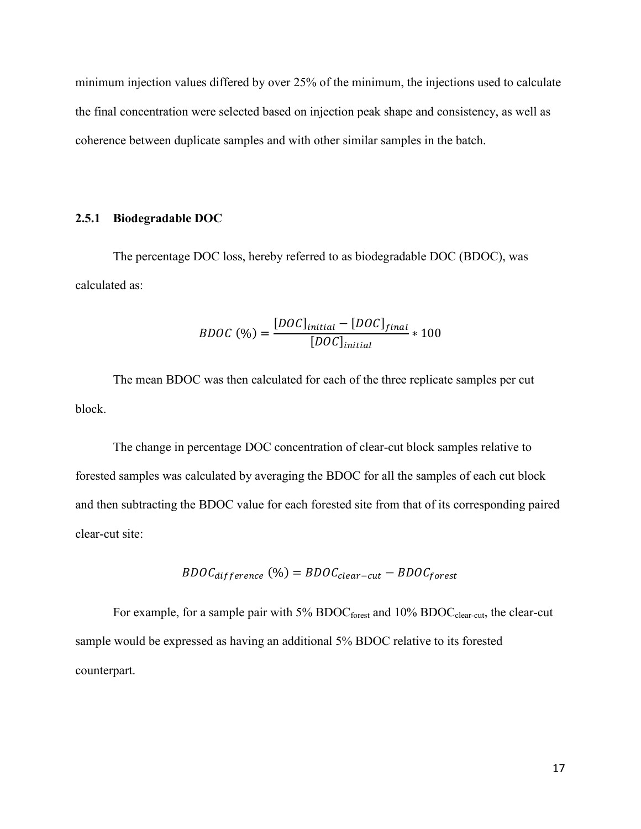minimum injection values differed by over 25% of the minimum, the injections used to calculate the final concentration were selected based on injection peak shape and consistency, as well as coherence between duplicate samples and with other similar samples in the batch.

#### **2.5.1 Biodegradable DOC**

The percentage DOC loss, hereby referred to as biodegradable DOC (BDOC), was calculated as:

$$
BDOC\; (%) = \frac{[DOC]_{initial} - [DOC]_{final}}{[DOC]_{initial}} * 100
$$

The mean BDOC was then calculated for each of the three replicate samples per cut block.

The change in percentage DOC concentration of clear-cut block samples relative to forested samples was calculated by averaging the BDOC for all the samples of each cut block and then subtracting the BDOC value for each forested site from that of its corresponding paired clear-cut site:

$$
BDOC_{difference} (%) = BDOC_{clear-cut} - BDOC_{forest}
$$

For example, for a sample pair with  $5\%$  BDOC<sub>forest</sub> and  $10\%$  BDOC<sub>clear-cut</sub>, the clear-cut sample would be expressed as having an additional 5% BDOC relative to its forested counterpart.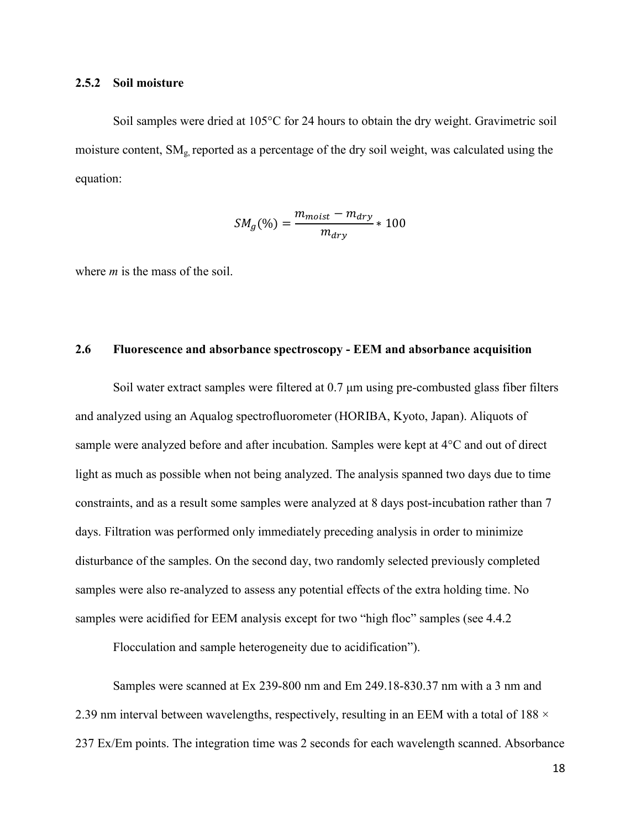#### **2.5.2 Soil moisture**

Soil samples were dried at 105°C for 24 hours to obtain the dry weight. Gravimetric soil moisture content,  $SM<sub>g</sub>$  reported as a percentage of the dry soil weight, was calculated using the equation:

$$
SM_g(\%) = \frac{m_{moist} - m_{dry}}{m_{dry}} * 100
$$

where *m* is the mass of the soil.

#### **2.6 Fluorescence and absorbance spectroscopy - EEM and absorbance acquisition**

Soil water extract samples were filtered at 0.7 μm using pre-combusted glass fiber filters and analyzed using an Aqualog spectrofluorometer (HORIBA, Kyoto, Japan). Aliquots of sample were analyzed before and after incubation. Samples were kept at 4°C and out of direct light as much as possible when not being analyzed. The analysis spanned two days due to time constraints, and as a result some samples were analyzed at 8 days post-incubation rather than 7 days. Filtration was performed only immediately preceding analysis in order to minimize disturbance of the samples. On the second day, two randomly selected previously completed samples were also re-analyzed to assess any potential effects of the extra holding time. No samples were acidified for EEM analysis except for two "high floc" samples (see 4.4.2)

Flocculation and sample heterogeneity due to acidification").

Samples were scanned at Ex 239-800 nm and Em 249.18-830.37 nm with a 3 nm and 2.39 nm interval between wavelengths, respectively, resulting in an EEM with a total of 188  $\times$ 237 Ex/Em points. The integration time was 2 seconds for each wavelength scanned. Absorbance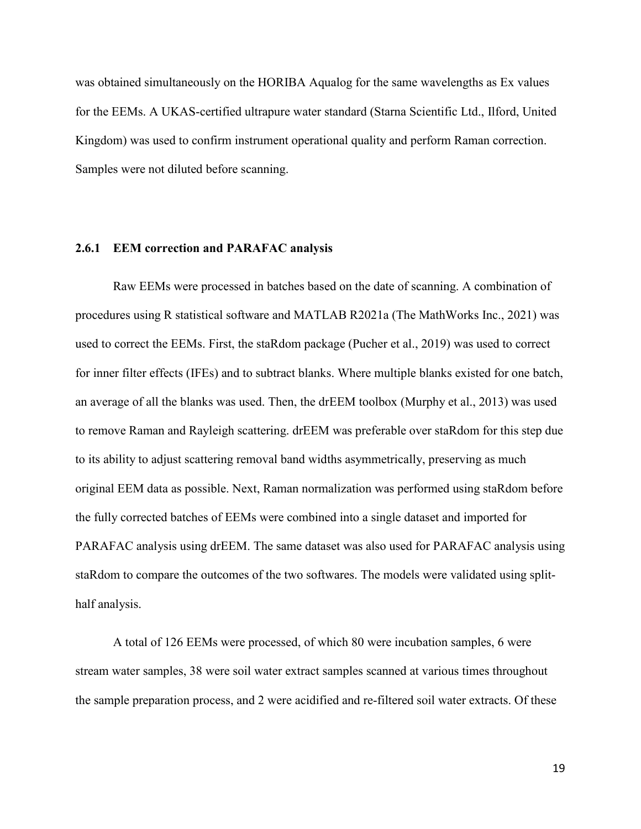was obtained simultaneously on the HORIBA Aqualog for the same wavelengths as Ex values for the EEMs. A UKAS-certified ultrapure water standard (Starna Scientific Ltd., Ilford, United Kingdom) was used to confirm instrument operational quality and perform Raman correction. Samples were not diluted before scanning.

#### **2.6.1 EEM correction and PARAFAC analysis**

Raw EEMs were processed in batches based on the date of scanning. A combination of procedures using R statistical software and MATLAB R2021a (The MathWorks Inc., 2021) was used to correct the EEMs. First, the staRdom package (Pucher et al., 2019) was used to correct for inner filter effects (IFEs) and to subtract blanks. Where multiple blanks existed for one batch, an average of all the blanks was used. Then, the drEEM toolbox (Murphy et al., 2013) was used to remove Raman and Rayleigh scattering. drEEM was preferable over staRdom for this step due to its ability to adjust scattering removal band widths asymmetrically, preserving as much original EEM data as possible. Next, Raman normalization was performed using staRdom before the fully corrected batches of EEMs were combined into a single dataset and imported for PARAFAC analysis using drEEM. The same dataset was also used for PARAFAC analysis using staRdom to compare the outcomes of the two softwares. The models were validated using splithalf analysis.

A total of 126 EEMs were processed, of which 80 were incubation samples, 6 were stream water samples, 38 were soil water extract samples scanned at various times throughout the sample preparation process, and 2 were acidified and re-filtered soil water extracts. Of these

19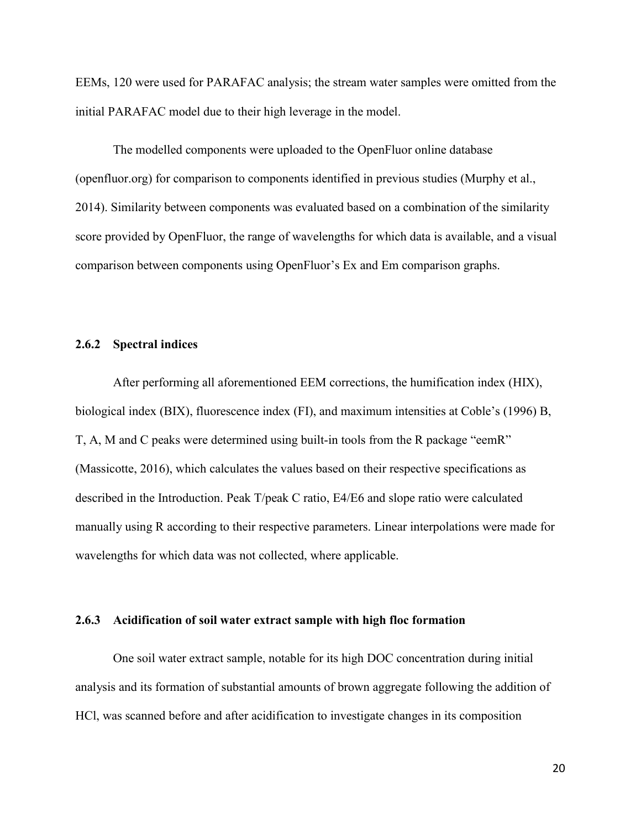EEMs, 120 were used for PARAFAC analysis; the stream water samples were omitted from the initial PARAFAC model due to their high leverage in the model.

The modelled components were uploaded to the OpenFluor online database (openfluor.org) for comparison to components identified in previous studies (Murphy et al., 2014). Similarity between components was evaluated based on a combination of the similarity score provided by OpenFluor, the range of wavelengths for which data is available, and a visual comparison between components using OpenFluor's Ex and Em comparison graphs.

#### **2.6.2 Spectral indices**

After performing all aforementioned EEM corrections, the humification index (HIX), biological index (BIX), fluorescence index (FI), and maximum intensities at Coble's (1996) B, T, A, M and C peaks were determined using built-in tools from the R package "eemR" (Massicotte, 2016), which calculates the values based on their respective specifications as described in the Introduction. Peak T/peak C ratio, E4/E6 and slope ratio were calculated manually using R according to their respective parameters. Linear interpolations were made for wavelengths for which data was not collected, where applicable.

#### **2.6.3 Acidification of soil water extract sample with high floc formation**

One soil water extract sample, notable for its high DOC concentration during initial analysis and its formation of substantial amounts of brown aggregate following the addition of HCl, was scanned before and after acidification to investigate changes in its composition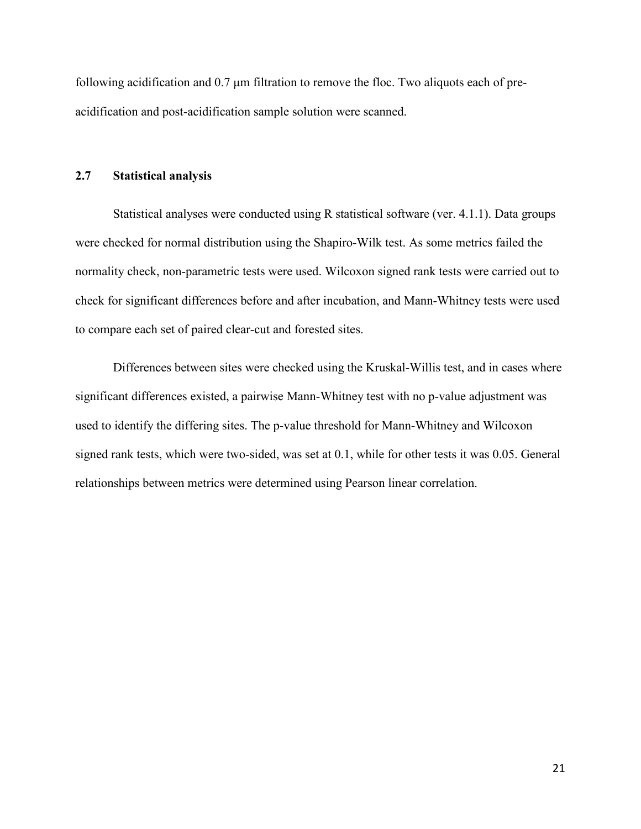following acidification and 0.7 μm filtration to remove the floc. Two aliquots each of preacidification and post-acidification sample solution were scanned.

## **2.7 Statistical analysis**

Statistical analyses were conducted using R statistical software (ver. 4.1.1). Data groups were checked for normal distribution using the Shapiro-Wilk test. As some metrics failed the normality check, non-parametric tests were used. Wilcoxon signed rank tests were carried out to check for significant differences before and after incubation, and Mann-Whitney tests were used to compare each set of paired clear-cut and forested sites.

Differences between sites were checked using the Kruskal-Willis test, and in cases where significant differences existed, a pairwise Mann-Whitney test with no p-value adjustment was used to identify the differing sites. The p-value threshold for Mann-Whitney and Wilcoxon signed rank tests, which were two-sided, was set at 0.1, while for other tests it was 0.05. General relationships between metrics were determined using Pearson linear correlation.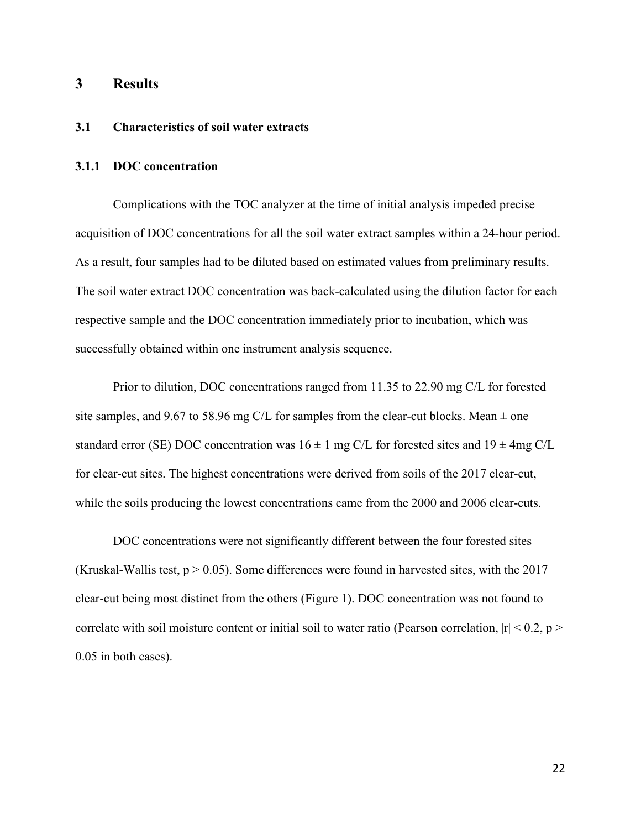## **3 Results**

## **3.1 Characteristics of soil water extracts**

### **3.1.1 DOC concentration**

Complications with the TOC analyzer at the time of initial analysis impeded precise acquisition of DOC concentrations for all the soil water extract samples within a 24-hour period. As a result, four samples had to be diluted based on estimated values from preliminary results. The soil water extract DOC concentration was back-calculated using the dilution factor for each respective sample and the DOC concentration immediately prior to incubation, which was successfully obtained within one instrument analysis sequence.

Prior to dilution, DOC concentrations ranged from 11.35 to 22.90 mg C/L for forested site samples, and 9.67 to 58.96 mg C/L for samples from the clear-cut blocks. Mean  $\pm$  one standard error (SE) DOC concentration was  $16 \pm 1$  mg C/L for forested sites and  $19 \pm 4$ mg C/L for clear-cut sites. The highest concentrations were derived from soils of the 2017 clear-cut, while the soils producing the lowest concentrations came from the 2000 and 2006 clear-cuts.

DOC concentrations were not significantly different between the four forested sites (Kruskal-Wallis test,  $p > 0.05$ ). Some differences were found in harvested sites, with the 2017 clear-cut being most distinct from the others (Figure 1). DOC concentration was not found to correlate with soil moisture content or initial soil to water ratio (Pearson correlation,  $|r| < 0.2$ , p > 0.05 in both cases).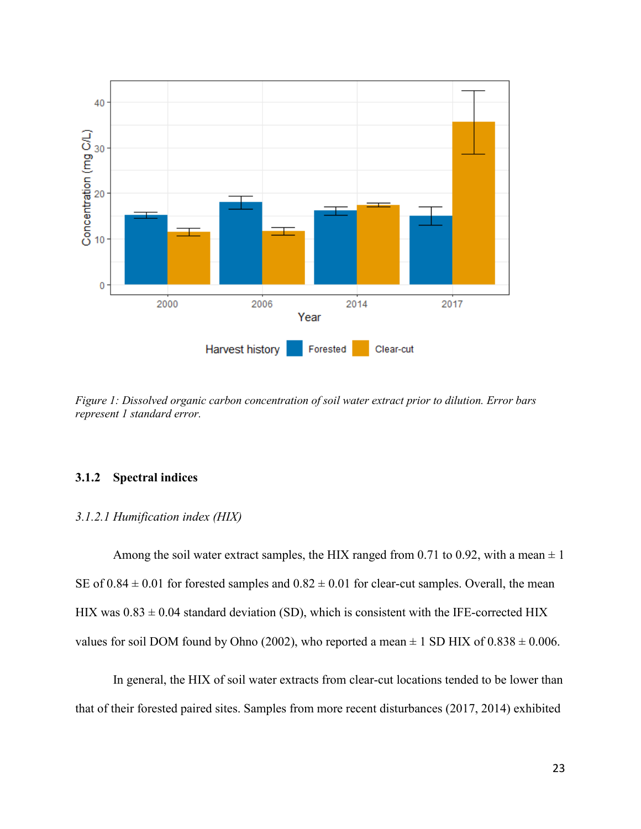

*Figure 1: Dissolved organic carbon concentration of soil water extract prior to dilution. Error bars represent 1 standard error.*

## **3.1.2 Spectral indices**

#### *3.1.2.1 Humification index (HIX)*

Among the soil water extract samples, the HIX ranged from 0.71 to 0.92, with a mean  $\pm 1$ SE of  $0.84 \pm 0.01$  for forested samples and  $0.82 \pm 0.01$  for clear-cut samples. Overall, the mean HIX was  $0.83 \pm 0.04$  standard deviation (SD), which is consistent with the IFE-corrected HIX values for soil DOM found by Ohno (2002), who reported a mean  $\pm$  1 SD HIX of 0.838  $\pm$  0.006.

In general, the HIX of soil water extracts from clear-cut locations tended to be lower than that of their forested paired sites. Samples from more recent disturbances (2017, 2014) exhibited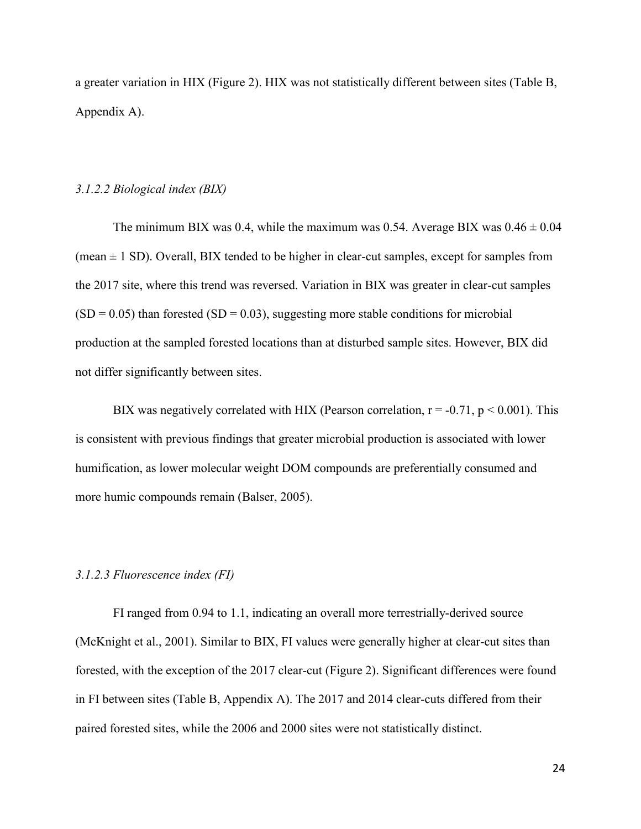a greater variation in HIX (Figure 2). HIX was not statistically different between sites (Table B, Appendix A).

#### *3.1.2.2 Biological index (BIX)*

The minimum BIX was 0.4, while the maximum was 0.54. Average BIX was  $0.46 \pm 0.04$ (mean  $\pm$  1 SD). Overall, BIX tended to be higher in clear-cut samples, except for samples from the 2017 site, where this trend was reversed. Variation in BIX was greater in clear-cut samples  $(SD = 0.05)$  than forested  $(SD = 0.03)$ , suggesting more stable conditions for microbial production at the sampled forested locations than at disturbed sample sites. However, BIX did not differ significantly between sites.

BIX was negatively correlated with HIX (Pearson correlation,  $r = -0.71$ ,  $p \le 0.001$ ). This is consistent with previous findings that greater microbial production is associated with lower humification, as lower molecular weight DOM compounds are preferentially consumed and more humic compounds remain (Balser, 2005).

#### *3.1.2.3 Fluorescence index (FI)*

FI ranged from 0.94 to 1.1, indicating an overall more terrestrially-derived source (McKnight et al., 2001). Similar to BIX, FI values were generally higher at clear-cut sites than forested, with the exception of the 2017 clear-cut (Figure 2). Significant differences were found in FI between sites (Table B, Appendix A). The 2017 and 2014 clear-cuts differed from their paired forested sites, while the 2006 and 2000 sites were not statistically distinct.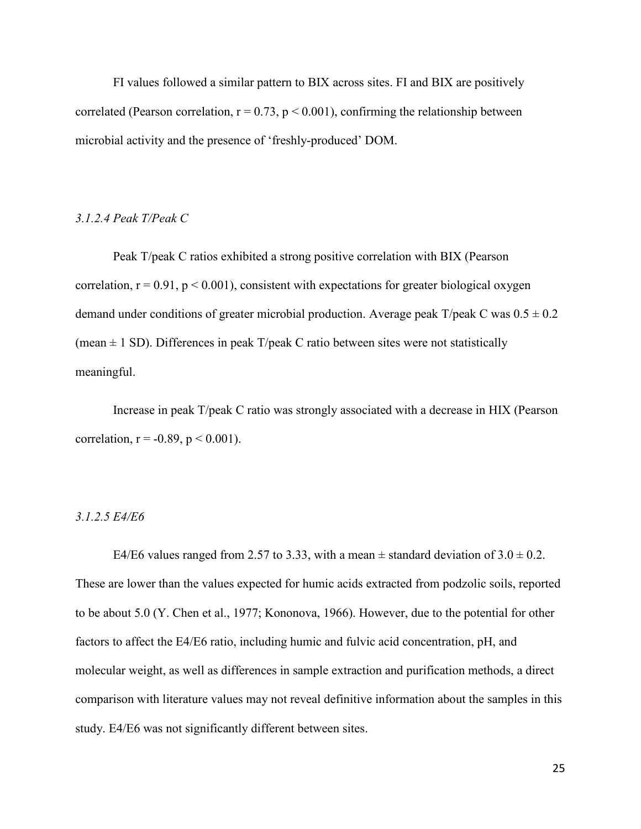FI values followed a similar pattern to BIX across sites. FI and BIX are positively correlated (Pearson correlation,  $r = 0.73$ ,  $p < 0.001$ ), confirming the relationship between microbial activity and the presence of 'freshly-produced' DOM.

#### *3.1.2.4 Peak T/Peak C*

Peak T/peak C ratios exhibited a strong positive correlation with BIX (Pearson correlation,  $r = 0.91$ ,  $p < 0.001$ ), consistent with expectations for greater biological oxygen demand under conditions of greater microbial production. Average peak  $T$ /peak C was  $0.5 \pm 0.2$ (mean  $\pm$  1 SD). Differences in peak T/peak C ratio between sites were not statistically meaningful.

Increase in peak T/peak C ratio was strongly associated with a decrease in HIX (Pearson correlation,  $r = -0.89$ ,  $p < 0.001$ ).

### *3.1.2.5 E4/E6*

E4/E6 values ranged from 2.57 to 3.33, with a mean  $\pm$  standard deviation of 3.0  $\pm$  0.2. These are lower than the values expected for humic acids extracted from podzolic soils, reported to be about 5.0 (Y. Chen et al., 1977; Kononova, 1966). However, due to the potential for other factors to affect the E4/E6 ratio, including humic and fulvic acid concentration, pH, and molecular weight, as well as differences in sample extraction and purification methods, a direct comparison with literature values may not reveal definitive information about the samples in this study. E4/E6 was not significantly different between sites.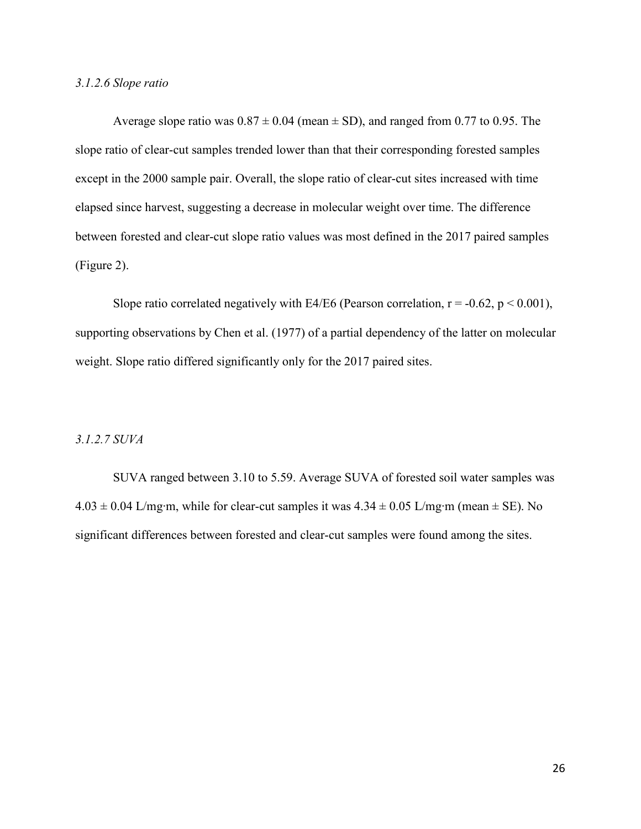### *3.1.2.6 Slope ratio*

Average slope ratio was  $0.87 \pm 0.04$  (mean  $\pm$  SD), and ranged from 0.77 to 0.95. The slope ratio of clear-cut samples trended lower than that their corresponding forested samples except in the 2000 sample pair. Overall, the slope ratio of clear-cut sites increased with time elapsed since harvest, suggesting a decrease in molecular weight over time. The difference between forested and clear-cut slope ratio values was most defined in the 2017 paired samples (Figure 2).

Slope ratio correlated negatively with E4/E6 (Pearson correlation,  $r = -0.62$ ,  $p < 0.001$ ), supporting observations by Chen et al. (1977) of a partial dependency of the latter on molecular weight. Slope ratio differed significantly only for the 2017 paired sites.

### *3.1.2.7 SUVA*

SUVA ranged between 3.10 to 5.59. Average SUVA of forested soil water samples was  $4.03 \pm 0.04$  L/mg⋅m, while for clear-cut samples it was  $4.34 \pm 0.05$  L/mg⋅m (mean  $\pm$  SE). No significant differences between forested and clear-cut samples were found among the sites.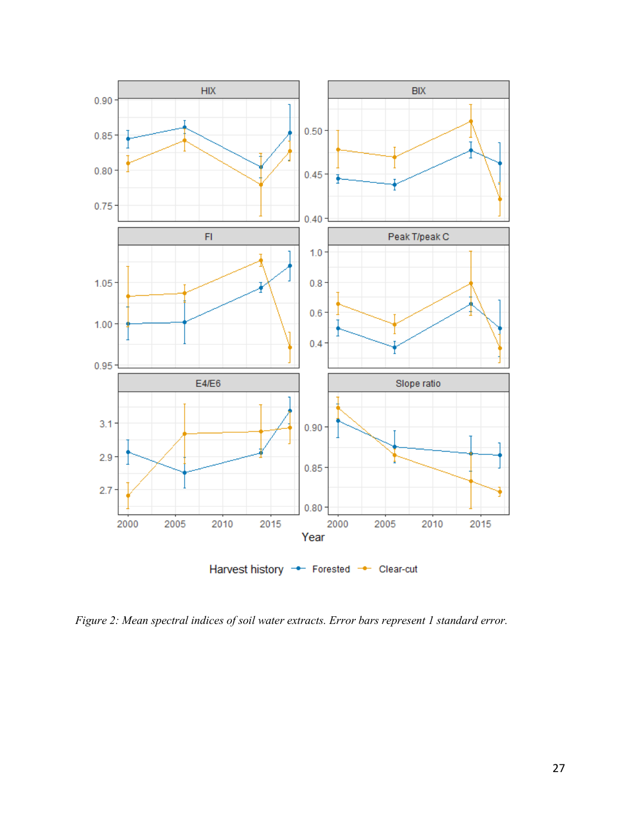

*Figure 2: Mean spectral indices of soil water extracts. Error bars represent 1 standard error.*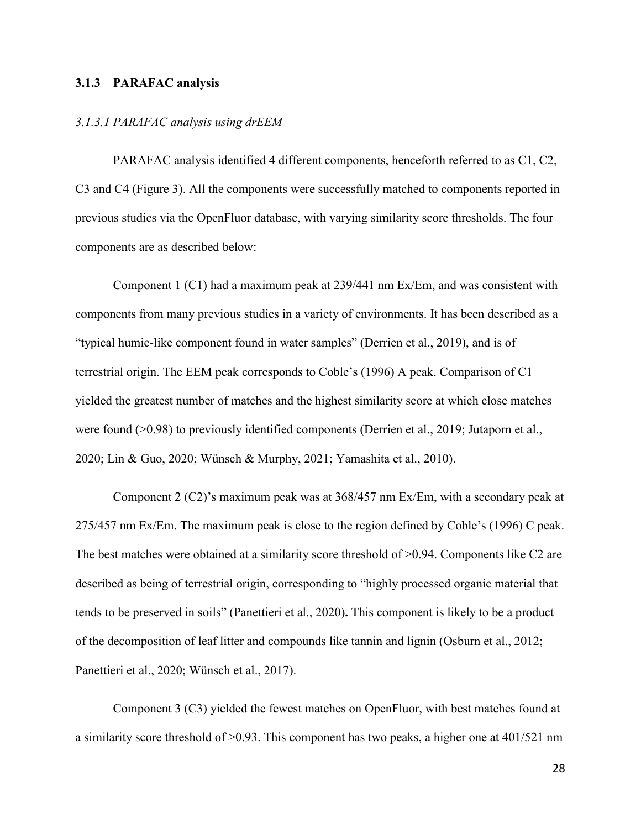## **3.1.3 PARAFAC analysis**

#### *3.1.3.1 PARAFAC analysis using drEEM*

PARAFAC analysis identified 4 different components, henceforth referred to as C1, C2, C3 and C4 (Figure 3). All the components were successfully matched to components reported in previous studies via the OpenFluor database, with varying similarity score thresholds. The four components are as described below:

Component 1 (C1) had a maximum peak at 239/441 nm Ex/Em, and was consistent with components from many previous studies in a variety of environments. It has been described as a "typical humic-like component found in water samples" (Derrien et al., 2019), and is of terrestrial origin. The EEM peak corresponds to Coble's (1996) A peak. Comparison of C1 yielded the greatest number of matches and the highest similarity score at which close matches were found (>0.98) to previously identified components (Derrien et al., 2019; Jutaporn et al., 2020; Lin & Guo, 2020; Wünsch & Murphy, 2021; Yamashita et al., 2010).

Component 2 (C2)'s maximum peak was at 368/457 nm Ex/Em, with a secondary peak at 275/457 nm Ex/Em. The maximum peak is close to the region defined by Coble's (1996) C peak. The best matches were obtained at a similarity score threshold of  $>0.94$ . Components like C2 are described as being of terrestrial origin, corresponding to "highly processed organic material that tends to be preserved in soils" (Panettieri et al., 2020)**.** This component is likely to be a product of the decomposition of leaf litter and compounds like tannin and lignin (Osburn et al., 2012; Panettieri et al., 2020; Wünsch et al., 2017).

Component 3 (C3) yielded the fewest matches on OpenFluor, with best matches found at a similarity score threshold of >0.93. This component has two peaks, a higher one at 401/521 nm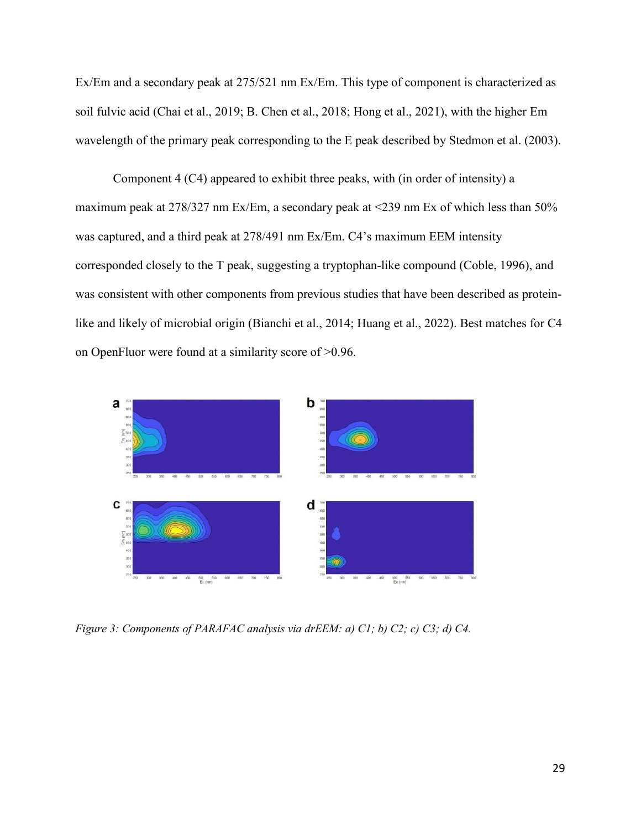Ex/Em and a secondary peak at 275/521 nm Ex/Em. This type of component is characterized as soil fulvic acid (Chai et al., 2019; B. Chen et al., 2018; Hong et al., 2021), with the higher Em wavelength of the primary peak corresponding to the E peak described by Stedmon et al. (2003).

Component 4 (C4) appeared to exhibit three peaks, with (in order of intensity) a maximum peak at 278/327 nm Ex/Em, a secondary peak at <239 nm Ex of which less than 50% was captured, and a third peak at 278/491 nm Ex/Em. C4's maximum EEM intensity corresponded closely to the T peak, suggesting a tryptophan-like compound (Coble, 1996), and was consistent with other components from previous studies that have been described as proteinlike and likely of microbial origin (Bianchi et al., 2014; Huang et al., 2022). Best matches for C4 on OpenFluor were found at a similarity score of >0.96.



*Figure 3: Components of PARAFAC analysis via drEEM: a) C1; b) C2; c) C3; d) C4.*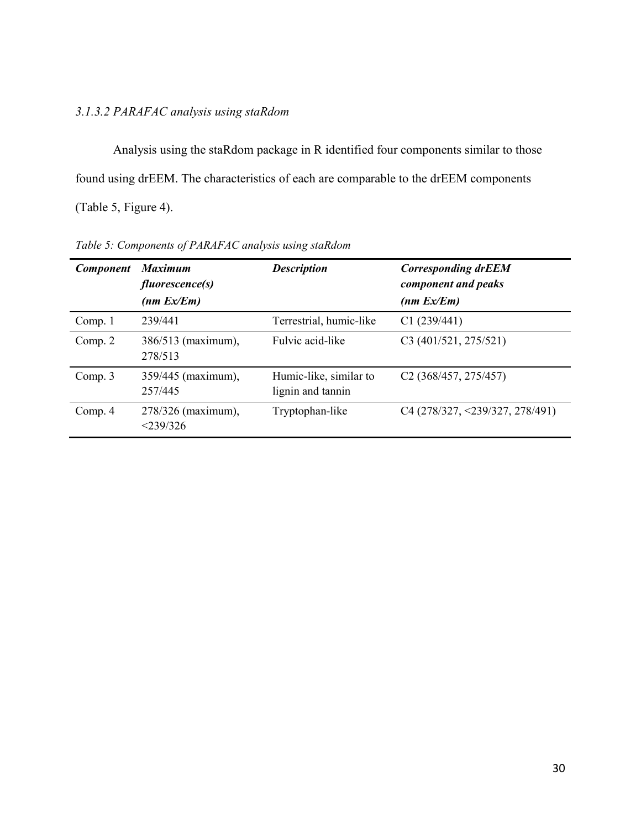# *3.1.3.2 PARAFAC analysis using staRdom*

Analysis using the staRdom package in R identified four components similar to those found using drEEM. The characteristics of each are comparable to the drEEM components (Table 5, Figure 4).

| <b>Component</b> | <b>Maximum</b><br><i>fluorescence(s)</i><br>(nm Ex/Em) | <b>Description</b>                          | <b>Corresponding drEEM</b><br>component and peaks<br>(nm Ex/Em) |
|------------------|--------------------------------------------------------|---------------------------------------------|-----------------------------------------------------------------|
| Comp. 1          | 239/441                                                | Terrestrial, humic-like                     | C1(239/441)                                                     |
| Comp. $2$        | 386/513 (maximum),<br>278/513                          | Fulvic acid-like                            | C3 (401/521, 275/521)                                           |
| Comp. $3$        | 359/445 (maximum),<br>257/445                          | Humic-like, similar to<br>lignin and tannin | C <sub>2</sub> (368/457, 275/457)                               |
| Comp. 4          | 278/326 (maximum),<br>$<$ 239/326                      | Tryptophan-like                             | $C4 (278/327, \leq 239/327, 278/491)$                           |

*Table 5: Components of PARAFAC analysis using staRdom*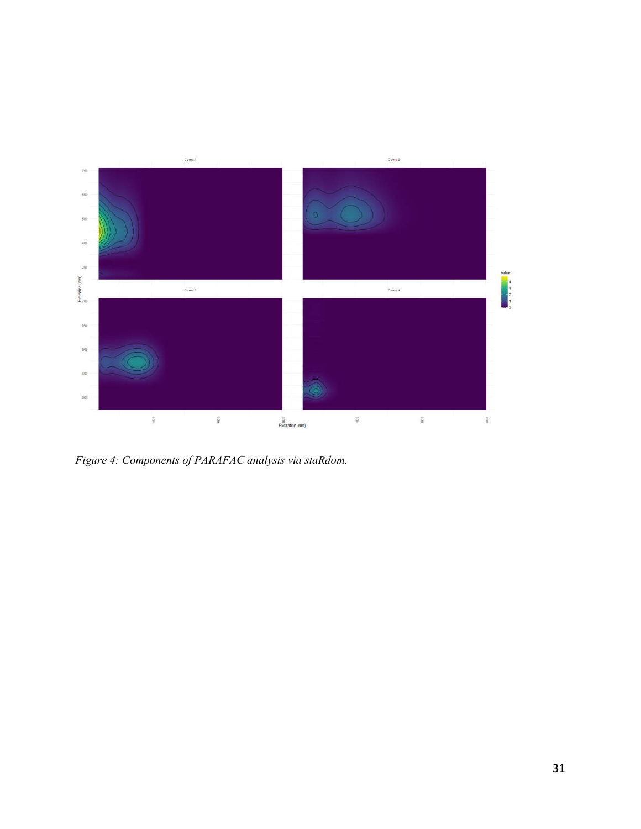

*Figure 4: Components of PARAFAC analysis via staRdom.*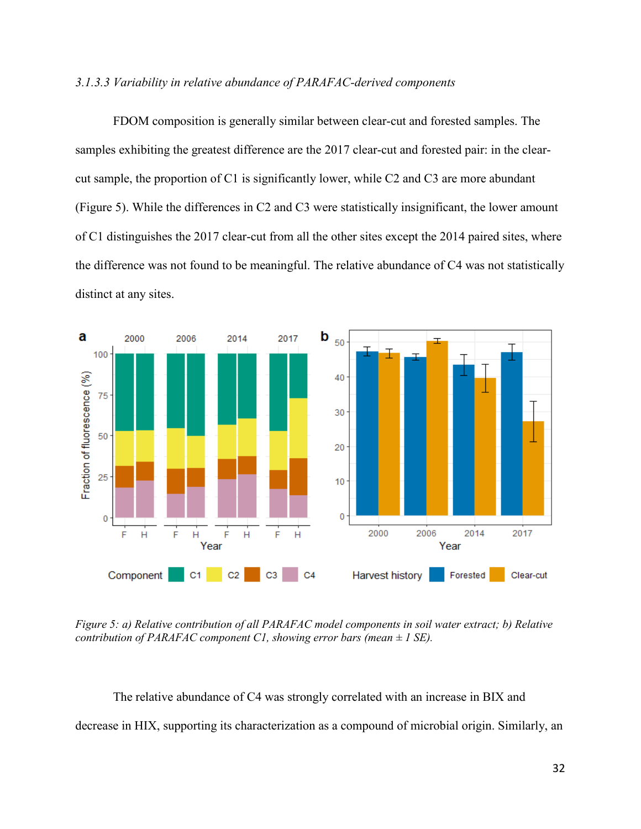## *3.1.3.3 Variability in relative abundance of PARAFAC-derived components*

FDOM composition is generally similar between clear-cut and forested samples. The samples exhibiting the greatest difference are the 2017 clear-cut and forested pair: in the clearcut sample, the proportion of C1 is significantly lower, while C2 and C3 are more abundant (Figure 5). While the differences in C2 and C3 were statistically insignificant, the lower amount of C1 distinguishes the 2017 clear-cut from all the other sites except the 2014 paired sites, where the difference was not found to be meaningful. The relative abundance of C4 was not statistically distinct at any sites.



*Figure 5: a) Relative contribution of all PARAFAC model components in soil water extract; b) Relative contribution of PARAFAC component C1, showing error bars (mean ± 1 SE).*

The relative abundance of C4 was strongly correlated with an increase in BIX and decrease in HIX, supporting its characterization as a compound of microbial origin. Similarly, an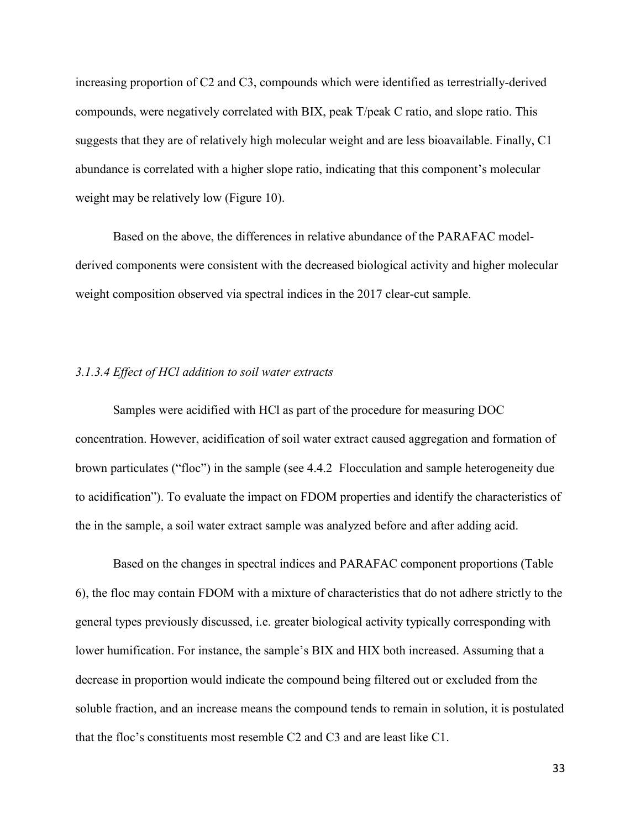increasing proportion of C2 and C3, compounds which were identified as terrestrially-derived compounds, were negatively correlated with BIX, peak T/peak C ratio, and slope ratio. This suggests that they are of relatively high molecular weight and are less bioavailable. Finally, C1 abundance is correlated with a higher slope ratio, indicating that this component's molecular weight may be relatively low (Figure 10).

Based on the above, the differences in relative abundance of the PARAFAC modelderived components were consistent with the decreased biological activity and higher molecular weight composition observed via spectral indices in the 2017 clear-cut sample.

### *3.1.3.4 Effect of HCl addition to soil water extracts*

Samples were acidified with HCl as part of the procedure for measuring DOC concentration. However, acidification of soil water extract caused aggregation and formation of brown particulates ("floc") in the sample (see 4.4.2 Flocculation and sample heterogeneity due to acidification"). To evaluate the impact on FDOM properties and identify the characteristics of the in the sample, a soil water extract sample was analyzed before and after adding acid.

Based on the changes in spectral indices and PARAFAC component proportions (Table 6), the floc may contain FDOM with a mixture of characteristics that do not adhere strictly to the general types previously discussed, i.e. greater biological activity typically corresponding with lower humification. For instance, the sample's BIX and HIX both increased. Assuming that a decrease in proportion would indicate the compound being filtered out or excluded from the soluble fraction, and an increase means the compound tends to remain in solution, it is postulated that the floc's constituents most resemble C2 and C3 and are least like C1.

33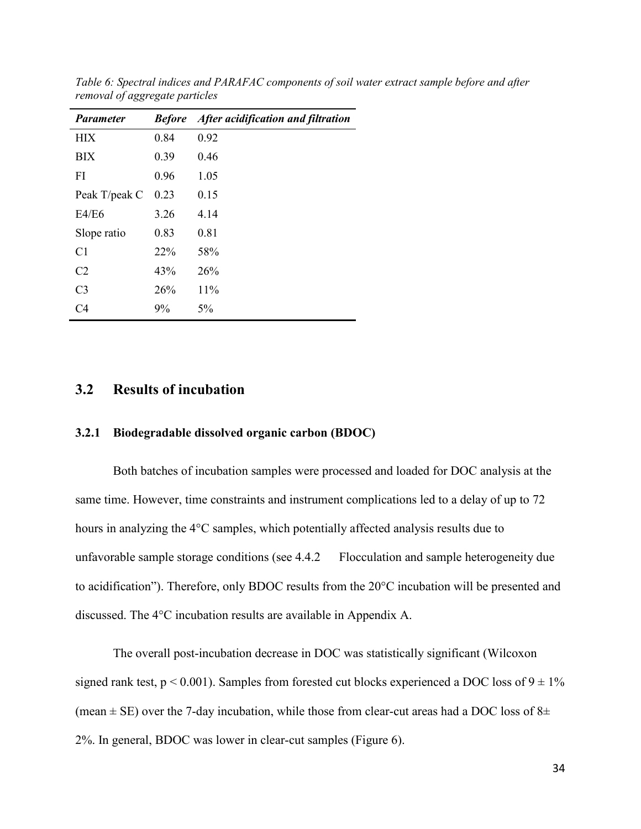| <b>Parameter</b> | <b>Before</b> | After acidification and filtration |
|------------------|---------------|------------------------------------|
| <b>HIX</b>       | 0.84          | 0.92                               |
| <b>BIX</b>       | 0.39          | 0.46                               |
| FI               | 0.96          | 1.05                               |
| Peak T/peak C    | 0.23          | 0.15                               |
| E4/E6            | 3.26          | 4.14                               |
| Slope ratio      | 0.83          | 0.81                               |
| C <sub>1</sub>   | 22%           | 58%                                |
| C <sub>2</sub>   | 43%           | 26%                                |
| C <sub>3</sub>   | 26%           | 11%                                |
| C <sub>4</sub>   | 9%            | $5\%$                              |

*Table 6: Spectral indices and PARAFAC components of soil water extract sample before and after removal of aggregate particles*

## **3.2 Results of incubation**

## **3.2.1 Biodegradable dissolved organic carbon (BDOC)**

Both batches of incubation samples were processed and loaded for DOC analysis at the same time. However, time constraints and instrument complications led to a delay of up to 72 hours in analyzing the 4°C samples, which potentially affected analysis results due to unfavorable sample storage conditions (see 4.4.2 Flocculation and sample heterogeneity due to acidification"). Therefore, only BDOC results from the 20°C incubation will be presented and discussed. The 4°C incubation results are available in Appendix A.

The overall post-incubation decrease in DOC was statistically significant (Wilcoxon signed rank test,  $p < 0.001$ ). Samples from forested cut blocks experienced a DOC loss of  $9 \pm 1\%$ (mean  $\pm$  SE) over the 7-day incubation, while those from clear-cut areas had a DOC loss of 8 $\pm$ 2%. In general, BDOC was lower in clear-cut samples (Figure 6).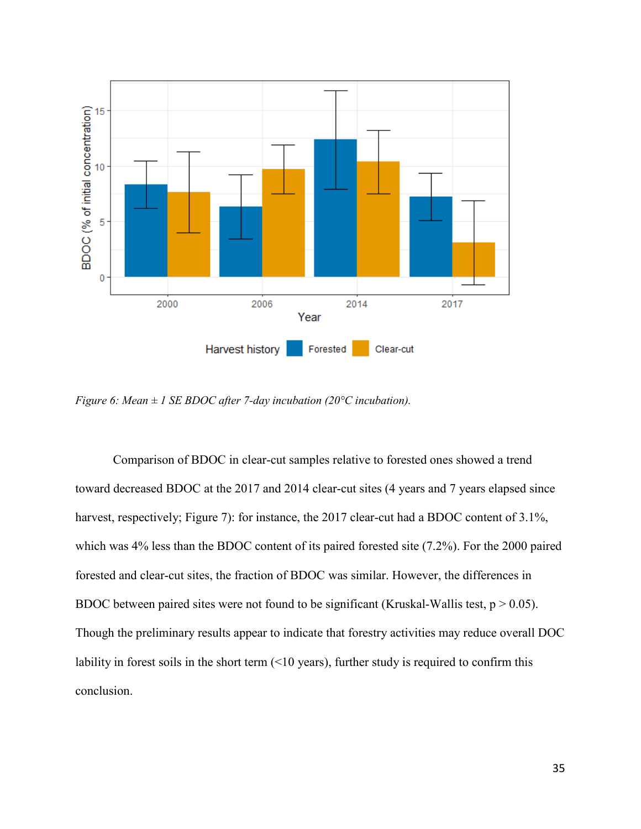

*Figure 6: Mean ± 1 SE BDOC after 7-day incubation (20°C incubation).*

Comparison of BDOC in clear-cut samples relative to forested ones showed a trend toward decreased BDOC at the 2017 and 2014 clear-cut sites (4 years and 7 years elapsed since harvest, respectively; Figure 7): for instance, the 2017 clear-cut had a BDOC content of 3.1%, which was 4% less than the BDOC content of its paired forested site (7.2%). For the 2000 paired forested and clear-cut sites, the fraction of BDOC was similar. However, the differences in BDOC between paired sites were not found to be significant (Kruskal-Wallis test,  $p > 0.05$ ). Though the preliminary results appear to indicate that forestry activities may reduce overall DOC lability in forest soils in the short term (<10 years), further study is required to confirm this conclusion.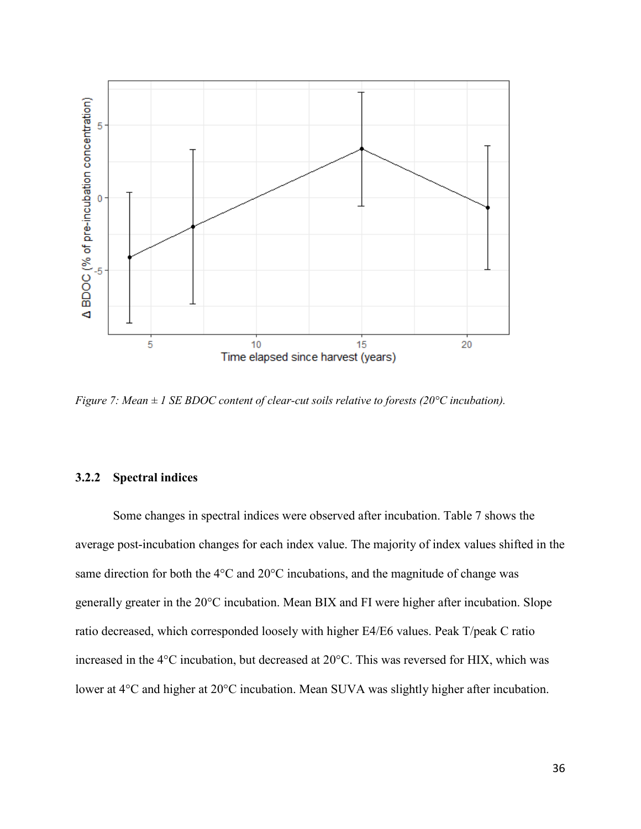

*Figure 7: Mean ± 1 SE BDOC content of clear-cut soils relative to forests (20°C incubation).*

## **3.2.2 Spectral indices**

Some changes in spectral indices were observed after incubation. Table 7 shows the average post-incubation changes for each index value. The majority of index values shifted in the same direction for both the 4°C and 20°C incubations, and the magnitude of change was generally greater in the 20°C incubation. Mean BIX and FI were higher after incubation. Slope ratio decreased, which corresponded loosely with higher E4/E6 values. Peak T/peak C ratio increased in the 4°C incubation, but decreased at 20°C. This was reversed for HIX, which was lower at 4°C and higher at 20°C incubation. Mean SUVA was slightly higher after incubation.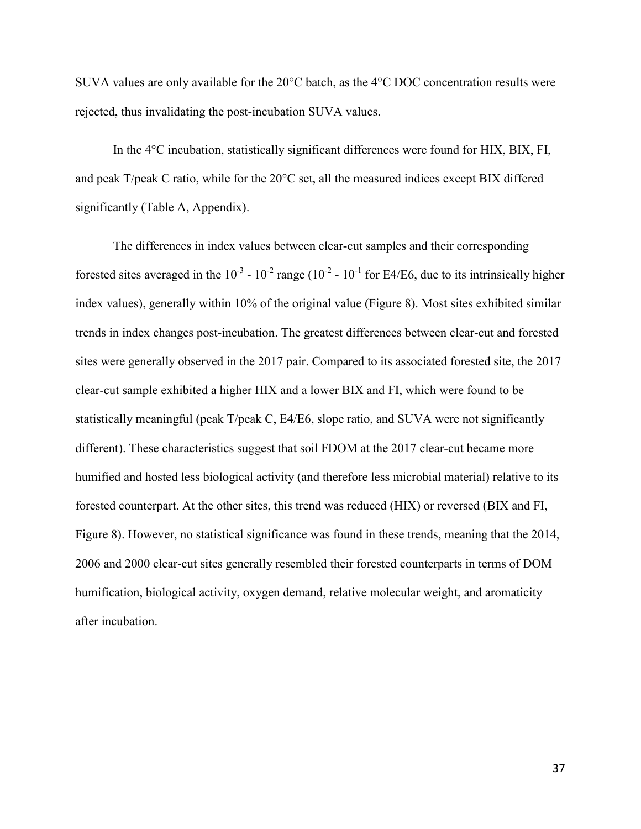SUVA values are only available for the 20°C batch, as the 4°C DOC concentration results were rejected, thus invalidating the post-incubation SUVA values.

In the 4°C incubation, statistically significant differences were found for HIX, BIX, FI, and peak T/peak C ratio, while for the 20°C set, all the measured indices except BIX differed significantly (Table A, Appendix).

The differences in index values between clear-cut samples and their corresponding forested sites averaged in the  $10^{-3}$  -  $10^{-2}$  range ( $10^{-2}$  -  $10^{-1}$  for E4/E6, due to its intrinsically higher index values), generally within 10% of the original value (Figure 8). Most sites exhibited similar trends in index changes post-incubation. The greatest differences between clear-cut and forested sites were generally observed in the 2017 pair. Compared to its associated forested site, the 2017 clear-cut sample exhibited a higher HIX and a lower BIX and FI, which were found to be statistically meaningful (peak T/peak C, E4/E6, slope ratio, and SUVA were not significantly different). These characteristics suggest that soil FDOM at the 2017 clear-cut became more humified and hosted less biological activity (and therefore less microbial material) relative to its forested counterpart. At the other sites, this trend was reduced (HIX) or reversed (BIX and FI, Figure 8). However, no statistical significance was found in these trends, meaning that the 2014, 2006 and 2000 clear-cut sites generally resembled their forested counterparts in terms of DOM humification, biological activity, oxygen demand, relative molecular weight, and aromaticity after incubation.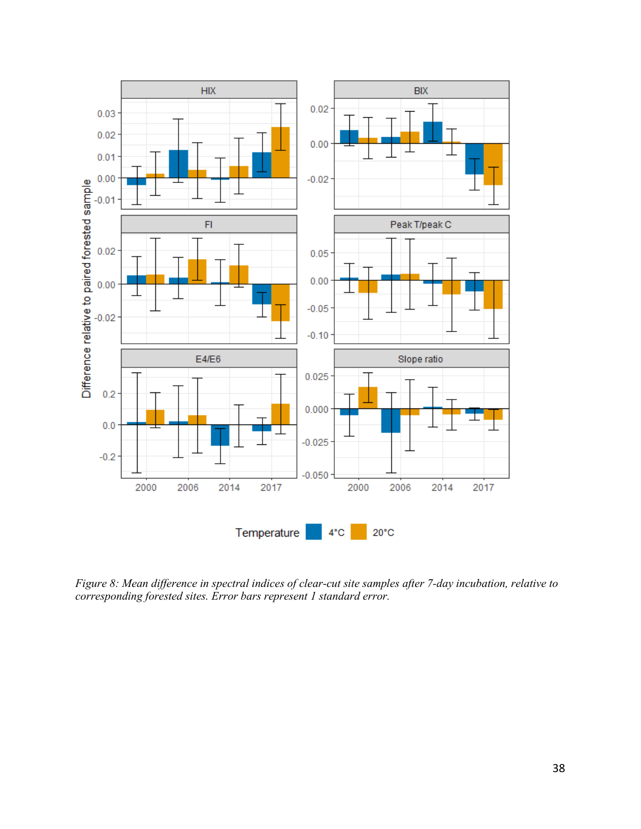

*Figure 8: Mean difference in spectral indices of clear-cut site samples after 7-day incubation, relative to corresponding forested sites. Error bars represent 1 standard error.*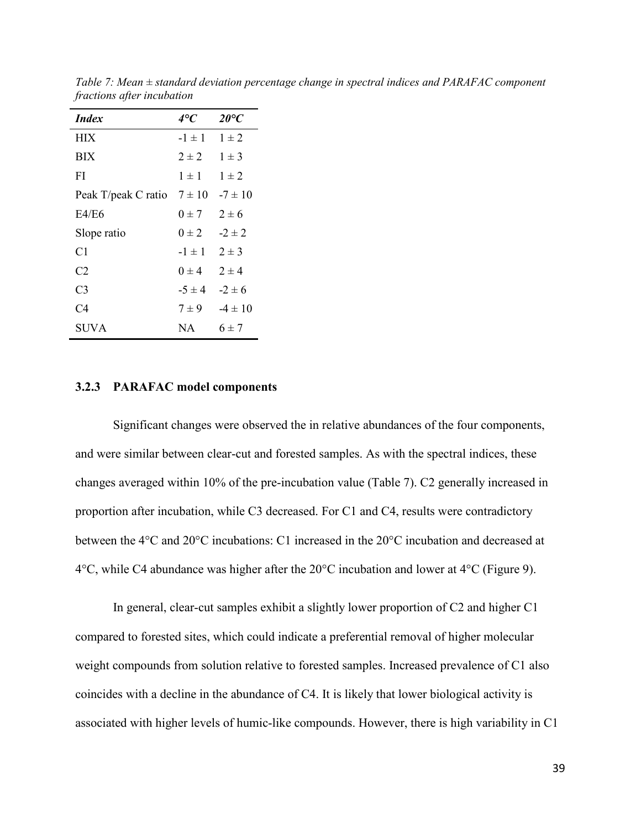| <i>Index</i>        | 4°C        | $20^{\circ}C$ |
|---------------------|------------|---------------|
| <b>HIX</b>          | $-1 \pm 1$ | $1 \pm 2$     |
| <b>BIX</b>          | $2 \pm 2$  | $1 \pm 3$     |
| FI                  | $1 + 1$    | $1 \pm 2$     |
| Peak T/peak C ratio | $7 \pm 10$ | $-7 \pm 10$   |
| E4/E6               | $0 \pm 7$  | $2 \pm 6$     |
| Slope ratio         | $0 \pm 2$  | $-2 \pm 2$    |
| C1                  | $-1 \pm 1$ | $2 \pm 3$     |
| C2                  | $0 \pm 4$  | $2 \pm 4$     |
| C3                  | $-5 \pm 4$ | $-2 \pm 6$    |
| C4                  | $7 \pm 9$  | $-4 \pm 10$   |
| SUVA                | NA.        | $6 \pm 7$     |

*Table 7: Mean ± standard deviation percentage change in spectral indices and PARAFAC component fractions after incubation*

#### **3.2.3 PARAFAC model components**

Significant changes were observed the in relative abundances of the four components, and were similar between clear-cut and forested samples. As with the spectral indices, these changes averaged within 10% of the pre-incubation value (Table 7). C2 generally increased in proportion after incubation, while C3 decreased. For C1 and C4, results were contradictory between the 4°C and 20°C incubations: C1 increased in the 20°C incubation and decreased at  $4^{\circ}$ C, while C4 abundance was higher after the  $20^{\circ}$ C incubation and lower at  $4^{\circ}$ C (Figure 9).

In general, clear-cut samples exhibit a slightly lower proportion of C2 and higher C1 compared to forested sites, which could indicate a preferential removal of higher molecular weight compounds from solution relative to forested samples. Increased prevalence of C1 also coincides with a decline in the abundance of C4. It is likely that lower biological activity is associated with higher levels of humic-like compounds. However, there is high variability in C1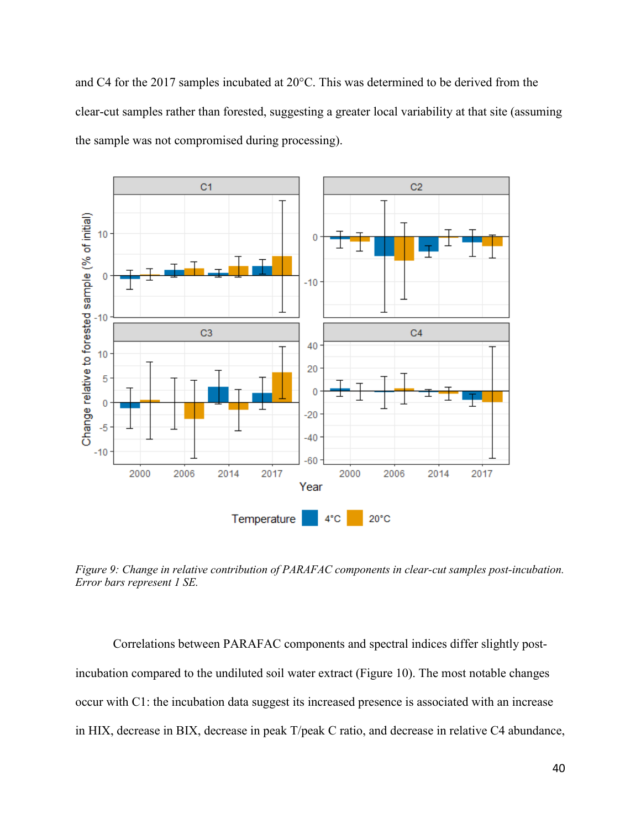and C4 for the 2017 samples incubated at 20°C. This was determined to be derived from the clear-cut samples rather than forested, suggesting a greater local variability at that site (assuming the sample was not compromised during processing).



*Figure 9: Change in relative contribution of PARAFAC components in clear-cut samples post-incubation. Error bars represent 1 SE.*

Correlations between PARAFAC components and spectral indices differ slightly postincubation compared to the undiluted soil water extract (Figure 10). The most notable changes occur with C1: the incubation data suggest its increased presence is associated with an increase in HIX, decrease in BIX, decrease in peak T/peak C ratio, and decrease in relative C4 abundance,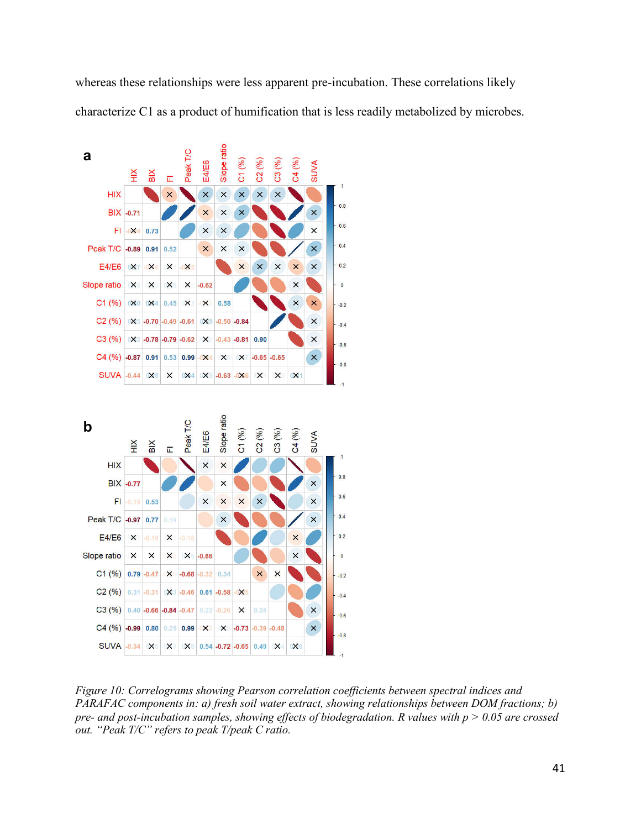whereas these relationships were less apparent pre-incubation. These correlations likely characterize C1 as a product of humification that is less readily metabolized by microbes.



*Figure 10: Correlograms showing Pearson correlation coefficients between spectral indices and PARAFAC components in: a) fresh soil water extract, showing relationships between DOM fractions; b) pre- and post-incubation samples, showing effects of biodegradation. R values with p > 0.05 are crossed out. "Peak T/C" refers to peak T/peak C ratio.*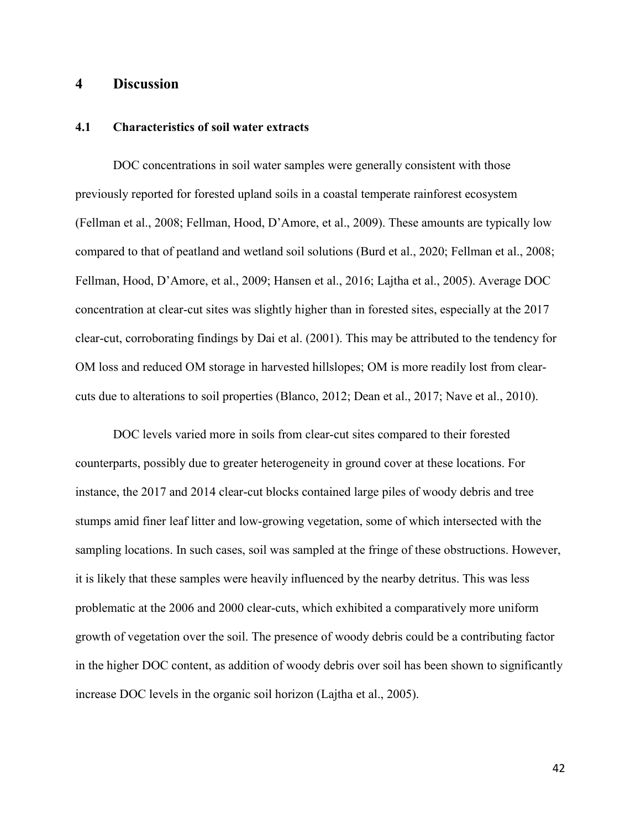## **4 Discussion**

## **4.1 Characteristics of soil water extracts**

DOC concentrations in soil water samples were generally consistent with those previously reported for forested upland soils in a coastal temperate rainforest ecosystem (Fellman et al., 2008; Fellman, Hood, D'Amore, et al., 2009). These amounts are typically low compared to that of peatland and wetland soil solutions (Burd et al., 2020; Fellman et al., 2008; Fellman, Hood, D'Amore, et al., 2009; Hansen et al., 2016; Lajtha et al., 2005). Average DOC concentration at clear-cut sites was slightly higher than in forested sites, especially at the 2017 clear-cut, corroborating findings by Dai et al. (2001). This may be attributed to the tendency for OM loss and reduced OM storage in harvested hillslopes; OM is more readily lost from clearcuts due to alterations to soil properties (Blanco, 2012; Dean et al., 2017; Nave et al., 2010).

DOC levels varied more in soils from clear-cut sites compared to their forested counterparts, possibly due to greater heterogeneity in ground cover at these locations. For instance, the 2017 and 2014 clear-cut blocks contained large piles of woody debris and tree stumps amid finer leaf litter and low-growing vegetation, some of which intersected with the sampling locations. In such cases, soil was sampled at the fringe of these obstructions. However, it is likely that these samples were heavily influenced by the nearby detritus. This was less problematic at the 2006 and 2000 clear-cuts, which exhibited a comparatively more uniform growth of vegetation over the soil. The presence of woody debris could be a contributing factor in the higher DOC content, as addition of woody debris over soil has been shown to significantly increase DOC levels in the organic soil horizon (Lajtha et al., 2005).

42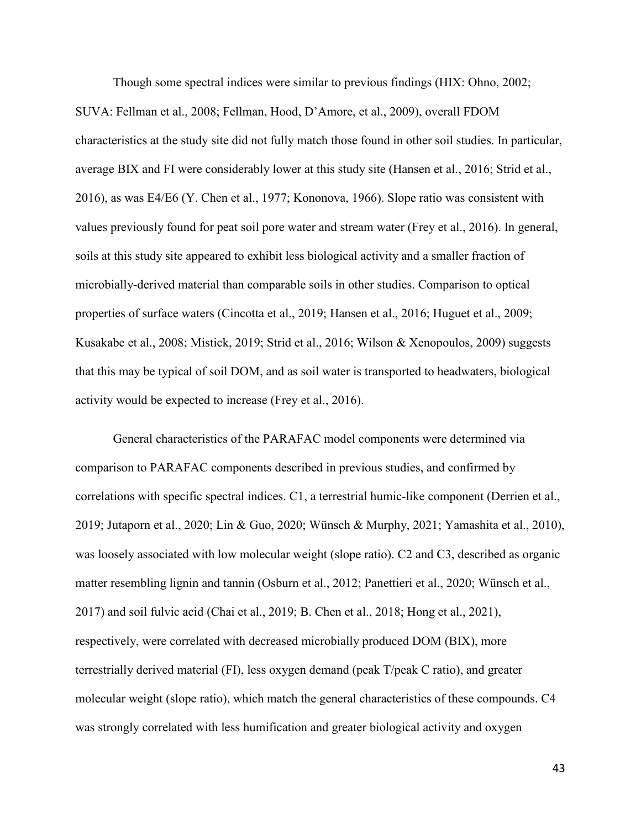Though some spectral indices were similar to previous findings (HIX: Ohno, 2002; SUVA: Fellman et al., 2008; Fellman, Hood, D'Amore, et al., 2009), overall FDOM characteristics at the study site did not fully match those found in other soil studies. In particular, average BIX and FI were considerably lower at this study site (Hansen et al., 2016; Strid et al., 2016), as was E4/E6 (Y. Chen et al., 1977; Kononova, 1966). Slope ratio was consistent with values previously found for peat soil pore water and stream water (Frey et al., 2016). In general, soils at this study site appeared to exhibit less biological activity and a smaller fraction of microbially-derived material than comparable soils in other studies. Comparison to optical properties of surface waters (Cincotta et al., 2019; Hansen et al., 2016; Huguet et al., 2009; Kusakabe et al., 2008; Mistick, 2019; Strid et al., 2016; Wilson & Xenopoulos, 2009) suggests that this may be typical of soil DOM, and as soil water is transported to headwaters, biological activity would be expected to increase (Frey et al., 2016).

General characteristics of the PARAFAC model components were determined via comparison to PARAFAC components described in previous studies, and confirmed by correlations with specific spectral indices. C1, a terrestrial humic-like component (Derrien et al., 2019; Jutaporn et al., 2020; Lin & Guo, 2020; Wünsch & Murphy, 2021; Yamashita et al., 2010), was loosely associated with low molecular weight (slope ratio). C2 and C3, described as organic matter resembling lignin and tannin (Osburn et al., 2012; Panettieri et al., 2020; Wünsch et al., 2017) and soil fulvic acid (Chai et al., 2019; B. Chen et al., 2018; Hong et al., 2021), respectively, were correlated with decreased microbially produced DOM (BIX), more terrestrially derived material (FI), less oxygen demand (peak T/peak C ratio), and greater molecular weight (slope ratio), which match the general characteristics of these compounds. C4 was strongly correlated with less humification and greater biological activity and oxygen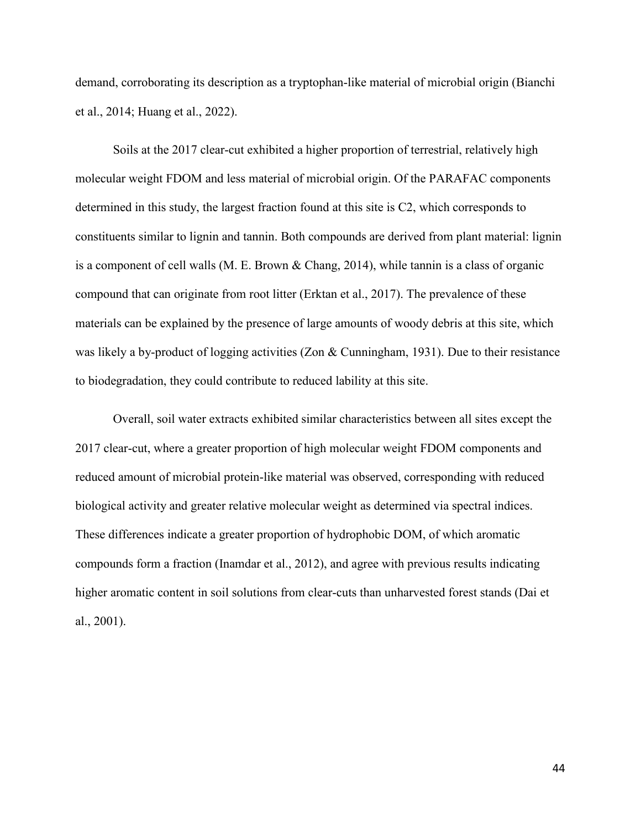demand, corroborating its description as a tryptophan-like material of microbial origin (Bianchi et al., 2014; Huang et al., 2022).

Soils at the 2017 clear-cut exhibited a higher proportion of terrestrial, relatively high molecular weight FDOM and less material of microbial origin. Of the PARAFAC components determined in this study, the largest fraction found at this site is C2, which corresponds to constituents similar to lignin and tannin. Both compounds are derived from plant material: lignin is a component of cell walls (M. E. Brown & Chang, 2014), while tannin is a class of organic compound that can originate from root litter (Erktan et al., 2017). The prevalence of these materials can be explained by the presence of large amounts of woody debris at this site, which was likely a by-product of logging activities (Zon & Cunningham, 1931). Due to their resistance to biodegradation, they could contribute to reduced lability at this site.

Overall, soil water extracts exhibited similar characteristics between all sites except the 2017 clear-cut, where a greater proportion of high molecular weight FDOM components and reduced amount of microbial protein-like material was observed, corresponding with reduced biological activity and greater relative molecular weight as determined via spectral indices. These differences indicate a greater proportion of hydrophobic DOM, of which aromatic compounds form a fraction (Inamdar et al., 2012), and agree with previous results indicating higher aromatic content in soil solutions from clear-cuts than unharvested forest stands (Dai et al., 2001).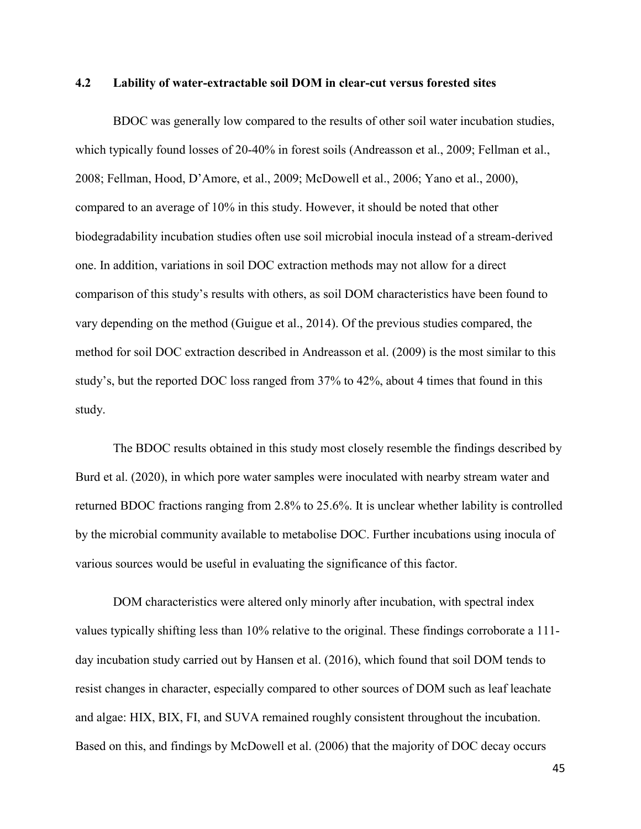## **4.2 Lability of water-extractable soil DOM in clear-cut versus forested sites**

BDOC was generally low compared to the results of other soil water incubation studies, which typically found losses of 20-40% in forest soils (Andreasson et al., 2009; Fellman et al., 2008; Fellman, Hood, D'Amore, et al., 2009; McDowell et al., 2006; Yano et al., 2000), compared to an average of 10% in this study. However, it should be noted that other biodegradability incubation studies often use soil microbial inocula instead of a stream-derived one. In addition, variations in soil DOC extraction methods may not allow for a direct comparison of this study's results with others, as soil DOM characteristics have been found to vary depending on the method (Guigue et al., 2014). Of the previous studies compared, the method for soil DOC extraction described in Andreasson et al. (2009) is the most similar to this study's, but the reported DOC loss ranged from 37% to 42%, about 4 times that found in this study.

The BDOC results obtained in this study most closely resemble the findings described by Burd et al. (2020), in which pore water samples were inoculated with nearby stream water and returned BDOC fractions ranging from 2.8% to 25.6%. It is unclear whether lability is controlled by the microbial community available to metabolise DOC. Further incubations using inocula of various sources would be useful in evaluating the significance of this factor.

DOM characteristics were altered only minorly after incubation, with spectral index values typically shifting less than 10% relative to the original. These findings corroborate a 111 day incubation study carried out by Hansen et al. (2016), which found that soil DOM tends to resist changes in character, especially compared to other sources of DOM such as leaf leachate and algae: HIX, BIX, FI, and SUVA remained roughly consistent throughout the incubation. Based on this, and findings by McDowell et al. (2006) that the majority of DOC decay occurs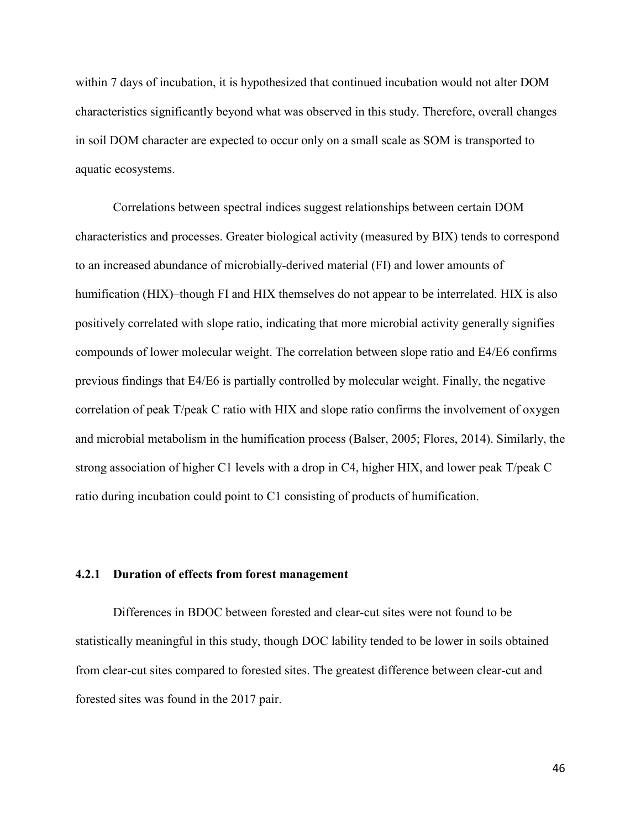within 7 days of incubation, it is hypothesized that continued incubation would not alter DOM characteristics significantly beyond what was observed in this study. Therefore, overall changes in soil DOM character are expected to occur only on a small scale as SOM is transported to aquatic ecosystems.

Correlations between spectral indices suggest relationships between certain DOM characteristics and processes. Greater biological activity (measured by BIX) tends to correspond to an increased abundance of microbially-derived material (FI) and lower amounts of humification (HIX)–though FI and HIX themselves do not appear to be interrelated. HIX is also positively correlated with slope ratio, indicating that more microbial activity generally signifies compounds of lower molecular weight. The correlation between slope ratio and E4/E6 confirms previous findings that E4/E6 is partially controlled by molecular weight. Finally, the negative correlation of peak T/peak C ratio with HIX and slope ratio confirms the involvement of oxygen and microbial metabolism in the humification process (Balser, 2005; Flores, 2014). Similarly, the strong association of higher C1 levels with a drop in C4, higher HIX, and lower peak T/peak C ratio during incubation could point to C1 consisting of products of humification.

#### **4.2.1 Duration of effects from forest management**

Differences in BDOC between forested and clear-cut sites were not found to be statistically meaningful in this study, though DOC lability tended to be lower in soils obtained from clear-cut sites compared to forested sites. The greatest difference between clear-cut and forested sites was found in the 2017 pair.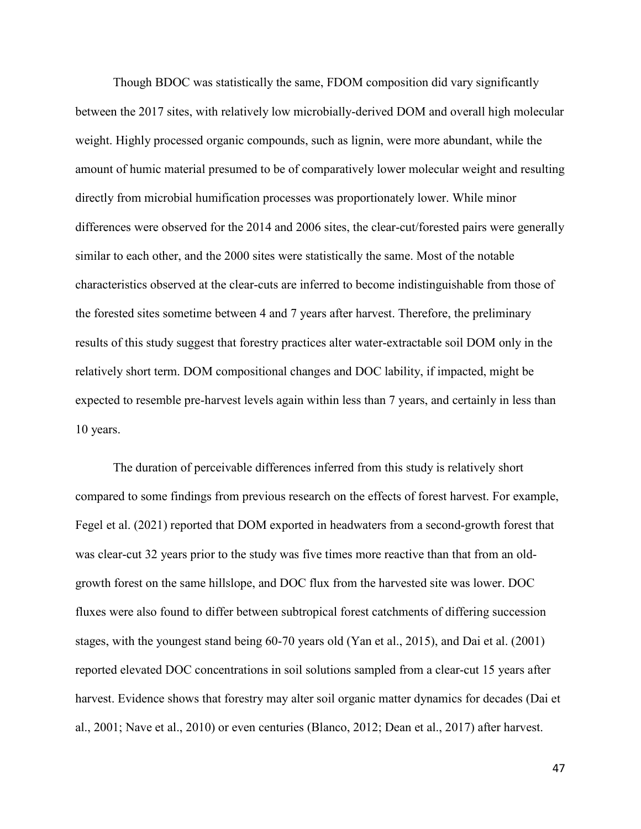Though BDOC was statistically the same, FDOM composition did vary significantly between the 2017 sites, with relatively low microbially-derived DOM and overall high molecular weight. Highly processed organic compounds, such as lignin, were more abundant, while the amount of humic material presumed to be of comparatively lower molecular weight and resulting directly from microbial humification processes was proportionately lower. While minor differences were observed for the 2014 and 2006 sites, the clear-cut/forested pairs were generally similar to each other, and the 2000 sites were statistically the same. Most of the notable characteristics observed at the clear-cuts are inferred to become indistinguishable from those of the forested sites sometime between 4 and 7 years after harvest. Therefore, the preliminary results of this study suggest that forestry practices alter water-extractable soil DOM only in the relatively short term. DOM compositional changes and DOC lability, if impacted, might be expected to resemble pre-harvest levels again within less than 7 years, and certainly in less than 10 years.

The duration of perceivable differences inferred from this study is relatively short compared to some findings from previous research on the effects of forest harvest. For example, Fegel et al. (2021) reported that DOM exported in headwaters from a second-growth forest that was clear-cut 32 years prior to the study was five times more reactive than that from an oldgrowth forest on the same hillslope, and DOC flux from the harvested site was lower. DOC fluxes were also found to differ between subtropical forest catchments of differing succession stages, with the youngest stand being 60-70 years old (Yan et al., 2015), and Dai et al. (2001) reported elevated DOC concentrations in soil solutions sampled from a clear-cut 15 years after harvest. Evidence shows that forestry may alter soil organic matter dynamics for decades (Dai et al., 2001; Nave et al., 2010) or even centuries (Blanco, 2012; Dean et al., 2017) after harvest.

47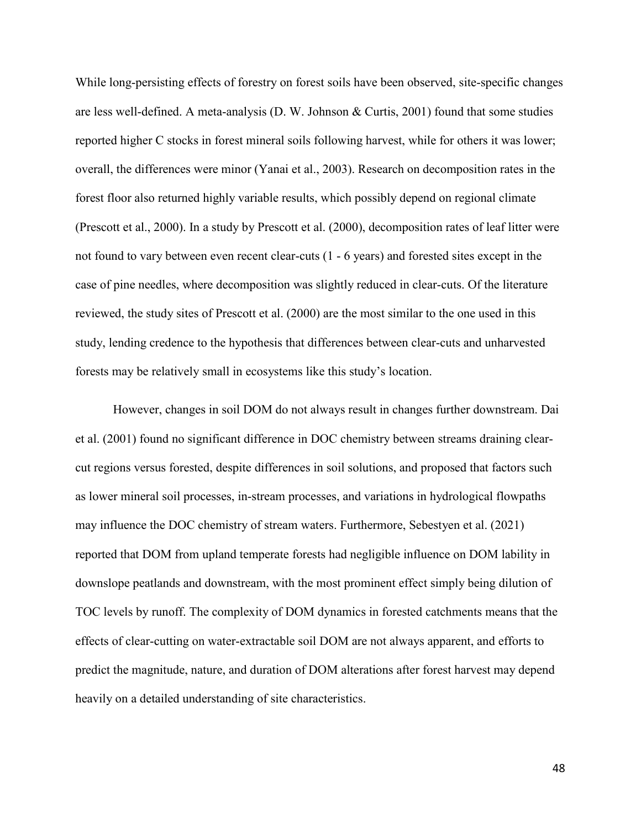While long-persisting effects of forestry on forest soils have been observed, site-specific changes are less well-defined. A meta-analysis (D. W. Johnson & Curtis, 2001) found that some studies reported higher C stocks in forest mineral soils following harvest, while for others it was lower; overall, the differences were minor (Yanai et al., 2003). Research on decomposition rates in the forest floor also returned highly variable results, which possibly depend on regional climate (Prescott et al., 2000). In a study by Prescott et al. (2000), decomposition rates of leaf litter were not found to vary between even recent clear-cuts (1 - 6 years) and forested sites except in the case of pine needles, where decomposition was slightly reduced in clear-cuts. Of the literature reviewed, the study sites of Prescott et al. (2000) are the most similar to the one used in this study, lending credence to the hypothesis that differences between clear-cuts and unharvested forests may be relatively small in ecosystems like this study's location.

However, changes in soil DOM do not always result in changes further downstream. Dai et al. (2001) found no significant difference in DOC chemistry between streams draining clearcut regions versus forested, despite differences in soil solutions, and proposed that factors such as lower mineral soil processes, in-stream processes, and variations in hydrological flowpaths may influence the DOC chemistry of stream waters. Furthermore, Sebestyen et al. (2021) reported that DOM from upland temperate forests had negligible influence on DOM lability in downslope peatlands and downstream, with the most prominent effect simply being dilution of TOC levels by runoff. The complexity of DOM dynamics in forested catchments means that the effects of clear-cutting on water-extractable soil DOM are not always apparent, and efforts to predict the magnitude, nature, and duration of DOM alterations after forest harvest may depend heavily on a detailed understanding of site characteristics.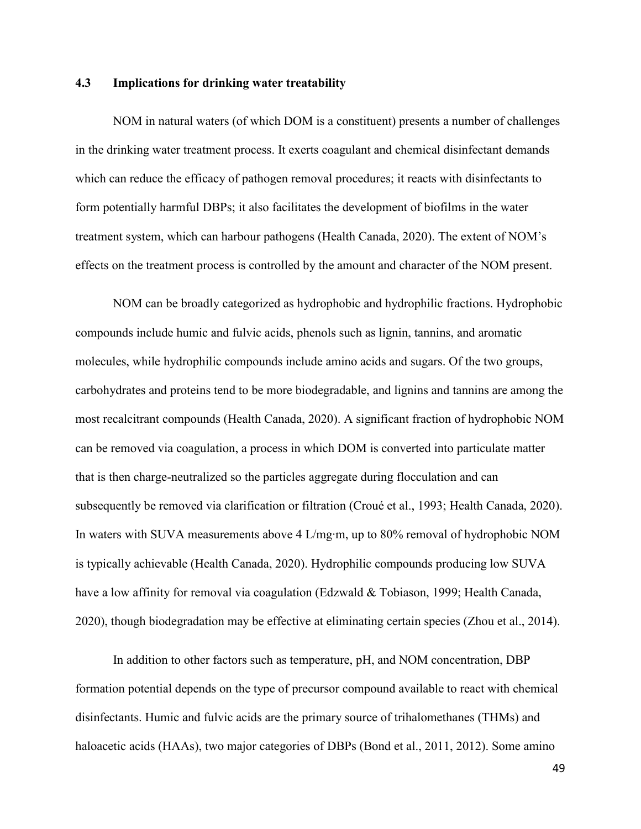## **4.3 Implications for drinking water treatability**

NOM in natural waters (of which DOM is a constituent) presents a number of challenges in the drinking water treatment process. It exerts coagulant and chemical disinfectant demands which can reduce the efficacy of pathogen removal procedures; it reacts with disinfectants to form potentially harmful DBPs; it also facilitates the development of biofilms in the water treatment system, which can harbour pathogens (Health Canada, 2020). The extent of NOM's effects on the treatment process is controlled by the amount and character of the NOM present.

NOM can be broadly categorized as hydrophobic and hydrophilic fractions. Hydrophobic compounds include humic and fulvic acids, phenols such as lignin, tannins, and aromatic molecules, while hydrophilic compounds include amino acids and sugars. Of the two groups, carbohydrates and proteins tend to be more biodegradable, and lignins and tannins are among the most recalcitrant compounds (Health Canada, 2020). A significant fraction of hydrophobic NOM can be removed via coagulation, a process in which DOM is converted into particulate matter that is then charge-neutralized so the particles aggregate during flocculation and can subsequently be removed via clarification or filtration (Croué et al., 1993; Health Canada, 2020). In waters with SUVA measurements above 4 L/mg∙m, up to 80% removal of hydrophobic NOM is typically achievable (Health Canada, 2020). Hydrophilic compounds producing low SUVA have a low affinity for removal via coagulation (Edzwald & Tobiason, 1999; Health Canada, 2020), though biodegradation may be effective at eliminating certain species (Zhou et al., 2014).

In addition to other factors such as temperature, pH, and NOM concentration, DBP formation potential depends on the type of precursor compound available to react with chemical disinfectants. Humic and fulvic acids are the primary source of trihalomethanes (THMs) and haloacetic acids (HAAs), two major categories of DBPs (Bond et al., 2011, 2012). Some amino

49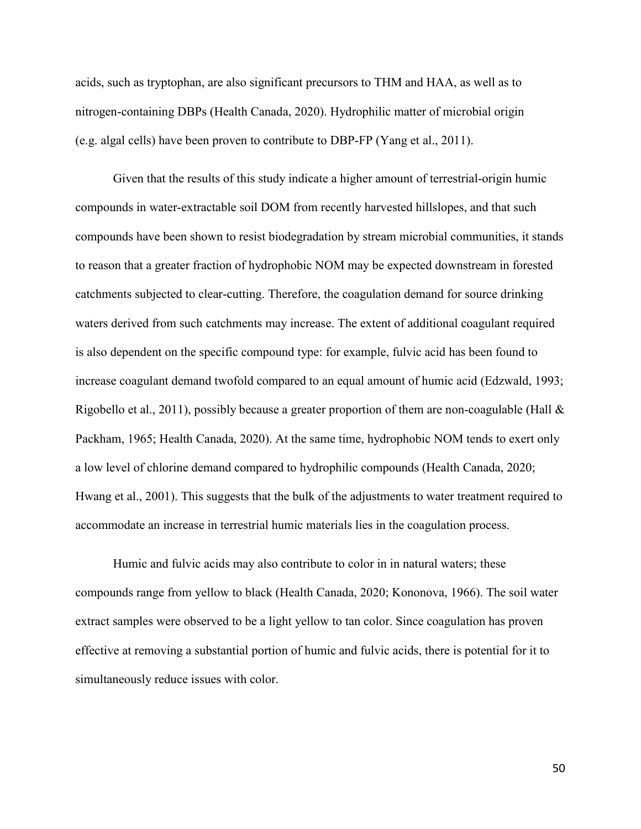acids, such as tryptophan, are also significant precursors to THM and HAA, as well as to nitrogen-containing DBPs (Health Canada, 2020). Hydrophilic matter of microbial origin (e.g. algal cells) have been proven to contribute to DBP-FP (Yang et al., 2011).

Given that the results of this study indicate a higher amount of terrestrial-origin humic compounds in water-extractable soil DOM from recently harvested hillslopes, and that such compounds have been shown to resist biodegradation by stream microbial communities, it stands to reason that a greater fraction of hydrophobic NOM may be expected downstream in forested catchments subjected to clear-cutting. Therefore, the coagulation demand for source drinking waters derived from such catchments may increase. The extent of additional coagulant required is also dependent on the specific compound type: for example, fulvic acid has been found to increase coagulant demand twofold compared to an equal amount of humic acid (Edzwald, 1993; Rigobello et al., 2011), possibly because a greater proportion of them are non-coagulable (Hall & Packham, 1965; Health Canada, 2020). At the same time, hydrophobic NOM tends to exert only a low level of chlorine demand compared to hydrophilic compounds (Health Canada, 2020; Hwang et al., 2001). This suggests that the bulk of the adjustments to water treatment required to accommodate an increase in terrestrial humic materials lies in the coagulation process.

Humic and fulvic acids may also contribute to color in in natural waters; these compounds range from yellow to black (Health Canada, 2020; Kononova, 1966). The soil water extract samples were observed to be a light yellow to tan color. Since coagulation has proven effective at removing a substantial portion of humic and fulvic acids, there is potential for it to simultaneously reduce issues with color.

50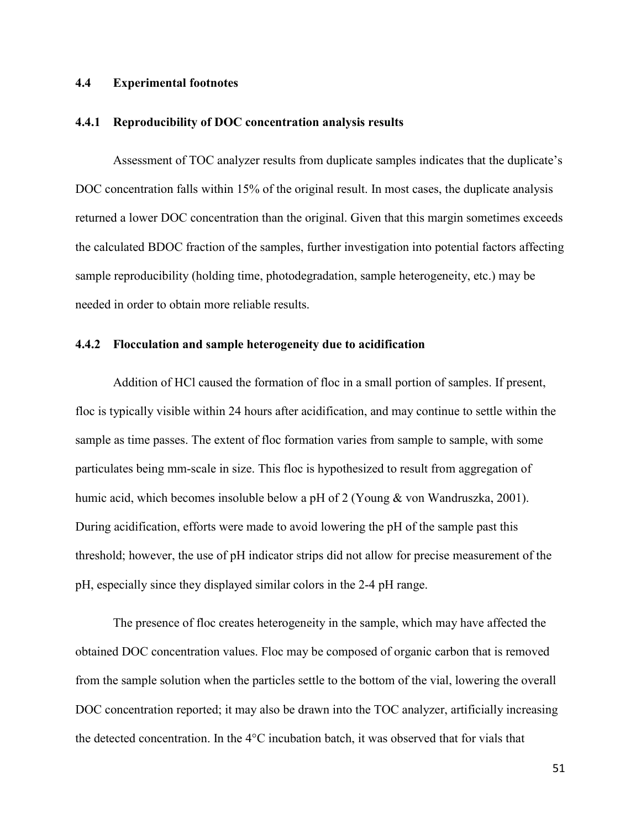#### **4.4 Experimental footnotes**

#### **4.4.1 Reproducibility of DOC concentration analysis results**

Assessment of TOC analyzer results from duplicate samples indicates that the duplicate's DOC concentration falls within 15% of the original result. In most cases, the duplicate analysis returned a lower DOC concentration than the original. Given that this margin sometimes exceeds the calculated BDOC fraction of the samples, further investigation into potential factors affecting sample reproducibility (holding time, photodegradation, sample heterogeneity, etc.) may be needed in order to obtain more reliable results.

### **4.4.2 Flocculation and sample heterogeneity due to acidification**

Addition of HCl caused the formation of floc in a small portion of samples. If present, floc is typically visible within 24 hours after acidification, and may continue to settle within the sample as time passes. The extent of floc formation varies from sample to sample, with some particulates being mm-scale in size. This floc is hypothesized to result from aggregation of humic acid, which becomes insoluble below a pH of 2 (Young & von Wandruszka, 2001). During acidification, efforts were made to avoid lowering the pH of the sample past this threshold; however, the use of pH indicator strips did not allow for precise measurement of the pH, especially since they displayed similar colors in the 2-4 pH range.

The presence of floc creates heterogeneity in the sample, which may have affected the obtained DOC concentration values. Floc may be composed of organic carbon that is removed from the sample solution when the particles settle to the bottom of the vial, lowering the overall DOC concentration reported; it may also be drawn into the TOC analyzer, artificially increasing the detected concentration. In the 4°C incubation batch, it was observed that for vials that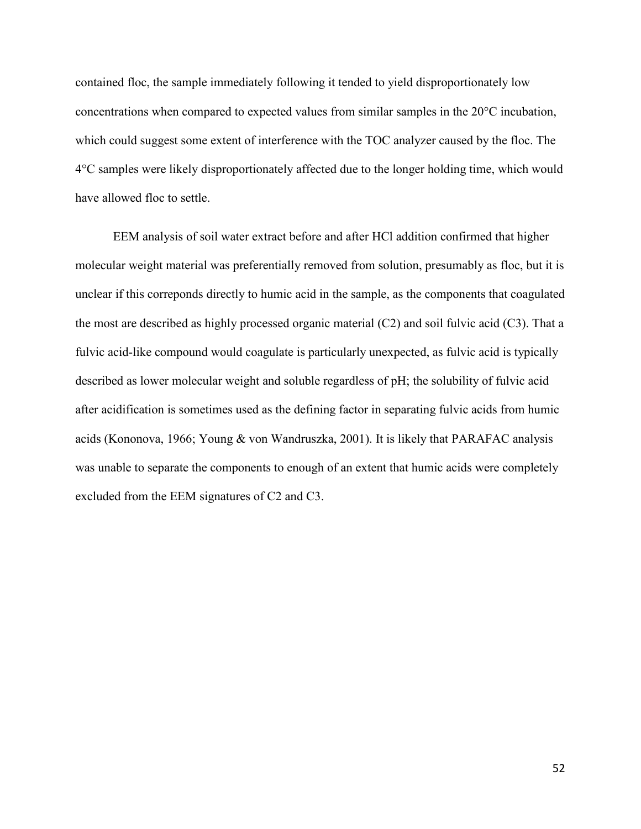contained floc, the sample immediately following it tended to yield disproportionately low concentrations when compared to expected values from similar samples in the 20°C incubation, which could suggest some extent of interference with the TOC analyzer caused by the floc. The 4°C samples were likely disproportionately affected due to the longer holding time, which would have allowed floc to settle.

EEM analysis of soil water extract before and after HCl addition confirmed that higher molecular weight material was preferentially removed from solution, presumably as floc, but it is unclear if this correponds directly to humic acid in the sample, as the components that coagulated the most are described as highly processed organic material (C2) and soil fulvic acid (C3). That a fulvic acid-like compound would coagulate is particularly unexpected, as fulvic acid is typically described as lower molecular weight and soluble regardless of pH; the solubility of fulvic acid after acidification is sometimes used as the defining factor in separating fulvic acids from humic acids (Kononova, 1966; Young & von Wandruszka, 2001). It is likely that PARAFAC analysis was unable to separate the components to enough of an extent that humic acids were completely excluded from the EEM signatures of C2 and C3.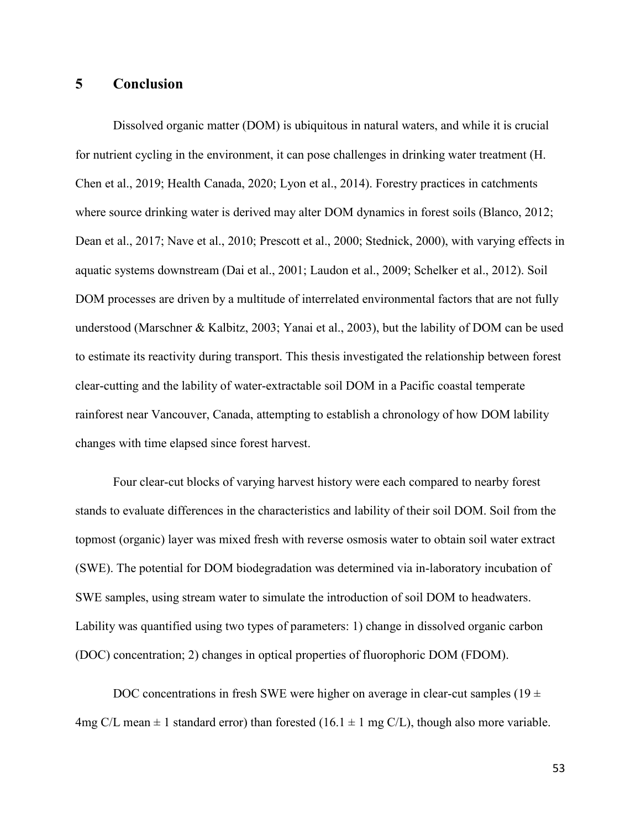## **5 Conclusion**

Dissolved organic matter (DOM) is ubiquitous in natural waters, and while it is crucial for nutrient cycling in the environment, it can pose challenges in drinking water treatment (H. Chen et al., 2019; Health Canada, 2020; Lyon et al., 2014). Forestry practices in catchments where source drinking water is derived may alter DOM dynamics in forest soils (Blanco, 2012; Dean et al., 2017; Nave et al., 2010; Prescott et al., 2000; Stednick, 2000), with varying effects in aquatic systems downstream (Dai et al., 2001; Laudon et al., 2009; Schelker et al., 2012). Soil DOM processes are driven by a multitude of interrelated environmental factors that are not fully understood (Marschner & Kalbitz, 2003; Yanai et al., 2003), but the lability of DOM can be used to estimate its reactivity during transport. This thesis investigated the relationship between forest clear-cutting and the lability of water-extractable soil DOM in a Pacific coastal temperate rainforest near Vancouver, Canada, attempting to establish a chronology of how DOM lability changes with time elapsed since forest harvest.

Four clear-cut blocks of varying harvest history were each compared to nearby forest stands to evaluate differences in the characteristics and lability of their soil DOM. Soil from the topmost (organic) layer was mixed fresh with reverse osmosis water to obtain soil water extract (SWE). The potential for DOM biodegradation was determined via in-laboratory incubation of SWE samples, using stream water to simulate the introduction of soil DOM to headwaters. Lability was quantified using two types of parameters: 1) change in dissolved organic carbon (DOC) concentration; 2) changes in optical properties of fluorophoric DOM (FDOM).

DOC concentrations in fresh SWE were higher on average in clear-cut samples (19  $\pm$ 4mg C/L mean  $\pm$  1 standard error) than forested (16.1  $\pm$  1 mg C/L), though also more variable.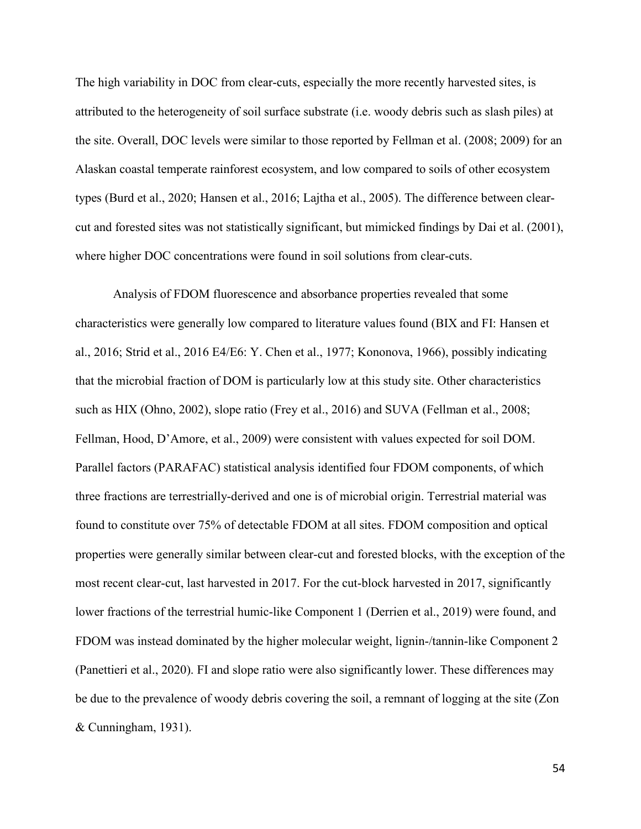The high variability in DOC from clear-cuts, especially the more recently harvested sites, is attributed to the heterogeneity of soil surface substrate (i.e. woody debris such as slash piles) at the site. Overall, DOC levels were similar to those reported by Fellman et al. (2008; 2009) for an Alaskan coastal temperate rainforest ecosystem, and low compared to soils of other ecosystem types (Burd et al., 2020; Hansen et al., 2016; Lajtha et al., 2005). The difference between clearcut and forested sites was not statistically significant, but mimicked findings by Dai et al. (2001), where higher DOC concentrations were found in soil solutions from clear-cuts.

Analysis of FDOM fluorescence and absorbance properties revealed that some characteristics were generally low compared to literature values found (BIX and FI: Hansen et al., 2016; Strid et al., 2016 E4/E6: Y. Chen et al., 1977; Kononova, 1966), possibly indicating that the microbial fraction of DOM is particularly low at this study site. Other characteristics such as HIX (Ohno, 2002), slope ratio (Frey et al., 2016) and SUVA (Fellman et al., 2008; Fellman, Hood, D'Amore, et al., 2009) were consistent with values expected for soil DOM. Parallel factors (PARAFAC) statistical analysis identified four FDOM components, of which three fractions are terrestrially-derived and one is of microbial origin. Terrestrial material was found to constitute over 75% of detectable FDOM at all sites. FDOM composition and optical properties were generally similar between clear-cut and forested blocks, with the exception of the most recent clear-cut, last harvested in 2017. For the cut-block harvested in 2017, significantly lower fractions of the terrestrial humic-like Component 1 (Derrien et al., 2019) were found, and FDOM was instead dominated by the higher molecular weight, lignin-/tannin-like Component 2 (Panettieri et al., 2020). FI and slope ratio were also significantly lower. These differences may be due to the prevalence of woody debris covering the soil, a remnant of logging at the site (Zon & Cunningham, 1931).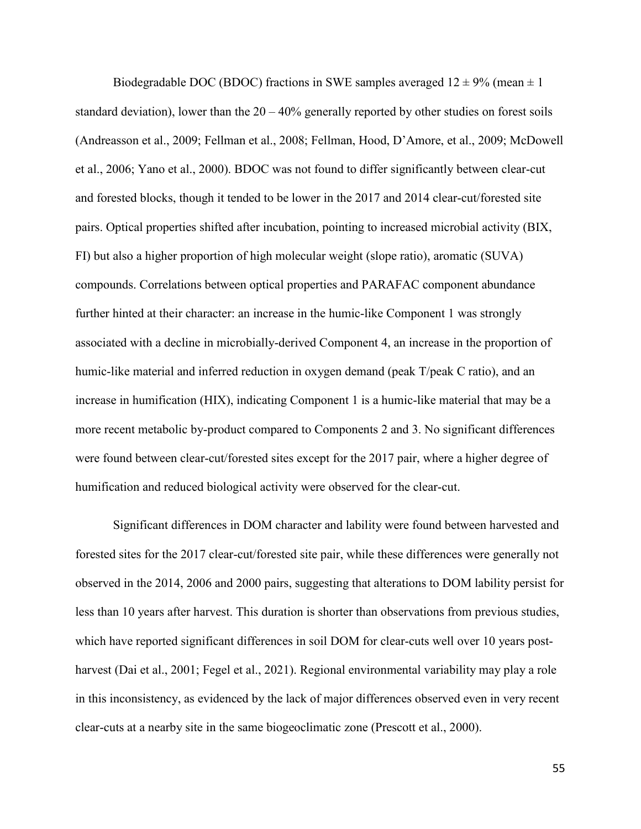Biodegradable DOC (BDOC) fractions in SWE samples averaged  $12 \pm 9\%$  (mean  $\pm 1$ ) standard deviation), lower than the  $20 - 40\%$  generally reported by other studies on forest soils (Andreasson et al., 2009; Fellman et al., 2008; Fellman, Hood, D'Amore, et al., 2009; McDowell et al., 2006; Yano et al., 2000). BDOC was not found to differ significantly between clear-cut and forested blocks, though it tended to be lower in the 2017 and 2014 clear-cut/forested site pairs. Optical properties shifted after incubation, pointing to increased microbial activity (BIX, FI) but also a higher proportion of high molecular weight (slope ratio), aromatic (SUVA) compounds. Correlations between optical properties and PARAFAC component abundance further hinted at their character: an increase in the humic-like Component 1 was strongly associated with a decline in microbially-derived Component 4, an increase in the proportion of humic-like material and inferred reduction in oxygen demand (peak T/peak C ratio), and an increase in humification (HIX), indicating Component 1 is a humic-like material that may be a more recent metabolic by-product compared to Components 2 and 3. No significant differences were found between clear-cut/forested sites except for the 2017 pair, where a higher degree of humification and reduced biological activity were observed for the clear-cut.

Significant differences in DOM character and lability were found between harvested and forested sites for the 2017 clear-cut/forested site pair, while these differences were generally not observed in the 2014, 2006 and 2000 pairs, suggesting that alterations to DOM lability persist for less than 10 years after harvest. This duration is shorter than observations from previous studies, which have reported significant differences in soil DOM for clear-cuts well over 10 years postharvest (Dai et al., 2001; Fegel et al., 2021). Regional environmental variability may play a role in this inconsistency, as evidenced by the lack of major differences observed even in very recent clear-cuts at a nearby site in the same biogeoclimatic zone (Prescott et al., 2000).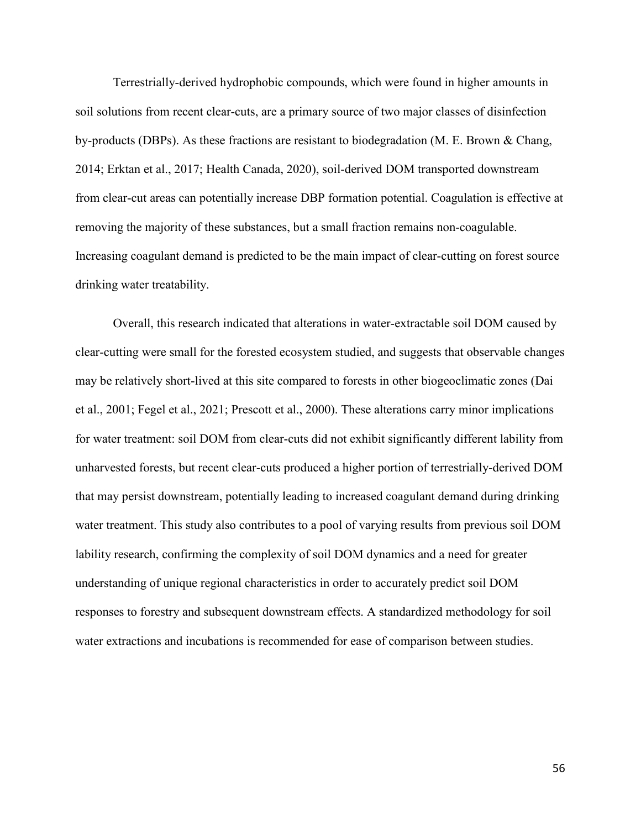Terrestrially-derived hydrophobic compounds, which were found in higher amounts in soil solutions from recent clear-cuts, are a primary source of two major classes of disinfection by-products (DBPs). As these fractions are resistant to biodegradation (M. E. Brown & Chang, 2014; Erktan et al., 2017; Health Canada, 2020), soil-derived DOM transported downstream from clear-cut areas can potentially increase DBP formation potential. Coagulation is effective at removing the majority of these substances, but a small fraction remains non-coagulable. Increasing coagulant demand is predicted to be the main impact of clear-cutting on forest source drinking water treatability.

Overall, this research indicated that alterations in water-extractable soil DOM caused by clear-cutting were small for the forested ecosystem studied, and suggests that observable changes may be relatively short-lived at this site compared to forests in other biogeoclimatic zones (Dai et al., 2001; Fegel et al., 2021; Prescott et al., 2000). These alterations carry minor implications for water treatment: soil DOM from clear-cuts did not exhibit significantly different lability from unharvested forests, but recent clear-cuts produced a higher portion of terrestrially-derived DOM that may persist downstream, potentially leading to increased coagulant demand during drinking water treatment. This study also contributes to a pool of varying results from previous soil DOM lability research, confirming the complexity of soil DOM dynamics and a need for greater understanding of unique regional characteristics in order to accurately predict soil DOM responses to forestry and subsequent downstream effects. A standardized methodology for soil water extractions and incubations is recommended for ease of comparison between studies.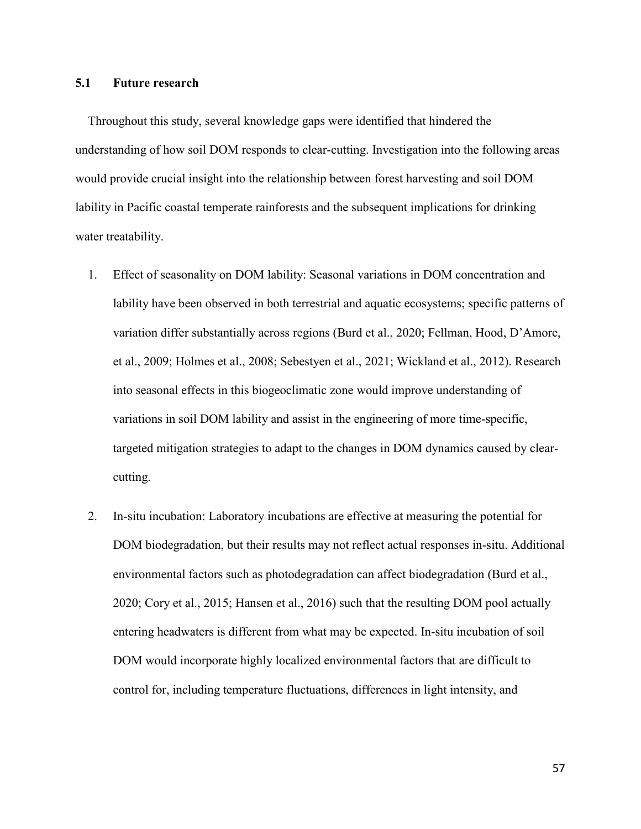## **5.1 Future research**

Throughout this study, several knowledge gaps were identified that hindered the understanding of how soil DOM responds to clear-cutting. Investigation into the following areas would provide crucial insight into the relationship between forest harvesting and soil DOM lability in Pacific coastal temperate rainforests and the subsequent implications for drinking water treatability.

- 1. Effect of seasonality on DOM lability: Seasonal variations in DOM concentration and lability have been observed in both terrestrial and aquatic ecosystems; specific patterns of variation differ substantially across regions (Burd et al., 2020; Fellman, Hood, D'Amore, et al., 2009; Holmes et al., 2008; Sebestyen et al., 2021; Wickland et al., 2012). Research into seasonal effects in this biogeoclimatic zone would improve understanding of variations in soil DOM lability and assist in the engineering of more time-specific, targeted mitigation strategies to adapt to the changes in DOM dynamics caused by clearcutting.
- 2. In-situ incubation: Laboratory incubations are effective at measuring the potential for DOM biodegradation, but their results may not reflect actual responses in-situ. Additional environmental factors such as photodegradation can affect biodegradation (Burd et al., 2020; Cory et al., 2015; Hansen et al., 2016) such that the resulting DOM pool actually entering headwaters is different from what may be expected. In-situ incubation of soil DOM would incorporate highly localized environmental factors that are difficult to control for, including temperature fluctuations, differences in light intensity, and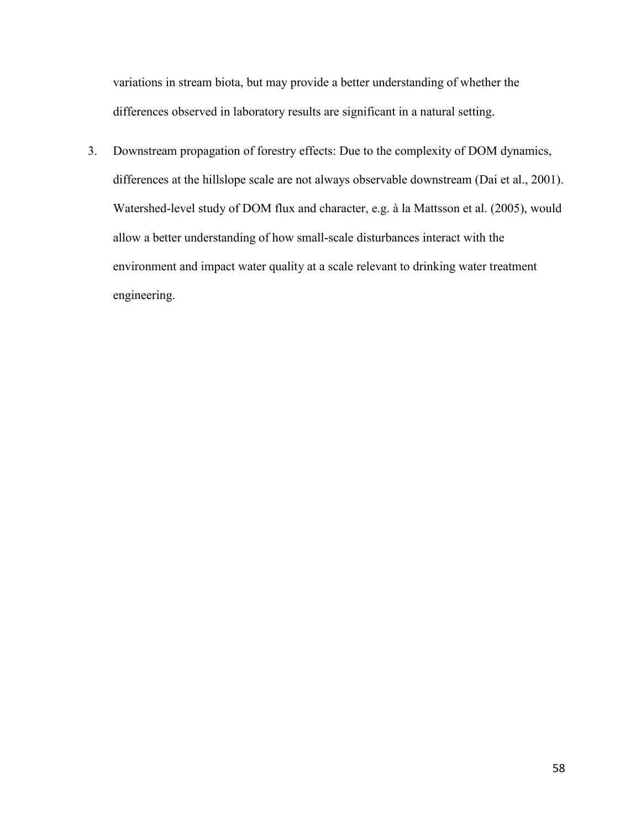variations in stream biota, but may provide a better understanding of whether the differences observed in laboratory results are significant in a natural setting.

3. Downstream propagation of forestry effects: Due to the complexity of DOM dynamics, differences at the hillslope scale are not always observable downstream (Dai et al., 2001). Watershed-level study of DOM flux and character, e.g. à la Mattsson et al. (2005), would allow a better understanding of how small-scale disturbances interact with the environment and impact water quality at a scale relevant to drinking water treatment engineering.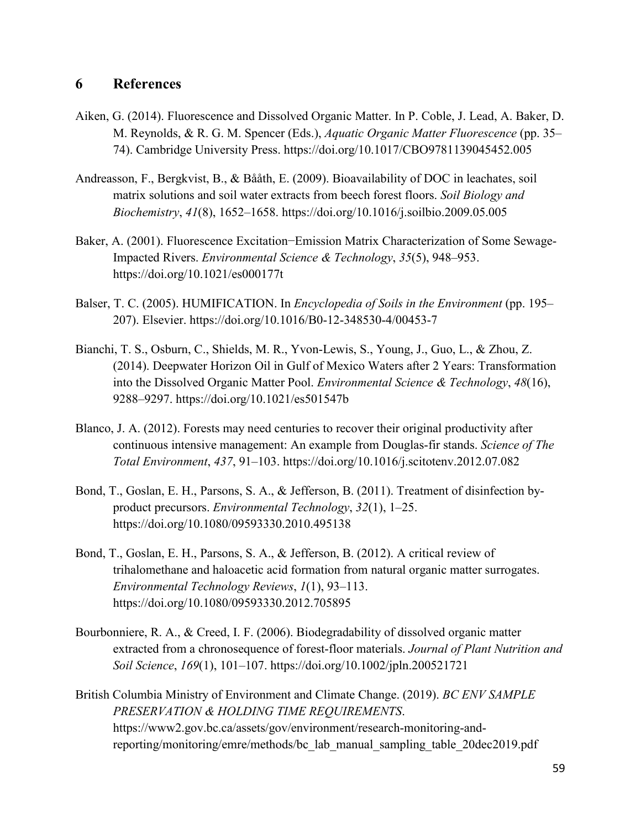## **6 References**

- Aiken, G. (2014). Fluorescence and Dissolved Organic Matter. In P. Coble, J. Lead, A. Baker, D. M. Reynolds, & R. G. M. Spencer (Eds.), *Aquatic Organic Matter Fluorescence* (pp. 35– 74). Cambridge University Press. https://doi.org/10.1017/CBO9781139045452.005
- Andreasson, F., Bergkvist, B., & Bååth, E. (2009). Bioavailability of DOC in leachates, soil matrix solutions and soil water extracts from beech forest floors. *Soil Biology and Biochemistry*, *41*(8), 1652–1658. https://doi.org/10.1016/j.soilbio.2009.05.005
- Baker, A. (2001). Fluorescence Excitation−Emission Matrix Characterization of Some Sewage-Impacted Rivers. *Environmental Science & Technology*, *35*(5), 948–953. https://doi.org/10.1021/es000177t
- Balser, T. C. (2005). HUMIFICATION. In *Encyclopedia of Soils in the Environment* (pp. 195– 207). Elsevier. https://doi.org/10.1016/B0-12-348530-4/00453-7
- Bianchi, T. S., Osburn, C., Shields, M. R., Yvon-Lewis, S., Young, J., Guo, L., & Zhou, Z. (2014). Deepwater Horizon Oil in Gulf of Mexico Waters after 2 Years: Transformation into the Dissolved Organic Matter Pool. *Environmental Science & Technology*, *48*(16), 9288–9297. https://doi.org/10.1021/es501547b
- Blanco, J. A. (2012). Forests may need centuries to recover their original productivity after continuous intensive management: An example from Douglas-fir stands. *Science of The Total Environment*, *437*, 91–103. https://doi.org/10.1016/j.scitotenv.2012.07.082
- Bond, T., Goslan, E. H., Parsons, S. A., & Jefferson, B. (2011). Treatment of disinfection byproduct precursors. *Environmental Technology*, *32*(1), 1–25. https://doi.org/10.1080/09593330.2010.495138
- Bond, T., Goslan, E. H., Parsons, S. A., & Jefferson, B. (2012). A critical review of trihalomethane and haloacetic acid formation from natural organic matter surrogates. *Environmental Technology Reviews*, *1*(1), 93–113. https://doi.org/10.1080/09593330.2012.705895
- Bourbonniere, R. A., & Creed, I. F. (2006). Biodegradability of dissolved organic matter extracted from a chronosequence of forest-floor materials. *Journal of Plant Nutrition and Soil Science*, *169*(1), 101–107. https://doi.org/10.1002/jpln.200521721
- British Columbia Ministry of Environment and Climate Change. (2019). *BC ENV SAMPLE PRESERVATION & HOLDING TIME REQUIREMENTS*. https://www2.gov.bc.ca/assets/gov/environment/research-monitoring-andreporting/monitoring/emre/methods/bc\_lab\_manual\_sampling\_table\_20dec2019.pdf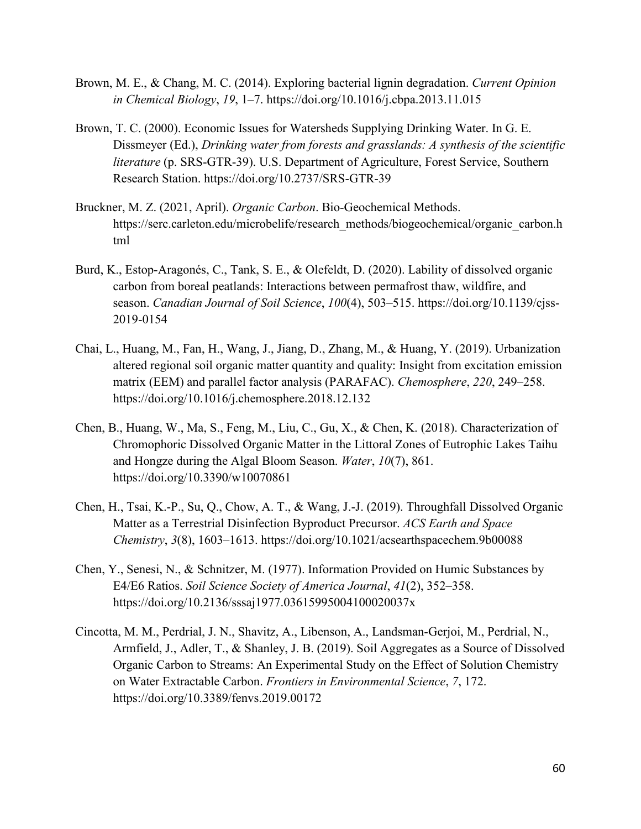- Brown, M. E., & Chang, M. C. (2014). Exploring bacterial lignin degradation. *Current Opinion in Chemical Biology*, *19*, 1–7. https://doi.org/10.1016/j.cbpa.2013.11.015
- Brown, T. C. (2000). Economic Issues for Watersheds Supplying Drinking Water. In G. E. Dissmeyer (Ed.), *Drinking water from forests and grasslands: A synthesis of the scientific literature* (p. SRS-GTR-39). U.S. Department of Agriculture, Forest Service, Southern Research Station. https://doi.org/10.2737/SRS-GTR-39
- Bruckner, M. Z. (2021, April). *Organic Carbon*. Bio-Geochemical Methods. https://serc.carleton.edu/microbelife/research\_methods/biogeochemical/organic\_carbon.h tml
- Burd, K., Estop-Aragonés, C., Tank, S. E., & Olefeldt, D. (2020). Lability of dissolved organic carbon from boreal peatlands: Interactions between permafrost thaw, wildfire, and season. *Canadian Journal of Soil Science*, *100*(4), 503–515. https://doi.org/10.1139/cjss-2019-0154
- Chai, L., Huang, M., Fan, H., Wang, J., Jiang, D., Zhang, M., & Huang, Y. (2019). Urbanization altered regional soil organic matter quantity and quality: Insight from excitation emission matrix (EEM) and parallel factor analysis (PARAFAC). *Chemosphere*, *220*, 249–258. https://doi.org/10.1016/j.chemosphere.2018.12.132
- Chen, B., Huang, W., Ma, S., Feng, M., Liu, C., Gu, X., & Chen, K. (2018). Characterization of Chromophoric Dissolved Organic Matter in the Littoral Zones of Eutrophic Lakes Taihu and Hongze during the Algal Bloom Season. *Water*, *10*(7), 861. https://doi.org/10.3390/w10070861
- Chen, H., Tsai, K.-P., Su, Q., Chow, A. T., & Wang, J.-J. (2019). Throughfall Dissolved Organic Matter as a Terrestrial Disinfection Byproduct Precursor. *ACS Earth and Space Chemistry*, *3*(8), 1603–1613. https://doi.org/10.1021/acsearthspacechem.9b00088
- Chen, Y., Senesi, N., & Schnitzer, M. (1977). Information Provided on Humic Substances by E4/E6 Ratios. *Soil Science Society of America Journal*, *41*(2), 352–358. https://doi.org/10.2136/sssaj1977.03615995004100020037x
- Cincotta, M. M., Perdrial, J. N., Shavitz, A., Libenson, A., Landsman-Gerjoi, M., Perdrial, N., Armfield, J., Adler, T., & Shanley, J. B. (2019). Soil Aggregates as a Source of Dissolved Organic Carbon to Streams: An Experimental Study on the Effect of Solution Chemistry on Water Extractable Carbon. *Frontiers in Environmental Science*, *7*, 172. https://doi.org/10.3389/fenvs.2019.00172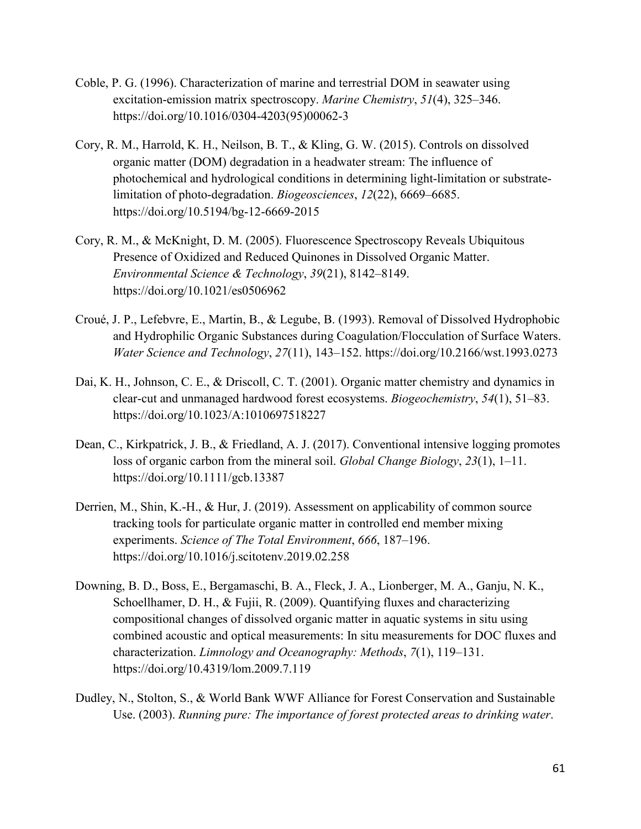- Coble, P. G. (1996). Characterization of marine and terrestrial DOM in seawater using excitation-emission matrix spectroscopy. *Marine Chemistry*, *51*(4), 325–346. https://doi.org/10.1016/0304-4203(95)00062-3
- Cory, R. M., Harrold, K. H., Neilson, B. T., & Kling, G. W. (2015). Controls on dissolved organic matter (DOM) degradation in a headwater stream: The influence of photochemical and hydrological conditions in determining light-limitation or substratelimitation of photo-degradation. *Biogeosciences*, *12*(22), 6669–6685. https://doi.org/10.5194/bg-12-6669-2015
- Cory, R. M., & McKnight, D. M. (2005). Fluorescence Spectroscopy Reveals Ubiquitous Presence of Oxidized and Reduced Quinones in Dissolved Organic Matter. *Environmental Science & Technology*, *39*(21), 8142–8149. https://doi.org/10.1021/es0506962
- Croué, J. P., Lefebvre, E., Martin, B., & Legube, B. (1993). Removal of Dissolved Hydrophobic and Hydrophilic Organic Substances during Coagulation/Flocculation of Surface Waters. *Water Science and Technology*, *27*(11), 143–152. https://doi.org/10.2166/wst.1993.0273
- Dai, K. H., Johnson, C. E., & Driscoll, C. T. (2001). Organic matter chemistry and dynamics in clear-cut and unmanaged hardwood forest ecosystems. *Biogeochemistry*, *54*(1), 51–83. https://doi.org/10.1023/A:1010697518227
- Dean, C., Kirkpatrick, J. B., & Friedland, A. J. (2017). Conventional intensive logging promotes loss of organic carbon from the mineral soil. *Global Change Biology*, *23*(1), 1–11. https://doi.org/10.1111/gcb.13387
- Derrien, M., Shin, K.-H., & Hur, J. (2019). Assessment on applicability of common source tracking tools for particulate organic matter in controlled end member mixing experiments. *Science of The Total Environment*, *666*, 187–196. https://doi.org/10.1016/j.scitotenv.2019.02.258
- Downing, B. D., Boss, E., Bergamaschi, B. A., Fleck, J. A., Lionberger, M. A., Ganju, N. K., Schoellhamer, D. H., & Fujii, R. (2009). Quantifying fluxes and characterizing compositional changes of dissolved organic matter in aquatic systems in situ using combined acoustic and optical measurements: In situ measurements for DOC fluxes and characterization. *Limnology and Oceanography: Methods*, *7*(1), 119–131. https://doi.org/10.4319/lom.2009.7.119
- Dudley, N., Stolton, S., & World Bank WWF Alliance for Forest Conservation and Sustainable Use. (2003). *Running pure: The importance of forest protected areas to drinking water*.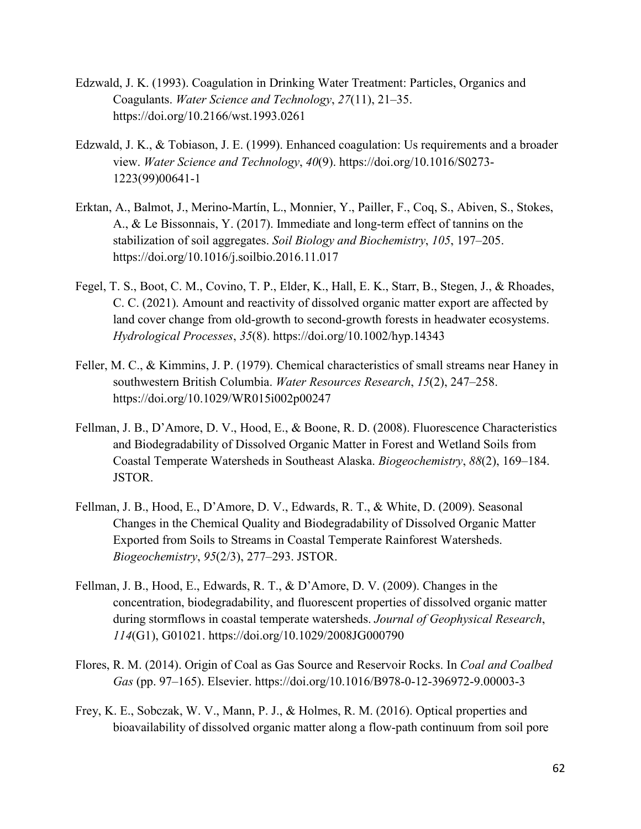- Edzwald, J. K. (1993). Coagulation in Drinking Water Treatment: Particles, Organics and Coagulants. *Water Science and Technology*, *27*(11), 21–35. https://doi.org/10.2166/wst.1993.0261
- Edzwald, J. K., & Tobiason, J. E. (1999). Enhanced coagulation: Us requirements and a broader view. *Water Science and Technology*, *40*(9). https://doi.org/10.1016/S0273- 1223(99)00641-1
- Erktan, A., Balmot, J., Merino-Martín, L., Monnier, Y., Pailler, F., Coq, S., Abiven, S., Stokes, A., & Le Bissonnais, Y. (2017). Immediate and long-term effect of tannins on the stabilization of soil aggregates. *Soil Biology and Biochemistry*, *105*, 197–205. https://doi.org/10.1016/j.soilbio.2016.11.017
- Fegel, T. S., Boot, C. M., Covino, T. P., Elder, K., Hall, E. K., Starr, B., Stegen, J., & Rhoades, C. C. (2021). Amount and reactivity of dissolved organic matter export are affected by land cover change from old-growth to second-growth forests in headwater ecosystems. *Hydrological Processes*, *35*(8). https://doi.org/10.1002/hyp.14343
- Feller, M. C., & Kimmins, J. P. (1979). Chemical characteristics of small streams near Haney in southwestern British Columbia. *Water Resources Research*, *15*(2), 247–258. https://doi.org/10.1029/WR015i002p00247
- Fellman, J. B., D'Amore, D. V., Hood, E., & Boone, R. D. (2008). Fluorescence Characteristics and Biodegradability of Dissolved Organic Matter in Forest and Wetland Soils from Coastal Temperate Watersheds in Southeast Alaska. *Biogeochemistry*, *88*(2), 169–184. JSTOR.
- Fellman, J. B., Hood, E., D'Amore, D. V., Edwards, R. T., & White, D. (2009). Seasonal Changes in the Chemical Quality and Biodegradability of Dissolved Organic Matter Exported from Soils to Streams in Coastal Temperate Rainforest Watersheds. *Biogeochemistry*, *95*(2/3), 277–293. JSTOR.
- Fellman, J. B., Hood, E., Edwards, R. T., & D'Amore, D. V. (2009). Changes in the concentration, biodegradability, and fluorescent properties of dissolved organic matter during stormflows in coastal temperate watersheds. *Journal of Geophysical Research*, *114*(G1), G01021. https://doi.org/10.1029/2008JG000790
- Flores, R. M. (2014). Origin of Coal as Gas Source and Reservoir Rocks. In *Coal and Coalbed Gas* (pp. 97–165). Elsevier. https://doi.org/10.1016/B978-0-12-396972-9.00003-3
- Frey, K. E., Sobczak, W. V., Mann, P. J., & Holmes, R. M. (2016). Optical properties and bioavailability of dissolved organic matter along a flow-path continuum from soil pore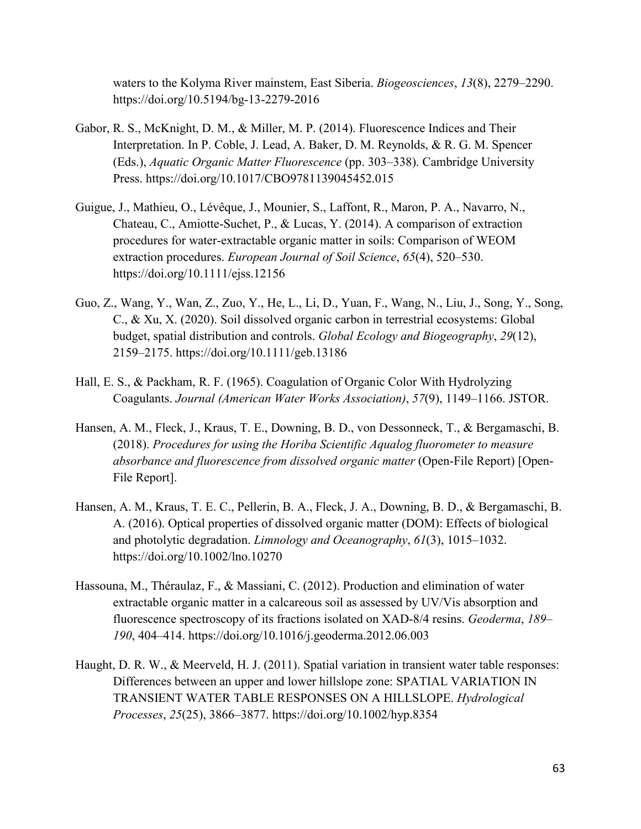waters to the Kolyma River mainstem, East Siberia. *Biogeosciences*, *13*(8), 2279–2290. https://doi.org/10.5194/bg-13-2279-2016

- Gabor, R. S., McKnight, D. M., & Miller, M. P. (2014). Fluorescence Indices and Their Interpretation. In P. Coble, J. Lead, A. Baker, D. M. Reynolds, & R. G. M. Spencer (Eds.), *Aquatic Organic Matter Fluorescence* (pp. 303–338). Cambridge University Press. https://doi.org/10.1017/CBO9781139045452.015
- Guigue, J., Mathieu, O., Lévêque, J., Mounier, S., Laffont, R., Maron, P. A., Navarro, N., Chateau, C., Amiotte-Suchet, P., & Lucas, Y. (2014). A comparison of extraction procedures for water-extractable organic matter in soils: Comparison of WEOM extraction procedures. *European Journal of Soil Science*, *65*(4), 520–530. https://doi.org/10.1111/ejss.12156
- Guo, Z., Wang, Y., Wan, Z., Zuo, Y., He, L., Li, D., Yuan, F., Wang, N., Liu, J., Song, Y., Song, C., & Xu, X. (2020). Soil dissolved organic carbon in terrestrial ecosystems: Global budget, spatial distribution and controls. *Global Ecology and Biogeography*, *29*(12), 2159–2175. https://doi.org/10.1111/geb.13186
- Hall, E. S., & Packham, R. F. (1965). Coagulation of Organic Color With Hydrolyzing Coagulants. *Journal (American Water Works Association)*, *57*(9), 1149–1166. JSTOR.
- Hansen, A. M., Fleck, J., Kraus, T. E., Downing, B. D., von Dessonneck, T., & Bergamaschi, B. (2018). *Procedures for using the Horiba Scientific Aqualog fluorometer to measure absorbance and fluorescence from dissolved organic matter* (Open-File Report) [Open-File Report].
- Hansen, A. M., Kraus, T. E. C., Pellerin, B. A., Fleck, J. A., Downing, B. D., & Bergamaschi, B. A. (2016). Optical properties of dissolved organic matter (DOM): Effects of biological and photolytic degradation. *Limnology and Oceanography*, *61*(3), 1015–1032. https://doi.org/10.1002/lno.10270
- Hassouna, M., Théraulaz, F., & Massiani, C. (2012). Production and elimination of water extractable organic matter in a calcareous soil as assessed by UV/Vis absorption and fluorescence spectroscopy of its fractions isolated on XAD-8/4 resins. *Geoderma*, *189– 190*, 404–414. https://doi.org/10.1016/j.geoderma.2012.06.003
- Haught, D. R. W., & Meerveld, H. J. (2011). Spatial variation in transient water table responses: Differences between an upper and lower hillslope zone: SPATIAL VARIATION IN TRANSIENT WATER TABLE RESPONSES ON A HILLSLOPE. *Hydrological Processes*, *25*(25), 3866–3877. https://doi.org/10.1002/hyp.8354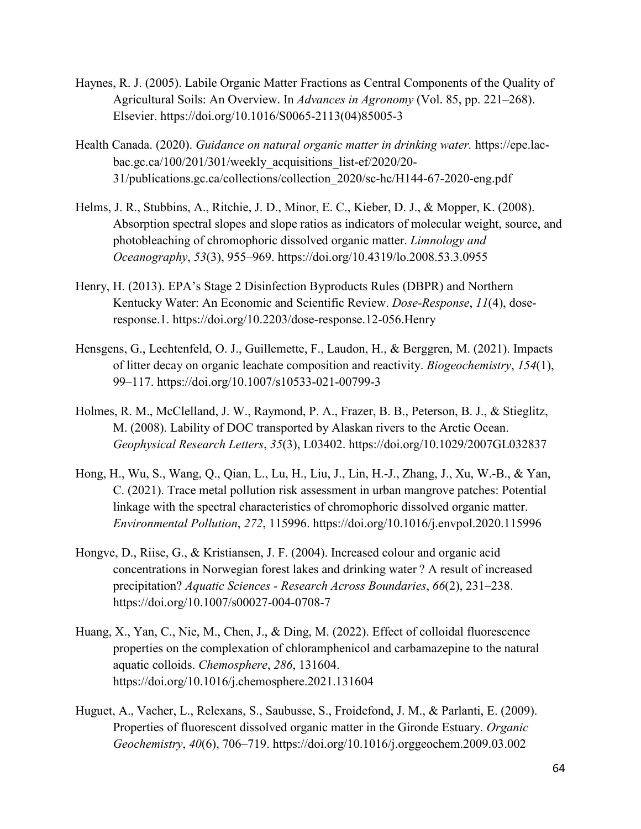- Haynes, R. J. (2005). Labile Organic Matter Fractions as Central Components of the Quality of Agricultural Soils: An Overview. In *Advances in Agronomy* (Vol. 85, pp. 221–268). Elsevier. https://doi.org/10.1016/S0065-2113(04)85005-3
- Health Canada. (2020). *Guidance on natural organic matter in drinking water.* https://epe.lacbac.gc.ca/100/201/301/weekly\_acquisitions\_list-ef/2020/20- 31/publications.gc.ca/collections/collection\_2020/sc-hc/H144-67-2020-eng.pdf
- Helms, J. R., Stubbins, A., Ritchie, J. D., Minor, E. C., Kieber, D. J., & Mopper, K. (2008). Absorption spectral slopes and slope ratios as indicators of molecular weight, source, and photobleaching of chromophoric dissolved organic matter. *Limnology and Oceanography*, *53*(3), 955–969. https://doi.org/10.4319/lo.2008.53.3.0955
- Henry, H. (2013). EPA's Stage 2 Disinfection Byproducts Rules (DBPR) and Northern Kentucky Water: An Economic and Scientific Review. *Dose-Response*, *11*(4), doseresponse.1. https://doi.org/10.2203/dose-response.12-056.Henry
- Hensgens, G., Lechtenfeld, O. J., Guillemette, F., Laudon, H., & Berggren, M. (2021). Impacts of litter decay on organic leachate composition and reactivity. *Biogeochemistry*, *154*(1), 99–117. https://doi.org/10.1007/s10533-021-00799-3
- Holmes, R. M., McClelland, J. W., Raymond, P. A., Frazer, B. B., Peterson, B. J., & Stieglitz, M. (2008). Lability of DOC transported by Alaskan rivers to the Arctic Ocean. *Geophysical Research Letters*, *35*(3), L03402. https://doi.org/10.1029/2007GL032837
- Hong, H., Wu, S., Wang, Q., Qian, L., Lu, H., Liu, J., Lin, H.-J., Zhang, J., Xu, W.-B., & Yan, C. (2021). Trace metal pollution risk assessment in urban mangrove patches: Potential linkage with the spectral characteristics of chromophoric dissolved organic matter. *Environmental Pollution*, *272*, 115996. https://doi.org/10.1016/j.envpol.2020.115996
- Hongve, D., Riise, G., & Kristiansen, J. F. (2004). Increased colour and organic acid concentrations in Norwegian forest lakes and drinking water ? A result of increased precipitation? *Aquatic Sciences - Research Across Boundaries*, *66*(2), 231–238. https://doi.org/10.1007/s00027-004-0708-7
- Huang, X., Yan, C., Nie, M., Chen, J., & Ding, M. (2022). Effect of colloidal fluorescence properties on the complexation of chloramphenicol and carbamazepine to the natural aquatic colloids. *Chemosphere*, *286*, 131604. https://doi.org/10.1016/j.chemosphere.2021.131604
- Huguet, A., Vacher, L., Relexans, S., Saubusse, S., Froidefond, J. M., & Parlanti, E. (2009). Properties of fluorescent dissolved organic matter in the Gironde Estuary. *Organic Geochemistry*, *40*(6), 706–719. https://doi.org/10.1016/j.orggeochem.2009.03.002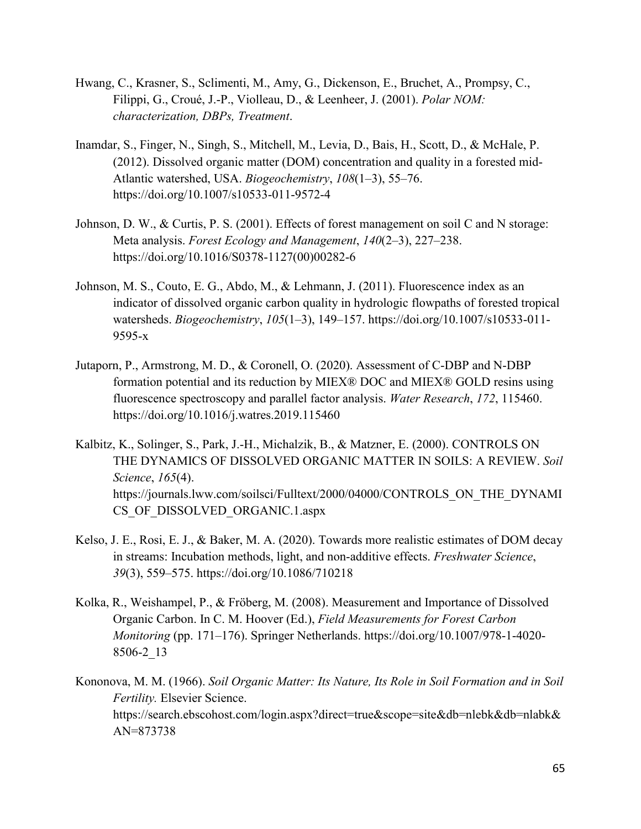- Hwang, C., Krasner, S., Sclimenti, M., Amy, G., Dickenson, E., Bruchet, A., Prompsy, C., Filippi, G., Croué, J.-P., Violleau, D., & Leenheer, J. (2001). *Polar NOM: characterization, DBPs, Treatment*.
- Inamdar, S., Finger, N., Singh, S., Mitchell, M., Levia, D., Bais, H., Scott, D., & McHale, P. (2012). Dissolved organic matter (DOM) concentration and quality in a forested mid-Atlantic watershed, USA. *Biogeochemistry*, *108*(1–3), 55–76. https://doi.org/10.1007/s10533-011-9572-4
- Johnson, D. W., & Curtis, P. S. (2001). Effects of forest management on soil C and N storage: Meta analysis. *Forest Ecology and Management*, *140*(2–3), 227–238. https://doi.org/10.1016/S0378-1127(00)00282-6
- Johnson, M. S., Couto, E. G., Abdo, M., & Lehmann, J. (2011). Fluorescence index as an indicator of dissolved organic carbon quality in hydrologic flowpaths of forested tropical watersheds. *Biogeochemistry*, *105*(1–3), 149–157. https://doi.org/10.1007/s10533-011- 9595-x
- Jutaporn, P., Armstrong, M. D., & Coronell, O. (2020). Assessment of C-DBP and N-DBP formation potential and its reduction by MIEX® DOC and MIEX® GOLD resins using fluorescence spectroscopy and parallel factor analysis. *Water Research*, *172*, 115460. https://doi.org/10.1016/j.watres.2019.115460
- Kalbitz, K., Solinger, S., Park, J.-H., Michalzik, B., & Matzner, E. (2000). CONTROLS ON THE DYNAMICS OF DISSOLVED ORGANIC MATTER IN SOILS: A REVIEW. *Soil Science*, *165*(4). https://journals.lww.com/soilsci/Fulltext/2000/04000/CONTROLS\_ON\_THE\_DYNAMI CS OF DISSOLVED ORGANIC.1.aspx
- Kelso, J. E., Rosi, E. J., & Baker, M. A. (2020). Towards more realistic estimates of DOM decay in streams: Incubation methods, light, and non-additive effects. *Freshwater Science*, *39*(3), 559–575. https://doi.org/10.1086/710218
- Kolka, R., Weishampel, P., & Fröberg, M. (2008). Measurement and Importance of Dissolved Organic Carbon. In C. M. Hoover (Ed.), *Field Measurements for Forest Carbon Monitoring* (pp. 171–176). Springer Netherlands. https://doi.org/10.1007/978-1-4020- 8506-2\_13
- Kononova, M. M. (1966). *Soil Organic Matter: Its Nature, Its Role in Soil Formation and in Soil Fertility.* Elsevier Science. https://search.ebscohost.com/login.aspx?direct=true&scope=site&db=nlebk&db=nlabk& AN=873738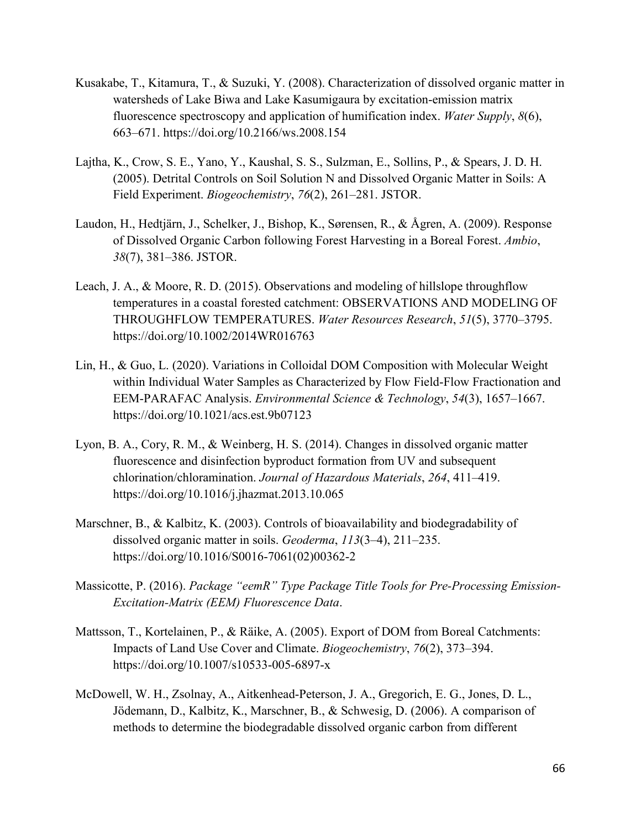- Kusakabe, T., Kitamura, T., & Suzuki, Y. (2008). Characterization of dissolved organic matter in watersheds of Lake Biwa and Lake Kasumigaura by excitation-emission matrix fluorescence spectroscopy and application of humification index. *Water Supply*, *8*(6), 663–671. https://doi.org/10.2166/ws.2008.154
- Lajtha, K., Crow, S. E., Yano, Y., Kaushal, S. S., Sulzman, E., Sollins, P., & Spears, J. D. H. (2005). Detrital Controls on Soil Solution N and Dissolved Organic Matter in Soils: A Field Experiment. *Biogeochemistry*, *76*(2), 261–281. JSTOR.
- Laudon, H., Hedtjärn, J., Schelker, J., Bishop, K., Sørensen, R., & Ågren, A. (2009). Response of Dissolved Organic Carbon following Forest Harvesting in a Boreal Forest. *Ambio*, *38*(7), 381–386. JSTOR.
- Leach, J. A., & Moore, R. D. (2015). Observations and modeling of hillslope throughflow temperatures in a coastal forested catchment: OBSERVATIONS AND MODELING OF THROUGHFLOW TEMPERATURES. *Water Resources Research*, *51*(5), 3770–3795. https://doi.org/10.1002/2014WR016763
- Lin, H., & Guo, L. (2020). Variations in Colloidal DOM Composition with Molecular Weight within Individual Water Samples as Characterized by Flow Field-Flow Fractionation and EEM-PARAFAC Analysis. *Environmental Science & Technology*, *54*(3), 1657–1667. https://doi.org/10.1021/acs.est.9b07123
- Lyon, B. A., Cory, R. M., & Weinberg, H. S. (2014). Changes in dissolved organic matter fluorescence and disinfection byproduct formation from UV and subsequent chlorination/chloramination. *Journal of Hazardous Materials*, *264*, 411–419. https://doi.org/10.1016/j.jhazmat.2013.10.065
- Marschner, B., & Kalbitz, K. (2003). Controls of bioavailability and biodegradability of dissolved organic matter in soils. *Geoderma*, *113*(3–4), 211–235. https://doi.org/10.1016/S0016-7061(02)00362-2
- Massicotte, P. (2016). *Package "eemR" Type Package Title Tools for Pre-Processing Emission-Excitation-Matrix (EEM) Fluorescence Data*.
- Mattsson, T., Kortelainen, P., & Räike, A. (2005). Export of DOM from Boreal Catchments: Impacts of Land Use Cover and Climate. *Biogeochemistry*, *76*(2), 373–394. https://doi.org/10.1007/s10533-005-6897-x
- McDowell, W. H., Zsolnay, A., Aitkenhead-Peterson, J. A., Gregorich, E. G., Jones, D. L., Jödemann, D., Kalbitz, K., Marschner, B., & Schwesig, D. (2006). A comparison of methods to determine the biodegradable dissolved organic carbon from different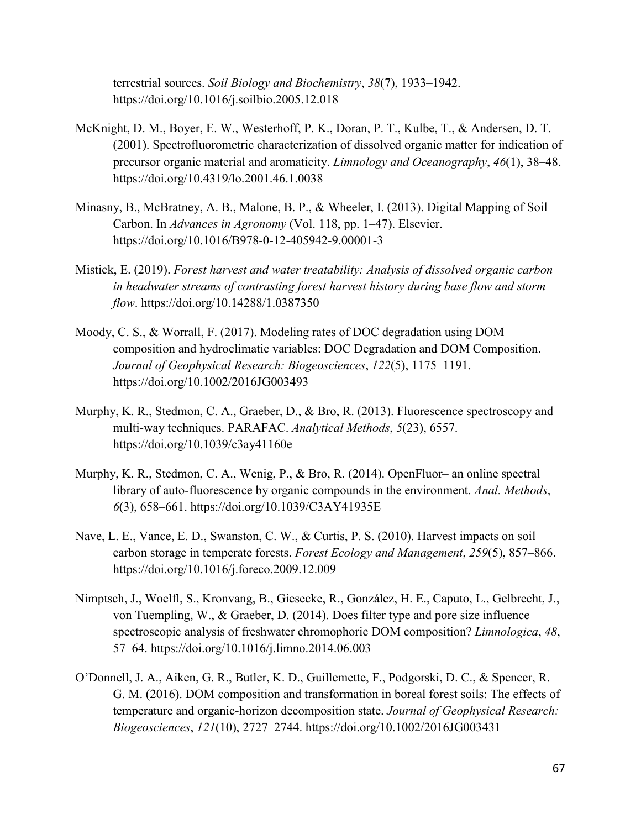terrestrial sources. *Soil Biology and Biochemistry*, *38*(7), 1933–1942. https://doi.org/10.1016/j.soilbio.2005.12.018

- McKnight, D. M., Boyer, E. W., Westerhoff, P. K., Doran, P. T., Kulbe, T., & Andersen, D. T. (2001). Spectrofluorometric characterization of dissolved organic matter for indication of precursor organic material and aromaticity. *Limnology and Oceanography*, *46*(1), 38–48. https://doi.org/10.4319/lo.2001.46.1.0038
- Minasny, B., McBratney, A. B., Malone, B. P., & Wheeler, I. (2013). Digital Mapping of Soil Carbon. In *Advances in Agronomy* (Vol. 118, pp. 1–47). Elsevier. https://doi.org/10.1016/B978-0-12-405942-9.00001-3
- Mistick, E. (2019). *Forest harvest and water treatability: Analysis of dissolved organic carbon in headwater streams of contrasting forest harvest history during base flow and storm flow*. https://doi.org/10.14288/1.0387350
- Moody, C. S., & Worrall, F. (2017). Modeling rates of DOC degradation using DOM composition and hydroclimatic variables: DOC Degradation and DOM Composition. *Journal of Geophysical Research: Biogeosciences*, *122*(5), 1175–1191. https://doi.org/10.1002/2016JG003493
- Murphy, K. R., Stedmon, C. A., Graeber, D., & Bro, R. (2013). Fluorescence spectroscopy and multi-way techniques. PARAFAC. *Analytical Methods*, *5*(23), 6557. https://doi.org/10.1039/c3ay41160e
- Murphy, K. R., Stedmon, C. A., Wenig, P., & Bro, R. (2014). OpenFluor– an online spectral library of auto-fluorescence by organic compounds in the environment. *Anal. Methods*, *6*(3), 658–661. https://doi.org/10.1039/C3AY41935E
- Nave, L. E., Vance, E. D., Swanston, C. W., & Curtis, P. S. (2010). Harvest impacts on soil carbon storage in temperate forests. *Forest Ecology and Management*, *259*(5), 857–866. https://doi.org/10.1016/j.foreco.2009.12.009
- Nimptsch, J., Woelfl, S., Kronvang, B., Giesecke, R., González, H. E., Caputo, L., Gelbrecht, J., von Tuempling, W., & Graeber, D. (2014). Does filter type and pore size influence spectroscopic analysis of freshwater chromophoric DOM composition? *Limnologica*, *48*, 57–64. https://doi.org/10.1016/j.limno.2014.06.003
- O'Donnell, J. A., Aiken, G. R., Butler, K. D., Guillemette, F., Podgorski, D. C., & Spencer, R. G. M. (2016). DOM composition and transformation in boreal forest soils: The effects of temperature and organic‐horizon decomposition state. *Journal of Geophysical Research: Biogeosciences*, *121*(10), 2727–2744. https://doi.org/10.1002/2016JG003431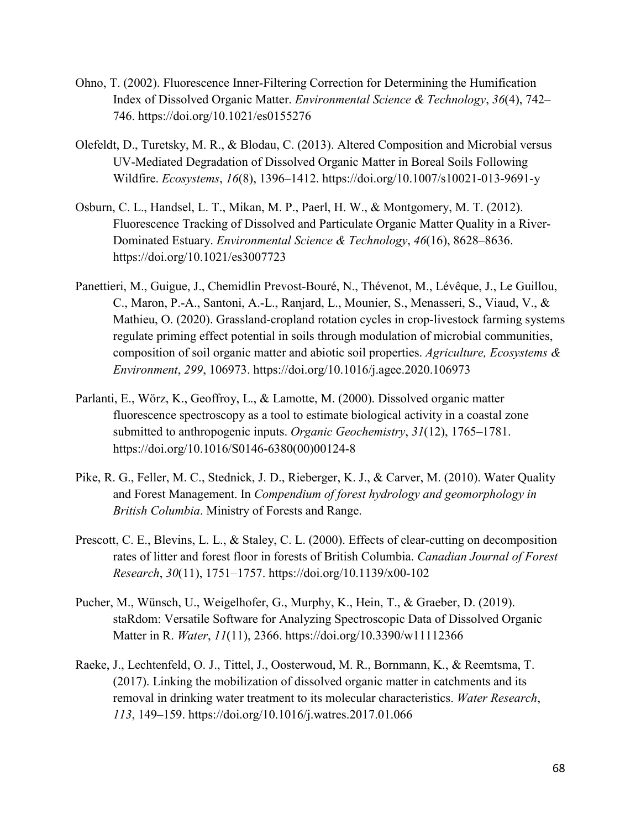- Ohno, T. (2002). Fluorescence Inner-Filtering Correction for Determining the Humification Index of Dissolved Organic Matter. *Environmental Science & Technology*, *36*(4), 742– 746. https://doi.org/10.1021/es0155276
- Olefeldt, D., Turetsky, M. R., & Blodau, C. (2013). Altered Composition and Microbial versus UV-Mediated Degradation of Dissolved Organic Matter in Boreal Soils Following Wildfire. *Ecosystems*, *16*(8), 1396–1412. https://doi.org/10.1007/s10021-013-9691-y
- Osburn, C. L., Handsel, L. T., Mikan, M. P., Paerl, H. W., & Montgomery, M. T. (2012). Fluorescence Tracking of Dissolved and Particulate Organic Matter Quality in a River-Dominated Estuary. *Environmental Science & Technology*, *46*(16), 8628–8636. https://doi.org/10.1021/es3007723
- Panettieri, M., Guigue, J., Chemidlin Prevost-Bouré, N., Thévenot, M., Lévêque, J., Le Guillou, C., Maron, P.-A., Santoni, A.-L., Ranjard, L., Mounier, S., Menasseri, S., Viaud, V., & Mathieu, O. (2020). Grassland-cropland rotation cycles in crop-livestock farming systems regulate priming effect potential in soils through modulation of microbial communities, composition of soil organic matter and abiotic soil properties. *Agriculture, Ecosystems & Environment*, *299*, 106973. https://doi.org/10.1016/j.agee.2020.106973
- Parlanti, E., Wörz, K., Geoffroy, L., & Lamotte, M. (2000). Dissolved organic matter fluorescence spectroscopy as a tool to estimate biological activity in a coastal zone submitted to anthropogenic inputs. *Organic Geochemistry*, *31*(12), 1765–1781. https://doi.org/10.1016/S0146-6380(00)00124-8
- Pike, R. G., Feller, M. C., Stednick, J. D., Rieberger, K. J., & Carver, M. (2010). Water Quality and Forest Management. In *Compendium of forest hydrology and geomorphology in British Columbia*. Ministry of Forests and Range.
- Prescott, C. E., Blevins, L. L., & Staley, C. L. (2000). Effects of clear-cutting on decomposition rates of litter and forest floor in forests of British Columbia. *Canadian Journal of Forest Research*, *30*(11), 1751–1757. https://doi.org/10.1139/x00-102
- Pucher, M., Wünsch, U., Weigelhofer, G., Murphy, K., Hein, T., & Graeber, D. (2019). staRdom: Versatile Software for Analyzing Spectroscopic Data of Dissolved Organic Matter in R. *Water*, *11*(11), 2366. https://doi.org/10.3390/w11112366
- Raeke, J., Lechtenfeld, O. J., Tittel, J., Oosterwoud, M. R., Bornmann, K., & Reemtsma, T. (2017). Linking the mobilization of dissolved organic matter in catchments and its removal in drinking water treatment to its molecular characteristics. *Water Research*, *113*, 149–159. https://doi.org/10.1016/j.watres.2017.01.066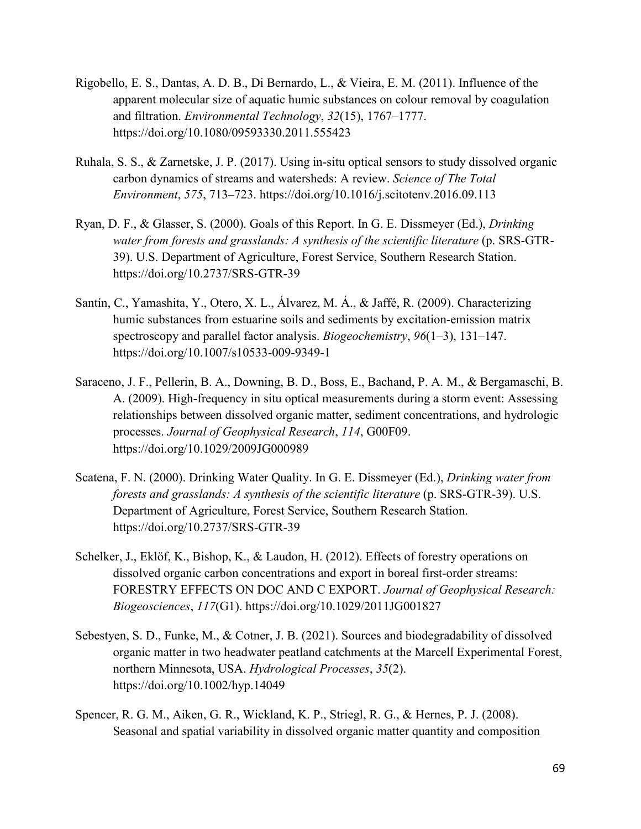- Rigobello, E. S., Dantas, A. D. B., Di Bernardo, L., & Vieira, E. M. (2011). Influence of the apparent molecular size of aquatic humic substances on colour removal by coagulation and filtration. *Environmental Technology*, *32*(15), 1767–1777. https://doi.org/10.1080/09593330.2011.555423
- Ruhala, S. S., & Zarnetske, J. P. (2017). Using in-situ optical sensors to study dissolved organic carbon dynamics of streams and watersheds: A review. *Science of The Total Environment*, *575*, 713–723. https://doi.org/10.1016/j.scitotenv.2016.09.113
- Ryan, D. F., & Glasser, S. (2000). Goals of this Report. In G. E. Dissmeyer (Ed.), *Drinking water from forests and grasslands: A synthesis of the scientific literature* (p. SRS-GTR-39). U.S. Department of Agriculture, Forest Service, Southern Research Station. https://doi.org/10.2737/SRS-GTR-39
- Santín, C., Yamashita, Y., Otero, X. L., Álvarez, M. Á., & Jaffé, R. (2009). Characterizing humic substances from estuarine soils and sediments by excitation-emission matrix spectroscopy and parallel factor analysis. *Biogeochemistry*, *96*(1–3), 131–147. https://doi.org/10.1007/s10533-009-9349-1
- Saraceno, J. F., Pellerin, B. A., Downing, B. D., Boss, E., Bachand, P. A. M., & Bergamaschi, B. A. (2009). High-frequency in situ optical measurements during a storm event: Assessing relationships between dissolved organic matter, sediment concentrations, and hydrologic processes. *Journal of Geophysical Research*, *114*, G00F09. https://doi.org/10.1029/2009JG000989
- Scatena, F. N. (2000). Drinking Water Quality. In G. E. Dissmeyer (Ed.), *Drinking water from forests and grasslands: A synthesis of the scientific literature* (p. SRS-GTR-39). U.S. Department of Agriculture, Forest Service, Southern Research Station. https://doi.org/10.2737/SRS-GTR-39
- Schelker, J., Eklöf, K., Bishop, K., & Laudon, H. (2012). Effects of forestry operations on dissolved organic carbon concentrations and export in boreal first-order streams: FORESTRY EFFECTS ON DOC AND C EXPORT. *Journal of Geophysical Research: Biogeosciences*, *117*(G1). https://doi.org/10.1029/2011JG001827
- Sebestyen, S. D., Funke, M., & Cotner, J. B. (2021). Sources and biodegradability of dissolved organic matter in two headwater peatland catchments at the Marcell Experimental Forest, northern Minnesota, USA. *Hydrological Processes*, *35*(2). https://doi.org/10.1002/hyp.14049
- Spencer, R. G. M., Aiken, G. R., Wickland, K. P., Striegl, R. G., & Hernes, P. J. (2008). Seasonal and spatial variability in dissolved organic matter quantity and composition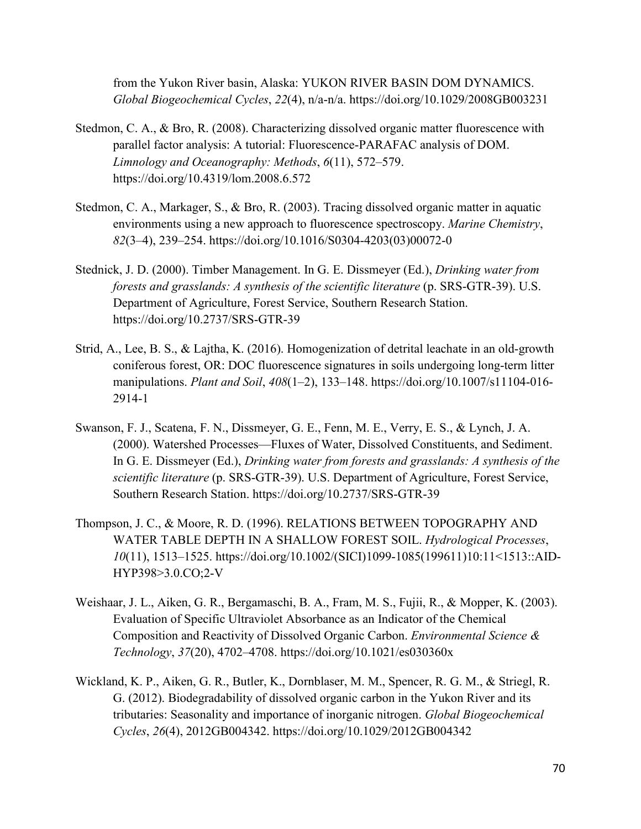from the Yukon River basin, Alaska: YUKON RIVER BASIN DOM DYNAMICS. *Global Biogeochemical Cycles*, *22*(4), n/a-n/a. https://doi.org/10.1029/2008GB003231

- Stedmon, C. A., & Bro, R. (2008). Characterizing dissolved organic matter fluorescence with parallel factor analysis: A tutorial: Fluorescence-PARAFAC analysis of DOM. *Limnology and Oceanography: Methods*, *6*(11), 572–579. https://doi.org/10.4319/lom.2008.6.572
- Stedmon, C. A., Markager, S., & Bro, R. (2003). Tracing dissolved organic matter in aquatic environments using a new approach to fluorescence spectroscopy. *Marine Chemistry*, *82*(3–4), 239–254. https://doi.org/10.1016/S0304-4203(03)00072-0
- Stednick, J. D. (2000). Timber Management. In G. E. Dissmeyer (Ed.), *Drinking water from forests and grasslands: A synthesis of the scientific literature* (p. SRS-GTR-39). U.S. Department of Agriculture, Forest Service, Southern Research Station. https://doi.org/10.2737/SRS-GTR-39
- Strid, A., Lee, B. S., & Lajtha, K. (2016). Homogenization of detrital leachate in an old-growth coniferous forest, OR: DOC fluorescence signatures in soils undergoing long-term litter manipulations. *Plant and Soil*, *408*(1–2), 133–148. https://doi.org/10.1007/s11104-016- 2914-1
- Swanson, F. J., Scatena, F. N., Dissmeyer, G. E., Fenn, M. E., Verry, E. S., & Lynch, J. A. (2000). Watershed Processes—Fluxes of Water, Dissolved Constituents, and Sediment. In G. E. Dissmeyer (Ed.), *Drinking water from forests and grasslands: A synthesis of the scientific literature* (p. SRS-GTR-39). U.S. Department of Agriculture, Forest Service, Southern Research Station. https://doi.org/10.2737/SRS-GTR-39
- Thompson, J. C., & Moore, R. D. (1996). RELATIONS BETWEEN TOPOGRAPHY AND WATER TABLE DEPTH IN A SHALLOW FOREST SOIL. *Hydrological Processes*, *10*(11), 1513–1525. https://doi.org/10.1002/(SICI)1099-1085(199611)10:11<1513::AID-HYP398>3.0.CO;2-V
- Weishaar, J. L., Aiken, G. R., Bergamaschi, B. A., Fram, M. S., Fujii, R., & Mopper, K. (2003). Evaluation of Specific Ultraviolet Absorbance as an Indicator of the Chemical Composition and Reactivity of Dissolved Organic Carbon. *Environmental Science & Technology*, *37*(20), 4702–4708. https://doi.org/10.1021/es030360x
- Wickland, K. P., Aiken, G. R., Butler, K., Dornblaser, M. M., Spencer, R. G. M., & Striegl, R. G. (2012). Biodegradability of dissolved organic carbon in the Yukon River and its tributaries: Seasonality and importance of inorganic nitrogen. *Global Biogeochemical Cycles*, *26*(4), 2012GB004342. https://doi.org/10.1029/2012GB004342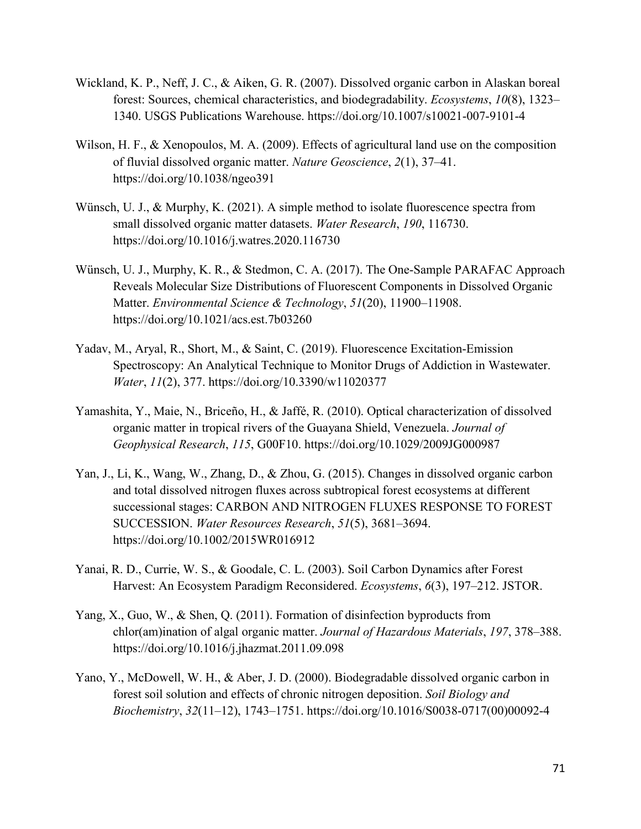- Wickland, K. P., Neff, J. C., & Aiken, G. R. (2007). Dissolved organic carbon in Alaskan boreal forest: Sources, chemical characteristics, and biodegradability. *Ecosystems*, *10*(8), 1323– 1340. USGS Publications Warehouse. https://doi.org/10.1007/s10021-007-9101-4
- Wilson, H. F., & Xenopoulos, M. A. (2009). Effects of agricultural land use on the composition of fluvial dissolved organic matter. *Nature Geoscience*, *2*(1), 37–41. https://doi.org/10.1038/ngeo391
- Wünsch, U. J., & Murphy, K. (2021). A simple method to isolate fluorescence spectra from small dissolved organic matter datasets. *Water Research*, *190*, 116730. https://doi.org/10.1016/j.watres.2020.116730
- Wünsch, U. J., Murphy, K. R., & Stedmon, C. A. (2017). The One-Sample PARAFAC Approach Reveals Molecular Size Distributions of Fluorescent Components in Dissolved Organic Matter. *Environmental Science & Technology*, *51*(20), 11900–11908. https://doi.org/10.1021/acs.est.7b03260
- Yadav, M., Aryal, R., Short, M., & Saint, C. (2019). Fluorescence Excitation-Emission Spectroscopy: An Analytical Technique to Monitor Drugs of Addiction in Wastewater. *Water*, *11*(2), 377. https://doi.org/10.3390/w11020377
- Yamashita, Y., Maie, N., Briceño, H., & Jaffé, R. (2010). Optical characterization of dissolved organic matter in tropical rivers of the Guayana Shield, Venezuela. *Journal of Geophysical Research*, *115*, G00F10. https://doi.org/10.1029/2009JG000987
- Yan, J., Li, K., Wang, W., Zhang, D., & Zhou, G. (2015). Changes in dissolved organic carbon and total dissolved nitrogen fluxes across subtropical forest ecosystems at different successional stages: CARBON AND NITROGEN FLUXES RESPONSE TO FOREST SUCCESSION. *Water Resources Research*, *51*(5), 3681–3694. https://doi.org/10.1002/2015WR016912
- Yanai, R. D., Currie, W. S., & Goodale, C. L. (2003). Soil Carbon Dynamics after Forest Harvest: An Ecosystem Paradigm Reconsidered. *Ecosystems*, *6*(3), 197–212. JSTOR.
- Yang, X., Guo, W., & Shen, Q. (2011). Formation of disinfection byproducts from chlor(am)ination of algal organic matter. *Journal of Hazardous Materials*, *197*, 378–388. https://doi.org/10.1016/j.jhazmat.2011.09.098
- Yano, Y., McDowell, W. H., & Aber, J. D. (2000). Biodegradable dissolved organic carbon in forest soil solution and effects of chronic nitrogen deposition. *Soil Biology and Biochemistry*, *32*(11–12), 1743–1751. https://doi.org/10.1016/S0038-0717(00)00092-4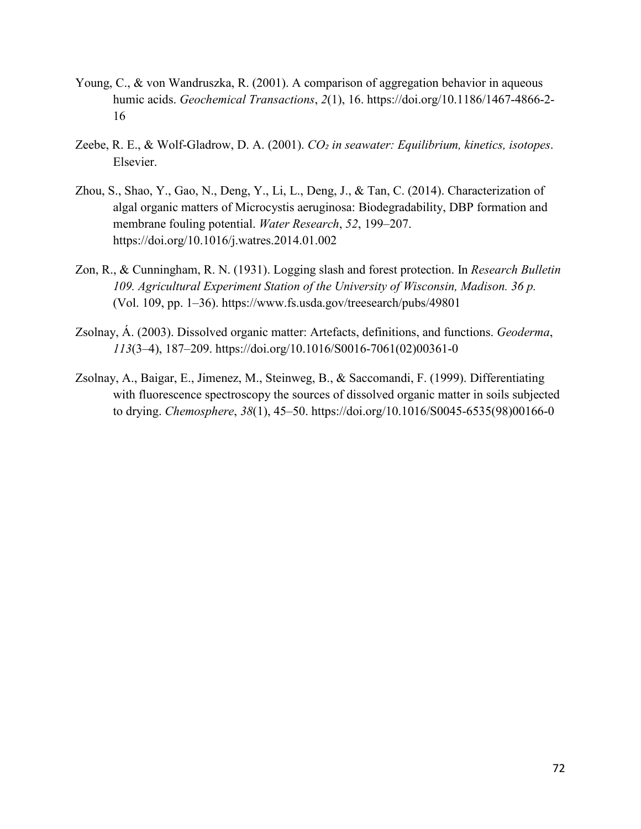- Young, C., & von Wandruszka, R. (2001). A comparison of aggregation behavior in aqueous humic acids. *Geochemical Transactions*, *2*(1), 16. https://doi.org/10.1186/1467-4866-2- 16
- Zeebe, R. E., & Wolf-Gladrow, D. A. (2001). *CO₂ in seawater: Equilibrium, kinetics, isotopes*. Elsevier.
- Zhou, S., Shao, Y., Gao, N., Deng, Y., Li, L., Deng, J., & Tan, C. (2014). Characterization of algal organic matters of Microcystis aeruginosa: Biodegradability, DBP formation and membrane fouling potential. *Water Research*, *52*, 199–207. https://doi.org/10.1016/j.watres.2014.01.002
- Zon, R., & Cunningham, R. N. (1931). Logging slash and forest protection. In *Research Bulletin 109. Agricultural Experiment Station of the University of Wisconsin, Madison. 36 p.* (Vol. 109, pp. 1–36). https://www.fs.usda.gov/treesearch/pubs/49801
- Zsolnay, Á. (2003). Dissolved organic matter: Artefacts, definitions, and functions. *Geoderma*, *113*(3–4), 187–209. https://doi.org/10.1016/S0016-7061(02)00361-0
- Zsolnay, A., Baigar, E., Jimenez, M., Steinweg, B., & Saccomandi, F. (1999). Differentiating with fluorescence spectroscopy the sources of dissolved organic matter in soils subjected to drying. *Chemosphere*, *38*(1), 45–50. https://doi.org/10.1016/S0045-6535(98)00166-0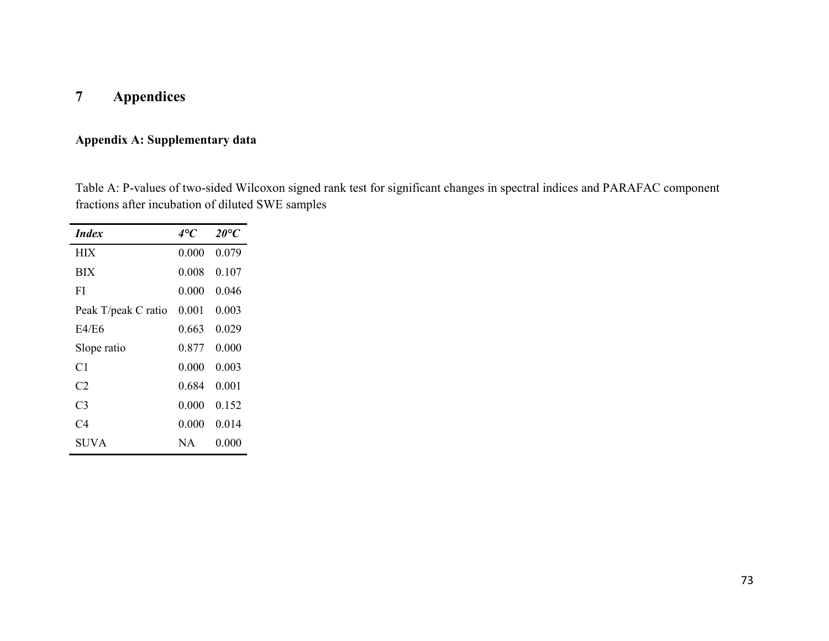## **7 Appendices**

## **Appendix A: Supplementary data**

Table A: P-values of two-sided Wilcoxon signed rank test for significant changes in spectral indices and PARAFAC component fractions after incubation of diluted SWE samples

| <i>Index</i>        | 4°C   | $20^{\circ}C$ |
|---------------------|-------|---------------|
| <b>HIX</b>          | 0.000 | 0.079         |
| <b>BIX</b>          | 0.008 | 0.107         |
| FI                  | 0.000 | 0.046         |
| Peak T/peak C ratio | 0.001 | 0.003         |
| E4/E6               | 0.663 | 0.029         |
| Slope ratio         | 0.877 | 0.000         |
| C1                  | 0.000 | 0.003         |
| C2                  | 0.684 | 0.001         |
| C <sub>3</sub>      | 0.000 | 0.152         |
| C4                  | 0.000 | 0.014         |
| SUVA                | NA    | 0.000         |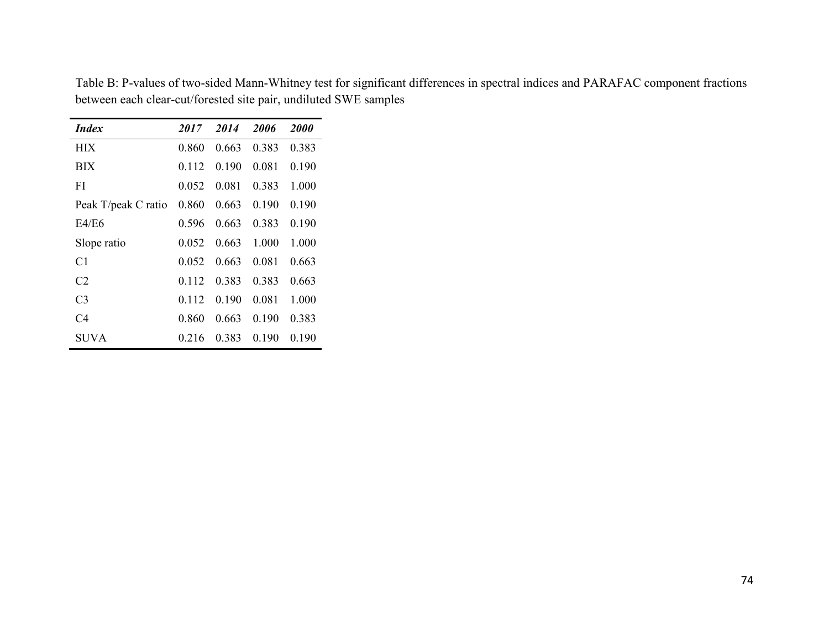| <i>Index</i>        | 2017  | 2014  | 2006  | <b>2000</b> |
|---------------------|-------|-------|-------|-------------|
| <b>HIX</b>          | 0.860 | 0.663 | 0.383 | 0.383       |
| <b>BIX</b>          | 0.112 | 0.190 | 0.081 | 0.190       |
| FI                  | 0.052 | 0.081 | 0.383 | 1.000       |
| Peak T/peak C ratio | 0.860 | 0.663 | 0.190 | 0.190       |
| E4/E6               | 0.596 | 0.663 | 0.383 | 0.190       |
| Slope ratio         | 0.052 | 0.663 | 1.000 | 1.000       |
| C1                  | 0.052 | 0.663 | 0.081 | 0.663       |
| C <sub>2</sub>      | 0.112 | 0.383 | 0.383 | 0.663       |
| C <sub>3</sub>      | 0.112 | 0.190 | 0.081 | 1.000       |
| C4                  | 0.860 | 0.663 | 0.190 | 0.383       |
| SUVA.               | 0.216 | 0.383 | 0.190 | 0.190       |

Table B: P-values of two-sided Mann-Whitney test for significant differences in spectral indices and PARAFAC component fractions between each clear-cut/forested site pair, undiluted SWE samples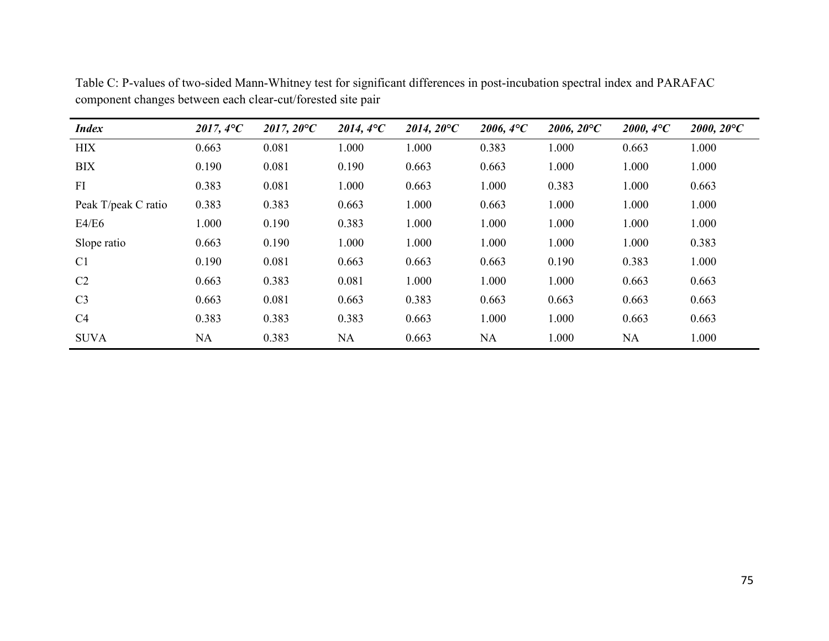| <b>Index</b>        | $2017, 4^{\circ}C$ | $2017, 20^{\circ}C$ | $2014, 4^{\circ}C$ | $2014, 20^{\circ}C$ | $2006, 4^{\circ}C$ | $2006, 20^{\circ}C$ | $2000, 4^{\circ}C$ | $2000, 20^{\circ}C$ |
|---------------------|--------------------|---------------------|--------------------|---------------------|--------------------|---------------------|--------------------|---------------------|
| <b>HIX</b>          | 0.663              | 0.081               | 1.000              | 1.000               | 0.383              | 1.000               | 0.663              | 1.000               |
| <b>BIX</b>          | 0.190              | 0.081               | 0.190              | 0.663               | 0.663              | 1.000               | 1.000              | 1.000               |
| FI                  | 0.383              | 0.081               | 1.000              | 0.663               | 1.000              | 0.383               | 1.000              | 0.663               |
| Peak T/peak C ratio | 0.383              | 0.383               | 0.663              | 1.000               | 0.663              | 1.000               | 1.000              | 1.000               |
| E4/E6               | 1.000              | 0.190               | 0.383              | 1.000               | 1.000              | 1.000               | 1.000              | 1.000               |
| Slope ratio         | 0.663              | 0.190               | 1.000              | 1.000               | 000.               | 1.000               | 1.000              | 0.383               |
| C <sub>1</sub>      | 0.190              | 0.081               | 0.663              | 0.663               | 0.663              | 0.190               | 0.383              | 1.000               |
| C <sub>2</sub>      | 0.663              | 0.383               | 0.081              | 1.000               | 1.000              | 1.000               | 0.663              | 0.663               |
| C <sub>3</sub>      | 0.663              | 0.081               | 0.663              | 0.383               | 0.663              | 0.663               | 0.663              | 0.663               |
| C4                  | 0.383              | 0.383               | 0.383              | 0.663               | 1.000              | 1.000               | 0.663              | 0.663               |
| <b>SUVA</b>         | <b>NA</b>          | 0.383               | <b>NA</b>          | 0.663               | <b>NA</b>          | 1.000               | <b>NA</b>          | 1.000               |

Table C: P-values of two-sided Mann-Whitney test for significant differences in post-incubation spectral index and PARAFAC component changes between each clear-cut/forested site pair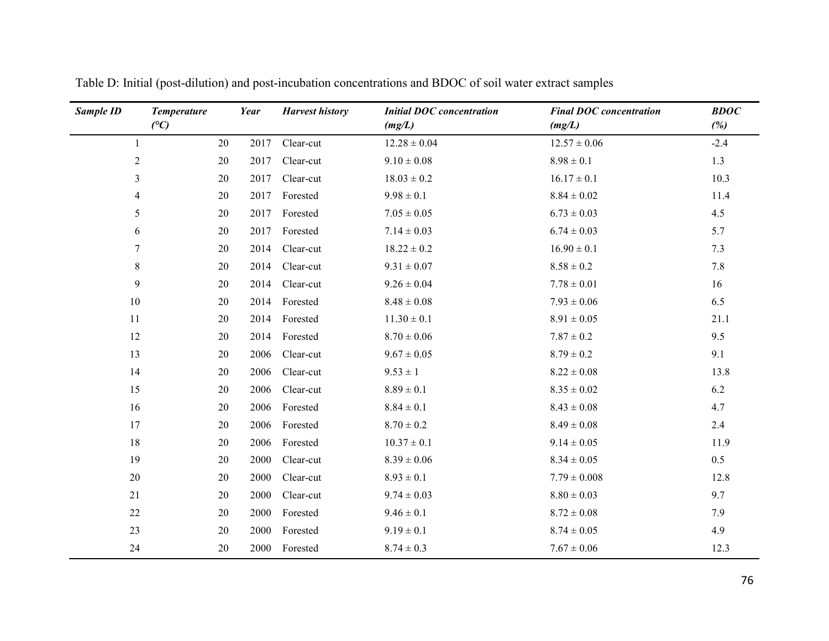| Sample ID      | <b>Temperature</b><br>(C) | Year | <b>Harvest history</b> | <b>Initial DOC</b> concentration<br>(mg/L) | <b>Final DOC</b> concentration<br>(mg/L) | <b>BDOC</b><br>(%) |
|----------------|---------------------------|------|------------------------|--------------------------------------------|------------------------------------------|--------------------|
| 1              | 20                        | 2017 | Clear-cut              | $12.28 \pm 0.04$                           | $12.57 \pm 0.06$                         | $-2.4$             |
| $\overline{2}$ | 20                        | 2017 | Clear-cut              | $9.10 \pm 0.08$                            | $8.98 \pm 0.1$                           | 1.3                |
| 3              | 20                        | 2017 | Clear-cut              | $18.03 \pm 0.2$                            | $16.17 \pm 0.1$                          | 10.3               |
| $\overline{4}$ | 20                        | 2017 | Forested               | $9.98 \pm 0.1$                             | $8.84\pm0.02$                            | 11.4               |
| 5              | 20                        | 2017 | Forested               | $7.05\pm0.05$                              | $6.73 \pm 0.03$                          | 4.5                |
| 6              | 20                        | 2017 | Forested               | $7.14 \pm 0.03$                            | $6.74 \pm 0.03$                          | 5.7                |
| 7              | 20                        | 2014 | Clear-cut              | $18.22 \pm 0.2$                            | $16.90 \pm 0.1$                          | 7.3                |
| 8              | 20                        | 2014 | Clear-cut              | $9.31 \pm 0.07$                            | $8.58\pm0.2$                             | 7.8                |
| 9              | 20                        | 2014 | Clear-cut              | $9.26 \pm 0.04$                            | $7.78 \pm 0.01$                          | 16                 |
| 10             | 20                        | 2014 | Forested               | $8.48\pm0.08$                              | $7.93 \pm 0.06$                          | 6.5                |
| $11\,$         | 20                        | 2014 | Forested               | $11.30 \pm 0.1$                            | $8.91\pm0.05$                            | 21.1               |
| 12             | 20                        | 2014 | Forested               | $8.70\pm0.06$                              | $7.87 \pm 0.2$                           | 9.5                |
| 13             | 20                        | 2006 | Clear-cut              | $9.67 \pm 0.05$                            | $8.79 \pm 0.2$                           | 9.1                |
| 14             | 20                        | 2006 | Clear-cut              | $9.53 \pm 1$                               | $8.22 \pm 0.08$                          | 13.8               |
| 15             | 20                        | 2006 | Clear-cut              | $8.89\pm0.1$                               | $8.35\pm0.02$                            | 6.2                |
| 16             | 20                        | 2006 | Forested               | $8.84 \pm 0.1$                             | $8.43\pm0.08$                            | 4.7                |
| 17             | 20                        | 2006 | Forested               | $8.70 \pm 0.2$                             | $8.49\pm0.08$                            | 2.4                |
| 18             | 20                        | 2006 | Forested               | $10.37 \pm 0.1$                            | $9.14 \pm 0.05$                          | 11.9               |
| 19             | 20                        | 2000 | Clear-cut              | $8.39 \pm 0.06$                            | $8.34 \pm 0.05$                          | 0.5                |
| 20             | 20                        | 2000 | Clear-cut              | $8.93 \pm 0.1$                             | $7.79 \pm 0.008$                         | 12.8               |
| 21             | 20                        | 2000 | Clear-cut              | $9.74 \pm 0.03$                            | $8.80 \pm 0.03$                          | 9.7                |
| 22             | 20                        | 2000 | Forested               | $9.46 \pm 0.1$                             | $8.72 \pm 0.08$                          | 7.9                |
| 23             | 20                        | 2000 | Forested               | $9.19 \pm 0.1$                             | $8.74 \pm 0.05$                          | 4.9                |
| 24             | $20\,$                    | 2000 | Forested               | $8.74 \pm 0.3$                             | $7.67 \pm 0.06$                          | 12.3               |

Table D: Initial (post-dilution) and post-incubation concentrations and BDOC of soil water extract samples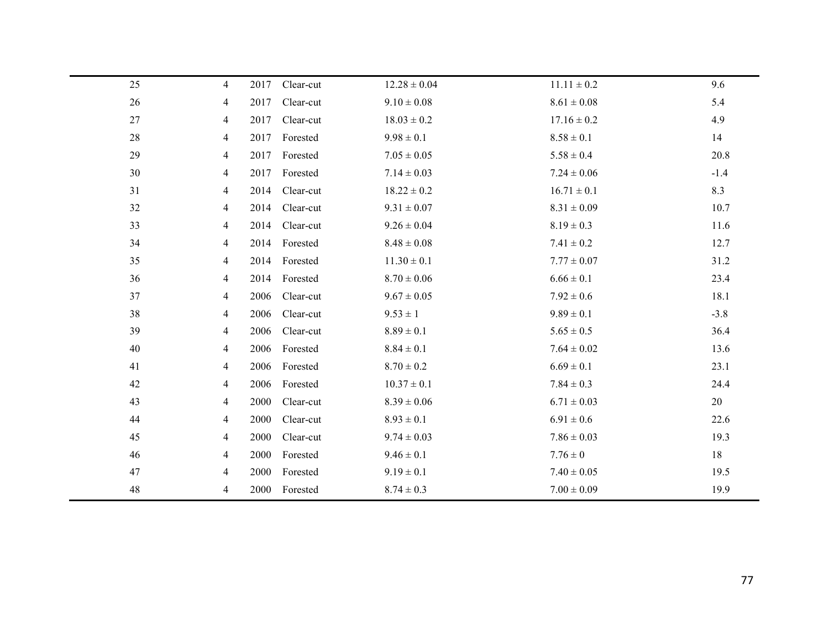| 25     | $\overline{4}$ | 2017 | Clear-cut | $12.28 \pm 0.04$ | $11.11 \pm 0.2$ | 9.6    |
|--------|----------------|------|-----------|------------------|-----------------|--------|
| 26     | 4              | 2017 | Clear-cut | $9.10 \pm 0.08$  | $8.61 \pm 0.08$ | 5.4    |
| $27\,$ | 4              | 2017 | Clear-cut | $18.03 \pm 0.2$  | $17.16 \pm 0.2$ | 4.9    |
| 28     | 4              | 2017 | Forested  | $9.98 \pm 0.1$   | $8.58 \pm 0.1$  | 14     |
| 29     | 4              | 2017 | Forested  | $7.05 \pm 0.05$  | $5.58 \pm 0.4$  | 20.8   |
| 30     | 4              | 2017 | Forested  | $7.14 \pm 0.03$  | $7.24 \pm 0.06$ | $-1.4$ |
| 31     | 4              | 2014 | Clear-cut | $18.22 \pm 0.2$  | $16.71 \pm 0.1$ | 8.3    |
| 32     | 4              | 2014 | Clear-cut | $9.31 \pm 0.07$  | $8.31 \pm 0.09$ | 10.7   |
| 33     | 4              | 2014 | Clear-cut | $9.26 \pm 0.04$  | $8.19 \pm 0.3$  | 11.6   |
| 34     | 4              | 2014 | Forested  | $8.48 \pm 0.08$  | $7.41 \pm 0.2$  | 12.7   |
| 35     | 4              | 2014 | Forested  | $11.30 \pm 0.1$  | $7.77 \pm 0.07$ | 31.2   |
| 36     | 4              | 2014 | Forested  | $8.70 \pm 0.06$  | $6.66 \pm 0.1$  | 23.4   |
| 37     | 4              | 2006 | Clear-cut | $9.67 \pm 0.05$  | $7.92 \pm 0.6$  | 18.1   |
| 38     | 4              | 2006 | Clear-cut | $9.53 \pm 1$     | $9.89 \pm 0.1$  | $-3.8$ |
| 39     | 4              | 2006 | Clear-cut | $8.89 \pm 0.1$   | $5.65 \pm 0.5$  | 36.4   |
| 40     | 4              | 2006 | Forested  | $8.84 \pm 0.1$   | $7.64 \pm 0.02$ | 13.6   |
| 41     | 4              | 2006 | Forested  | $8.70 \pm 0.2$   | $6.69 \pm 0.1$  | 23.1   |
| 42     | 4              | 2006 | Forested  | $10.37 \pm 0.1$  | $7.84 \pm 0.3$  | 24.4   |
| 43     | 4              | 2000 | Clear-cut | $8.39 \pm 0.06$  | $6.71 \pm 0.03$ | 20     |
| 44     | 4              | 2000 | Clear-cut | $8.93 \pm 0.1$   | $6.91 \pm 0.6$  | 22.6   |
| 45     | 4              | 2000 | Clear-cut | $9.74 \pm 0.03$  | $7.86 \pm 0.03$ | 19.3   |
| 46     | 4              | 2000 | Forested  | $9.46 \pm 0.1$   | $7.76 \pm 0$    | 18     |
| 47     | 4              | 2000 | Forested  | $9.19 \pm 0.1$   | $7.40 \pm 0.05$ | 19.5   |
| 48     | 4              | 2000 | Forested  | $8.74 \pm 0.3$   | $7.00 \pm 0.09$ | 19.9   |
|        |                |      |           |                  |                 |        |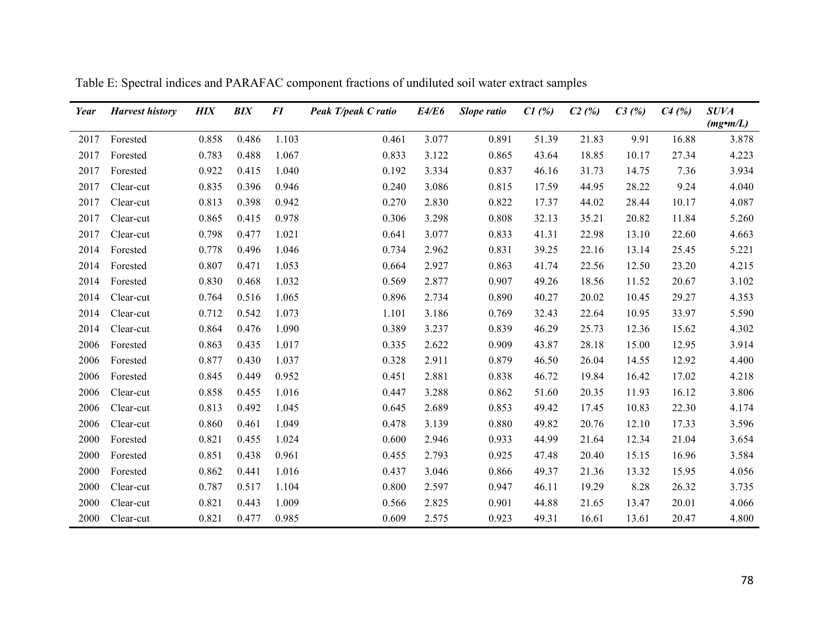| Year | <b>Harvest history</b> | <b>HIX</b> | <b>BIX</b> | FI    | Peak T/peak C ratio | E4/E6 | Slope ratio | CI(%) | C2(%) | C3(%) | $C4$ (%) | <b>SUVA</b>     |
|------|------------------------|------------|------------|-------|---------------------|-------|-------------|-------|-------|-------|----------|-----------------|
|      |                        |            |            |       |                     |       |             |       |       |       |          | $(mg\cdot m/L)$ |
| 2017 | Forested               | 0.858      | 0.486      | 1.103 | 0.461               | 3.077 | 0.891       | 51.39 | 21.83 | 9.91  | 16.88    | 3.878           |
| 2017 | Forested               | 0.783      | 0.488      | 1.067 | 0.833               | 3.122 | 0.865       | 43.64 | 18.85 | 10.17 | 27.34    | 4.223           |
| 2017 | Forested               | 0.922      | 0.415      | 1.040 | 0.192               | 3.334 | 0.837       | 46.16 | 31.73 | 14.75 | 7.36     | 3.934           |
| 2017 | Clear-cut              | 0.835      | 0.396      | 0.946 | 0.240               | 3.086 | 0.815       | 17.59 | 44.95 | 28.22 | 9.24     | 4.040           |
| 2017 | Clear-cut              | 0.813      | 0.398      | 0.942 | 0.270               | 2.830 | 0.822       | 17.37 | 44.02 | 28.44 | 10.17    | 4.087           |
| 2017 | Clear-cut              | 0.865      | 0.415      | 0.978 | 0.306               | 3.298 | 0.808       | 32.13 | 35.21 | 20.82 | 11.84    | 5.260           |
| 2017 | Clear-cut              | 0.798      | 0.477      | 1.021 | 0.641               | 3.077 | 0.833       | 41.31 | 22.98 | 13.10 | 22.60    | 4.663           |
| 2014 | Forested               | 0.778      | 0.496      | 1.046 | 0.734               | 2.962 | 0.831       | 39.25 | 22.16 | 13.14 | 25.45    | 5.221           |
| 2014 | Forested               | 0.807      | 0.471      | 1.053 | 0.664               | 2.927 | 0.863       | 41.74 | 22.56 | 12.50 | 23.20    | 4.215           |
| 2014 | Forested               | 0.830      | 0.468      | 1.032 | 0.569               | 2.877 | 0.907       | 49.26 | 18.56 | 11.52 | 20.67    | 3.102           |
| 2014 | Clear-cut              | 0.764      | 0.516      | 1.065 | 0.896               | 2.734 | 0.890       | 40.27 | 20.02 | 10.45 | 29.27    | 4.353           |
| 2014 | Clear-cut              | 0.712      | 0.542      | 1.073 | 1.101               | 3.186 | 0.769       | 32.43 | 22.64 | 10.95 | 33.97    | 5.590           |
| 2014 | Clear-cut              | 0.864      | 0.476      | 1.090 | 0.389               | 3.237 | 0.839       | 46.29 | 25.73 | 12.36 | 15.62    | 4.302           |
| 2006 | Forested               | 0.863      | 0.435      | 1.017 | 0.335               | 2.622 | 0.909       | 43.87 | 28.18 | 15.00 | 12.95    | 3.914           |
| 2006 | Forested               | 0.877      | 0.430      | 1.037 | 0.328               | 2.911 | 0.879       | 46.50 | 26.04 | 14.55 | 12.92    | 4.400           |
| 2006 | Forested               | 0.845      | 0.449      | 0.952 | 0.451               | 2.881 | 0.838       | 46.72 | 19.84 | 16.42 | 17.02    | 4.218           |
| 2006 | Clear-cut              | 0.858      | 0.455      | 1.016 | 0.447               | 3.288 | 0.862       | 51.60 | 20.35 | 11.93 | 16.12    | 3.806           |
| 2006 | Clear-cut              | 0.813      | 0.492      | 1.045 | 0.645               | 2.689 | 0.853       | 49.42 | 17.45 | 10.83 | 22.30    | 4.174           |
| 2006 | Clear-cut              | 0.860      | 0.461      | 1.049 | 0.478               | 3.139 | 0.880       | 49.82 | 20.76 | 12.10 | 17.33    | 3.596           |
| 2000 | Forested               | 0.821      | 0.455      | 1.024 | 0.600               | 2.946 | 0.933       | 44.99 | 21.64 | 12.34 | 21.04    | 3.654           |
| 2000 | Forested               | 0.851      | 0.438      | 0.961 | 0.455               | 2.793 | 0.925       | 47.48 | 20.40 | 15.15 | 16.96    | 3.584           |
| 2000 | Forested               | 0.862      | 0.441      | 1.016 | 0.437               | 3.046 | 0.866       | 49.37 | 21.36 | 13.32 | 15.95    | 4.056           |
| 2000 | Clear-cut              | 0.787      | 0.517      | 1.104 | 0.800               | 2.597 | 0.947       | 46.11 | 19.29 | 8.28  | 26.32    | 3.735           |
| 2000 | Clear-cut              | 0.821      | 0.443      | 1.009 | 0.566               | 2.825 | 0.901       | 44.88 | 21.65 | 13.47 | 20.01    | 4.066           |
| 2000 | Clear-cut              | 0.821      | 0.477      | 0.985 | 0.609               | 2.575 | 0.923       | 49.31 | 16.61 | 13.61 | 20.47    | 4.800           |

Table E: Spectral indices and PARAFAC component fractions of undiluted soil water extract samples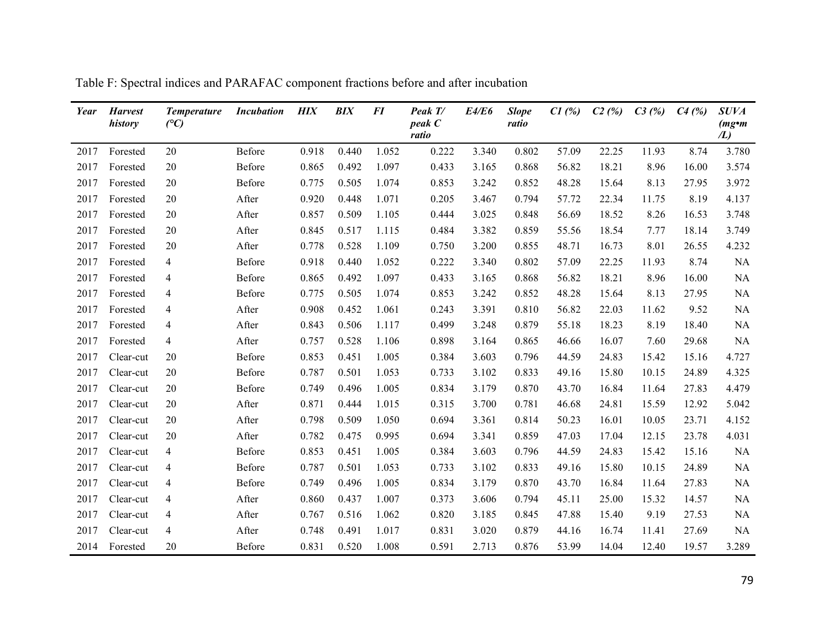| Year | <b>Harvest</b><br>history | <b>Temperature</b><br>(C) | <b>Incubation</b> | <b>HIX</b> | <b>BIX</b> | FI    | Peak T/<br>peak C<br>ratio | E4/E6 | <b>Slope</b><br>ratio | $C1$ (%) | C2(%) | C3(%) | C4(%) | <b>SUVA</b><br>$(mg\bullet m)$<br>/L) |
|------|---------------------------|---------------------------|-------------------|------------|------------|-------|----------------------------|-------|-----------------------|----------|-------|-------|-------|---------------------------------------|
| 2017 | Forested                  | 20                        | Before            | 0.918      | 0.440      | 1.052 | 0.222                      | 3.340 | 0.802                 | 57.09    | 22.25 | 11.93 | 8.74  | 3.780                                 |
| 2017 | Forested                  | 20                        | Before            | 0.865      | 0.492      | 1.097 | 0.433                      | 3.165 | 0.868                 | 56.82    | 18.21 | 8.96  | 16.00 | 3.574                                 |
| 2017 | Forested                  | 20                        | Before            | 0.775      | 0.505      | 1.074 | 0.853                      | 3.242 | 0.852                 | 48.28    | 15.64 | 8.13  | 27.95 | 3.972                                 |
| 2017 | Forested                  | 20                        | After             | 0.920      | 0.448      | 1.071 | 0.205                      | 3.467 | 0.794                 | 57.72    | 22.34 | 11.75 | 8.19  | 4.137                                 |
| 2017 | Forested                  | 20                        | After             | 0.857      | 0.509      | 1.105 | 0.444                      | 3.025 | 0.848                 | 56.69    | 18.52 | 8.26  | 16.53 | 3.748                                 |
| 2017 | Forested                  | 20                        | After             | 0.845      | 0.517      | 1.115 | 0.484                      | 3.382 | 0.859                 | 55.56    | 18.54 | 7.77  | 18.14 | 3.749                                 |
| 2017 | Forested                  | 20                        | After             | 0.778      | 0.528      | 1.109 | 0.750                      | 3.200 | 0.855                 | 48.71    | 16.73 | 8.01  | 26.55 | 4.232                                 |
| 2017 | Forested                  | $\overline{4}$            | Before            | 0.918      | 0.440      | 1.052 | 0.222                      | 3.340 | 0.802                 | 57.09    | 22.25 | 11.93 | 8.74  | <b>NA</b>                             |
| 2017 | Forested                  | $\overline{4}$            | Before            | 0.865      | 0.492      | 1.097 | 0.433                      | 3.165 | 0.868                 | 56.82    | 18.21 | 8.96  | 16.00 | <b>NA</b>                             |
| 2017 | Forested                  | $\overline{4}$            | Before            | 0.775      | 0.505      | 1.074 | 0.853                      | 3.242 | 0.852                 | 48.28    | 15.64 | 8.13  | 27.95 | <b>NA</b>                             |
| 2017 | Forested                  | $\overline{4}$            | After             | 0.908      | 0.452      | 1.061 | 0.243                      | 3.391 | 0.810                 | 56.82    | 22.03 | 11.62 | 9.52  | NA                                    |
| 2017 | Forested                  | $\overline{4}$            | After             | 0.843      | 0.506      | 1.117 | 0.499                      | 3.248 | 0.879                 | 55.18    | 18.23 | 8.19  | 18.40 | <b>NA</b>                             |
| 2017 | Forested                  | $\overline{4}$            | After             | 0.757      | 0.528      | 1.106 | 0.898                      | 3.164 | 0.865                 | 46.66    | 16.07 | 7.60  | 29.68 | <b>NA</b>                             |
| 2017 | Clear-cut                 | 20                        | Before            | 0.853      | 0.451      | 1.005 | 0.384                      | 3.603 | 0.796                 | 44.59    | 24.83 | 15.42 | 15.16 | 4.727                                 |
| 2017 | Clear-cut                 | 20                        | Before            | 0.787      | 0.501      | 1.053 | 0.733                      | 3.102 | 0.833                 | 49.16    | 15.80 | 10.15 | 24.89 | 4.325                                 |
| 2017 | Clear-cut                 | 20                        | Before            | 0.749      | 0.496      | 1.005 | 0.834                      | 3.179 | 0.870                 | 43.70    | 16.84 | 11.64 | 27.83 | 4.479                                 |
| 2017 | Clear-cut                 | 20                        | After             | 0.871      | 0.444      | 1.015 | 0.315                      | 3.700 | 0.781                 | 46.68    | 24.81 | 15.59 | 12.92 | 5.042                                 |
| 2017 | Clear-cut                 | 20                        | After             | 0.798      | 0.509      | 1.050 | 0.694                      | 3.361 | 0.814                 | 50.23    | 16.01 | 10.05 | 23.71 | 4.152                                 |
| 2017 | Clear-cut                 | 20                        | After             | 0.782      | 0.475      | 0.995 | 0.694                      | 3.341 | 0.859                 | 47.03    | 17.04 | 12.15 | 23.78 | 4.031                                 |
| 2017 | Clear-cut                 | $\overline{4}$            | Before            | 0.853      | 0.451      | 1.005 | 0.384                      | 3.603 | 0.796                 | 44.59    | 24.83 | 15.42 | 15.16 | <b>NA</b>                             |
| 2017 | Clear-cut                 | $\overline{4}$            | Before            | 0.787      | 0.501      | 1.053 | 0.733                      | 3.102 | 0.833                 | 49.16    | 15.80 | 10.15 | 24.89 | <b>NA</b>                             |
| 2017 | Clear-cut                 | $\overline{4}$            | Before            | 0.749      | 0.496      | 1.005 | 0.834                      | 3.179 | 0.870                 | 43.70    | 16.84 | 11.64 | 27.83 | <b>NA</b>                             |
| 2017 | Clear-cut                 | 4                         | After             | 0.860      | 0.437      | 1.007 | 0.373                      | 3.606 | 0.794                 | 45.11    | 25.00 | 15.32 | 14.57 | <b>NA</b>                             |
| 2017 | Clear-cut                 | 4                         | After             | 0.767      | 0.516      | 1.062 | 0.820                      | 3.185 | 0.845                 | 47.88    | 15.40 | 9.19  | 27.53 | <b>NA</b>                             |
| 2017 | Clear-cut                 | 4                         | After             | 0.748      | 0.491      | 1.017 | 0.831                      | 3.020 | 0.879                 | 44.16    | 16.74 | 11.41 | 27.69 | <b>NA</b>                             |
|      | 2014 Forested             | 20                        | Before            | 0.831      | 0.520      | 1.008 | 0.591                      | 2.713 | 0.876                 | 53.99    | 14.04 | 12.40 | 19.57 | 3.289                                 |

Table F: Spectral indices and PARAFAC component fractions before and after incubation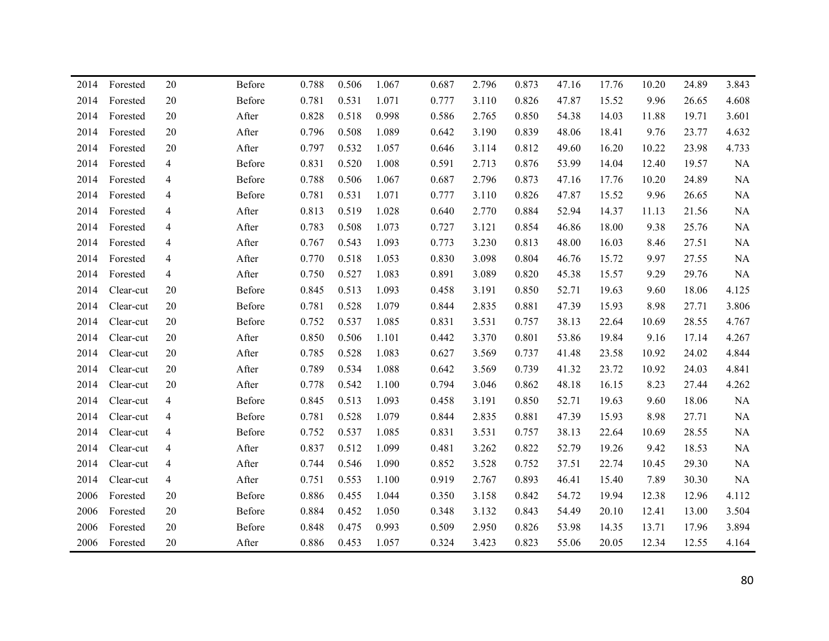| 2014 | Forested  | 20             | Before | 0.788 | 0.506 | 1.067 | 0.687 | 2.796 | 0.873 | 47.16 | 17.76 | 10.20 | 24.89 | 3.843     |
|------|-----------|----------------|--------|-------|-------|-------|-------|-------|-------|-------|-------|-------|-------|-----------|
| 2014 | Forested  | 20             | Before | 0.781 | 0.531 | 1.071 | 0.777 | 3.110 | 0.826 | 47.87 | 15.52 | 9.96  | 26.65 | 4.608     |
| 2014 | Forested  | 20             | After  | 0.828 | 0.518 | 0.998 | 0.586 | 2.765 | 0.850 | 54.38 | 14.03 | 11.88 | 19.71 | 3.601     |
| 2014 | Forested  | 20             | After  | 0.796 | 0.508 | 1.089 | 0.642 | 3.190 | 0.839 | 48.06 | 18.41 | 9.76  | 23.77 | 4.632     |
| 2014 | Forested  | 20             | After  | 0.797 | 0.532 | 1.057 | 0.646 | 3.114 | 0.812 | 49.60 | 16.20 | 10.22 | 23.98 | 4.733     |
| 2014 | Forested  | 4              | Before | 0.831 | 0.520 | 1.008 | 0.591 | 2.713 | 0.876 | 53.99 | 14.04 | 12.40 | 19.57 | NA        |
| 2014 | Forested  | 4              | Before | 0.788 | 0.506 | 1.067 | 0.687 | 2.796 | 0.873 | 47.16 | 17.76 | 10.20 | 24.89 | NA        |
| 2014 | Forested  | 4              | Before | 0.781 | 0.531 | 1.071 | 0.777 | 3.110 | 0.826 | 47.87 | 15.52 | 9.96  | 26.65 | NA        |
| 2014 | Forested  | 4              | After  | 0.813 | 0.519 | 1.028 | 0.640 | 2.770 | 0.884 | 52.94 | 14.37 | 11.13 | 21.56 | NA        |
| 2014 | Forested  | 4              | After  | 0.783 | 0.508 | 1.073 | 0.727 | 3.121 | 0.854 | 46.86 | 18.00 | 9.38  | 25.76 | NA        |
| 2014 | Forested  | 4              | After  | 0.767 | 0.543 | 1.093 | 0.773 | 3.230 | 0.813 | 48.00 | 16.03 | 8.46  | 27.51 | NA        |
| 2014 | Forested  | 4              | After  | 0.770 | 0.518 | 1.053 | 0.830 | 3.098 | 0.804 | 46.76 | 15.72 | 9.97  | 27.55 | NA        |
| 2014 | Forested  | 4              | After  | 0.750 | 0.527 | 1.083 | 0.891 | 3.089 | 0.820 | 45.38 | 15.57 | 9.29  | 29.76 | <b>NA</b> |
| 2014 | Clear-cut | 20             | Before | 0.845 | 0.513 | 1.093 | 0.458 | 3.191 | 0.850 | 52.71 | 19.63 | 9.60  | 18.06 | 4.125     |
| 2014 | Clear-cut | 20             | Before | 0.781 | 0.528 | 1.079 | 0.844 | 2.835 | 0.881 | 47.39 | 15.93 | 8.98  | 27.71 | 3.806     |
| 2014 | Clear-cut | 20             | Before | 0.752 | 0.537 | 1.085 | 0.831 | 3.531 | 0.757 | 38.13 | 22.64 | 10.69 | 28.55 | 4.767     |
| 2014 | Clear-cut | $20\,$         | After  | 0.850 | 0.506 | 1.101 | 0.442 | 3.370 | 0.801 | 53.86 | 19.84 | 9.16  | 17.14 | 4.267     |
| 2014 | Clear-cut | 20             | After  | 0.785 | 0.528 | 1.083 | 0.627 | 3.569 | 0.737 | 41.48 | 23.58 | 10.92 | 24.02 | 4.844     |
| 2014 | Clear-cut | 20             | After  | 0.789 | 0.534 | 1.088 | 0.642 | 3.569 | 0.739 | 41.32 | 23.72 | 10.92 | 24.03 | 4.841     |
| 2014 | Clear-cut | 20             | After  | 0.778 | 0.542 | 1.100 | 0.794 | 3.046 | 0.862 | 48.18 | 16.15 | 8.23  | 27.44 | 4.262     |
| 2014 | Clear-cut | $\overline{4}$ | Before | 0.845 | 0.513 | 1.093 | 0.458 | 3.191 | 0.850 | 52.71 | 19.63 | 9.60  | 18.06 | $\rm NA$  |
| 2014 | Clear-cut | 4              | Before | 0.781 | 0.528 | 1.079 | 0.844 | 2.835 | 0.881 | 47.39 | 15.93 | 8.98  | 27.71 | $\rm NA$  |
| 2014 | Clear-cut | 4              | Before | 0.752 | 0.537 | 1.085 | 0.831 | 3.531 | 0.757 | 38.13 | 22.64 | 10.69 | 28.55 | NA        |
| 2014 | Clear-cut | 4              | After  | 0.837 | 0.512 | 1.099 | 0.481 | 3.262 | 0.822 | 52.79 | 19.26 | 9.42  | 18.53 | NA        |
| 2014 | Clear-cut | 4              | After  | 0.744 | 0.546 | 1.090 | 0.852 | 3.528 | 0.752 | 37.51 | 22.74 | 10.45 | 29.30 | NA        |
| 2014 | Clear-cut | 4              | After  | 0.751 | 0.553 | 1.100 | 0.919 | 2.767 | 0.893 | 46.41 | 15.40 | 7.89  | 30.30 | <b>NA</b> |
| 2006 | Forested  | 20             | Before | 0.886 | 0.455 | 1.044 | 0.350 | 3.158 | 0.842 | 54.72 | 19.94 | 12.38 | 12.96 | 4.112     |
| 2006 | Forested  | 20             | Before | 0.884 | 0.452 | 1.050 | 0.348 | 3.132 | 0.843 | 54.49 | 20.10 | 12.41 | 13.00 | 3.504     |
| 2006 | Forested  | 20             | Before | 0.848 | 0.475 | 0.993 | 0.509 | 2.950 | 0.826 | 53.98 | 14.35 | 13.71 | 17.96 | 3.894     |
| 2006 | Forested  | 20             | After  | 0.886 | 0.453 | 1.057 | 0.324 | 3.423 | 0.823 | 55.06 | 20.05 | 12.34 | 12.55 | 4.164     |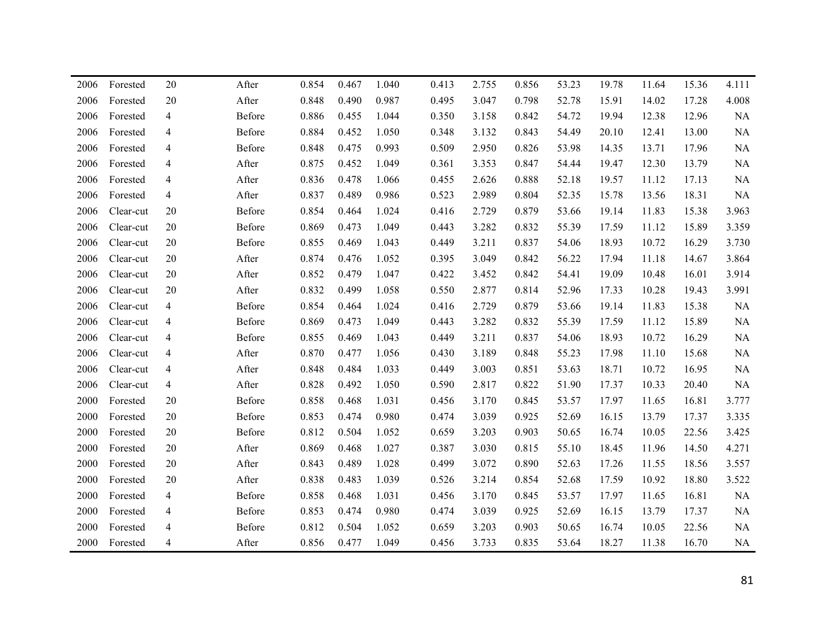| 2006 | Forested  | 20             | After  | 0.854 | 0.467 | 1.040 | 0.413 | 2.755 | 0.856 | 53.23 | 19.78 | 11.64 | 15.36 | 4.111    |
|------|-----------|----------------|--------|-------|-------|-------|-------|-------|-------|-------|-------|-------|-------|----------|
| 2006 | Forested  | 20             | After  | 0.848 | 0.490 | 0.987 | 0.495 | 3.047 | 0.798 | 52.78 | 15.91 | 14.02 | 17.28 | 4.008    |
| 2006 | Forested  | 4              | Before | 0.886 | 0.455 | 1.044 | 0.350 | 3.158 | 0.842 | 54.72 | 19.94 | 12.38 | 12.96 | NA       |
| 2006 | Forested  | 4              | Before | 0.884 | 0.452 | 1.050 | 0.348 | 3.132 | 0.843 | 54.49 | 20.10 | 12.41 | 13.00 | NA       |
| 2006 | Forested  | 4              | Before | 0.848 | 0.475 | 0.993 | 0.509 | 2.950 | 0.826 | 53.98 | 14.35 | 13.71 | 17.96 | NA       |
| 2006 | Forested  | 4              | After  | 0.875 | 0.452 | 1.049 | 0.361 | 3.353 | 0.847 | 54.44 | 19.47 | 12.30 | 13.79 | NA       |
| 2006 | Forested  | 4              | After  | 0.836 | 0.478 | 1.066 | 0.455 | 2.626 | 0.888 | 52.18 | 19.57 | 11.12 | 17.13 | NA       |
| 2006 | Forested  | $\overline{4}$ | After  | 0.837 | 0.489 | 0.986 | 0.523 | 2.989 | 0.804 | 52.35 | 15.78 | 13.56 | 18.31 | NA       |
| 2006 | Clear-cut | 20             | Before | 0.854 | 0.464 | 1.024 | 0.416 | 2.729 | 0.879 | 53.66 | 19.14 | 11.83 | 15.38 | 3.963    |
| 2006 | Clear-cut | 20             | Before | 0.869 | 0.473 | 1.049 | 0.443 | 3.282 | 0.832 | 55.39 | 17.59 | 11.12 | 15.89 | 3.359    |
| 2006 | Clear-cut | 20             | Before | 0.855 | 0.469 | 1.043 | 0.449 | 3.211 | 0.837 | 54.06 | 18.93 | 10.72 | 16.29 | 3.730    |
| 2006 | Clear-cut | 20             | After  | 0.874 | 0.476 | 1.052 | 0.395 | 3.049 | 0.842 | 56.22 | 17.94 | 11.18 | 14.67 | 3.864    |
| 2006 | Clear-cut | 20             | After  | 0.852 | 0.479 | 1.047 | 0.422 | 3.452 | 0.842 | 54.41 | 19.09 | 10.48 | 16.01 | 3.914    |
| 2006 | Clear-cut | 20             | After  | 0.832 | 0.499 | 1.058 | 0.550 | 2.877 | 0.814 | 52.96 | 17.33 | 10.28 | 19.43 | 3.991    |
| 2006 | Clear-cut | $\overline{4}$ | Before | 0.854 | 0.464 | 1.024 | 0.416 | 2.729 | 0.879 | 53.66 | 19.14 | 11.83 | 15.38 | NA       |
| 2006 | Clear-cut | $\overline{4}$ | Before | 0.869 | 0.473 | 1.049 | 0.443 | 3.282 | 0.832 | 55.39 | 17.59 | 11.12 | 15.89 | NA       |
| 2006 | Clear-cut | 4              | Before | 0.855 | 0.469 | 1.043 | 0.449 | 3.211 | 0.837 | 54.06 | 18.93 | 10.72 | 16.29 | NA       |
| 2006 | Clear-cut | 4              | After  | 0.870 | 0.477 | 1.056 | 0.430 | 3.189 | 0.848 | 55.23 | 17.98 | 11.10 | 15.68 | $\rm NA$ |
| 2006 | Clear-cut | 4              | After  | 0.848 | 0.484 | 1.033 | 0.449 | 3.003 | 0.851 | 53.63 | 18.71 | 10.72 | 16.95 | NA       |
| 2006 | Clear-cut | 4              | After  | 0.828 | 0.492 | 1.050 | 0.590 | 2.817 | 0.822 | 51.90 | 17.37 | 10.33 | 20.40 | NA       |
| 2000 | Forested  | 20             | Before | 0.858 | 0.468 | 1.031 | 0.456 | 3.170 | 0.845 | 53.57 | 17.97 | 11.65 | 16.81 | 3.777    |
| 2000 | Forested  | 20             | Before | 0.853 | 0.474 | 0.980 | 0.474 | 3.039 | 0.925 | 52.69 | 16.15 | 13.79 | 17.37 | 3.335    |
| 2000 | Forested  | 20             | Before | 0.812 | 0.504 | 1.052 | 0.659 | 3.203 | 0.903 | 50.65 | 16.74 | 10.05 | 22.56 | 3.425    |
| 2000 | Forested  | 20             | After  | 0.869 | 0.468 | 1.027 | 0.387 | 3.030 | 0.815 | 55.10 | 18.45 | 11.96 | 14.50 | 4.271    |
| 2000 | Forested  | 20             | After  | 0.843 | 0.489 | 1.028 | 0.499 | 3.072 | 0.890 | 52.63 | 17.26 | 11.55 | 18.56 | 3.557    |
| 2000 | Forested  | 20             | After  | 0.838 | 0.483 | 1.039 | 0.526 | 3.214 | 0.854 | 52.68 | 17.59 | 10.92 | 18.80 | 3.522    |
| 2000 | Forested  | 4              | Before | 0.858 | 0.468 | 1.031 | 0.456 | 3.170 | 0.845 | 53.57 | 17.97 | 11.65 | 16.81 | NA       |
| 2000 | Forested  | 4              | Before | 0.853 | 0.474 | 0.980 | 0.474 | 3.039 | 0.925 | 52.69 | 16.15 | 13.79 | 17.37 | NA       |
| 2000 | Forested  | 4              | Before | 0.812 | 0.504 | 1.052 | 0.659 | 3.203 | 0.903 | 50.65 | 16.74 | 10.05 | 22.56 | NA       |
| 2000 | Forested  | 4              | After  | 0.856 | 0.477 | 1.049 | 0.456 | 3.733 | 0.835 | 53.64 | 18.27 | 11.38 | 16.70 | NA       |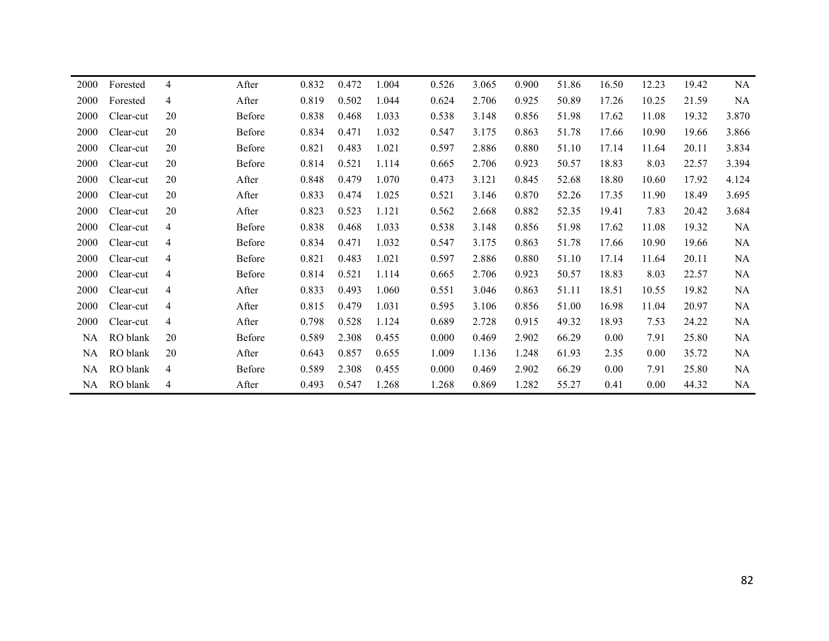| Forested  | $\overline{4}$ | After  | 0.832 | 0.472 | 1.004 | 0.526 | 3.065 | 0.900 | 51.86 | 16.50 | 12.23 | 19.42 | NA        |
|-----------|----------------|--------|-------|-------|-------|-------|-------|-------|-------|-------|-------|-------|-----------|
| Forested  | 4              | After  | 0.819 | 0.502 | 1.044 | 0.624 | 2.706 | 0.925 | 50.89 | 17.26 | 10.25 | 21.59 | NA        |
| Clear-cut | 20             | Before | 0.838 | 0.468 | 1.033 | 0.538 | 3.148 | 0.856 | 51.98 | 17.62 | 11.08 | 19.32 | 3.870     |
| Clear-cut | 20             | Before | 0.834 | 0.471 | 1.032 | 0.547 | 3.175 | 0.863 | 51.78 | 17.66 | 10.90 | 19.66 | 3.866     |
| Clear-cut | 20             | Before | 0.821 | 0.483 | 1.021 | 0.597 | 2.886 | 0.880 | 51.10 | 17.14 | 11.64 | 20.11 | 3.834     |
| Clear-cut | 20             | Before | 0.814 | 0.521 | 1.114 | 0.665 | 2.706 | 0.923 | 50.57 | 18.83 | 8.03  | 22.57 | 3.394     |
| Clear-cut | 20             | After  | 0.848 | 0.479 | 1.070 | 0.473 | 3.121 | 0.845 | 52.68 | 18.80 | 10.60 | 17.92 | 4.124     |
| Clear-cut | 20             | After  | 0.833 | 0.474 | 1.025 | 0.521 | 3.146 | 0.870 | 52.26 | 17.35 | 11.90 | 18.49 | 3.695     |
| Clear-cut | 20             | After  | 0.823 | 0.523 | 1.121 | 0.562 | 2.668 | 0.882 | 52.35 | 19.41 | 7.83  | 20.42 | 3.684     |
| Clear-cut | 4              | Before | 0.838 | 0.468 | 1.033 | 0.538 | 3.148 | 0.856 | 51.98 | 17.62 | 11.08 | 19.32 | NA        |
| Clear-cut | 4              | Before | 0.834 | 0.471 | 1.032 | 0.547 | 3.175 | 0.863 | 51.78 | 17.66 | 10.90 | 19.66 | NA        |
| Clear-cut | $\overline{4}$ | Before | 0.821 | 0.483 | 1.021 | 0.597 | 2.886 | 0.880 | 51.10 | 17.14 | 11.64 | 20.11 | NA        |
| Clear-cut | $\overline{4}$ | Before | 0.814 | 0.521 | 1.114 | 0.665 | 2.706 | 0.923 | 50.57 | 18.83 | 8.03  | 22.57 | NA        |
| Clear-cut | 4              | After  | 0.833 | 0.493 | 1.060 | 0.551 | 3.046 | 0.863 | 51.11 | 18.51 | 10.55 | 19.82 | NA        |
| Clear-cut | $\overline{4}$ | After  | 0.815 | 0.479 | 1.031 | 0.595 | 3.106 | 0.856 | 51.00 | 16.98 | 11.04 | 20.97 | <b>NA</b> |
| Clear-cut | 4              | After  | 0.798 | 0.528 | 1.124 | 0.689 | 2.728 | 0.915 | 49.32 | 18.93 | 7.53  | 24.22 | NA        |
| RO blank  | 20             | Before | 0.589 | 2.308 | 0.455 | 0.000 | 0.469 | 2.902 | 66.29 | 0.00  | 7.91  | 25.80 | NA        |
| RO blank  | 20             | After  | 0.643 | 0.857 | 0.655 | 1.009 | 1.136 | 1.248 | 61.93 | 2.35  | 0.00  | 35.72 | NA        |
| RO blank  | 4              | Before | 0.589 | 2.308 | 0.455 | 0.000 | 0.469 | 2.902 | 66.29 | 0.00  | 7.91  | 25.80 | <b>NA</b> |
| RO blank  | 4              | After  | 0.493 | 0.547 | 1.268 | 1.268 | 0.869 | 1.282 | 55.27 | 0.41  | 0.00  | 44.32 | NA        |
|           | NA –           |        |       |       |       |       |       |       |       |       |       |       |           |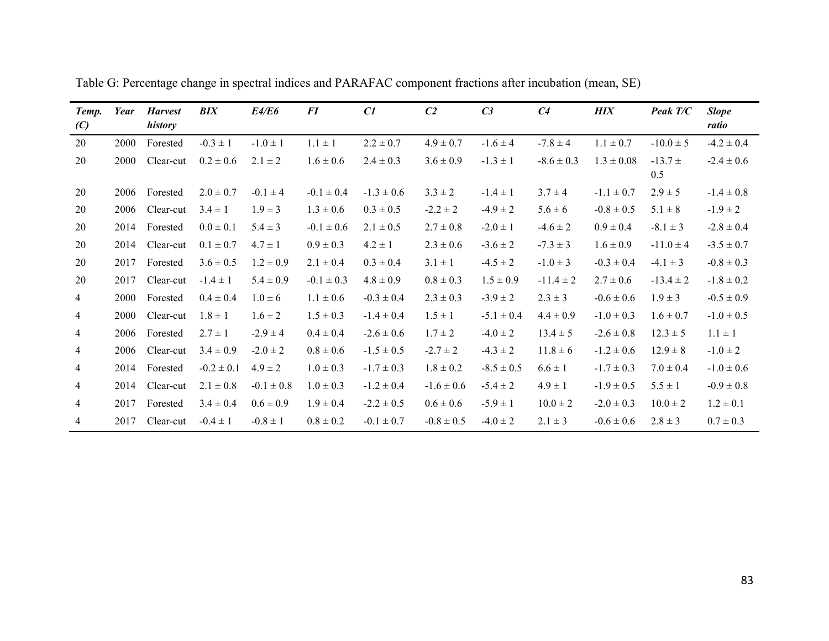| Temp.<br>(C)   | Year | <b>Harvest</b><br>history | <b>BIX</b>     | E4/E6          | <i>FI</i>      | C1             | C <sub>2</sub> | C <sub>3</sub> | C <sub>4</sub> | <b>HIX</b>     | Peak T/C           | <b>Slope</b><br>ratio |
|----------------|------|---------------------------|----------------|----------------|----------------|----------------|----------------|----------------|----------------|----------------|--------------------|-----------------------|
| 20             | 2000 | Forested                  | $-0.3 \pm 1$   | $-1.0 \pm 1$   | $1.1 \pm 1$    | $2.2 \pm 0.7$  | $4.9 \pm 0.7$  | $-1.6 \pm 4$   | $-7.8 \pm 4$   | $1.1 \pm 0.7$  | $-10.0 \pm 5$      | $-4.2 \pm 0.4$        |
| 20             | 2000 | Clear-cut                 | $0.2 \pm 0.6$  | $2.1 \pm 2$    | $1.6 \pm 0.6$  | $2.4 \pm 0.3$  | $3.6 \pm 0.9$  | $-1.3 \pm 1$   | $-8.6 \pm 0.3$ | $1.3 \pm 0.08$ | $-13.7 \pm$<br>0.5 | $-2.4 \pm 0.6$        |
| 20             | 2006 | Forested                  | $2.0 \pm 0.7$  | $-0.1 \pm 4$   | $-0.1 \pm 0.4$ | $-1.3 \pm 0.6$ | $3.3 \pm 2$    | $-1.4 \pm 1$   | $3.7 \pm 4$    | $-1.1 \pm 0.7$ | $2.9 \pm 5$        | $-1.4 \pm 0.8$        |
| 20             | 2006 | Clear-cut                 | $3.4 \pm 1$    | $1.9 \pm 3$    | $1.3 \pm 0.6$  | $0.3 \pm 0.5$  | $-2.2 \pm 2$   | $-4.9 \pm 2$   | $5.6 \pm 6$    | $-0.8 \pm 0.5$ | $5.1 \pm 8$        | $-1.9 \pm 2$          |
| 20             | 2014 | Forested                  | $0.0 \pm 0.1$  | $5.4 \pm 3$    | $-0.1 \pm 0.6$ | $2.1 \pm 0.5$  | $2.7 \pm 0.8$  | $-2.0 \pm 1$   | $-4.6 \pm 2$   | $0.9 \pm 0.4$  | $-8.1 \pm 3$       | $-2.8 \pm 0.4$        |
| 20             | 2014 | Clear-cut                 | $0.1 \pm 0.7$  | $4.7 \pm 1$    | $0.9 \pm 0.3$  | $4.2 \pm 1$    | $2.3 \pm 0.6$  | $-3.6 \pm 2$   | $-7.3 \pm 3$   | $1.6 \pm 0.9$  | $-11.0 \pm 4$      | $-3.5 \pm 0.7$        |
| 20             | 2017 | Forested                  | $3.6 \pm 0.5$  | $1.2 \pm 0.9$  | $2.1 \pm 0.4$  | $0.3 \pm 0.4$  | $3.1 \pm 1$    | $-4.5 \pm 2$   | $-1.0 \pm 3$   | $-0.3 \pm 0.4$ | $-4.1 \pm 3$       | $-0.8 \pm 0.3$        |
| 20             | 2017 | Clear-cut                 | $-1.4 \pm 1$   | $5.4 \pm 0.9$  | $-0.1 \pm 0.3$ | $4.8 \pm 0.9$  | $0.8 \pm 0.3$  | $1.5 \pm 0.9$  | $-11.4 \pm 2$  | $2.7 \pm 0.6$  | $-13.4 \pm 2$      | $-1.8 \pm 0.2$        |
| $\overline{4}$ | 2000 | Forested                  | $0.4 \pm 0.4$  | $1.0 \pm 6$    | $1.1 \pm 0.6$  | $-0.3 \pm 0.4$ | $2.3 \pm 0.3$  | $-3.9 \pm 2$   | $2.3 \pm 3$    | $-0.6 \pm 0.6$ | $1.9 \pm 3$        | $-0.5 \pm 0.9$        |
| $\overline{4}$ | 2000 | Clear-cut                 | $1.8 \pm 1$    | $1.6 \pm 2$    | $1.5 \pm 0.3$  | $-1.4 \pm 0.4$ | $1.5 \pm 1$    | $-5.1 \pm 0.4$ | $4.4 \pm 0.9$  | $-1.0 \pm 0.3$ | $1.6 \pm 0.7$      | $-1.0 \pm 0.5$        |
| $\overline{4}$ | 2006 | Forested                  | $2.7 \pm 1$    | $-2.9 \pm 4$   | $0.4 \pm 0.4$  | $-2.6 \pm 0.6$ | $1.7 \pm 2$    | $-4.0 \pm 2$   | $13.4 \pm 5$   | $-2.6 \pm 0.8$ | $12.3 \pm 5$       | $1.1 \pm 1$           |
| 4              | 2006 | Clear-cut                 | $3.4 \pm 0.9$  | $-2.0 \pm 2$   | $0.8 \pm 0.6$  | $-1.5 \pm 0.5$ | $-2.7 \pm 2$   | $-4.3 \pm 2$   | $11.8 \pm 6$   | $-1.2 \pm 0.6$ | $12.9 \pm 8$       | $-1.0 \pm 2$          |
| $\overline{4}$ | 2014 | Forested                  | $-0.2 \pm 0.1$ | $4.9 \pm 2$    | $1.0 \pm 0.3$  | $-1.7 \pm 0.3$ | $1.8 \pm 0.2$  | $-8.5 \pm 0.5$ | $6.6 \pm 1$    | $-1.7 \pm 0.3$ | $7.0 \pm 0.4$      | $-1.0 \pm 0.6$        |
| 4              | 2014 | Clear-cut                 | $2.1 \pm 0.8$  | $-0.1 \pm 0.8$ | $1.0 \pm 0.3$  | $-1.2 \pm 0.4$ | $-1.6 \pm 0.6$ | $-5.4 \pm 2$   | $4.9 \pm 1$    | $-1.9 \pm 0.5$ | $5.5 \pm 1$        | $-0.9 \pm 0.8$        |
| 4              | 2017 | Forested                  | $3.4 \pm 0.4$  | $0.6 \pm 0.9$  | $1.9 \pm 0.4$  | $-2.2 \pm 0.5$ | $0.6 \pm 0.6$  | $-5.9 \pm 1$   | $10.0 \pm 2$   | $-2.0 \pm 0.3$ | $10.0 \pm 2$       | $1.2 \pm 0.1$         |
| $\overline{4}$ | 2017 | Clear-cut                 | $-0.4 \pm 1$   | $-0.8 \pm 1$   | $0.8 \pm 0.2$  | $-0.1 \pm 0.7$ | $-0.8 \pm 0.5$ | $-4.0 \pm 2$   | $2.1 \pm 3$    | $-0.6 \pm 0.6$ | $2.8 \pm 3$        | $0.7 \pm 0.3$         |

Table G: Percentage change in spectral indices and PARAFAC component fractions after incubation (mean, SE)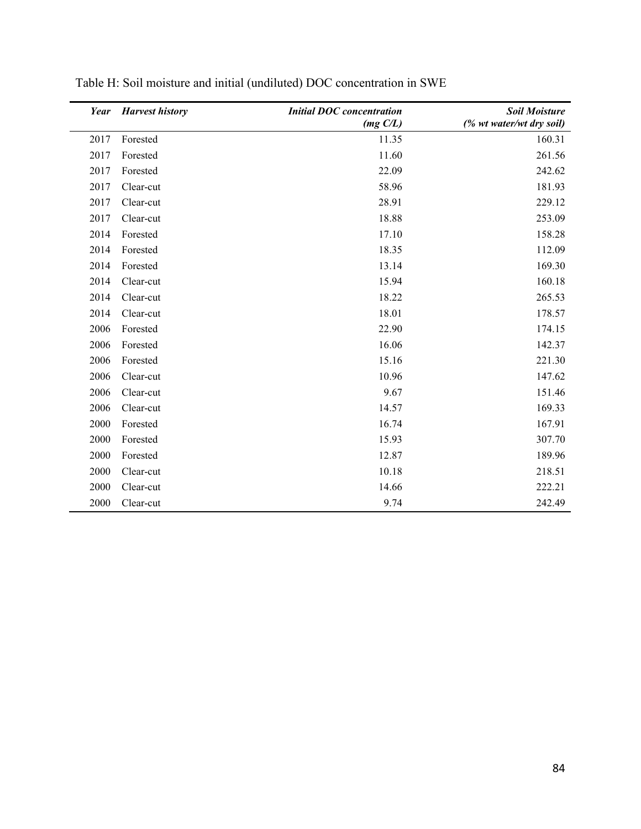|      | <b>Year</b> Harvest history | <b>Initial DOC</b> concentration | <b>Soil Moisture</b>     |
|------|-----------------------------|----------------------------------|--------------------------|
|      |                             | $(mg\ C/L)$                      | (% wt water/wt dry soil) |
| 2017 | Forested                    | 11.35                            | 160.31                   |
| 2017 | Forested                    | 11.60                            | 261.56                   |
| 2017 | Forested                    | 22.09                            | 242.62                   |
| 2017 | Clear-cut                   | 58.96                            | 181.93                   |
| 2017 | Clear-cut                   | 28.91                            | 229.12                   |
| 2017 | Clear-cut                   | 18.88                            | 253.09                   |
| 2014 | Forested                    | 17.10                            | 158.28                   |
| 2014 | Forested                    | 18.35                            | 112.09                   |
| 2014 | Forested                    | 13.14                            | 169.30                   |
| 2014 | Clear-cut                   | 15.94                            | 160.18                   |
| 2014 | Clear-cut                   | 18.22                            | 265.53                   |
| 2014 | Clear-cut                   | 18.01                            | 178.57                   |
| 2006 | Forested                    | 22.90                            | 174.15                   |
| 2006 | Forested                    | 16.06                            | 142.37                   |
| 2006 | Forested                    | 15.16                            | 221.30                   |
| 2006 | Clear-cut                   | 10.96                            | 147.62                   |
| 2006 | Clear-cut                   | 9.67                             | 151.46                   |
| 2006 | Clear-cut                   | 14.57                            | 169.33                   |
| 2000 | Forested                    | 16.74                            | 167.91                   |
| 2000 | Forested                    | 15.93                            | 307.70                   |
| 2000 | Forested                    | 12.87                            | 189.96                   |
| 2000 | Clear-cut                   | 10.18                            | 218.51                   |
| 2000 | Clear-cut                   | 14.66                            | 222.21                   |
| 2000 | Clear-cut                   | 9.74                             | 242.49                   |

| Table H: Soil moisture and initial (undiluted) DOC concentration in SWE |  |
|-------------------------------------------------------------------------|--|
|-------------------------------------------------------------------------|--|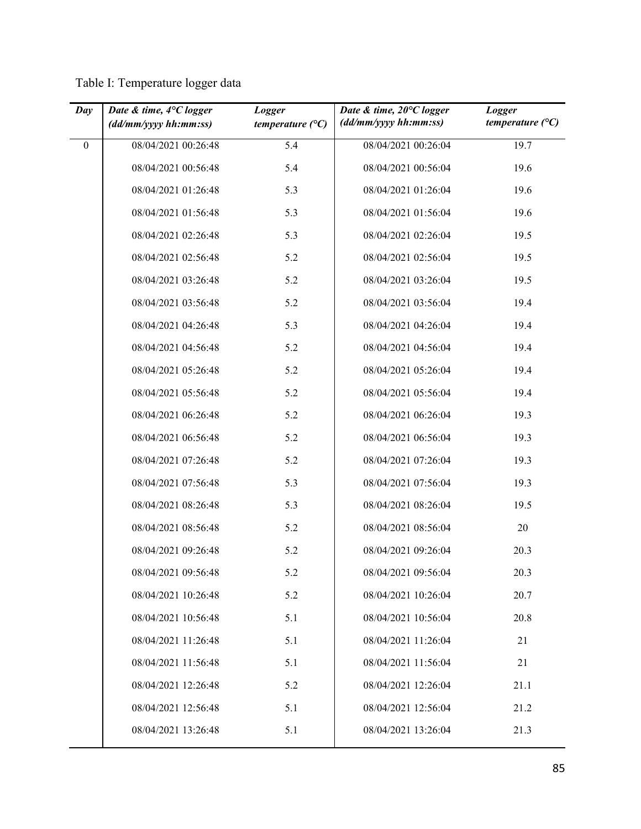Table I: Temperature logger data

| Day              | Date & time, 4°C logger<br>$\left(\frac{dd}{m}m/\gamma y y \right) hh: mm: ss$ | Logger<br>temperature $(^{\circ}C)$ | Date & time, $20^{\circ}C$ logger<br>(dd/mm/yyy hh:mm:ss) | Logger<br>temperature $(^{\circ}C)$ |
|------------------|--------------------------------------------------------------------------------|-------------------------------------|-----------------------------------------------------------|-------------------------------------|
| $\boldsymbol{0}$ | 08/04/2021 00:26:48                                                            | 5.4                                 | 08/04/2021 00:26:04                                       | 19.7                                |
|                  | 08/04/2021 00:56:48                                                            | 5.4                                 | 08/04/2021 00:56:04                                       | 19.6                                |
|                  | 08/04/2021 01:26:48                                                            | 5.3                                 | 08/04/2021 01:26:04                                       | 19.6                                |
|                  | 08/04/2021 01:56:48                                                            | 5.3                                 | 08/04/2021 01:56:04                                       | 19.6                                |
|                  | 08/04/2021 02:26:48                                                            | 5.3                                 | 08/04/2021 02:26:04                                       | 19.5                                |
|                  | 08/04/2021 02:56:48                                                            | 5.2                                 | 08/04/2021 02:56:04                                       | 19.5                                |
|                  | 08/04/2021 03:26:48                                                            | 5.2                                 | 08/04/2021 03:26:04                                       | 19.5                                |
|                  | 08/04/2021 03:56:48                                                            | 5.2                                 | 08/04/2021 03:56:04                                       | 19.4                                |
|                  | 08/04/2021 04:26:48                                                            | 5.3                                 | 08/04/2021 04:26:04                                       | 19.4                                |
|                  | 08/04/2021 04:56:48                                                            | 5.2                                 | 08/04/2021 04:56:04                                       | 19.4                                |
|                  | 08/04/2021 05:26:48                                                            | 5.2                                 | 08/04/2021 05:26:04                                       | 19.4                                |
|                  | 08/04/2021 05:56:48                                                            | 5.2                                 | 08/04/2021 05:56:04                                       | 19.4                                |
|                  | 08/04/2021 06:26:48                                                            | 5.2                                 | 08/04/2021 06:26:04                                       | 19.3                                |
|                  | 08/04/2021 06:56:48                                                            | 5.2                                 | 08/04/2021 06:56:04                                       | 19.3                                |
|                  | 08/04/2021 07:26:48                                                            | 5.2                                 | 08/04/2021 07:26:04                                       | 19.3                                |
|                  | 08/04/2021 07:56:48                                                            | 5.3                                 | 08/04/2021 07:56:04                                       | 19.3                                |
|                  | 08/04/2021 08:26:48                                                            | 5.3                                 | 08/04/2021 08:26:04                                       | 19.5                                |
|                  | 08/04/2021 08:56:48                                                            | 5.2                                 | 08/04/2021 08:56:04                                       | 20                                  |
|                  | 08/04/2021 09:26:48                                                            | 5.2                                 | 08/04/2021 09:26:04                                       | 20.3                                |
|                  | 08/04/2021 09:56:48                                                            | 5.2                                 | 08/04/2021 09:56:04                                       | 20.3                                |
|                  | 08/04/2021 10:26:48                                                            | 5.2                                 | 08/04/2021 10:26:04                                       | 20.7                                |
|                  | 08/04/2021 10:56:48                                                            | 5.1                                 | 08/04/2021 10:56:04                                       | 20.8                                |
|                  | 08/04/2021 11:26:48                                                            | 5.1                                 | 08/04/2021 11:26:04                                       | 21                                  |
|                  | 08/04/2021 11:56:48                                                            | 5.1                                 | 08/04/2021 11:56:04                                       | 21                                  |
|                  | 08/04/2021 12:26:48                                                            | 5.2                                 | 08/04/2021 12:26:04                                       | 21.1                                |
|                  | 08/04/2021 12:56:48                                                            | 5.1                                 | 08/04/2021 12:56:04                                       | 21.2                                |
|                  | 08/04/2021 13:26:48                                                            | 5.1                                 | 08/04/2021 13:26:04                                       | 21.3                                |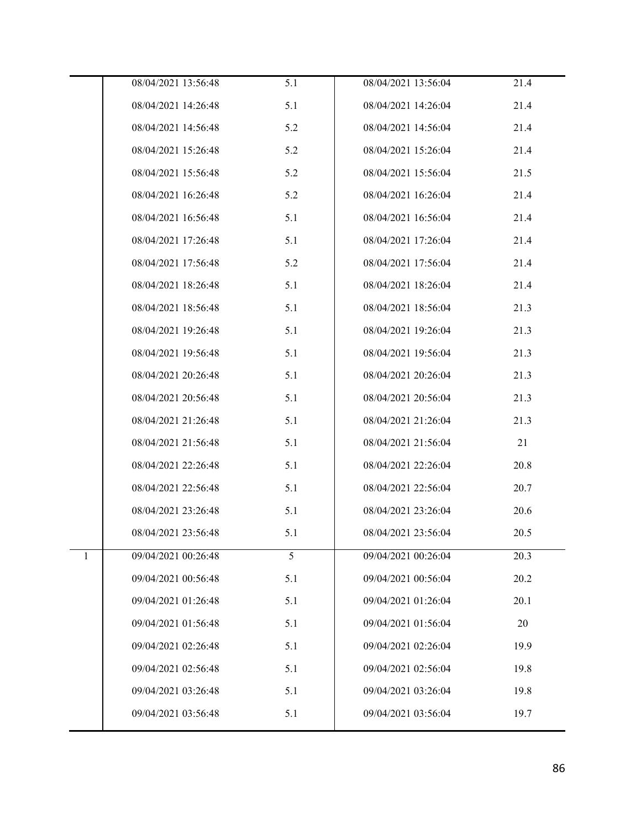|   | 08/04/2021 13:56:48 | 5.1 | 08/04/2021 13:56:04 | 21.4 |
|---|---------------------|-----|---------------------|------|
|   | 08/04/2021 14:26:48 | 5.1 | 08/04/2021 14:26:04 | 21.4 |
|   | 08/04/2021 14:56:48 | 5.2 | 08/04/2021 14:56:04 | 21.4 |
|   | 08/04/2021 15:26:48 | 5.2 | 08/04/2021 15:26:04 | 21.4 |
|   | 08/04/2021 15:56:48 | 5.2 | 08/04/2021 15:56:04 | 21.5 |
|   | 08/04/2021 16:26:48 | 5.2 | 08/04/2021 16:26:04 | 21.4 |
|   | 08/04/2021 16:56:48 | 5.1 | 08/04/2021 16:56:04 | 21.4 |
|   | 08/04/2021 17:26:48 | 5.1 | 08/04/2021 17:26:04 | 21.4 |
|   | 08/04/2021 17:56:48 | 5.2 | 08/04/2021 17:56:04 | 21.4 |
|   | 08/04/2021 18:26:48 | 5.1 | 08/04/2021 18:26:04 | 21.4 |
|   | 08/04/2021 18:56:48 | 5.1 | 08/04/2021 18:56:04 | 21.3 |
|   | 08/04/2021 19:26:48 | 5.1 | 08/04/2021 19:26:04 | 21.3 |
|   | 08/04/2021 19:56:48 | 5.1 | 08/04/2021 19:56:04 | 21.3 |
|   | 08/04/2021 20:26:48 | 5.1 | 08/04/2021 20:26:04 | 21.3 |
|   | 08/04/2021 20:56:48 | 5.1 | 08/04/2021 20:56:04 | 21.3 |
|   | 08/04/2021 21:26:48 | 5.1 | 08/04/2021 21:26:04 | 21.3 |
|   | 08/04/2021 21:56:48 | 5.1 | 08/04/2021 21:56:04 | 21   |
|   | 08/04/2021 22:26:48 | 5.1 | 08/04/2021 22:26:04 | 20.8 |
|   | 08/04/2021 22:56:48 | 5.1 | 08/04/2021 22:56:04 | 20.7 |
|   | 08/04/2021 23:26:48 | 5.1 | 08/04/2021 23:26:04 | 20.6 |
|   | 08/04/2021 23:56:48 | 5.1 | 08/04/2021 23:56:04 | 20.5 |
| 1 | 09/04/2021 00:26:48 | 5   | 09/04/2021 00:26:04 | 20.3 |
|   | 09/04/2021 00:56:48 | 5.1 | 09/04/2021 00:56:04 | 20.2 |
|   | 09/04/2021 01:26:48 | 5.1 | 09/04/2021 01:26:04 | 20.1 |
|   | 09/04/2021 01:56:48 | 5.1 | 09/04/2021 01:56:04 | 20   |
|   | 09/04/2021 02:26:48 | 5.1 | 09/04/2021 02:26:04 | 19.9 |
|   | 09/04/2021 02:56:48 | 5.1 | 09/04/2021 02:56:04 | 19.8 |
|   | 09/04/2021 03:26:48 | 5.1 | 09/04/2021 03:26:04 | 19.8 |
|   | 09/04/2021 03:56:48 | 5.1 | 09/04/2021 03:56:04 | 19.7 |
|   |                     |     |                     |      |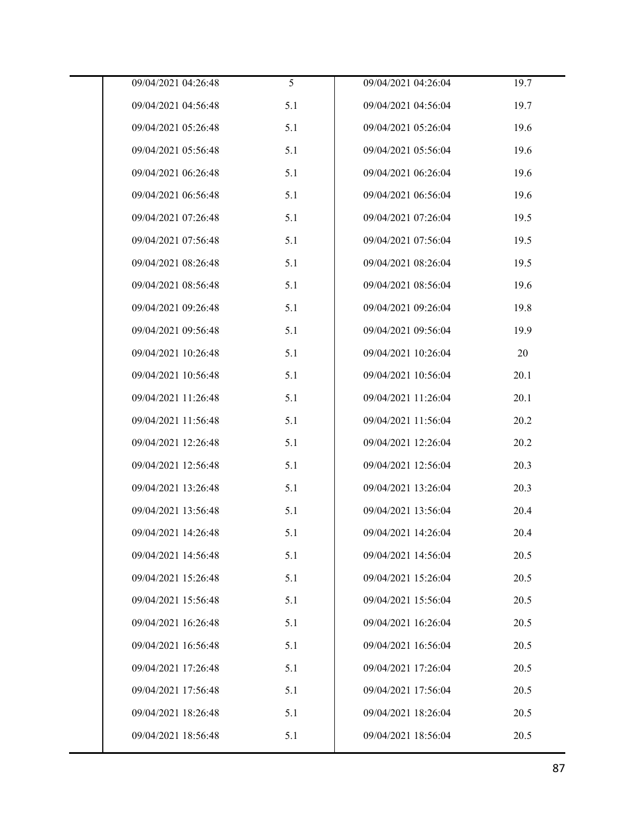| 09/04/2021 04:26:48 | 5   | 09/04/2021 04:26:04 | 19.7 |
|---------------------|-----|---------------------|------|
| 09/04/2021 04:56:48 | 5.1 | 09/04/2021 04:56:04 | 19.7 |
| 09/04/2021 05:26:48 | 5.1 | 09/04/2021 05:26:04 | 19.6 |
| 09/04/2021 05:56:48 | 5.1 | 09/04/2021 05:56:04 | 19.6 |
| 09/04/2021 06:26:48 | 5.1 | 09/04/2021 06:26:04 | 19.6 |
| 09/04/2021 06:56:48 | 5.1 | 09/04/2021 06:56:04 | 19.6 |
| 09/04/2021 07:26:48 | 5.1 | 09/04/2021 07:26:04 | 19.5 |
| 09/04/2021 07:56:48 | 5.1 | 09/04/2021 07:56:04 | 19.5 |
| 09/04/2021 08:26:48 | 5.1 | 09/04/2021 08:26:04 | 19.5 |
| 09/04/2021 08:56:48 | 5.1 | 09/04/2021 08:56:04 | 19.6 |
| 09/04/2021 09:26:48 | 5.1 | 09/04/2021 09:26:04 | 19.8 |
| 09/04/2021 09:56:48 | 5.1 | 09/04/2021 09:56:04 | 19.9 |
| 09/04/2021 10:26:48 | 5.1 | 09/04/2021 10:26:04 | 20   |
| 09/04/2021 10:56:48 | 5.1 | 09/04/2021 10:56:04 | 20.1 |
| 09/04/2021 11:26:48 | 5.1 | 09/04/2021 11:26:04 | 20.1 |
| 09/04/2021 11:56:48 | 5.1 | 09/04/2021 11:56:04 | 20.2 |
| 09/04/2021 12:26:48 | 5.1 | 09/04/2021 12:26:04 | 20.2 |
| 09/04/2021 12:56:48 | 5.1 | 09/04/2021 12:56:04 | 20.3 |
| 09/04/2021 13:26:48 | 5.1 | 09/04/2021 13:26:04 | 20.3 |
| 09/04/2021 13:56:48 | 5.1 | 09/04/2021 13:56:04 | 20.4 |
| 09/04/2021 14:26:48 | 5.1 | 09/04/2021 14:26:04 | 20.4 |
| 09/04/2021 14:56:48 | 5.1 | 09/04/2021 14:56:04 | 20.5 |
| 09/04/2021 15:26:48 | 5.1 | 09/04/2021 15:26:04 | 20.5 |
| 09/04/2021 15:56:48 | 5.1 | 09/04/2021 15:56:04 | 20.5 |
| 09/04/2021 16:26:48 | 5.1 | 09/04/2021 16:26:04 | 20.5 |
| 09/04/2021 16:56:48 | 5.1 | 09/04/2021 16:56:04 | 20.5 |
| 09/04/2021 17:26:48 | 5.1 | 09/04/2021 17:26:04 | 20.5 |
| 09/04/2021 17:56:48 | 5.1 | 09/04/2021 17:56:04 | 20.5 |
| 09/04/2021 18:26:48 | 5.1 | 09/04/2021 18:26:04 | 20.5 |
| 09/04/2021 18:56:48 | 5.1 | 09/04/2021 18:56:04 | 20.5 |
|                     |     |                     |      |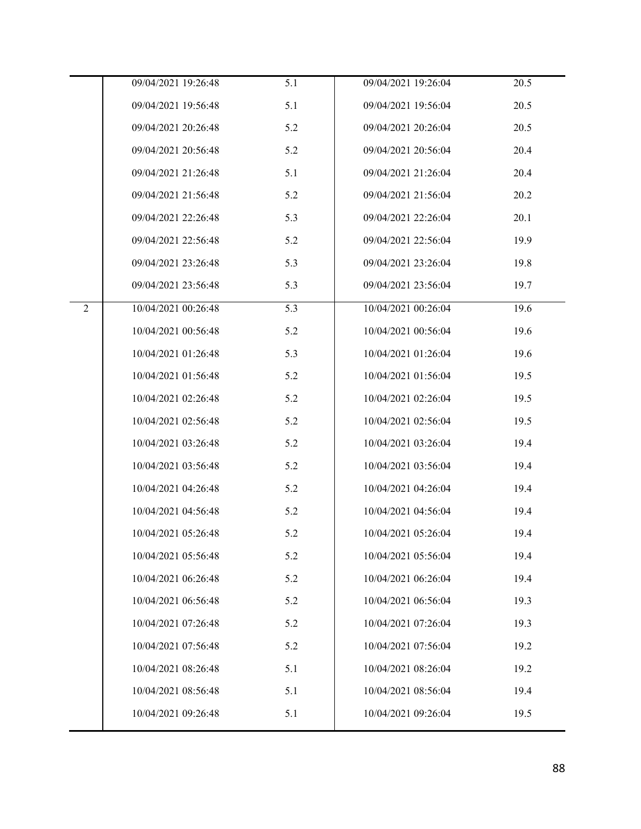|                | 09/04/2021 19:26:48 | 5.1 | 09/04/2021 19:26:04 | 20.5 |
|----------------|---------------------|-----|---------------------|------|
|                | 09/04/2021 19:56:48 | 5.1 | 09/04/2021 19:56:04 | 20.5 |
|                |                     |     |                     |      |
|                | 09/04/2021 20:26:48 | 5.2 | 09/04/2021 20:26:04 | 20.5 |
|                | 09/04/2021 20:56:48 | 5.2 | 09/04/2021 20:56:04 | 20.4 |
|                | 09/04/2021 21:26:48 | 5.1 | 09/04/2021 21:26:04 | 20.4 |
|                | 09/04/2021 21:56:48 | 5.2 | 09/04/2021 21:56:04 | 20.2 |
|                | 09/04/2021 22:26:48 | 5.3 | 09/04/2021 22:26:04 | 20.1 |
|                | 09/04/2021 22:56:48 | 5.2 | 09/04/2021 22:56:04 | 19.9 |
|                | 09/04/2021 23:26:48 | 5.3 | 09/04/2021 23:26:04 | 19.8 |
|                | 09/04/2021 23:56:48 | 5.3 | 09/04/2021 23:56:04 | 19.7 |
| $\overline{2}$ | 10/04/2021 00:26:48 | 5.3 | 10/04/2021 00:26:04 | 19.6 |
|                | 10/04/2021 00:56:48 | 5.2 | 10/04/2021 00:56:04 | 19.6 |
|                | 10/04/2021 01:26:48 | 5.3 | 10/04/2021 01:26:04 | 19.6 |
|                | 10/04/2021 01:56:48 | 5.2 | 10/04/2021 01:56:04 | 19.5 |
|                | 10/04/2021 02:26:48 | 5.2 | 10/04/2021 02:26:04 | 19.5 |
|                | 10/04/2021 02:56:48 | 5.2 | 10/04/2021 02:56:04 | 19.5 |
|                | 10/04/2021 03:26:48 | 5.2 | 10/04/2021 03:26:04 | 19.4 |
|                | 10/04/2021 03:56:48 | 5.2 | 10/04/2021 03:56:04 | 19.4 |
|                | 10/04/2021 04:26:48 | 5.2 | 10/04/2021 04:26:04 | 19.4 |
|                | 10/04/2021 04:56:48 | 5.2 | 10/04/2021 04:56:04 | 19.4 |
|                | 10/04/2021 05:26:48 | 5.2 | 10/04/2021 05:26:04 | 19.4 |
|                | 10/04/2021 05:56:48 | 5.2 | 10/04/2021 05:56:04 | 19.4 |
|                | 10/04/2021 06:26:48 | 5.2 | 10/04/2021 06:26:04 | 19.4 |
|                | 10/04/2021 06:56:48 | 5.2 | 10/04/2021 06:56:04 | 19.3 |
|                | 10/04/2021 07:26:48 | 5.2 | 10/04/2021 07:26:04 | 19.3 |
|                | 10/04/2021 07:56:48 | 5.2 | 10/04/2021 07:56:04 | 19.2 |
|                | 10/04/2021 08:26:48 | 5.1 | 10/04/2021 08:26:04 | 19.2 |
|                | 10/04/2021 08:56:48 | 5.1 | 10/04/2021 08:56:04 | 19.4 |
|                | 10/04/2021 09:26:48 | 5.1 | 10/04/2021 09:26:04 | 19.5 |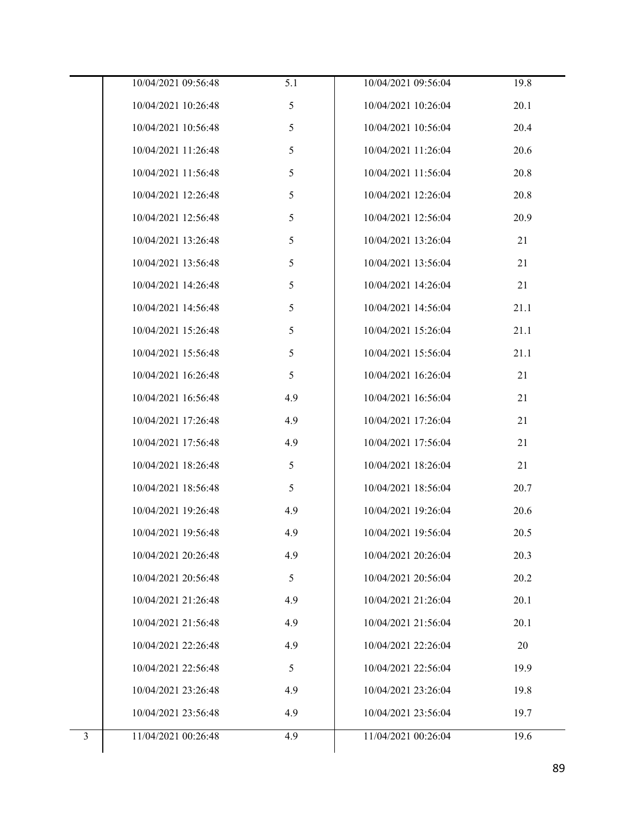|                | 10/04/2021 09:56:48 | 5.1 | 10/04/2021 09:56:04 | 19.8 |
|----------------|---------------------|-----|---------------------|------|
|                | 10/04/2021 10:26:48 | 5   | 10/04/2021 10:26:04 | 20.1 |
|                | 10/04/2021 10:56:48 | 5   | 10/04/2021 10:56:04 | 20.4 |
|                | 10/04/2021 11:26:48 | 5   | 10/04/2021 11:26:04 | 20.6 |
|                | 10/04/2021 11:56:48 | 5   | 10/04/2021 11:56:04 | 20.8 |
|                | 10/04/2021 12:26:48 | 5   | 10/04/2021 12:26:04 | 20.8 |
|                | 10/04/2021 12:56:48 | 5   | 10/04/2021 12:56:04 | 20.9 |
|                | 10/04/2021 13:26:48 | 5   | 10/04/2021 13:26:04 | 21   |
|                | 10/04/2021 13:56:48 | 5   | 10/04/2021 13:56:04 | 21   |
|                | 10/04/2021 14:26:48 | 5   | 10/04/2021 14:26:04 | 21   |
|                | 10/04/2021 14:56:48 | 5   | 10/04/2021 14:56:04 | 21.1 |
|                | 10/04/2021 15:26:48 | 5   | 10/04/2021 15:26:04 | 21.1 |
|                | 10/04/2021 15:56:48 | 5   | 10/04/2021 15:56:04 | 21.1 |
|                | 10/04/2021 16:26:48 | 5   | 10/04/2021 16:26:04 | 21   |
|                | 10/04/2021 16:56:48 | 4.9 | 10/04/2021 16:56:04 | 21   |
|                | 10/04/2021 17:26:48 | 4.9 | 10/04/2021 17:26:04 | 21   |
|                | 10/04/2021 17:56:48 | 4.9 | 10/04/2021 17:56:04 | 21   |
|                | 10/04/2021 18:26:48 | 5   | 10/04/2021 18:26:04 | 21   |
|                | 10/04/2021 18:56:48 | 5   | 10/04/2021 18:56:04 | 20.7 |
|                | 10/04/2021 19:26:48 | 4.9 | 10/04/2021 19:26:04 | 20.6 |
|                | 10/04/2021 19:56:48 | 4.9 | 10/04/2021 19:56:04 | 20.5 |
|                | 10/04/2021 20:26:48 | 4.9 | 10/04/2021 20:26:04 | 20.3 |
|                | 10/04/2021 20:56:48 | 5   | 10/04/2021 20:56:04 | 20.2 |
|                | 10/04/2021 21:26:48 | 4.9 | 10/04/2021 21:26:04 | 20.1 |
|                | 10/04/2021 21:56:48 | 4.9 | 10/04/2021 21:56:04 | 20.1 |
|                | 10/04/2021 22:26:48 | 4.9 | 10/04/2021 22:26:04 | 20   |
|                | 10/04/2021 22:56:48 | 5   | 10/04/2021 22:56:04 | 19.9 |
|                | 10/04/2021 23:26:48 | 4.9 | 10/04/2021 23:26:04 | 19.8 |
|                | 10/04/2021 23:56:48 | 4.9 | 10/04/2021 23:56:04 | 19.7 |
| $\overline{3}$ | 11/04/2021 00:26:48 | 4.9 | 11/04/2021 00:26:04 | 19.6 |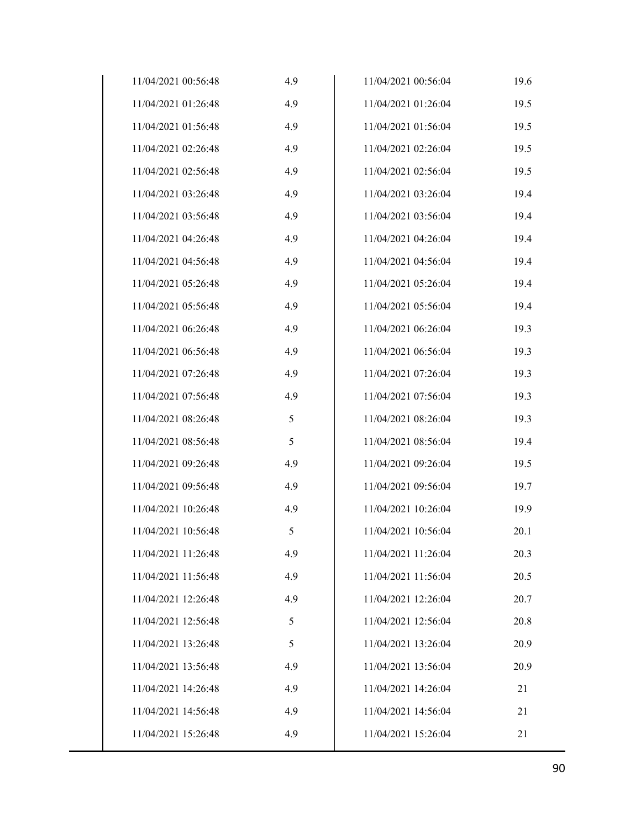| 11/04/2021 00:56:48 | 4.9 | 11/04/2021 00:56:04 | 19.6 |
|---------------------|-----|---------------------|------|
| 11/04/2021 01:26:48 | 4.9 | 11/04/2021 01:26:04 | 19.5 |
| 11/04/2021 01:56:48 | 4.9 | 11/04/2021 01:56:04 | 19.5 |
| 11/04/2021 02:26:48 | 4.9 | 11/04/2021 02:26:04 | 19.5 |
| 11/04/2021 02:56:48 | 4.9 | 11/04/2021 02:56:04 | 19.5 |
| 11/04/2021 03:26:48 | 4.9 | 11/04/2021 03:26:04 | 19.4 |
| 11/04/2021 03:56:48 | 4.9 | 11/04/2021 03:56:04 | 19.4 |
| 11/04/2021 04:26:48 | 4.9 | 11/04/2021 04:26:04 | 19.4 |
| 11/04/2021 04:56:48 | 4.9 | 11/04/2021 04:56:04 | 19.4 |
| 11/04/2021 05:26:48 | 4.9 | 11/04/2021 05:26:04 | 19.4 |
| 11/04/2021 05:56:48 | 4.9 | 11/04/2021 05:56:04 | 19.4 |
| 11/04/2021 06:26:48 | 4.9 | 11/04/2021 06:26:04 | 19.3 |
| 11/04/2021 06:56:48 | 4.9 | 11/04/2021 06:56:04 | 19.3 |
| 11/04/2021 07:26:48 | 4.9 | 11/04/2021 07:26:04 | 19.3 |
| 11/04/2021 07:56:48 | 4.9 | 11/04/2021 07:56:04 | 19.3 |
| 11/04/2021 08:26:48 | 5   | 11/04/2021 08:26:04 | 19.3 |
| 11/04/2021 08:56:48 | 5   | 11/04/2021 08:56:04 | 19.4 |
| 11/04/2021 09:26:48 | 4.9 | 11/04/2021 09:26:04 | 19.5 |
| 11/04/2021 09:56:48 | 4.9 | 11/04/2021 09:56:04 | 19.7 |
| 11/04/2021 10:26:48 | 4.9 | 11/04/2021 10:26:04 | 19.9 |
| 11/04/2021 10:56:48 | 5   | 11/04/2021 10:56:04 | 20.1 |
| 11/04/2021 11:26:48 | 4.9 | 11/04/2021 11:26:04 | 20.3 |
| 11/04/2021 11:56:48 | 4.9 | 11/04/2021 11:56:04 | 20.5 |
| 11/04/2021 12:26:48 | 4.9 | 11/04/2021 12:26:04 | 20.7 |
| 11/04/2021 12:56:48 | 5   | 11/04/2021 12:56:04 | 20.8 |
| 11/04/2021 13:26:48 | 5   | 11/04/2021 13:26:04 | 20.9 |
| 11/04/2021 13:56:48 | 4.9 | 11/04/2021 13:56:04 | 20.9 |
| 11/04/2021 14:26:48 | 4.9 | 11/04/2021 14:26:04 | 21   |
| 11/04/2021 14:56:48 | 4.9 | 11/04/2021 14:56:04 | 21   |
| 11/04/2021 15:26:48 | 4.9 | 11/04/2021 15:26:04 | 21   |
|                     |     |                     |      |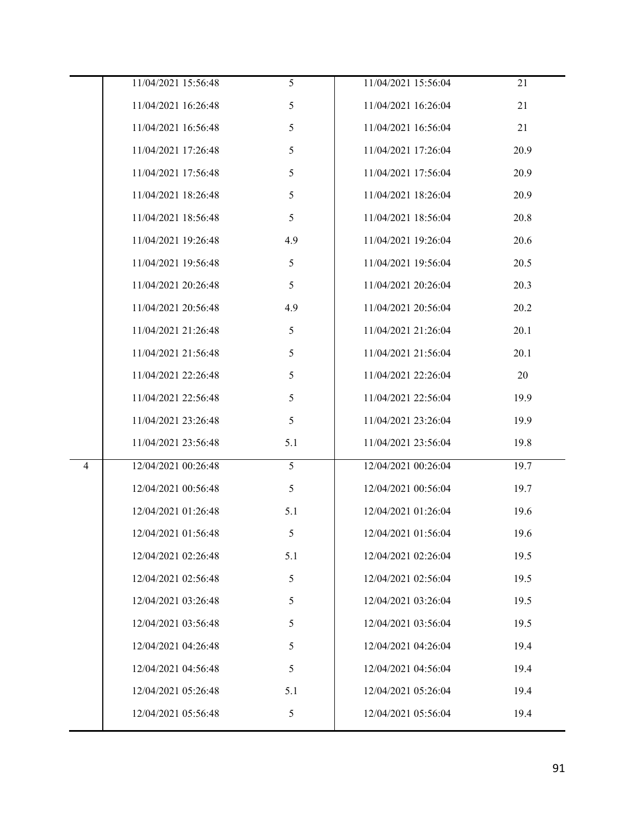| 11/04/2021 15:56:48                   | 5   | 11/04/2021 15:56:04 | 21   |
|---------------------------------------|-----|---------------------|------|
| 11/04/2021 16:26:48                   | 5   | 11/04/2021 16:26:04 | 21   |
| 11/04/2021 16:56:48                   | 5   | 11/04/2021 16:56:04 | 21   |
| 11/04/2021 17:26:48                   | 5   | 11/04/2021 17:26:04 | 20.9 |
| 11/04/2021 17:56:48                   | 5   | 11/04/2021 17:56:04 | 20.9 |
| 11/04/2021 18:26:48                   | 5   | 11/04/2021 18:26:04 | 20.9 |
| 11/04/2021 18:56:48                   | 5   | 11/04/2021 18:56:04 | 20.8 |
| 11/04/2021 19:26:48                   | 4.9 | 11/04/2021 19:26:04 | 20.6 |
| 11/04/2021 19:56:48                   | 5   | 11/04/2021 19:56:04 | 20.5 |
| 11/04/2021 20:26:48                   | 5   | 11/04/2021 20:26:04 | 20.3 |
| 11/04/2021 20:56:48                   | 4.9 | 11/04/2021 20:56:04 | 20.2 |
| 11/04/2021 21:26:48                   | 5   | 11/04/2021 21:26:04 | 20.1 |
| 11/04/2021 21:56:48                   | 5   | 11/04/2021 21:56:04 | 20.1 |
| 11/04/2021 22:26:48                   | 5   | 11/04/2021 22:26:04 | 20   |
| 11/04/2021 22:56:48                   | 5   | 11/04/2021 22:56:04 | 19.9 |
| 11/04/2021 23:26:48                   | 5   | 11/04/2021 23:26:04 | 19.9 |
| 11/04/2021 23:56:48                   | 5.1 | 11/04/2021 23:56:04 | 19.8 |
| 12/04/2021 00:26:48<br>$\overline{4}$ | 5   | 12/04/2021 00:26:04 | 19.7 |
| 12/04/2021 00:56:48                   | 5   | 12/04/2021 00:56:04 | 19.7 |
| 12/04/2021 01:26:48                   | 5.1 | 12/04/2021 01:26:04 | 19.6 |
| 12/04/2021 01:56:48                   | 5   | 12/04/2021 01:56:04 | 19.6 |
| 12/04/2021 02:26:48                   | 5.1 | 12/04/2021 02:26:04 | 19.5 |
| 12/04/2021 02:56:48                   | 5   | 12/04/2021 02:56:04 | 19.5 |
| 12/04/2021 03:26:48                   | 5   | 12/04/2021 03:26:04 | 19.5 |
| 12/04/2021 03:56:48                   | 5   | 12/04/2021 03:56:04 | 19.5 |
| 12/04/2021 04:26:48                   | 5   | 12/04/2021 04:26:04 | 19.4 |
| 12/04/2021 04:56:48                   | 5   | 12/04/2021 04:56:04 | 19.4 |
| 12/04/2021 05:26:48                   | 5.1 | 12/04/2021 05:26:04 | 19.4 |
| 12/04/2021 05:56:48                   | 5   | 12/04/2021 05:56:04 | 19.4 |
|                                       |     |                     |      |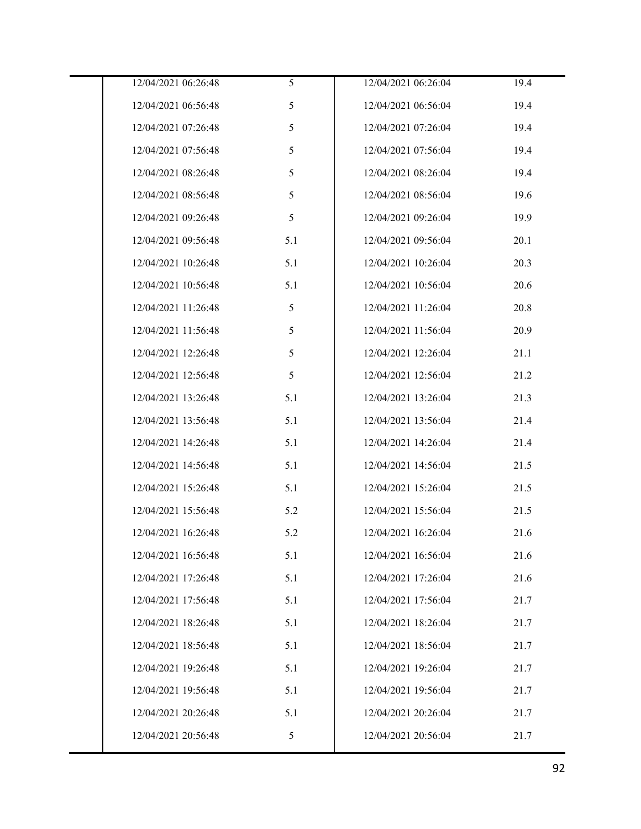| 12/04/2021 06:26:48 | 5   | 12/04/2021 06:26:04 | 19.4 |
|---------------------|-----|---------------------|------|
| 12/04/2021 06:56:48 | 5   | 12/04/2021 06:56:04 | 19.4 |
| 12/04/2021 07:26:48 | 5   | 12/04/2021 07:26:04 | 19.4 |
| 12/04/2021 07:56:48 | 5   | 12/04/2021 07:56:04 | 19.4 |
| 12/04/2021 08:26:48 | 5   | 12/04/2021 08:26:04 | 19.4 |
| 12/04/2021 08:56:48 | 5   | 12/04/2021 08:56:04 | 19.6 |
| 12/04/2021 09:26:48 | 5   | 12/04/2021 09:26:04 | 19.9 |
| 12/04/2021 09:56:48 | 5.1 | 12/04/2021 09:56:04 | 20.1 |
| 12/04/2021 10:26:48 | 5.1 | 12/04/2021 10:26:04 | 20.3 |
| 12/04/2021 10:56:48 | 5.1 | 12/04/2021 10:56:04 | 20.6 |
| 12/04/2021 11:26:48 | 5   | 12/04/2021 11:26:04 | 20.8 |
| 12/04/2021 11:56:48 | 5   | 12/04/2021 11:56:04 | 20.9 |
| 12/04/2021 12:26:48 | 5   | 12/04/2021 12:26:04 | 21.1 |
| 12/04/2021 12:56:48 | 5   | 12/04/2021 12:56:04 | 21.2 |
| 12/04/2021 13:26:48 | 5.1 | 12/04/2021 13:26:04 | 21.3 |
| 12/04/2021 13:56:48 | 5.1 | 12/04/2021 13:56:04 | 21.4 |
| 12/04/2021 14:26:48 | 5.1 | 12/04/2021 14:26:04 | 21.4 |
| 12/04/2021 14:56:48 | 5.1 | 12/04/2021 14:56:04 | 21.5 |
| 12/04/2021 15:26:48 | 5.1 | 12/04/2021 15:26:04 | 21.5 |
| 12/04/2021 15:56:48 | 5.2 | 12/04/2021 15:56:04 | 21.5 |
| 12/04/2021 16:26:48 | 5.2 | 12/04/2021 16:26:04 | 21.6 |
| 12/04/2021 16:56:48 | 5.1 | 12/04/2021 16:56:04 | 21.6 |
| 12/04/2021 17:26:48 | 5.1 | 12/04/2021 17:26:04 | 21.6 |
| 12/04/2021 17:56:48 | 5.1 | 12/04/2021 17:56:04 | 21.7 |
| 12/04/2021 18:26:48 | 5.1 | 12/04/2021 18:26:04 | 21.7 |
| 12/04/2021 18:56:48 | 5.1 | 12/04/2021 18:56:04 | 21.7 |
| 12/04/2021 19:26:48 | 5.1 | 12/04/2021 19:26:04 | 21.7 |
| 12/04/2021 19:56:48 | 5.1 | 12/04/2021 19:56:04 | 21.7 |
| 12/04/2021 20:26:48 | 5.1 | 12/04/2021 20:26:04 | 21.7 |
| 12/04/2021 20:56:48 | 5   | 12/04/2021 20:56:04 | 21.7 |
|                     |     |                     |      |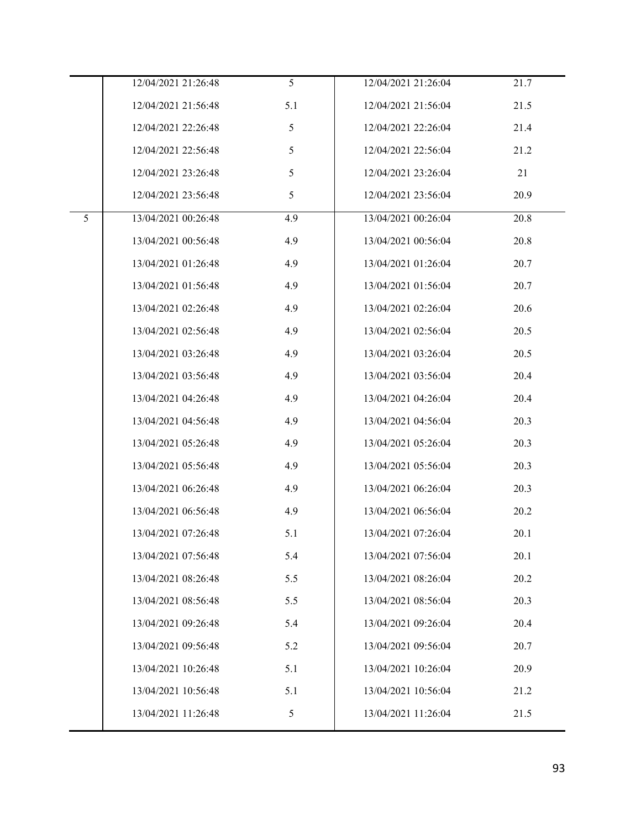|   | 12/04/2021 21:26:48 | 5   | 12/04/2021 21:26:04 | 21.7 |
|---|---------------------|-----|---------------------|------|
|   | 12/04/2021 21:56:48 | 5.1 | 12/04/2021 21:56:04 | 21.5 |
|   | 12/04/2021 22:26:48 | 5   | 12/04/2021 22:26:04 | 21.4 |
|   | 12/04/2021 22:56:48 | 5   | 12/04/2021 22:56:04 | 21.2 |
|   | 12/04/2021 23:26:48 | 5   | 12/04/2021 23:26:04 | 21   |
|   | 12/04/2021 23:56:48 | 5   | 12/04/2021 23:56:04 | 20.9 |
| 5 | 13/04/2021 00:26:48 | 4.9 | 13/04/2021 00:26:04 | 20.8 |
|   | 13/04/2021 00:56:48 | 4.9 | 13/04/2021 00:56:04 | 20.8 |
|   | 13/04/2021 01:26:48 | 4.9 | 13/04/2021 01:26:04 | 20.7 |
|   | 13/04/2021 01:56:48 | 4.9 | 13/04/2021 01:56:04 | 20.7 |
|   | 13/04/2021 02:26:48 | 4.9 | 13/04/2021 02:26:04 | 20.6 |
|   | 13/04/2021 02:56:48 | 4.9 | 13/04/2021 02:56:04 | 20.5 |
|   | 13/04/2021 03:26:48 | 4.9 | 13/04/2021 03:26:04 | 20.5 |
|   | 13/04/2021 03:56:48 | 4.9 | 13/04/2021 03:56:04 | 20.4 |
|   | 13/04/2021 04:26:48 | 4.9 | 13/04/2021 04:26:04 | 20.4 |
|   | 13/04/2021 04:56:48 | 4.9 | 13/04/2021 04:56:04 | 20.3 |
|   | 13/04/2021 05:26:48 | 4.9 | 13/04/2021 05:26:04 | 20.3 |
|   | 13/04/2021 05:56:48 | 4.9 | 13/04/2021 05:56:04 | 20.3 |
|   | 13/04/2021 06:26:48 | 4.9 | 13/04/2021 06:26:04 | 20.3 |
|   | 13/04/2021 06:56:48 | 4.9 | 13/04/2021 06:56:04 | 20.2 |
|   | 13/04/2021 07:26:48 | 5.1 | 13/04/2021 07:26:04 | 20.1 |
|   | 13/04/2021 07:56:48 | 5.4 | 13/04/2021 07:56:04 | 20.1 |
|   | 13/04/2021 08:26:48 | 5.5 | 13/04/2021 08:26:04 | 20.2 |
|   | 13/04/2021 08:56:48 | 5.5 | 13/04/2021 08:56:04 | 20.3 |
|   | 13/04/2021 09:26:48 | 5.4 | 13/04/2021 09:26:04 | 20.4 |
|   | 13/04/2021 09:56:48 | 5.2 | 13/04/2021 09:56:04 | 20.7 |
|   | 13/04/2021 10:26:48 | 5.1 | 13/04/2021 10:26:04 | 20.9 |
|   | 13/04/2021 10:56:48 | 5.1 | 13/04/2021 10:56:04 | 21.2 |
|   | 13/04/2021 11:26:48 | 5   | 13/04/2021 11:26:04 | 21.5 |
|   |                     |     |                     |      |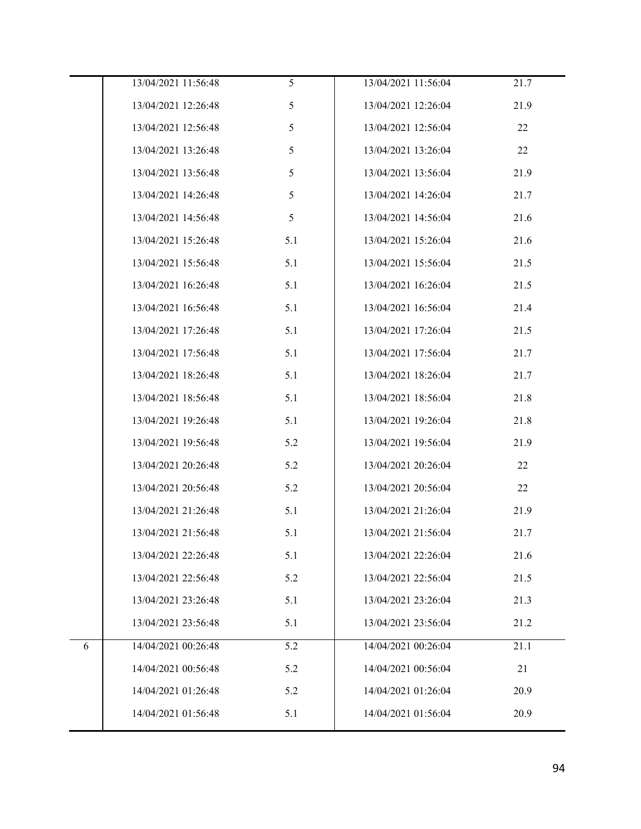|   | 13/04/2021 11:56:48 | 5   | 13/04/2021 11:56:04 | 21.7 |
|---|---------------------|-----|---------------------|------|
|   | 13/04/2021 12:26:48 | 5   | 13/04/2021 12:26:04 | 21.9 |
|   | 13/04/2021 12:56:48 | 5   | 13/04/2021 12:56:04 | 22   |
|   | 13/04/2021 13:26:48 | 5   | 13/04/2021 13:26:04 | 22   |
|   | 13/04/2021 13:56:48 | 5   | 13/04/2021 13:56:04 | 21.9 |
|   | 13/04/2021 14:26:48 | 5   | 13/04/2021 14:26:04 | 21.7 |
|   | 13/04/2021 14:56:48 | 5   | 13/04/2021 14:56:04 | 21.6 |
|   | 13/04/2021 15:26:48 | 5.1 | 13/04/2021 15:26:04 | 21.6 |
|   | 13/04/2021 15:56:48 | 5.1 | 13/04/2021 15:56:04 | 21.5 |
|   | 13/04/2021 16:26:48 | 5.1 | 13/04/2021 16:26:04 | 21.5 |
|   | 13/04/2021 16:56:48 | 5.1 | 13/04/2021 16:56:04 | 21.4 |
|   | 13/04/2021 17:26:48 | 5.1 | 13/04/2021 17:26:04 | 21.5 |
|   | 13/04/2021 17:56:48 | 5.1 | 13/04/2021 17:56:04 | 21.7 |
|   | 13/04/2021 18:26:48 | 5.1 | 13/04/2021 18:26:04 | 21.7 |
|   | 13/04/2021 18:56:48 | 5.1 | 13/04/2021 18:56:04 | 21.8 |
|   | 13/04/2021 19:26:48 | 5.1 | 13/04/2021 19:26:04 | 21.8 |
|   | 13/04/2021 19:56:48 | 5.2 | 13/04/2021 19:56:04 | 21.9 |
|   | 13/04/2021 20:26:48 | 5.2 | 13/04/2021 20:26:04 | 22   |
|   | 13/04/2021 20:56:48 | 5.2 | 13/04/2021 20:56:04 | 22   |
|   | 13/04/2021 21:26:48 | 5.1 | 13/04/2021 21:26:04 | 21.9 |
|   | 13/04/2021 21:56:48 | 5.1 | 13/04/2021 21:56:04 | 21.7 |
|   | 13/04/2021 22:26:48 | 5.1 | 13/04/2021 22:26:04 | 21.6 |
|   | 13/04/2021 22:56:48 | 5.2 | 13/04/2021 22:56:04 | 21.5 |
|   | 13/04/2021 23:26:48 | 5.1 | 13/04/2021 23:26:04 | 21.3 |
|   | 13/04/2021 23:56:48 | 5.1 | 13/04/2021 23:56:04 | 21.2 |
| 6 | 14/04/2021 00:26:48 | 5.2 | 14/04/2021 00:26:04 | 21.1 |
|   | 14/04/2021 00:56:48 | 5.2 | 14/04/2021 00:56:04 | 21   |
|   | 14/04/2021 01:26:48 | 5.2 | 14/04/2021 01:26:04 | 20.9 |
|   | 14/04/2021 01:56:48 | 5.1 | 14/04/2021 01:56:04 | 20.9 |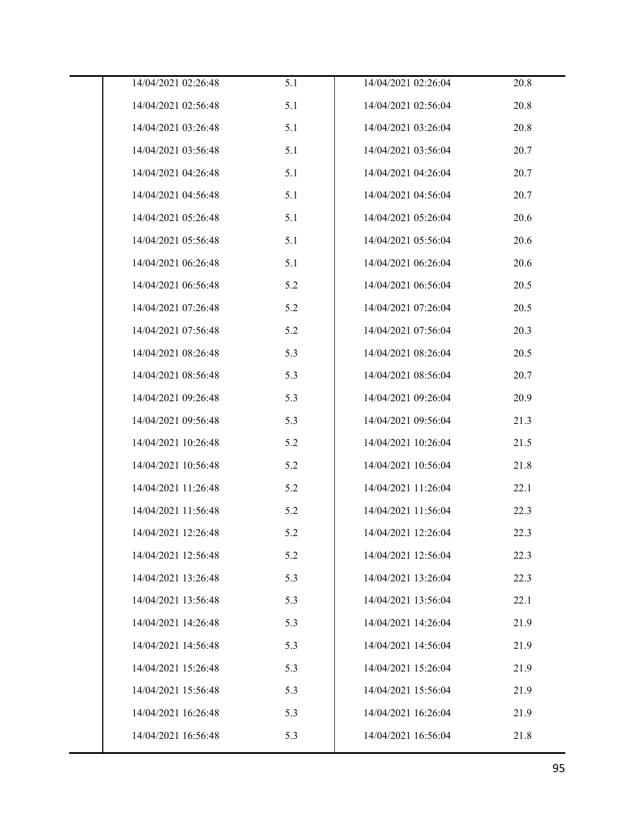| 14/04/2021 02:26:48 | 5.1 | 14/04/2021 02:26:04 | 20.8 |
|---------------------|-----|---------------------|------|
| 14/04/2021 02:56:48 | 5.1 | 14/04/2021 02:56:04 | 20.8 |
| 14/04/2021 03:26:48 | 5.1 | 14/04/2021 03:26:04 | 20.8 |
| 14/04/2021 03:56:48 | 5.1 | 14/04/2021 03:56:04 | 20.7 |
| 14/04/2021 04:26:48 | 5.1 | 14/04/2021 04:26:04 | 20.7 |
| 14/04/2021 04:56:48 | 5.1 | 14/04/2021 04:56:04 | 20.7 |
| 14/04/2021 05:26:48 | 5.1 | 14/04/2021 05:26:04 | 20.6 |
| 14/04/2021 05:56:48 | 5.1 | 14/04/2021 05:56:04 | 20.6 |
| 14/04/2021 06:26:48 | 5.1 | 14/04/2021 06:26:04 | 20.6 |
| 14/04/2021 06:56:48 | 5.2 | 14/04/2021 06:56:04 | 20.5 |
| 14/04/2021 07:26:48 | 5.2 | 14/04/2021 07:26:04 | 20.5 |
| 14/04/2021 07:56:48 | 5.2 | 14/04/2021 07:56:04 | 20.3 |
| 14/04/2021 08:26:48 | 5.3 | 14/04/2021 08:26:04 | 20.5 |
| 14/04/2021 08:56:48 | 5.3 | 14/04/2021 08:56:04 | 20.7 |
| 14/04/2021 09:26:48 | 5.3 | 14/04/2021 09:26:04 | 20.9 |
| 14/04/2021 09:56:48 | 5.3 | 14/04/2021 09:56:04 | 21.3 |
| 14/04/2021 10:26:48 | 5.2 | 14/04/2021 10:26:04 | 21.5 |
| 14/04/2021 10:56:48 | 5.2 | 14/04/2021 10:56:04 | 21.8 |
| 14/04/2021 11:26:48 | 5.2 | 14/04/2021 11:26:04 | 22.1 |
| 14/04/2021 11:56:48 | 5.2 | 14/04/2021 11:56:04 | 22.3 |
| 14/04/2021 12:26:48 | 5.2 | 14/04/2021 12:26:04 | 22.3 |
| 14/04/2021 12:56:48 | 5.2 | 14/04/2021 12:56:04 | 22.3 |
| 14/04/2021 13:26:48 | 5.3 | 14/04/2021 13:26:04 | 22.3 |
| 14/04/2021 13:56:48 | 5.3 | 14/04/2021 13:56:04 | 22.1 |
| 14/04/2021 14:26:48 | 5.3 | 14/04/2021 14:26:04 | 21.9 |
| 14/04/2021 14:56:48 | 5.3 | 14/04/2021 14:56:04 | 21.9 |
| 14/04/2021 15:26:48 | 5.3 | 14/04/2021 15:26:04 | 21.9 |
| 14/04/2021 15:56:48 | 5.3 | 14/04/2021 15:56:04 | 21.9 |
| 14/04/2021 16:26:48 | 5.3 | 14/04/2021 16:26:04 | 21.9 |
| 14/04/2021 16:56:48 | 5.3 | 14/04/2021 16:56:04 | 21.8 |
|                     |     |                     |      |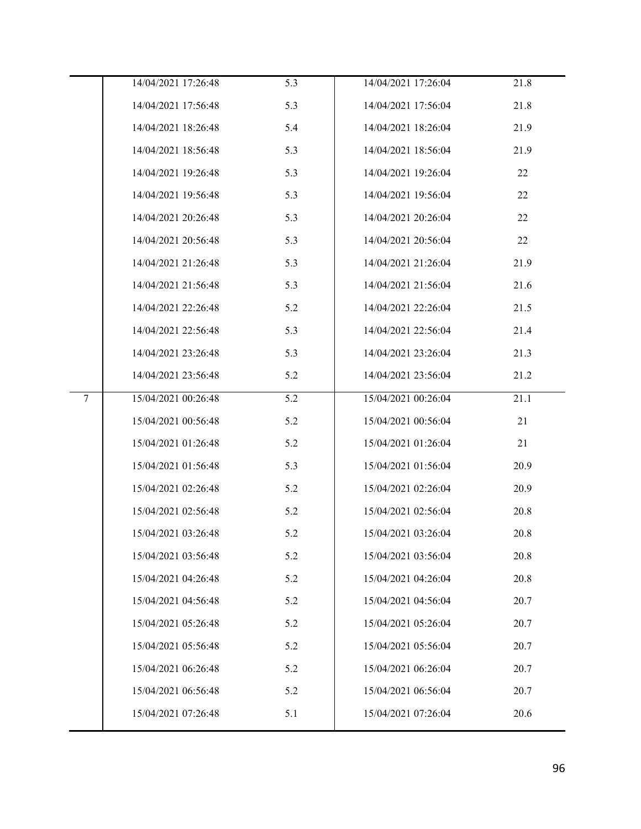|                 | 14/04/2021 17:26:48 | 5.3 | 14/04/2021 17:26:04 | 21.8 |
|-----------------|---------------------|-----|---------------------|------|
|                 | 14/04/2021 17:56:48 | 5.3 | 14/04/2021 17:56:04 | 21.8 |
|                 | 14/04/2021 18:26:48 | 5.4 | 14/04/2021 18:26:04 | 21.9 |
|                 | 14/04/2021 18:56:48 | 5.3 | 14/04/2021 18:56:04 | 21.9 |
|                 | 14/04/2021 19:26:48 | 5.3 | 14/04/2021 19:26:04 | 22   |
|                 | 14/04/2021 19:56:48 | 5.3 | 14/04/2021 19:56:04 | 22   |
|                 | 14/04/2021 20:26:48 | 5.3 | 14/04/2021 20:26:04 | 22   |
|                 | 14/04/2021 20:56:48 | 5.3 | 14/04/2021 20:56:04 | 22   |
|                 | 14/04/2021 21:26:48 | 5.3 | 14/04/2021 21:26:04 | 21.9 |
|                 | 14/04/2021 21:56:48 | 5.3 | 14/04/2021 21:56:04 | 21.6 |
|                 | 14/04/2021 22:26:48 | 5.2 | 14/04/2021 22:26:04 | 21.5 |
|                 | 14/04/2021 22:56:48 | 5.3 | 14/04/2021 22:56:04 | 21.4 |
|                 | 14/04/2021 23:26:48 | 5.3 | 14/04/2021 23:26:04 | 21.3 |
|                 | 14/04/2021 23:56:48 | 5.2 | 14/04/2021 23:56:04 | 21.2 |
| $7\overline{ }$ | 15/04/2021 00:26:48 | 5.2 | 15/04/2021 00:26:04 | 21.1 |
|                 | 15/04/2021 00:56:48 | 5.2 | 15/04/2021 00:56:04 | 21   |
|                 | 15/04/2021 01:26:48 | 5.2 | 15/04/2021 01:26:04 | 21   |
|                 | 15/04/2021 01:56:48 | 5.3 | 15/04/2021 01:56:04 | 20.9 |
|                 | 15/04/2021 02:26:48 | 5.2 | 15/04/2021 02:26:04 | 20.9 |
|                 | 15/04/2021 02:56:48 | 5.2 | 15/04/2021 02:56:04 | 20.8 |
|                 | 15/04/2021 03:26:48 | 5.2 | 15/04/2021 03:26:04 | 20.8 |
|                 | 15/04/2021 03:56:48 | 5.2 | 15/04/2021 03:56:04 | 20.8 |
|                 | 15/04/2021 04:26:48 | 5.2 | 15/04/2021 04:26:04 | 20.8 |
|                 | 15/04/2021 04:56:48 | 5.2 | 15/04/2021 04:56:04 | 20.7 |
|                 | 15/04/2021 05:26:48 | 5.2 | 15/04/2021 05:26:04 | 20.7 |
|                 | 15/04/2021 05:56:48 | 5.2 | 15/04/2021 05:56:04 | 20.7 |
|                 | 15/04/2021 06:26:48 | 5.2 | 15/04/2021 06:26:04 | 20.7 |
|                 | 15/04/2021 06:56:48 | 5.2 | 15/04/2021 06:56:04 | 20.7 |
|                 | 15/04/2021 07:26:48 | 5.1 | 15/04/2021 07:26:04 | 20.6 |
|                 |                     |     |                     |      |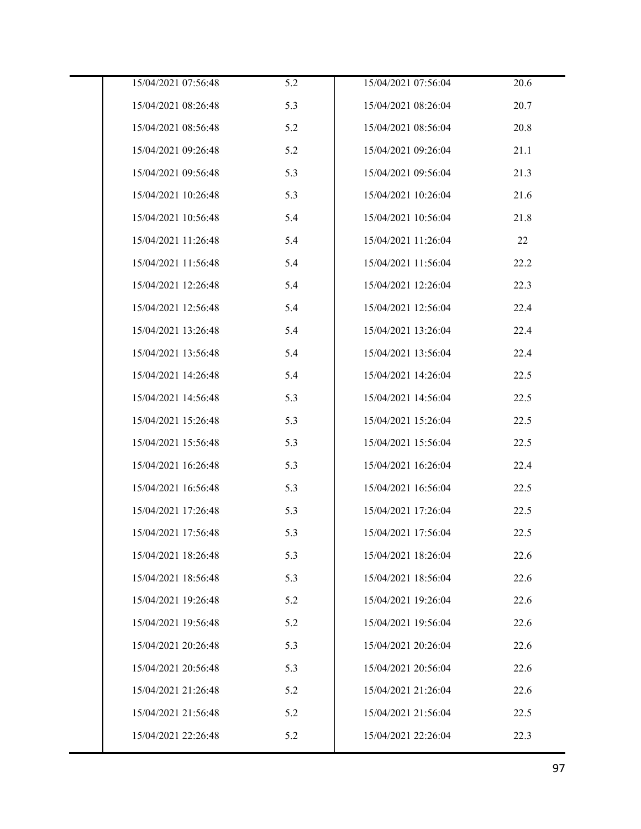| 15/04/2021 07:56:48 | 5.2 | 15/04/2021 07:56:04 | 20.6 |
|---------------------|-----|---------------------|------|
| 15/04/2021 08:26:48 | 5.3 | 15/04/2021 08:26:04 | 20.7 |
| 15/04/2021 08:56:48 | 5.2 | 15/04/2021 08:56:04 | 20.8 |
| 15/04/2021 09:26:48 | 5.2 | 15/04/2021 09:26:04 | 21.1 |
| 15/04/2021 09:56:48 | 5.3 | 15/04/2021 09:56:04 | 21.3 |
| 15/04/2021 10:26:48 | 5.3 | 15/04/2021 10:26:04 | 21.6 |
| 15/04/2021 10:56:48 | 5.4 | 15/04/2021 10:56:04 | 21.8 |
| 15/04/2021 11:26:48 | 5.4 | 15/04/2021 11:26:04 | 22   |
| 15/04/2021 11:56:48 | 5.4 | 15/04/2021 11:56:04 | 22.2 |
| 15/04/2021 12:26:48 | 5.4 | 15/04/2021 12:26:04 | 22.3 |
| 15/04/2021 12:56:48 | 5.4 | 15/04/2021 12:56:04 | 22.4 |
| 15/04/2021 13:26:48 | 5.4 | 15/04/2021 13:26:04 | 22.4 |
| 15/04/2021 13:56:48 | 5.4 | 15/04/2021 13:56:04 | 22.4 |
| 15/04/2021 14:26:48 | 5.4 | 15/04/2021 14:26:04 | 22.5 |
| 15/04/2021 14:56:48 | 5.3 | 15/04/2021 14:56:04 | 22.5 |
| 15/04/2021 15:26:48 | 5.3 | 15/04/2021 15:26:04 | 22.5 |
| 15/04/2021 15:56:48 | 5.3 | 15/04/2021 15:56:04 | 22.5 |
| 15/04/2021 16:26:48 | 5.3 | 15/04/2021 16:26:04 | 22.4 |
| 15/04/2021 16:56:48 | 5.3 | 15/04/2021 16:56:04 | 22.5 |
| 15/04/2021 17:26:48 | 5.3 | 15/04/2021 17:26:04 | 22.5 |
| 15/04/2021 17:56:48 | 5.3 | 15/04/2021 17:56:04 | 22.5 |
| 15/04/2021 18:26:48 | 5.3 | 15/04/2021 18:26:04 | 22.6 |
| 15/04/2021 18:56:48 | 5.3 | 15/04/2021 18:56:04 | 22.6 |
| 15/04/2021 19:26:48 | 5.2 | 15/04/2021 19:26:04 | 22.6 |
| 15/04/2021 19:56:48 | 5.2 | 15/04/2021 19:56:04 | 22.6 |
| 15/04/2021 20:26:48 | 5.3 | 15/04/2021 20:26:04 | 22.6 |
| 15/04/2021 20:56:48 | 5.3 | 15/04/2021 20:56:04 | 22.6 |
| 15/04/2021 21:26:48 | 5.2 | 15/04/2021 21:26:04 | 22.6 |
| 15/04/2021 21:56:48 | 5.2 | 15/04/2021 21:56:04 | 22.5 |
| 15/04/2021 22:26:48 | 5.2 | 15/04/2021 22:26:04 | 22.3 |
|                     |     |                     |      |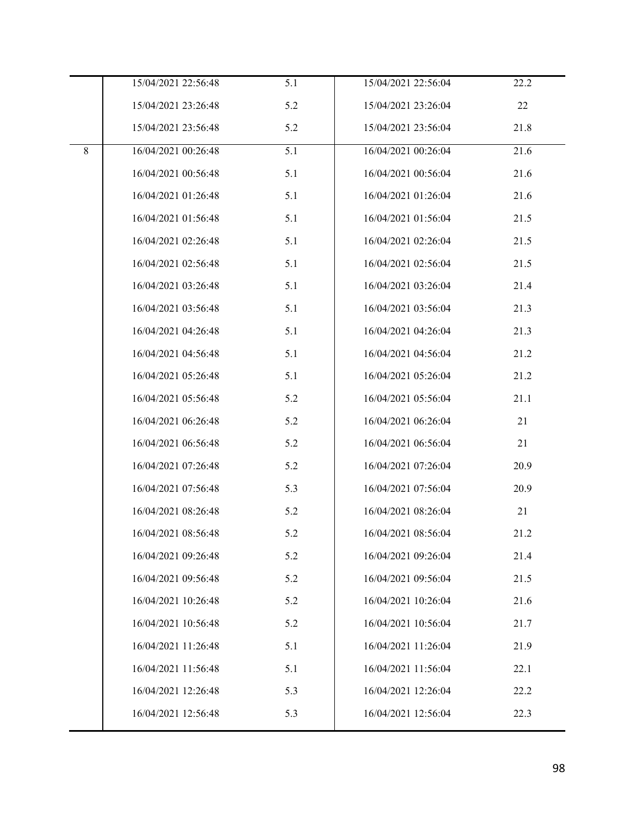|         | 15/04/2021 22:56:48 | 5.1 | 15/04/2021 22:56:04 | 22.2 |
|---------|---------------------|-----|---------------------|------|
|         | 15/04/2021 23:26:48 | 5.2 | 15/04/2021 23:26:04 | 22   |
|         | 15/04/2021 23:56:48 | 5.2 | 15/04/2021 23:56:04 | 21.8 |
| $\,8\,$ | 16/04/2021 00:26:48 | 5.1 | 16/04/2021 00:26:04 | 21.6 |
|         | 16/04/2021 00:56:48 | 5.1 | 16/04/2021 00:56:04 | 21.6 |
|         | 16/04/2021 01:26:48 | 5.1 | 16/04/2021 01:26:04 | 21.6 |
|         | 16/04/2021 01:56:48 | 5.1 | 16/04/2021 01:56:04 | 21.5 |
|         | 16/04/2021 02:26:48 | 5.1 | 16/04/2021 02:26:04 | 21.5 |
|         | 16/04/2021 02:56:48 | 5.1 | 16/04/2021 02:56:04 | 21.5 |
|         | 16/04/2021 03:26:48 | 5.1 | 16/04/2021 03:26:04 | 21.4 |
|         | 16/04/2021 03:56:48 | 5.1 | 16/04/2021 03:56:04 | 21.3 |
|         | 16/04/2021 04:26:48 | 5.1 | 16/04/2021 04:26:04 | 21.3 |
|         | 16/04/2021 04:56:48 | 5.1 | 16/04/2021 04:56:04 | 21.2 |
|         | 16/04/2021 05:26:48 | 5.1 | 16/04/2021 05:26:04 | 21.2 |
|         | 16/04/2021 05:56:48 | 5.2 | 16/04/2021 05:56:04 | 21.1 |
|         | 16/04/2021 06:26:48 | 5.2 | 16/04/2021 06:26:04 | 21   |
|         | 16/04/2021 06:56:48 | 5.2 | 16/04/2021 06:56:04 | 21   |
|         | 16/04/2021 07:26:48 | 5.2 | 16/04/2021 07:26:04 | 20.9 |
|         | 16/04/2021 07:56:48 | 5.3 | 16/04/2021 07:56:04 | 20.9 |
|         | 16/04/2021 08:26:48 | 5.2 | 16/04/2021 08:26:04 | 21   |
|         | 16/04/2021 08:56:48 | 5.2 | 16/04/2021 08:56:04 | 21.2 |
|         | 16/04/2021 09:26:48 | 5.2 | 16/04/2021 09:26:04 | 21.4 |
|         | 16/04/2021 09:56:48 | 5.2 | 16/04/2021 09:56:04 | 21.5 |
|         | 16/04/2021 10:26:48 | 5.2 | 16/04/2021 10:26:04 | 21.6 |
|         | 16/04/2021 10:56:48 | 5.2 | 16/04/2021 10:56:04 | 21.7 |
|         | 16/04/2021 11:26:48 | 5.1 | 16/04/2021 11:26:04 | 21.9 |
|         | 16/04/2021 11:56:48 | 5.1 | 16/04/2021 11:56:04 | 22.1 |
|         | 16/04/2021 12:26:48 | 5.3 | 16/04/2021 12:26:04 | 22.2 |
|         | 16/04/2021 12:56:48 | 5.3 | 16/04/2021 12:56:04 | 22.3 |
|         |                     |     |                     |      |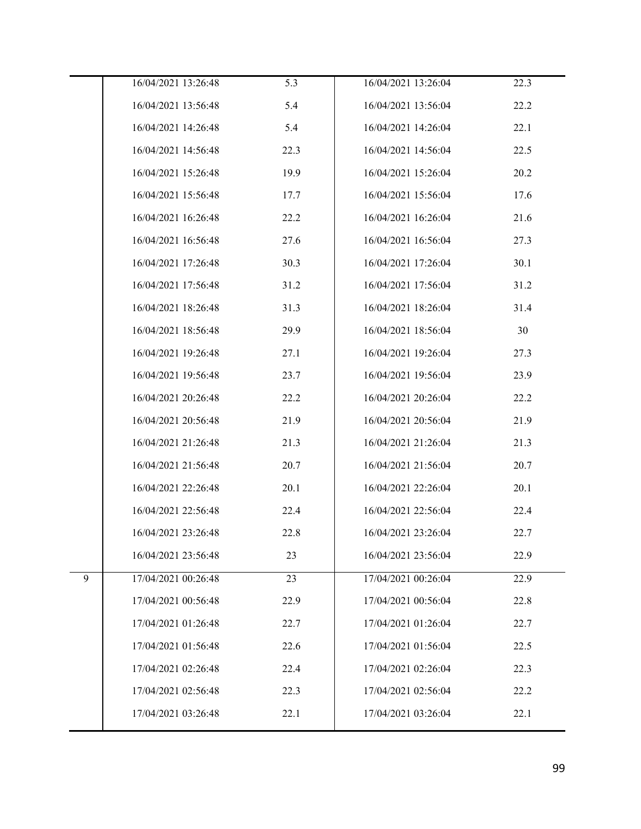|   | 16/04/2021 13:26:48 | 5.3  | 16/04/2021 13:26:04 | 22.3 |
|---|---------------------|------|---------------------|------|
|   | 16/04/2021 13:56:48 | 5.4  | 16/04/2021 13:56:04 | 22.2 |
|   | 16/04/2021 14:26:48 | 5.4  | 16/04/2021 14:26:04 | 22.1 |
|   | 16/04/2021 14:56:48 | 22.3 | 16/04/2021 14:56:04 | 22.5 |
|   | 16/04/2021 15:26:48 | 19.9 | 16/04/2021 15:26:04 | 20.2 |
|   | 16/04/2021 15:56:48 | 17.7 | 16/04/2021 15:56:04 | 17.6 |
|   | 16/04/2021 16:26:48 | 22.2 | 16/04/2021 16:26:04 | 21.6 |
|   | 16/04/2021 16:56:48 | 27.6 | 16/04/2021 16:56:04 | 27.3 |
|   | 16/04/2021 17:26:48 | 30.3 | 16/04/2021 17:26:04 | 30.1 |
|   | 16/04/2021 17:56:48 | 31.2 | 16/04/2021 17:56:04 | 31.2 |
|   | 16/04/2021 18:26:48 | 31.3 | 16/04/2021 18:26:04 | 31.4 |
|   | 16/04/2021 18:56:48 | 29.9 | 16/04/2021 18:56:04 | 30   |
|   | 16/04/2021 19:26:48 | 27.1 | 16/04/2021 19:26:04 | 27.3 |
|   | 16/04/2021 19:56:48 | 23.7 | 16/04/2021 19:56:04 | 23.9 |
|   | 16/04/2021 20:26:48 | 22.2 | 16/04/2021 20:26:04 | 22.2 |
|   | 16/04/2021 20:56:48 | 21.9 | 16/04/2021 20:56:04 | 21.9 |
|   | 16/04/2021 21:26:48 | 21.3 | 16/04/2021 21:26:04 | 21.3 |
|   | 16/04/2021 21:56:48 | 20.7 | 16/04/2021 21:56:04 | 20.7 |
|   | 16/04/2021 22:26:48 | 20.1 | 16/04/2021 22:26:04 | 20.1 |
|   | 16/04/2021 22:56:48 | 22.4 | 16/04/2021 22:56:04 | 22.4 |
|   | 16/04/2021 23:26:48 | 22.8 | 16/04/2021 23:26:04 | 22.7 |
|   | 16/04/2021 23:56:48 | 23   | 16/04/2021 23:56:04 | 22.9 |
| 9 | 17/04/2021 00:26:48 | 23   | 17/04/2021 00:26:04 | 22.9 |
|   | 17/04/2021 00:56:48 | 22.9 | 17/04/2021 00:56:04 | 22.8 |
|   | 17/04/2021 01:26:48 | 22.7 | 17/04/2021 01:26:04 | 22.7 |
|   | 17/04/2021 01:56:48 | 22.6 | 17/04/2021 01:56:04 | 22.5 |
|   | 17/04/2021 02:26:48 | 22.4 | 17/04/2021 02:26:04 | 22.3 |
|   | 17/04/2021 02:56:48 | 22.3 | 17/04/2021 02:56:04 | 22.2 |
|   | 17/04/2021 03:26:48 | 22.1 | 17/04/2021 03:26:04 | 22.1 |
|   |                     |      |                     |      |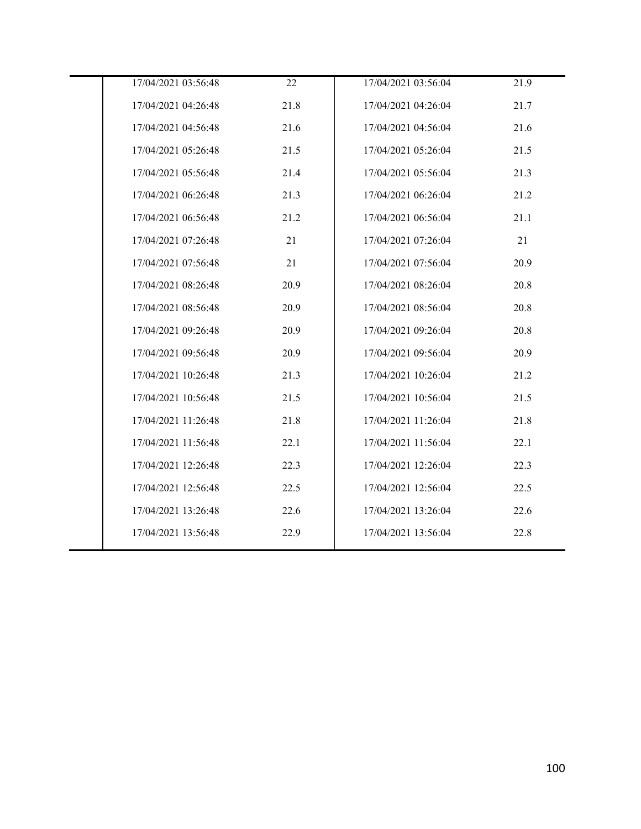| 17/04/2021 03:56:48 | 22   | 17/04/2021 03:56:04 | 21.9 |
|---------------------|------|---------------------|------|
| 17/04/2021 04:26:48 | 21.8 | 17/04/2021 04:26:04 | 21.7 |
| 17/04/2021 04:56:48 | 21.6 | 17/04/2021 04:56:04 | 21.6 |
| 17/04/2021 05:26:48 | 21.5 | 17/04/2021 05:26:04 | 21.5 |
| 17/04/2021 05:56:48 | 21.4 | 17/04/2021 05:56:04 | 21.3 |
| 17/04/2021 06:26:48 | 21.3 | 17/04/2021 06:26:04 | 21.2 |
| 17/04/2021 06:56:48 | 21.2 | 17/04/2021 06:56:04 | 21.1 |
| 17/04/2021 07:26:48 | 21   | 17/04/2021 07:26:04 | 21   |
| 17/04/2021 07:56:48 | 21   | 17/04/2021 07:56:04 | 20.9 |
| 17/04/2021 08:26:48 | 20.9 | 17/04/2021 08:26:04 | 20.8 |
| 17/04/2021 08:56:48 | 20.9 | 17/04/2021 08:56:04 | 20.8 |
| 17/04/2021 09:26:48 | 20.9 | 17/04/2021 09:26:04 | 20.8 |
| 17/04/2021 09:56:48 | 20.9 | 17/04/2021 09:56:04 | 20.9 |
| 17/04/2021 10:26:48 | 21.3 | 17/04/2021 10:26:04 | 21.2 |
| 17/04/2021 10:56:48 | 21.5 | 17/04/2021 10:56:04 | 21.5 |
| 17/04/2021 11:26:48 | 21.8 | 17/04/2021 11:26:04 | 21.8 |
| 17/04/2021 11:56:48 | 22.1 | 17/04/2021 11:56:04 | 22.1 |
| 17/04/2021 12:26:48 | 22.3 | 17/04/2021 12:26:04 | 22.3 |
| 17/04/2021 12:56:48 | 22.5 | 17/04/2021 12:56:04 | 22.5 |
| 17/04/2021 13:26:48 | 22.6 | 17/04/2021 13:26:04 | 22.6 |
| 17/04/2021 13:56:48 | 22.9 | 17/04/2021 13:56:04 | 22.8 |
|                     |      |                     |      |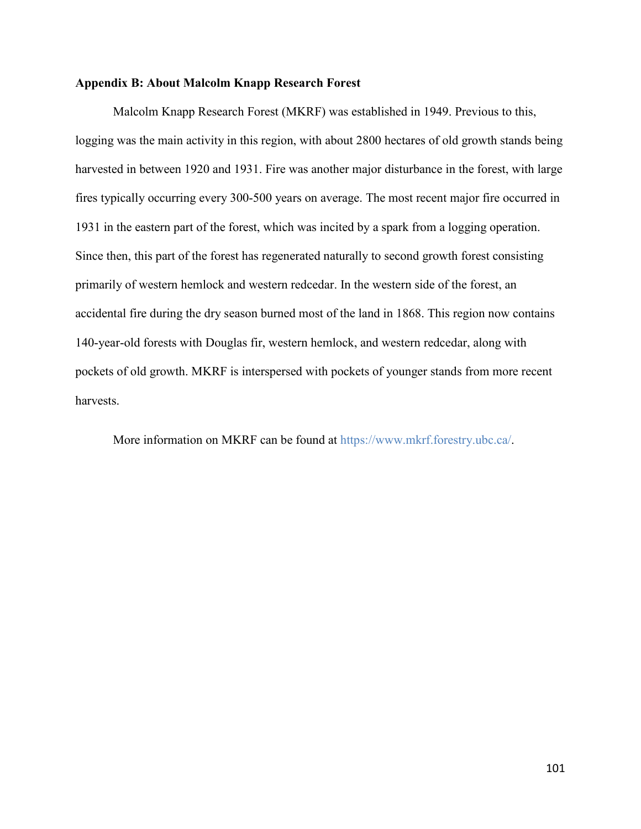## **Appendix B: About Malcolm Knapp Research Forest**

Malcolm Knapp Research Forest (MKRF) was established in 1949. Previous to this, logging was the main activity in this region, with about 2800 hectares of old growth stands being harvested in between 1920 and 1931. Fire was another major disturbance in the forest, with large fires typically occurring every 300-500 years on average. The most recent major fire occurred in 1931 in the eastern part of the forest, which was incited by a spark from a logging operation. Since then, this part of the forest has regenerated naturally to second growth forest consisting primarily of western hemlock and western redcedar. In the western side of the forest, an accidental fire during the dry season burned most of the land in 1868. This region now contains 140-year-old forests with Douglas fir, western hemlock, and western redcedar, along with pockets of old growth. MKRF is interspersed with pockets of younger stands from more recent harvests.

More information on MKRF can be found at https://www.mkrf.forestry.ubc.ca/.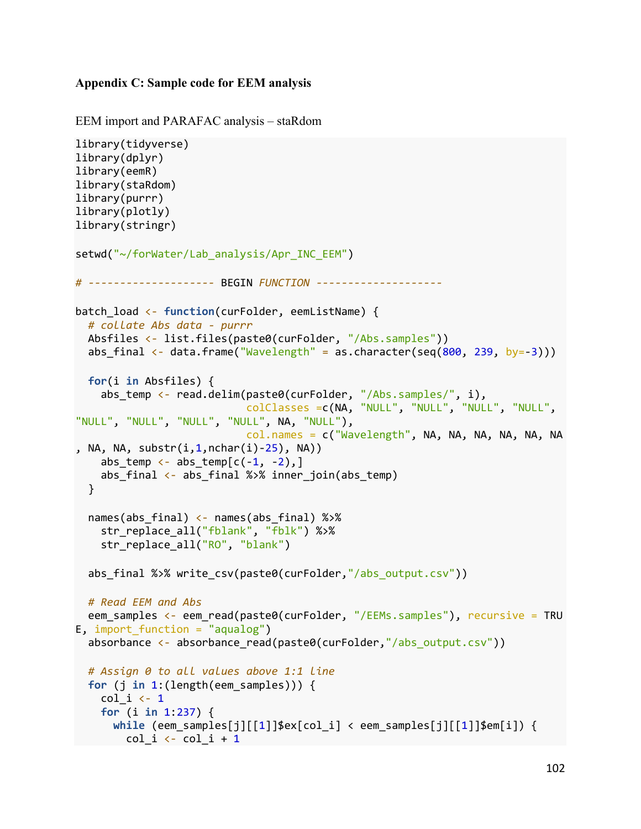## **Appendix C: Sample code for EEM analysis**

```
EEM import and PARAFAC analysis – staRdom
```

```
library(tidyverse)
library(dplyr)
library(eemR)
library(staRdom)
library(purrr)
library(plotly)
library(stringr)
setwd("~/forWater/Lab analysis/Apr INC EEM")
# -------------------- BEGIN FUNCTION --------------------
batch_load <- function(curFolder, eemListName) {
   # collate Abs data - purrr
  Absfiles <- list.files(paste0(curFolder, "/Abs.samples"))
  abs final \langle - data.frame("Wavelength" = as.character(seq(800, 239, by=-3)))
   for(i in Absfiles) {
    abs_temp <- read.delim(paste0(curFolder, "/Abs.samples/", i),
                              colClasses =c(NA, "NULL", "NULL", "NULL", "NULL", 
"NULL", "NULL", "NULL", "NULL", NA, "NULL"),
                              col.names = c("Wavelength", NA, NA, NA, NA, NA, NA
, NA, NA, substr(i,1,nchar(i)-25), NA))
    abs_temp \leftarrow abs_temp[c(-1, -2),]
    abs final \leftarrow abs final %>% inner join(abs temp)
   }
   names(abs_final) <- names(abs_final) %>%
    str replace all("fblank", "fblk") %>%
    str replace all("RO", "blank")
  abs_final %>% write_csv(paste0(curFolder,"/abs_output.csv"))
   # Read EEM and Abs
  eem_samples <- eem_read(paste0(curFolder, "/EEMs.samples"), recursive = TRU
E, import function = "aqualog")
  absorbance \left\langle -\right\rangle absorbance read(paste0(curFolder,"/abs_output.csv"))
   # Assign 0 to all values above 1:1 line
   for (j in 1:(length(eem_samples))) {
    col i \leftarrow 1
     for (i in 1:237) {
       while (eem_samples[j][[1]]$ex[col_i] < eem_samples[j][[1]]$em[i]) {
        col_i \leftarrow col_i + 1
```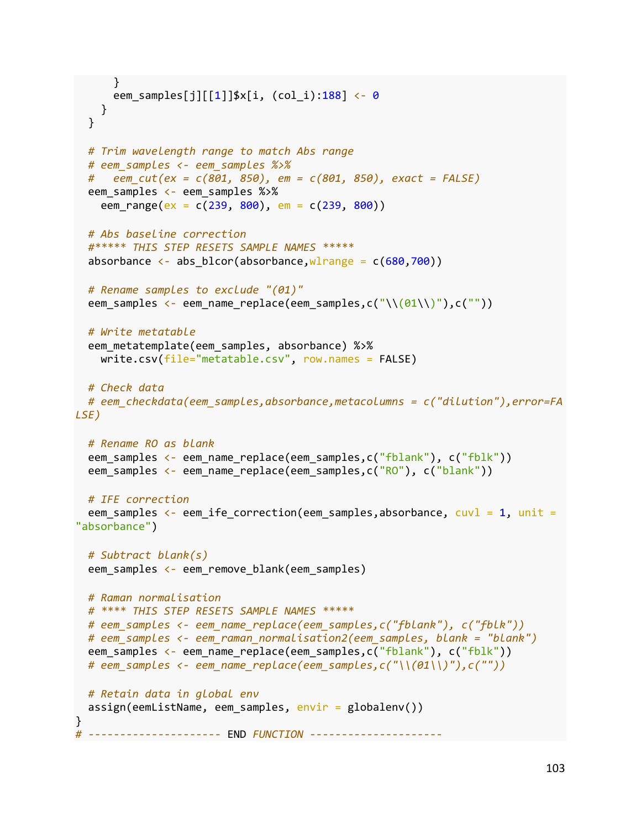```
 }
       eem_samples[j][[1]]$x[i, (col_i):188] <- 0
     }
   }
   # Trim wavelength range to match Abs range
   # eem_samples <- eem_samples %>% 
   # eem_cut(ex = c(801, 850), em = c(801, 850), exact = FALSE)
   eem_samples <- eem_samples %>%
    eem range(ex = c(239, 800), em = c(239, 800))
   # Abs baseline correction 
   #***** THIS STEP RESETS SAMPLE NAMES *****
  absorbance \leftarrow abs blcor(absorbance, wlrange = c(680,700))
   # Rename samples to exclude "(01)"
  eem samples <- eem name replace(eem samples,c("\\(01\\)"),c(""))
   # Write metatable
   eem_metatemplate(eem_samples, absorbance) %>%
     write.csv(file="metatable.csv", row.names = FALSE)
   # Check data
   # eem_checkdata(eem_samples,absorbance,metacolumns = c("dilution"),error=FA
LSE)
   # Rename RO as blank
  eem_samples <- eem_name_replace(eem_samples,c("fblank"), c("fblk"))
  eem samples <- eem name replace(eem samples,c("RO"), c("blank"))
   # IFE correction
  eem_samples <- eem_ife_correction(eem_samples,absorbance, cuvl = 1, unit =
"absorbance")
   # Subtract blank(s)
  eem samples <- eem remove blank(eem samples)
   # Raman normalisation
   # **** THIS STEP RESETS SAMPLE NAMES *****
   # eem_samples <- eem_name_replace(eem_samples,c("fblank"), c("fblk"))
   # eem_samples <- eem_raman_normalisation2(eem_samples, blank = "blank")
  eem_samples <- eem_name_replace(eem_samples,c("fblank"), c("fblk"))
   # eem_samples <- eem_name_replace(eem_samples,c("\\(01\\)"),c(""))
   # Retain data in global env
   assign(eemListName, eem_samples, envir = globalenv())
}
# --------------------- END FUNCTION ---------------------
```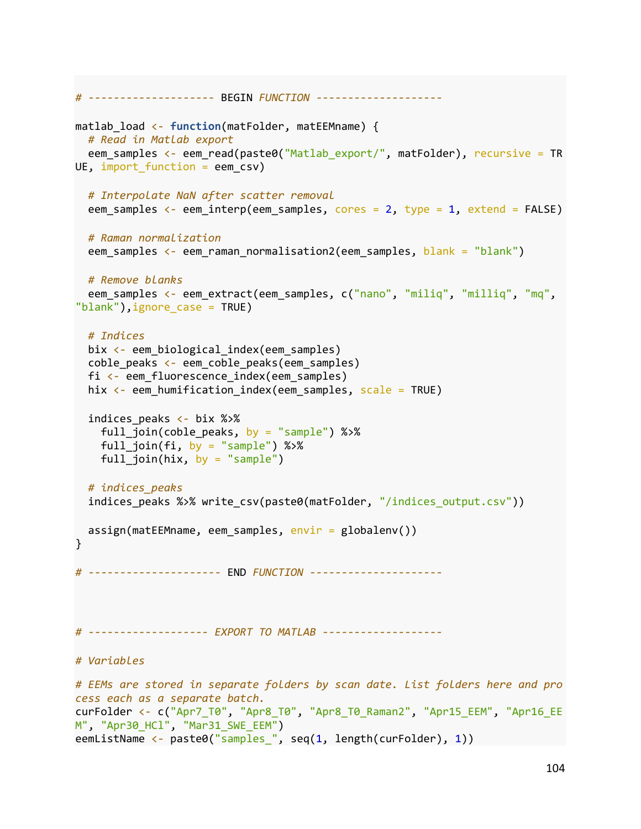```
# -------------------- BEGIN FUNCTION --------------------
matlab_load <- function(matFolder, matEEMname) {
   # Read in Matlab export
  eem_samples <- eem_read(paste0("Matlab_export/", matFolder), recursive = TR
UE, import_function = eem_csv)
   # Interpolate NaN after scatter removal
  eem samples \leftarrow eem_interp(eem_samples, cores = 2, type = 1, extend = FALSE)
   # Raman normalization
  eem_samples <- eem_raman_normalisation2(eem_samples, blank = "blank")
   # Remove blanks
  eem_samples <- eem_extract(eem_samples, c("nano", "miliq", "milliq", "mq",
"blank"),ignore_case = TRUE)
   # Indices
   bix <- eem_biological_index(eem_samples)
   coble_peaks <- eem_coble_peaks(eem_samples)
   fi <- eem_fluorescence_index(eem_samples)
  hix \leftarrow eem humification index(eem samples, scale = TRUE)
  indices peaks \leftarrow bix %>%
    full join(coble peaks, by = "sample") %>%
    full join(fi, by = "sample") %>%
    full\_join(hix, by = "sample") # indices_peaks
  indices peaks %>% write csv(paste0(matFolder, "/indices output.csv"))
  assign(matEEMname, eem_samples, envir = globalenv())
}
# --------------------- END FUNCTION ---------------------
# ------------------- EXPORT TO MATLAB -------------------
# Variables
# EEMs are stored in separate folders by scan date. List folders here and pro
cess each as a separate batch.
curFolder <- c("Apr7_T0", "Apr8_T0", "Apr8_T0_Raman2", "Apr15_EEM", "Apr16_EE
M", "Apr30_HCl", "Mar31_SWE_EEM")
eemListName <- paste0("samples_", seq(1, length(curFolder), 1))
```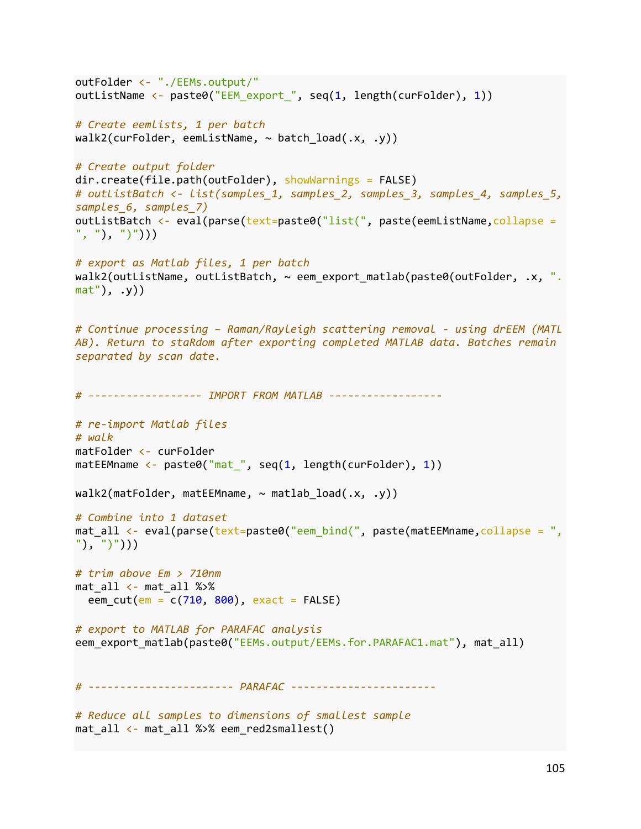```
outFolder <- "./EEMs.output/"
outListName <- paste0("EEM_export_", seq(1, length(curFolder), 1))
# Create eemlists, 1 per batch
walk2(curFolder, eemListName, \sim batch load(.x, .y))
# Create output folder
dir.create(file.path(outFolder), showWarnings = FALSE)
# outListBatch <- list(samples_1, samples_2, samples_3, samples_4, samples_5, 
samples_6, samples_7)
outListBatch <- eval(parse(text=paste0("list(", paste(eemListName, collapse =
", "), ")')))
# export as Matlab files, 1 per batch
walk2(outListName, outListBatch, \sim eem export matlab(paste0(outFolder, .x, ".
mat"), .y))
# Continue processing – Raman/Rayleigh scattering removal - using drEEM (MATL
AB). Return to staRdom after exporting completed MATLAB data. Batches remain 
separated by scan date.
# ------------------ IMPORT FROM MATLAB ------------------
# re-import Matlab files
# walk
matFolder <- curFolder
matEEMname < -</math> paste0("mat", seq(1, length(curFolder), 1))walk2(matFolder, matEEMname, ~ mathematically)# Combine into 1 dataset
mat all <- eval(parse(text=paste0("eem_bind(", paste(matEEMname,collapse = ",
"), ")")))
# trim above Em > 710nm
mat_all <- mat_all %>%
  eem cut(em = c(710, 800), exact = FALSE)
# export to MATLAB for PARAFAC analysis
eem_export_matlab(paste0("EEMs.output/EEMs.for.PARAFAC1.mat"), mat_all)
# ----------------------- PARAFAC -----------------------
# Reduce all samples to dimensions of smallest sample
```

```
mat all \leftarrow mat all %>% eem red2smallest()
```